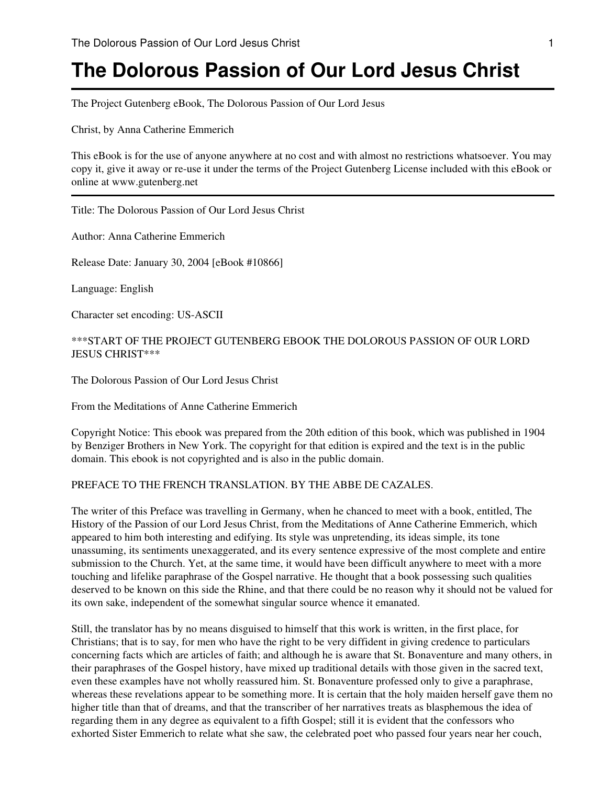The Project Gutenberg eBook, The Dolorous Passion of Our Lord Jesus

Christ, by Anna Catherine Emmerich

This eBook is for the use of anyone anywhere at no cost and with almost no restrictions whatsoever. You may copy it, give it away or re-use it under the terms of the Project Gutenberg License included with this eBook or online at www.gutenberg.net

Title: The Dolorous Passion of Our Lord Jesus Christ

Author: Anna Catherine Emmerich

Release Date: January 30, 2004 [eBook #10866]

Language: English

Character set encoding: US-ASCII

\*\*\*START OF THE PROJECT GUTENBERG EBOOK THE DOLOROUS PASSION OF OUR LORD JESUS CHRIST\*\*\*

The Dolorous Passion of Our Lord Jesus Christ

From the Meditations of Anne Catherine Emmerich

Copyright Notice: This ebook was prepared from the 20th edition of this book, which was published in 1904 by Benziger Brothers in New York. The copyright for that edition is expired and the text is in the public domain. This ebook is not copyrighted and is also in the public domain.

# PREFACE TO THE FRENCH TRANSLATION. BY THE ABBE DE CAZALES.

The writer of this Preface was travelling in Germany, when he chanced to meet with a book, entitled, The History of the Passion of our Lord Jesus Christ, from the Meditations of Anne Catherine Emmerich, which appeared to him both interesting and edifying. Its style was unpretending, its ideas simple, its tone unassuming, its sentiments unexaggerated, and its every sentence expressive of the most complete and entire submission to the Church. Yet, at the same time, it would have been difficult anywhere to meet with a more touching and lifelike paraphrase of the Gospel narrative. He thought that a book possessing such qualities deserved to be known on this side the Rhine, and that there could be no reason why it should not be valued for its own sake, independent of the somewhat singular source whence it emanated.

Still, the translator has by no means disguised to himself that this work is written, in the first place, for Christians; that is to say, for men who have the right to be very diffident in giving credence to particulars concerning facts which are articles of faith; and although he is aware that St. Bonaventure and many others, in their paraphrases of the Gospel history, have mixed up traditional details with those given in the sacred text, even these examples have not wholly reassured him. St. Bonaventure professed only to give a paraphrase, whereas these revelations appear to be something more. It is certain that the holy maiden herself gave them no higher title than that of dreams, and that the transcriber of her narratives treats as blasphemous the idea of regarding them in any degree as equivalent to a fifth Gospel; still it is evident that the confessors who exhorted Sister Emmerich to relate what she saw, the celebrated poet who passed four years near her couch,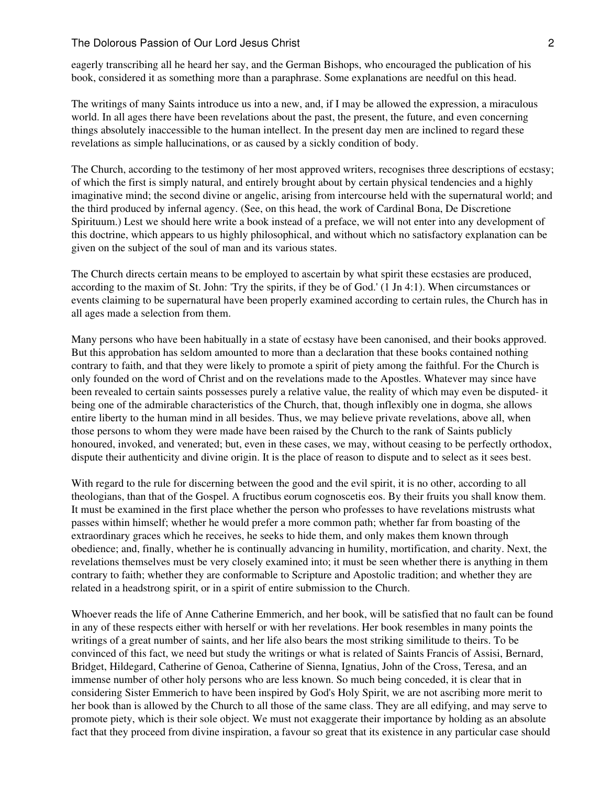eagerly transcribing all he heard her say, and the German Bishops, who encouraged the publication of his book, considered it as something more than a paraphrase. Some explanations are needful on this head.

The writings of many Saints introduce us into a new, and, if I may be allowed the expression, a miraculous world. In all ages there have been revelations about the past, the present, the future, and even concerning things absolutely inaccessible to the human intellect. In the present day men are inclined to regard these revelations as simple hallucinations, or as caused by a sickly condition of body.

The Church, according to the testimony of her most approved writers, recognises three descriptions of ecstasy; of which the first is simply natural, and entirely brought about by certain physical tendencies and a highly imaginative mind; the second divine or angelic, arising from intercourse held with the supernatural world; and the third produced by infernal agency. (See, on this head, the work of Cardinal Bona, De Discretione Spirituum.) Lest we should here write a book instead of a preface, we will not enter into any development of this doctrine, which appears to us highly philosophical, and without which no satisfactory explanation can be given on the subject of the soul of man and its various states.

The Church directs certain means to be employed to ascertain by what spirit these ecstasies are produced, according to the maxim of St. John: 'Try the spirits, if they be of God.' (1 Jn 4:1). When circumstances or events claiming to be supernatural have been properly examined according to certain rules, the Church has in all ages made a selection from them.

Many persons who have been habitually in a state of ecstasy have been canonised, and their books approved. But this approbation has seldom amounted to more than a declaration that these books contained nothing contrary to faith, and that they were likely to promote a spirit of piety among the faithful. For the Church is only founded on the word of Christ and on the revelations made to the Apostles. Whatever may since have been revealed to certain saints possesses purely a relative value, the reality of which may even be disputed- it being one of the admirable characteristics of the Church, that, though inflexibly one in dogma, she allows entire liberty to the human mind in all besides. Thus, we may believe private revelations, above all, when those persons to whom they were made have been raised by the Church to the rank of Saints publicly honoured, invoked, and venerated; but, even in these cases, we may, without ceasing to be perfectly orthodox, dispute their authenticity and divine origin. It is the place of reason to dispute and to select as it sees best.

With regard to the rule for discerning between the good and the evil spirit, it is no other, according to all theologians, than that of the Gospel. A fructibus eorum cognoscetis eos. By their fruits you shall know them. It must be examined in the first place whether the person who professes to have revelations mistrusts what passes within himself; whether he would prefer a more common path; whether far from boasting of the extraordinary graces which he receives, he seeks to hide them, and only makes them known through obedience; and, finally, whether he is continually advancing in humility, mortification, and charity. Next, the revelations themselves must be very closely examined into; it must be seen whether there is anything in them contrary to faith; whether they are conformable to Scripture and Apostolic tradition; and whether they are related in a headstrong spirit, or in a spirit of entire submission to the Church.

Whoever reads the life of Anne Catherine Emmerich, and her book, will be satisfied that no fault can be found in any of these respects either with herself or with her revelations. Her book resembles in many points the writings of a great number of saints, and her life also bears the most striking similitude to theirs. To be convinced of this fact, we need but study the writings or what is related of Saints Francis of Assisi, Bernard, Bridget, Hildegard, Catherine of Genoa, Catherine of Sienna, Ignatius, John of the Cross, Teresa, and an immense number of other holy persons who are less known. So much being conceded, it is clear that in considering Sister Emmerich to have been inspired by God's Holy Spirit, we are not ascribing more merit to her book than is allowed by the Church to all those of the same class. They are all edifying, and may serve to promote piety, which is their sole object. We must not exaggerate their importance by holding as an absolute fact that they proceed from divine inspiration, a favour so great that its existence in any particular case should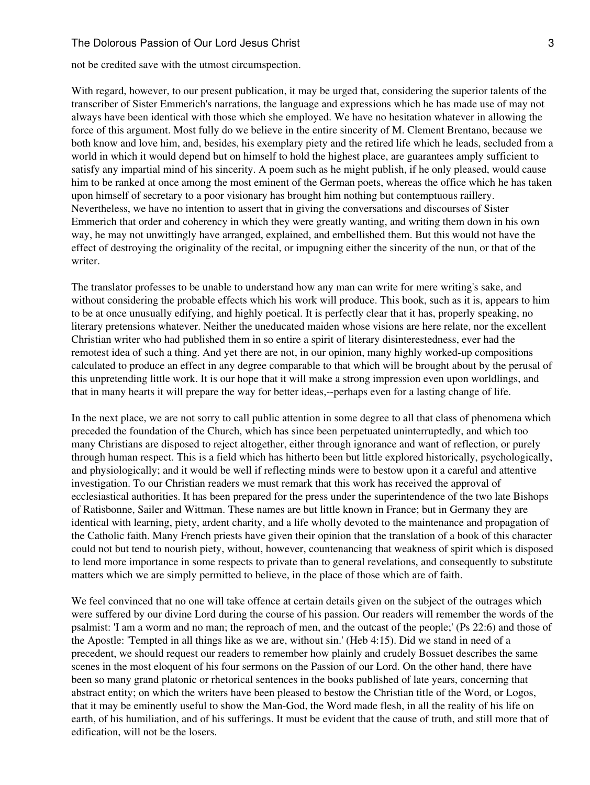not be credited save with the utmost circumspection.

With regard, however, to our present publication, it may be urged that, considering the superior talents of the transcriber of Sister Emmerich's narrations, the language and expressions which he has made use of may not always have been identical with those which she employed. We have no hesitation whatever in allowing the force of this argument. Most fully do we believe in the entire sincerity of M. Clement Brentano, because we both know and love him, and, besides, his exemplary piety and the retired life which he leads, secluded from a world in which it would depend but on himself to hold the highest place, are guarantees amply sufficient to satisfy any impartial mind of his sincerity. A poem such as he might publish, if he only pleased, would cause him to be ranked at once among the most eminent of the German poets, whereas the office which he has taken upon himself of secretary to a poor visionary has brought him nothing but contemptuous raillery. Nevertheless, we have no intention to assert that in giving the conversations and discourses of Sister Emmerich that order and coherency in which they were greatly wanting, and writing them down in his own way, he may not unwittingly have arranged, explained, and embellished them. But this would not have the effect of destroying the originality of the recital, or impugning either the sincerity of the nun, or that of the writer.

The translator professes to be unable to understand how any man can write for mere writing's sake, and without considering the probable effects which his work will produce. This book, such as it is, appears to him to be at once unusually edifying, and highly poetical. It is perfectly clear that it has, properly speaking, no literary pretensions whatever. Neither the uneducated maiden whose visions are here relate, nor the excellent Christian writer who had published them in so entire a spirit of literary disinterestedness, ever had the remotest idea of such a thing. And yet there are not, in our opinion, many highly worked-up compositions calculated to produce an effect in any degree comparable to that which will be brought about by the perusal of this unpretending little work. It is our hope that it will make a strong impression even upon worldlings, and that in many hearts it will prepare the way for better ideas,--perhaps even for a lasting change of life.

In the next place, we are not sorry to call public attention in some degree to all that class of phenomena which preceded the foundation of the Church, which has since been perpetuated uninterruptedly, and which too many Christians are disposed to reject altogether, either through ignorance and want of reflection, or purely through human respect. This is a field which has hitherto been but little explored historically, psychologically, and physiologically; and it would be well if reflecting minds were to bestow upon it a careful and attentive investigation. To our Christian readers we must remark that this work has received the approval of ecclesiastical authorities. It has been prepared for the press under the superintendence of the two late Bishops of Ratisbonne, Sailer and Wittman. These names are but little known in France; but in Germany they are identical with learning, piety, ardent charity, and a life wholly devoted to the maintenance and propagation of the Catholic faith. Many French priests have given their opinion that the translation of a book of this character could not but tend to nourish piety, without, however, countenancing that weakness of spirit which is disposed to lend more importance in some respects to private than to general revelations, and consequently to substitute matters which we are simply permitted to believe, in the place of those which are of faith.

We feel convinced that no one will take offence at certain details given on the subject of the outrages which were suffered by our divine Lord during the course of his passion. Our readers will remember the words of the psalmist: 'I am a worm and no man; the reproach of men, and the outcast of the people;' (Ps 22:6) and those of the Apostle: 'Tempted in all things like as we are, without sin.' (Heb 4:15). Did we stand in need of a precedent, we should request our readers to remember how plainly and crudely Bossuet describes the same scenes in the most eloquent of his four sermons on the Passion of our Lord. On the other hand, there have been so many grand platonic or rhetorical sentences in the books published of late years, concerning that abstract entity; on which the writers have been pleased to bestow the Christian title of the Word, or Logos, that it may be eminently useful to show the Man-God, the Word made flesh, in all the reality of his life on earth, of his humiliation, and of his sufferings. It must be evident that the cause of truth, and still more that of edification, will not be the losers.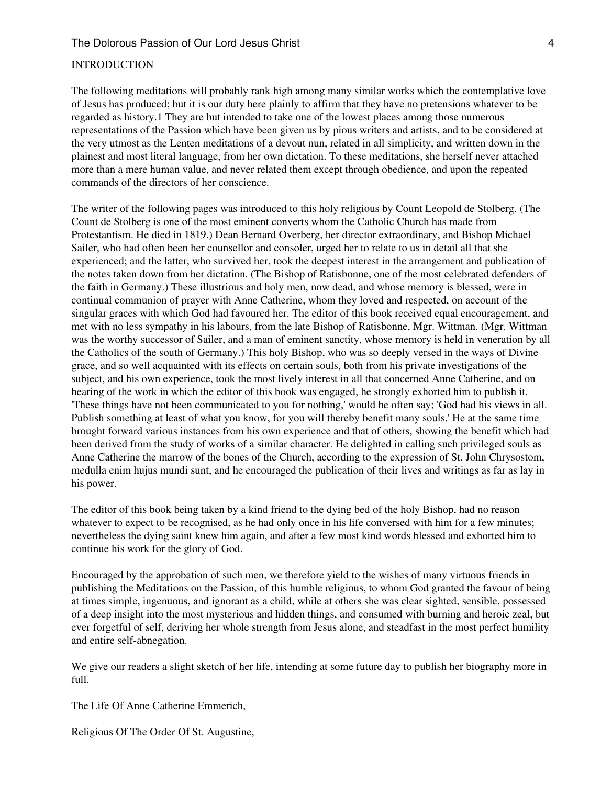## INTRODUCTION

The following meditations will probably rank high among many similar works which the contemplative love of Jesus has produced; but it is our duty here plainly to affirm that they have no pretensions whatever to be regarded as history.1 They are but intended to take one of the lowest places among those numerous representations of the Passion which have been given us by pious writers and artists, and to be considered at the very utmost as the Lenten meditations of a devout nun, related in all simplicity, and written down in the plainest and most literal language, from her own dictation. To these meditations, she herself never attached more than a mere human value, and never related them except through obedience, and upon the repeated commands of the directors of her conscience.

The writer of the following pages was introduced to this holy religious by Count Leopold de Stolberg. (The Count de Stolberg is one of the most eminent converts whom the Catholic Church has made from Protestantism. He died in 1819.) Dean Bernard Overberg, her director extraordinary, and Bishop Michael Sailer, who had often been her counsellor and consoler, urged her to relate to us in detail all that she experienced; and the latter, who survived her, took the deepest interest in the arrangement and publication of the notes taken down from her dictation. (The Bishop of Ratisbonne, one of the most celebrated defenders of the faith in Germany.) These illustrious and holy men, now dead, and whose memory is blessed, were in continual communion of prayer with Anne Catherine, whom they loved and respected, on account of the singular graces with which God had favoured her. The editor of this book received equal encouragement, and met with no less sympathy in his labours, from the late Bishop of Ratisbonne, Mgr. Wittman. (Mgr. Wittman was the worthy successor of Sailer, and a man of eminent sanctity, whose memory is held in veneration by all the Catholics of the south of Germany.) This holy Bishop, who was so deeply versed in the ways of Divine grace, and so well acquainted with its effects on certain souls, both from his private investigations of the subject, and his own experience, took the most lively interest in all that concerned Anne Catherine, and on hearing of the work in which the editor of this book was engaged, he strongly exhorted him to publish it. 'These things have not been communicated to you for nothing,' would he often say; 'God had his views in all. Publish something at least of what you know, for you will thereby benefit many souls.' He at the same time brought forward various instances from his own experience and that of others, showing the benefit which had been derived from the study of works of a similar character. He delighted in calling such privileged souls as Anne Catherine the marrow of the bones of the Church, according to the expression of St. John Chrysostom, medulla enim hujus mundi sunt, and he encouraged the publication of their lives and writings as far as lay in his power.

The editor of this book being taken by a kind friend to the dying bed of the holy Bishop, had no reason whatever to expect to be recognised, as he had only once in his life conversed with him for a few minutes; nevertheless the dying saint knew him again, and after a few most kind words blessed and exhorted him to continue his work for the glory of God.

Encouraged by the approbation of such men, we therefore yield to the wishes of many virtuous friends in publishing the Meditations on the Passion, of this humble religious, to whom God granted the favour of being at times simple, ingenuous, and ignorant as a child, while at others she was clear sighted, sensible, possessed of a deep insight into the most mysterious and hidden things, and consumed with burning and heroic zeal, but ever forgetful of self, deriving her whole strength from Jesus alone, and steadfast in the most perfect humility and entire self-abnegation.

We give our readers a slight sketch of her life, intending at some future day to publish her biography more in full.

The Life Of Anne Catherine Emmerich,

Religious Of The Order Of St. Augustine,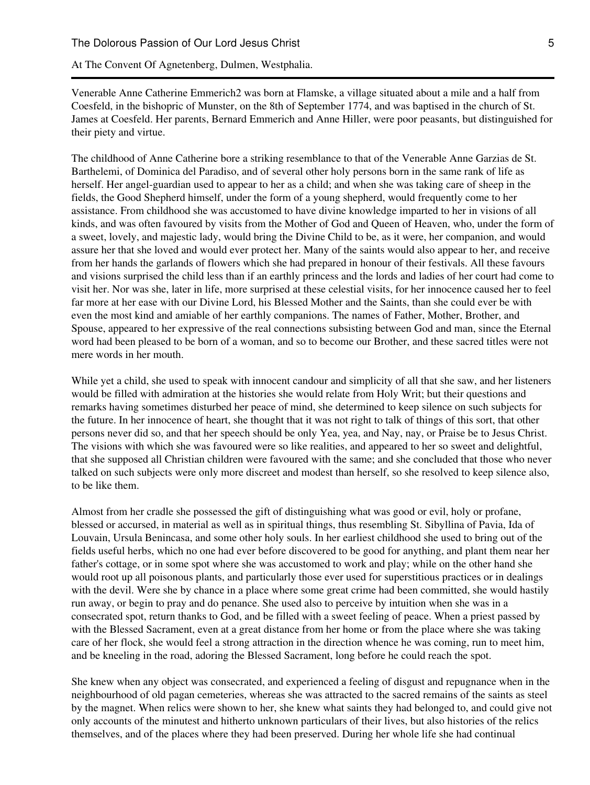At The Convent Of Agnetenberg, Dulmen, Westphalia.

Venerable Anne Catherine Emmerich2 was born at Flamske, a village situated about a mile and a half from Coesfeld, in the bishopric of Munster, on the 8th of September 1774, and was baptised in the church of St. James at Coesfeld. Her parents, Bernard Emmerich and Anne Hiller, were poor peasants, but distinguished for their piety and virtue.

The childhood of Anne Catherine bore a striking resemblance to that of the Venerable Anne Garzias de St. Barthelemi, of Dominica del Paradiso, and of several other holy persons born in the same rank of life as herself. Her angel-guardian used to appear to her as a child; and when she was taking care of sheep in the fields, the Good Shepherd himself, under the form of a young shepherd, would frequently come to her assistance. From childhood she was accustomed to have divine knowledge imparted to her in visions of all kinds, and was often favoured by visits from the Mother of God and Queen of Heaven, who, under the form of a sweet, lovely, and majestic lady, would bring the Divine Child to be, as it were, her companion, and would assure her that she loved and would ever protect her. Many of the saints would also appear to her, and receive from her hands the garlands of flowers which she had prepared in honour of their festivals. All these favours and visions surprised the child less than if an earthly princess and the lords and ladies of her court had come to visit her. Nor was she, later in life, more surprised at these celestial visits, for her innocence caused her to feel far more at her ease with our Divine Lord, his Blessed Mother and the Saints, than she could ever be with even the most kind and amiable of her earthly companions. The names of Father, Mother, Brother, and Spouse, appeared to her expressive of the real connections subsisting between God and man, since the Eternal word had been pleased to be born of a woman, and so to become our Brother, and these sacred titles were not mere words in her mouth.

While yet a child, she used to speak with innocent candour and simplicity of all that she saw, and her listeners would be filled with admiration at the histories she would relate from Holy Writ; but their questions and remarks having sometimes disturbed her peace of mind, she determined to keep silence on such subjects for the future. In her innocence of heart, she thought that it was not right to talk of things of this sort, that other persons never did so, and that her speech should be only Yea, yea, and Nay, nay, or Praise be to Jesus Christ. The visions with which she was favoured were so like realities, and appeared to her so sweet and delightful, that she supposed all Christian children were favoured with the same; and she concluded that those who never talked on such subjects were only more discreet and modest than herself, so she resolved to keep silence also, to be like them.

Almost from her cradle she possessed the gift of distinguishing what was good or evil, holy or profane, blessed or accursed, in material as well as in spiritual things, thus resembling St. Sibyllina of Pavia, Ida of Louvain, Ursula Benincasa, and some other holy souls. In her earliest childhood she used to bring out of the fields useful herbs, which no one had ever before discovered to be good for anything, and plant them near her father's cottage, or in some spot where she was accustomed to work and play; while on the other hand she would root up all poisonous plants, and particularly those ever used for superstitious practices or in dealings with the devil. Were she by chance in a place where some great crime had been committed, she would hastily run away, or begin to pray and do penance. She used also to perceive by intuition when she was in a consecrated spot, return thanks to God, and be filled with a sweet feeling of peace. When a priest passed by with the Blessed Sacrament, even at a great distance from her home or from the place where she was taking care of her flock, she would feel a strong attraction in the direction whence he was coming, run to meet him, and be kneeling in the road, adoring the Blessed Sacrament, long before he could reach the spot.

She knew when any object was consecrated, and experienced a feeling of disgust and repugnance when in the neighbourhood of old pagan cemeteries, whereas she was attracted to the sacred remains of the saints as steel by the magnet. When relics were shown to her, she knew what saints they had belonged to, and could give not only accounts of the minutest and hitherto unknown particulars of their lives, but also histories of the relics themselves, and of the places where they had been preserved. During her whole life she had continual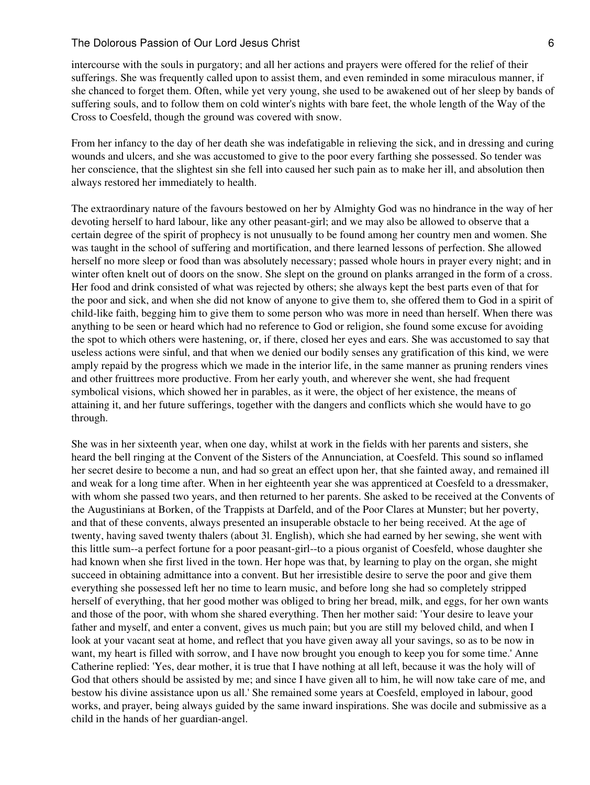intercourse with the souls in purgatory; and all her actions and prayers were offered for the relief of their sufferings. She was frequently called upon to assist them, and even reminded in some miraculous manner, if she chanced to forget them. Often, while yet very young, she used to be awakened out of her sleep by bands of suffering souls, and to follow them on cold winter's nights with bare feet, the whole length of the Way of the Cross to Coesfeld, though the ground was covered with snow.

From her infancy to the day of her death she was indefatigable in relieving the sick, and in dressing and curing wounds and ulcers, and she was accustomed to give to the poor every farthing she possessed. So tender was her conscience, that the slightest sin she fell into caused her such pain as to make her ill, and absolution then always restored her immediately to health.

The extraordinary nature of the favours bestowed on her by Almighty God was no hindrance in the way of her devoting herself to hard labour, like any other peasant-girl; and we may also be allowed to observe that a certain degree of the spirit of prophecy is not unusually to be found among her country men and women. She was taught in the school of suffering and mortification, and there learned lessons of perfection. She allowed herself no more sleep or food than was absolutely necessary; passed whole hours in prayer every night; and in winter often knelt out of doors on the snow. She slept on the ground on planks arranged in the form of a cross. Her food and drink consisted of what was rejected by others; she always kept the best parts even of that for the poor and sick, and when she did not know of anyone to give them to, she offered them to God in a spirit of child-like faith, begging him to give them to some person who was more in need than herself. When there was anything to be seen or heard which had no reference to God or religion, she found some excuse for avoiding the spot to which others were hastening, or, if there, closed her eyes and ears. She was accustomed to say that useless actions were sinful, and that when we denied our bodily senses any gratification of this kind, we were amply repaid by the progress which we made in the interior life, in the same manner as pruning renders vines and other fruittrees more productive. From her early youth, and wherever she went, she had frequent symbolical visions, which showed her in parables, as it were, the object of her existence, the means of attaining it, and her future sufferings, together with the dangers and conflicts which she would have to go through.

She was in her sixteenth year, when one day, whilst at work in the fields with her parents and sisters, she heard the bell ringing at the Convent of the Sisters of the Annunciation, at Coesfeld. This sound so inflamed her secret desire to become a nun, and had so great an effect upon her, that she fainted away, and remained ill and weak for a long time after. When in her eighteenth year she was apprenticed at Coesfeld to a dressmaker, with whom she passed two years, and then returned to her parents. She asked to be received at the Convents of the Augustinians at Borken, of the Trappists at Darfeld, and of the Poor Clares at Munster; but her poverty, and that of these convents, always presented an insuperable obstacle to her being received. At the age of twenty, having saved twenty thalers (about 3l. English), which she had earned by her sewing, she went with this little sum--a perfect fortune for a poor peasant-girl--to a pious organist of Coesfeld, whose daughter she had known when she first lived in the town. Her hope was that, by learning to play on the organ, she might succeed in obtaining admittance into a convent. But her irresistible desire to serve the poor and give them everything she possessed left her no time to learn music, and before long she had so completely stripped herself of everything, that her good mother was obliged to bring her bread, milk, and eggs, for her own wants and those of the poor, with whom she shared everything. Then her mother said: 'Your desire to leave your father and myself, and enter a convent, gives us much pain; but you are still my beloved child, and when I look at your vacant seat at home, and reflect that you have given away all your savings, so as to be now in want, my heart is filled with sorrow, and I have now brought you enough to keep you for some time.' Anne Catherine replied: 'Yes, dear mother, it is true that I have nothing at all left, because it was the holy will of God that others should be assisted by me; and since I have given all to him, he will now take care of me, and bestow his divine assistance upon us all.' She remained some years at Coesfeld, employed in labour, good works, and prayer, being always guided by the same inward inspirations. She was docile and submissive as a child in the hands of her guardian-angel.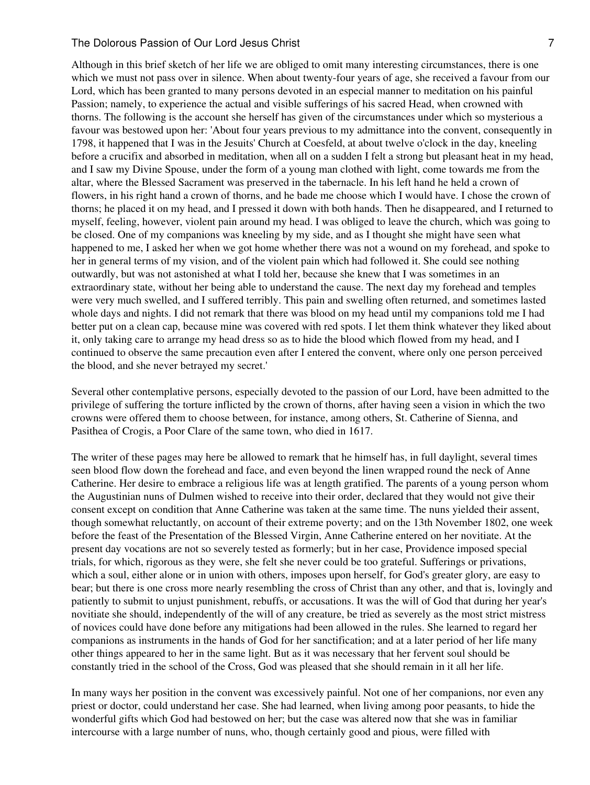Although in this brief sketch of her life we are obliged to omit many interesting circumstances, there is one which we must not pass over in silence. When about twenty-four years of age, she received a favour from our Lord, which has been granted to many persons devoted in an especial manner to meditation on his painful Passion; namely, to experience the actual and visible sufferings of his sacred Head, when crowned with thorns. The following is the account she herself has given of the circumstances under which so mysterious a favour was bestowed upon her: 'About four years previous to my admittance into the convent, consequently in 1798, it happened that I was in the Jesuits' Church at Coesfeld, at about twelve o'clock in the day, kneeling before a crucifix and absorbed in meditation, when all on a sudden I felt a strong but pleasant heat in my head, and I saw my Divine Spouse, under the form of a young man clothed with light, come towards me from the altar, where the Blessed Sacrament was preserved in the tabernacle. In his left hand he held a crown of flowers, in his right hand a crown of thorns, and he bade me choose which I would have. I chose the crown of thorns; he placed it on my head, and I pressed it down with both hands. Then he disappeared, and I returned to myself, feeling, however, violent pain around my head. I was obliged to leave the church, which was going to be closed. One of my companions was kneeling by my side, and as I thought she might have seen what happened to me, I asked her when we got home whether there was not a wound on my forehead, and spoke to her in general terms of my vision, and of the violent pain which had followed it. She could see nothing outwardly, but was not astonished at what I told her, because she knew that I was sometimes in an extraordinary state, without her being able to understand the cause. The next day my forehead and temples were very much swelled, and I suffered terribly. This pain and swelling often returned, and sometimes lasted whole days and nights. I did not remark that there was blood on my head until my companions told me I had better put on a clean cap, because mine was covered with red spots. I let them think whatever they liked about it, only taking care to arrange my head dress so as to hide the blood which flowed from my head, and I continued to observe the same precaution even after I entered the convent, where only one person perceived the blood, and she never betrayed my secret.'

Several other contemplative persons, especially devoted to the passion of our Lord, have been admitted to the privilege of suffering the torture inflicted by the crown of thorns, after having seen a vision in which the two crowns were offered them to choose between, for instance, among others, St. Catherine of Sienna, and Pasithea of Crogis, a Poor Clare of the same town, who died in 1617.

The writer of these pages may here be allowed to remark that he himself has, in full daylight, several times seen blood flow down the forehead and face, and even beyond the linen wrapped round the neck of Anne Catherine. Her desire to embrace a religious life was at length gratified. The parents of a young person whom the Augustinian nuns of Dulmen wished to receive into their order, declared that they would not give their consent except on condition that Anne Catherine was taken at the same time. The nuns yielded their assent, though somewhat reluctantly, on account of their extreme poverty; and on the 13th November 1802, one week before the feast of the Presentation of the Blessed Virgin, Anne Catherine entered on her novitiate. At the present day vocations are not so severely tested as formerly; but in her case, Providence imposed special trials, for which, rigorous as they were, she felt she never could be too grateful. Sufferings or privations, which a soul, either alone or in union with others, imposes upon herself, for God's greater glory, are easy to bear; but there is one cross more nearly resembling the cross of Christ than any other, and that is, lovingly and patiently to submit to unjust punishment, rebuffs, or accusations. It was the will of God that during her year's novitiate she should, independently of the will of any creature, be tried as severely as the most strict mistress of novices could have done before any mitigations had been allowed in the rules. She learned to regard her companions as instruments in the hands of God for her sanctification; and at a later period of her life many other things appeared to her in the same light. But as it was necessary that her fervent soul should be constantly tried in the school of the Cross, God was pleased that she should remain in it all her life.

In many ways her position in the convent was excessively painful. Not one of her companions, nor even any priest or doctor, could understand her case. She had learned, when living among poor peasants, to hide the wonderful gifts which God had bestowed on her; but the case was altered now that she was in familiar intercourse with a large number of nuns, who, though certainly good and pious, were filled with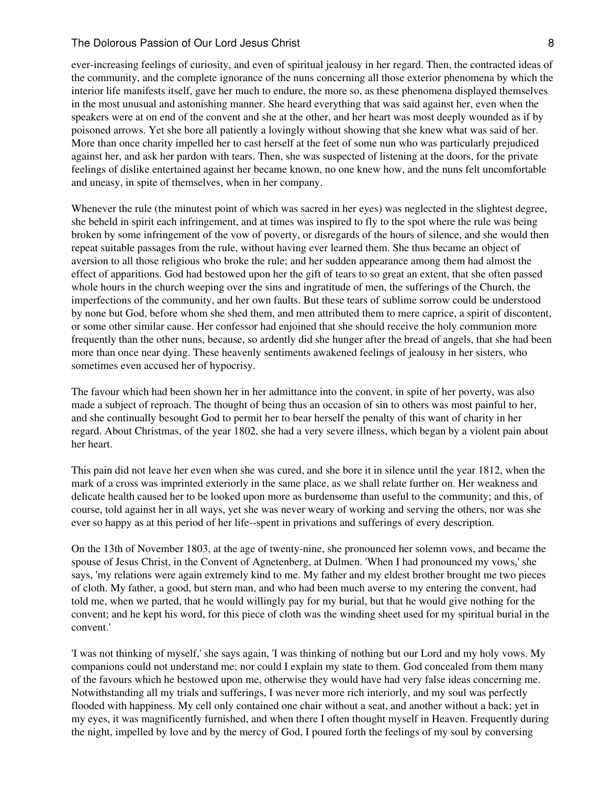ever-increasing feelings of curiosity, and even of spiritual jealousy in her regard. Then, the contracted ideas of the community, and the complete ignorance of the nuns concerning all those exterior phenomena by which the interior life manifests itself, gave her much to endure, the more so, as these phenomena displayed themselves in the most unusual and astonishing manner. She heard everything that was said against her, even when the speakers were at on end of the convent and she at the other, and her heart was most deeply wounded as if by poisoned arrows. Yet she bore all patiently a lovingly without showing that she knew what was said of her. More than once charity impelled her to cast herself at the feet of some nun who was particularly prejudiced against her, and ask her pardon with tears. Then, she was suspected of listening at the doors, for the private feelings of dislike entertained against her became known, no one knew how, and the nuns felt uncomfortable and uneasy, in spite of themselves, when in her company.

Whenever the rule (the minutest point of which was sacred in her eyes) was neglected in the slightest degree, she beheld in spirit each infringement, and at times was inspired to fly to the spot where the rule was being broken by some infringement of the vow of poverty, or disregards of the hours of silence, and she would then repeat suitable passages from the rule, without having ever learned them. She thus became an object of aversion to all those religious who broke the rule; and her sudden appearance among them had almost the effect of apparitions. God had bestowed upon her the gift of tears to so great an extent, that she often passed whole hours in the church weeping over the sins and ingratitude of men, the sufferings of the Church, the imperfections of the community, and her own faults. But these tears of sublime sorrow could be understood by none but God, before whom she shed them, and men attributed them to mere caprice, a spirit of discontent, or some other similar cause. Her confessor had enjoined that she should receive the holy communion more frequently than the other nuns, because, so ardently did she hunger after the bread of angels, that she had been more than once near dying. These heavenly sentiments awakened feelings of jealousy in her sisters, who sometimes even accused her of hypocrisy.

The favour which had been shown her in her admittance into the convent, in spite of her poverty, was also made a subject of reproach. The thought of being thus an occasion of sin to others was most painful to her, and she continually besought God to permit her to bear herself the penalty of this want of charity in her regard. About Christmas, of the year 1802, she had a very severe illness, which began by a violent pain about her heart.

This pain did not leave her even when she was cured, and she bore it in silence until the year 1812, when the mark of a cross was imprinted exteriorly in the same place, as we shall relate further on. Her weakness and delicate health caused her to be looked upon more as burdensome than useful to the community; and this, of course, told against her in all ways, yet she was never weary of working and serving the others, nor was she ever so happy as at this period of her life--spent in privations and sufferings of every description.

On the 13th of November 1803, at the age of twenty-nine, she pronounced her solemn vows, and became the spouse of Jesus Christ, in the Convent of Agnetenberg, at Dulmen. 'When I had pronounced my vows,' she says, 'my relations were again extremely kind to me. My father and my eldest brother brought me two pieces of cloth. My father, a good, but stern man, and who had been much averse to my entering the convent, had told me, when we parted, that he would willingly pay for my burial, but that he would give nothing for the convent; and he kept his word, for this piece of cloth was the winding sheet used for my spiritual burial in the convent.'

'I was not thinking of myself,' she says again, 'I was thinking of nothing but our Lord and my holy vows. My companions could not understand me; nor could I explain my state to them. God concealed from them many of the favours which he bestowed upon me, otherwise they would have had very false ideas concerning me. Notwithstanding all my trials and sufferings, I was never more rich interiorly, and my soul was perfectly flooded with happiness. My cell only contained one chair without a seat, and another without a back; yet in my eyes, it was magnificently furnished, and when there I often thought myself in Heaven. Frequently during the night, impelled by love and by the mercy of God, I poured forth the feelings of my soul by conversing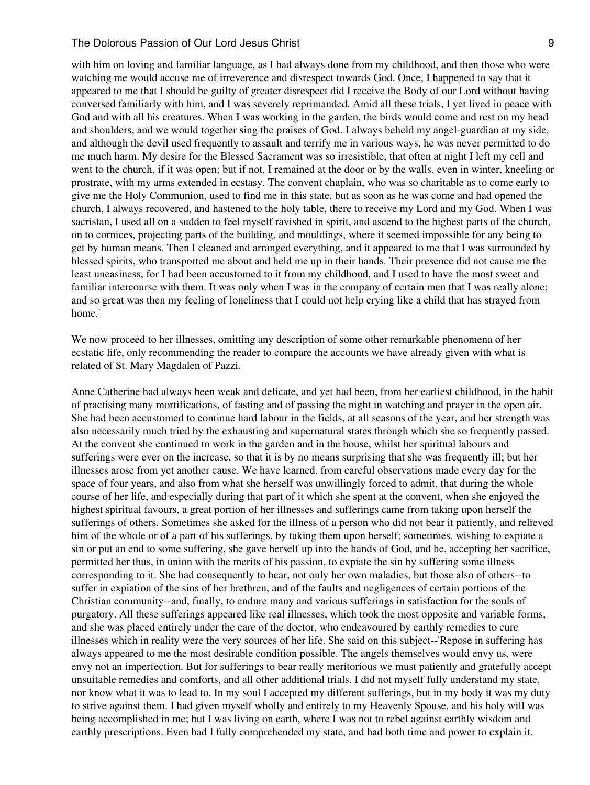with him on loving and familiar language, as I had always done from my childhood, and then those who were watching me would accuse me of irreverence and disrespect towards God. Once, I happened to say that it appeared to me that I should be guilty of greater disrespect did I receive the Body of our Lord without having conversed familiarly with him, and I was severely reprimanded. Amid all these trials, I yet lived in peace with God and with all his creatures. When I was working in the garden, the birds would come and rest on my head and shoulders, and we would together sing the praises of God. I always beheld my angel-guardian at my side, and although the devil used frequently to assault and terrify me in various ways, he was never permitted to do me much harm. My desire for the Blessed Sacrament was so irresistible, that often at night I left my cell and went to the church, if it was open; but if not, I remained at the door or by the walls, even in winter, kneeling or prostrate, with my arms extended in ecstasy. The convent chaplain, who was so charitable as to come early to give me the Holy Communion, used to find me in this state, but as soon as he was come and had opened the church, I always recovered, and hastened to the holy table, there to receive my Lord and my God. When I was sacristan, I used all on a sudden to feel myself ravished in spirit, and ascend to the highest parts of the church, on to cornices, projecting parts of the building, and mouldings, where it seemed impossible for any being to get by human means. Then I cleaned and arranged everything, and it appeared to me that I was surrounded by blessed spirits, who transported me about and held me up in their hands. Their presence did not cause me the least uneasiness, for I had been accustomed to it from my childhood, and I used to have the most sweet and familiar intercourse with them. It was only when I was in the company of certain men that I was really alone; and so great was then my feeling of loneliness that I could not help crying like a child that has strayed from home.'

We now proceed to her illnesses, omitting any description of some other remarkable phenomena of her ecstatic life, only recommending the reader to compare the accounts we have already given with what is related of St. Mary Magdalen of Pazzi.

Anne Catherine had always been weak and delicate, and yet had been, from her earliest childhood, in the habit of practising many mortifications, of fasting and of passing the night in watching and prayer in the open air. She had been accustomed to continue hard labour in the fields, at all seasons of the year, and her strength was also necessarily much tried by the exhausting and supernatural states through which she so frequently passed. At the convent she continued to work in the garden and in the house, whilst her spiritual labours and sufferings were ever on the increase, so that it is by no means surprising that she was frequently ill; but her illnesses arose from yet another cause. We have learned, from careful observations made every day for the space of four years, and also from what she herself was unwillingly forced to admit, that during the whole course of her life, and especially during that part of it which she spent at the convent, when she enjoyed the highest spiritual favours, a great portion of her illnesses and sufferings came from taking upon herself the sufferings of others. Sometimes she asked for the illness of a person who did not bear it patiently, and relieved him of the whole or of a part of his sufferings, by taking them upon herself; sometimes, wishing to expiate a sin or put an end to some suffering, she gave herself up into the hands of God, and he, accepting her sacrifice, permitted her thus, in union with the merits of his passion, to expiate the sin by suffering some illness corresponding to it. She had consequently to bear, not only her own maladies, but those also of others--to suffer in expiation of the sins of her brethren, and of the faults and negligences of certain portions of the Christian community--and, finally, to endure many and various sufferings in satisfaction for the souls of purgatory. All these sufferings appeared like real illnesses, which took the most opposite and variable forms, and she was placed entirely under the care of the doctor, who endeavoured by earthly remedies to cure illnesses which in reality were the very sources of her life. She said on this subject--'Repose in suffering has always appeared to me the most desirable condition possible. The angels themselves would envy us, were envy not an imperfection. But for sufferings to bear really meritorious we must patiently and gratefully accept unsuitable remedies and comforts, and all other additional trials. I did not myself fully understand my state, nor know what it was to lead to. In my soul I accepted my different sufferings, but in my body it was my duty to strive against them. I had given myself wholly and entirely to my Heavenly Spouse, and his holy will was being accomplished in me; but I was living on earth, where I was not to rebel against earthly wisdom and earthly prescriptions. Even had I fully comprehended my state, and had both time and power to explain it,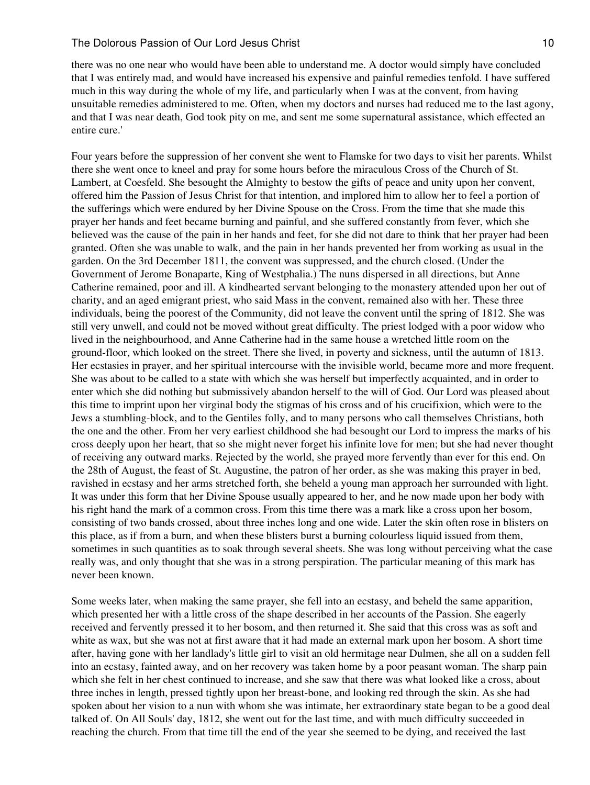there was no one near who would have been able to understand me. A doctor would simply have concluded that I was entirely mad, and would have increased his expensive and painful remedies tenfold. I have suffered much in this way during the whole of my life, and particularly when I was at the convent, from having unsuitable remedies administered to me. Often, when my doctors and nurses had reduced me to the last agony, and that I was near death, God took pity on me, and sent me some supernatural assistance, which effected an entire cure.'

Four years before the suppression of her convent she went to Flamske for two days to visit her parents. Whilst there she went once to kneel and pray for some hours before the miraculous Cross of the Church of St. Lambert, at Coesfeld. She besought the Almighty to bestow the gifts of peace and unity upon her convent, offered him the Passion of Jesus Christ for that intention, and implored him to allow her to feel a portion of the sufferings which were endured by her Divine Spouse on the Cross. From the time that she made this prayer her hands and feet became burning and painful, and she suffered constantly from fever, which she believed was the cause of the pain in her hands and feet, for she did not dare to think that her prayer had been granted. Often she was unable to walk, and the pain in her hands prevented her from working as usual in the garden. On the 3rd December 1811, the convent was suppressed, and the church closed. (Under the Government of Jerome Bonaparte, King of Westphalia.) The nuns dispersed in all directions, but Anne Catherine remained, poor and ill. A kindhearted servant belonging to the monastery attended upon her out of charity, and an aged emigrant priest, who said Mass in the convent, remained also with her. These three individuals, being the poorest of the Community, did not leave the convent until the spring of 1812. She was still very unwell, and could not be moved without great difficulty. The priest lodged with a poor widow who lived in the neighbourhood, and Anne Catherine had in the same house a wretched little room on the ground-floor, which looked on the street. There she lived, in poverty and sickness, until the autumn of 1813. Her ecstasies in prayer, and her spiritual intercourse with the invisible world, became more and more frequent. She was about to be called to a state with which she was herself but imperfectly acquainted, and in order to enter which she did nothing but submissively abandon herself to the will of God. Our Lord was pleased about this time to imprint upon her virginal body the stigmas of his cross and of his crucifixion, which were to the Jews a stumbling-block, and to the Gentiles folly, and to many persons who call themselves Christians, both the one and the other. From her very earliest childhood she had besought our Lord to impress the marks of his cross deeply upon her heart, that so she might never forget his infinite love for men; but she had never thought of receiving any outward marks. Rejected by the world, she prayed more fervently than ever for this end. On the 28th of August, the feast of St. Augustine, the patron of her order, as she was making this prayer in bed, ravished in ecstasy and her arms stretched forth, she beheld a young man approach her surrounded with light. It was under this form that her Divine Spouse usually appeared to her, and he now made upon her body with his right hand the mark of a common cross. From this time there was a mark like a cross upon her bosom, consisting of two bands crossed, about three inches long and one wide. Later the skin often rose in blisters on this place, as if from a burn, and when these blisters burst a burning colourless liquid issued from them, sometimes in such quantities as to soak through several sheets. She was long without perceiving what the case really was, and only thought that she was in a strong perspiration. The particular meaning of this mark has never been known.

Some weeks later, when making the same prayer, she fell into an ecstasy, and beheld the same apparition, which presented her with a little cross of the shape described in her accounts of the Passion. She eagerly received and fervently pressed it to her bosom, and then returned it. She said that this cross was as soft and white as wax, but she was not at first aware that it had made an external mark upon her bosom. A short time after, having gone with her landlady's little girl to visit an old hermitage near Dulmen, she all on a sudden fell into an ecstasy, fainted away, and on her recovery was taken home by a poor peasant woman. The sharp pain which she felt in her chest continued to increase, and she saw that there was what looked like a cross, about three inches in length, pressed tightly upon her breast-bone, and looking red through the skin. As she had spoken about her vision to a nun with whom she was intimate, her extraordinary state began to be a good deal talked of. On All Souls' day, 1812, she went out for the last time, and with much difficulty succeeded in reaching the church. From that time till the end of the year she seemed to be dying, and received the last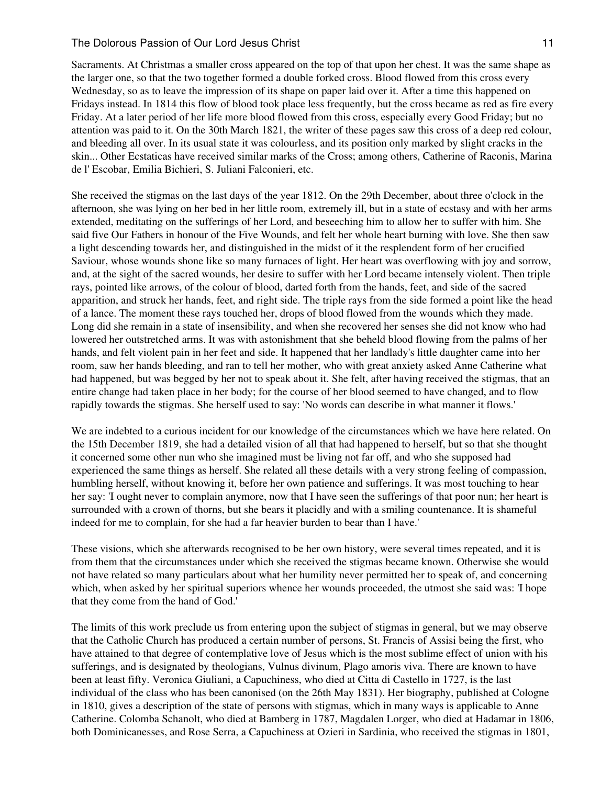Sacraments. At Christmas a smaller cross appeared on the top of that upon her chest. It was the same shape as the larger one, so that the two together formed a double forked cross. Blood flowed from this cross every Wednesday, so as to leave the impression of its shape on paper laid over it. After a time this happened on Fridays instead. In 1814 this flow of blood took place less frequently, but the cross became as red as fire every Friday. At a later period of her life more blood flowed from this cross, especially every Good Friday; but no attention was paid to it. On the 30th March 1821, the writer of these pages saw this cross of a deep red colour, and bleeding all over. In its usual state it was colourless, and its position only marked by slight cracks in the skin... Other Ecstaticas have received similar marks of the Cross; among others, Catherine of Raconis, Marina de l' Escobar, Emilia Bichieri, S. Juliani Falconieri, etc.

She received the stigmas on the last days of the year 1812. On the 29th December, about three o'clock in the afternoon, she was lying on her bed in her little room, extremely ill, but in a state of ecstasy and with her arms extended, meditating on the sufferings of her Lord, and beseeching him to allow her to suffer with him. She said five Our Fathers in honour of the Five Wounds, and felt her whole heart burning with love. She then saw a light descending towards her, and distinguished in the midst of it the resplendent form of her crucified Saviour, whose wounds shone like so many furnaces of light. Her heart was overflowing with joy and sorrow, and, at the sight of the sacred wounds, her desire to suffer with her Lord became intensely violent. Then triple rays, pointed like arrows, of the colour of blood, darted forth from the hands, feet, and side of the sacred apparition, and struck her hands, feet, and right side. The triple rays from the side formed a point like the head of a lance. The moment these rays touched her, drops of blood flowed from the wounds which they made. Long did she remain in a state of insensibility, and when she recovered her senses she did not know who had lowered her outstretched arms. It was with astonishment that she beheld blood flowing from the palms of her hands, and felt violent pain in her feet and side. It happened that her landlady's little daughter came into her room, saw her hands bleeding, and ran to tell her mother, who with great anxiety asked Anne Catherine what had happened, but was begged by her not to speak about it. She felt, after having received the stigmas, that an entire change had taken place in her body; for the course of her blood seemed to have changed, and to flow rapidly towards the stigmas. She herself used to say: 'No words can describe in what manner it flows.'

We are indebted to a curious incident for our knowledge of the circumstances which we have here related. On the 15th December 1819, she had a detailed vision of all that had happened to herself, but so that she thought it concerned some other nun who she imagined must be living not far off, and who she supposed had experienced the same things as herself. She related all these details with a very strong feeling of compassion, humbling herself, without knowing it, before her own patience and sufferings. It was most touching to hear her say: 'I ought never to complain anymore, now that I have seen the sufferings of that poor nun; her heart is surrounded with a crown of thorns, but she bears it placidly and with a smiling countenance. It is shameful indeed for me to complain, for she had a far heavier burden to bear than I have.'

These visions, which she afterwards recognised to be her own history, were several times repeated, and it is from them that the circumstances under which she received the stigmas became known. Otherwise she would not have related so many particulars about what her humility never permitted her to speak of, and concerning which, when asked by her spiritual superiors whence her wounds proceeded, the utmost she said was: 'I hope that they come from the hand of God.'

The limits of this work preclude us from entering upon the subject of stigmas in general, but we may observe that the Catholic Church has produced a certain number of persons, St. Francis of Assisi being the first, who have attained to that degree of contemplative love of Jesus which is the most sublime effect of union with his sufferings, and is designated by theologians, Vulnus divinum, Plago amoris viva. There are known to have been at least fifty. Veronica Giuliani, a Capuchiness, who died at Citta di Castello in 1727, is the last individual of the class who has been canonised (on the 26th May 1831). Her biography, published at Cologne in 1810, gives a description of the state of persons with stigmas, which in many ways is applicable to Anne Catherine. Colomba Schanolt, who died at Bamberg in 1787, Magdalen Lorger, who died at Hadamar in 1806, both Dominicanesses, and Rose Serra, a Capuchiness at Ozieri in Sardinia, who received the stigmas in 1801,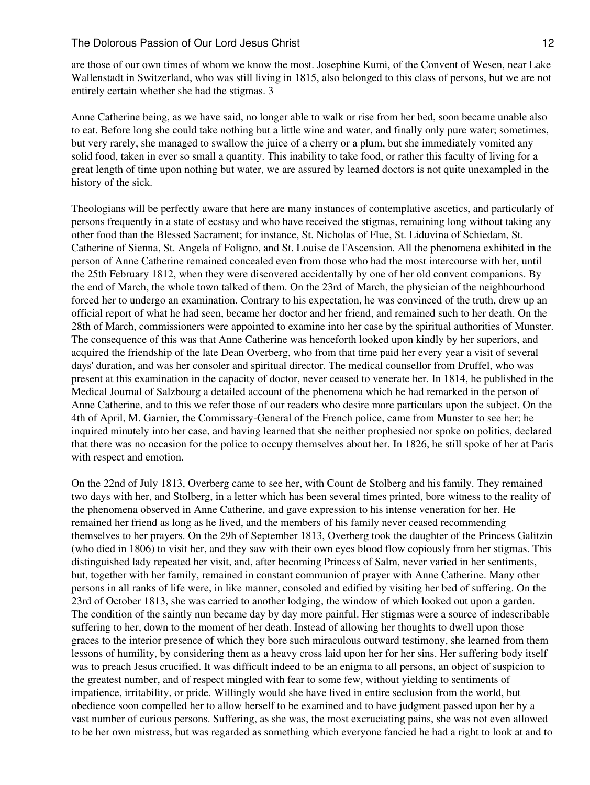are those of our own times of whom we know the most. Josephine Kumi, of the Convent of Wesen, near Lake Wallenstadt in Switzerland, who was still living in 1815, also belonged to this class of persons, but we are not entirely certain whether she had the stigmas. 3

Anne Catherine being, as we have said, no longer able to walk or rise from her bed, soon became unable also to eat. Before long she could take nothing but a little wine and water, and finally only pure water; sometimes, but very rarely, she managed to swallow the juice of a cherry or a plum, but she immediately vomited any solid food, taken in ever so small a quantity. This inability to take food, or rather this faculty of living for a great length of time upon nothing but water, we are assured by learned doctors is not quite unexampled in the history of the sick.

Theologians will be perfectly aware that here are many instances of contemplative ascetics, and particularly of persons frequently in a state of ecstasy and who have received the stigmas, remaining long without taking any other food than the Blessed Sacrament; for instance, St. Nicholas of Flue, St. Liduvina of Schiedam, St. Catherine of Sienna, St. Angela of Foligno, and St. Louise de l'Ascension. All the phenomena exhibited in the person of Anne Catherine remained concealed even from those who had the most intercourse with her, until the 25th February 1812, when they were discovered accidentally by one of her old convent companions. By the end of March, the whole town talked of them. On the 23rd of March, the physician of the neighbourhood forced her to undergo an examination. Contrary to his expectation, he was convinced of the truth, drew up an official report of what he had seen, became her doctor and her friend, and remained such to her death. On the 28th of March, commissioners were appointed to examine into her case by the spiritual authorities of Munster. The consequence of this was that Anne Catherine was henceforth looked upon kindly by her superiors, and acquired the friendship of the late Dean Overberg, who from that time paid her every year a visit of several days' duration, and was her consoler and spiritual director. The medical counsellor from Druffel, who was present at this examination in the capacity of doctor, never ceased to venerate her. In 1814, he published in the Medical Journal of Salzbourg a detailed account of the phenomena which he had remarked in the person of Anne Catherine, and to this we refer those of our readers who desire more particulars upon the subject. On the 4th of April, M. Garnier, the Commissary-General of the French police, came from Munster to see her; he inquired minutely into her case, and having learned that she neither prophesied nor spoke on politics, declared that there was no occasion for the police to occupy themselves about her. In 1826, he still spoke of her at Paris with respect and emotion.

On the 22nd of July 1813, Overberg came to see her, with Count de Stolberg and his family. They remained two days with her, and Stolberg, in a letter which has been several times printed, bore witness to the reality of the phenomena observed in Anne Catherine, and gave expression to his intense veneration for her. He remained her friend as long as he lived, and the members of his family never ceased recommending themselves to her prayers. On the 29h of September 1813, Overberg took the daughter of the Princess Galitzin (who died in 1806) to visit her, and they saw with their own eyes blood flow copiously from her stigmas. This distinguished lady repeated her visit, and, after becoming Princess of Salm, never varied in her sentiments, but, together with her family, remained in constant communion of prayer with Anne Catherine. Many other persons in all ranks of life were, in like manner, consoled and edified by visiting her bed of suffering. On the 23rd of October 1813, she was carried to another lodging, the window of which looked out upon a garden. The condition of the saintly nun became day by day more painful. Her stigmas were a source of indescribable suffering to her, down to the moment of her death. Instead of allowing her thoughts to dwell upon those graces to the interior presence of which they bore such miraculous outward testimony, she learned from them lessons of humility, by considering them as a heavy cross laid upon her for her sins. Her suffering body itself was to preach Jesus crucified. It was difficult indeed to be an enigma to all persons, an object of suspicion to the greatest number, and of respect mingled with fear to some few, without yielding to sentiments of impatience, irritability, or pride. Willingly would she have lived in entire seclusion from the world, but obedience soon compelled her to allow herself to be examined and to have judgment passed upon her by a vast number of curious persons. Suffering, as she was, the most excruciating pains, she was not even allowed to be her own mistress, but was regarded as something which everyone fancied he had a right to look at and to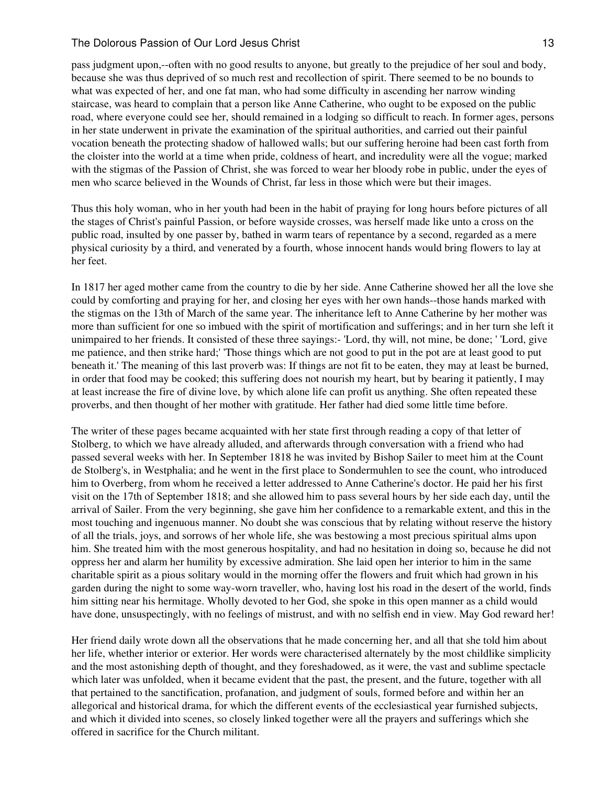# The Dolorous Passion of Our Lord Jesus Christ 13 and 13 and 13 and 13 and 13 and 13 and 13 and 13 and 13 and 13 and 13 and 13 and 13 and 13 and 13 and 13 and 13 and 13 and 13 and 13 and 13 and 13 and 13 and 13 and 13 and 1

pass judgment upon,--often with no good results to anyone, but greatly to the prejudice of her soul and body, because she was thus deprived of so much rest and recollection of spirit. There seemed to be no bounds to what was expected of her, and one fat man, who had some difficulty in ascending her narrow winding staircase, was heard to complain that a person like Anne Catherine, who ought to be exposed on the public road, where everyone could see her, should remained in a lodging so difficult to reach. In former ages, persons in her state underwent in private the examination of the spiritual authorities, and carried out their painful vocation beneath the protecting shadow of hallowed walls; but our suffering heroine had been cast forth from the cloister into the world at a time when pride, coldness of heart, and incredulity were all the vogue; marked with the stigmas of the Passion of Christ, she was forced to wear her bloody robe in public, under the eyes of men who scarce believed in the Wounds of Christ, far less in those which were but their images.

Thus this holy woman, who in her youth had been in the habit of praying for long hours before pictures of all the stages of Christ's painful Passion, or before wayside crosses, was herself made like unto a cross on the public road, insulted by one passer by, bathed in warm tears of repentance by a second, regarded as a mere physical curiosity by a third, and venerated by a fourth, whose innocent hands would bring flowers to lay at her feet.

In 1817 her aged mother came from the country to die by her side. Anne Catherine showed her all the love she could by comforting and praying for her, and closing her eyes with her own hands--those hands marked with the stigmas on the 13th of March of the same year. The inheritance left to Anne Catherine by her mother was more than sufficient for one so imbued with the spirit of mortification and sufferings; and in her turn she left it unimpaired to her friends. It consisted of these three sayings:- 'Lord, thy will, not mine, be done; ' 'Lord, give me patience, and then strike hard;' 'Those things which are not good to put in the pot are at least good to put beneath it.' The meaning of this last proverb was: If things are not fit to be eaten, they may at least be burned, in order that food may be cooked; this suffering does not nourish my heart, but by bearing it patiently, I may at least increase the fire of divine love, by which alone life can profit us anything. She often repeated these proverbs, and then thought of her mother with gratitude. Her father had died some little time before.

The writer of these pages became acquainted with her state first through reading a copy of that letter of Stolberg, to which we have already alluded, and afterwards through conversation with a friend who had passed several weeks with her. In September 1818 he was invited by Bishop Sailer to meet him at the Count de Stolberg's, in Westphalia; and he went in the first place to Sondermuhlen to see the count, who introduced him to Overberg, from whom he received a letter addressed to Anne Catherine's doctor. He paid her his first visit on the 17th of September 1818; and she allowed him to pass several hours by her side each day, until the arrival of Sailer. From the very beginning, she gave him her confidence to a remarkable extent, and this in the most touching and ingenuous manner. No doubt she was conscious that by relating without reserve the history of all the trials, joys, and sorrows of her whole life, she was bestowing a most precious spiritual alms upon him. She treated him with the most generous hospitality, and had no hesitation in doing so, because he did not oppress her and alarm her humility by excessive admiration. She laid open her interior to him in the same charitable spirit as a pious solitary would in the morning offer the flowers and fruit which had grown in his garden during the night to some way-worn traveller, who, having lost his road in the desert of the world, finds him sitting near his hermitage. Wholly devoted to her God, she spoke in this open manner as a child would have done, unsuspectingly, with no feelings of mistrust, and with no selfish end in view. May God reward her!

Her friend daily wrote down all the observations that he made concerning her, and all that she told him about her life, whether interior or exterior. Her words were characterised alternately by the most childlike simplicity and the most astonishing depth of thought, and they foreshadowed, as it were, the vast and sublime spectacle which later was unfolded, when it became evident that the past, the present, and the future, together with all that pertained to the sanctification, profanation, and judgment of souls, formed before and within her an allegorical and historical drama, for which the different events of the ecclesiastical year furnished subjects, and which it divided into scenes, so closely linked together were all the prayers and sufferings which she offered in sacrifice for the Church militant.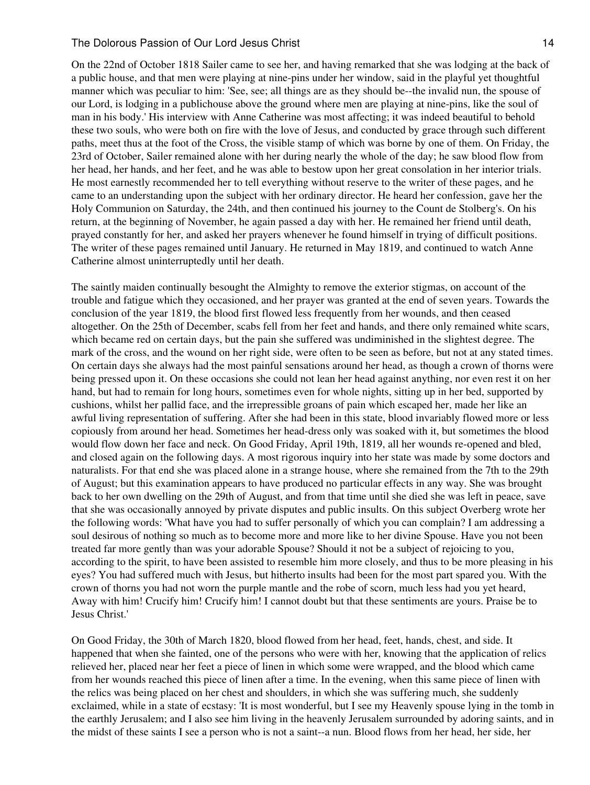#### The Dolorous Passion of Our Lord Jesus Christ 14 and 14 and 14 and 14 and 14 and 14 and 14 and 14 and 14 and 14

On the 22nd of October 1818 Sailer came to see her, and having remarked that she was lodging at the back of a public house, and that men were playing at nine-pins under her window, said in the playful yet thoughtful manner which was peculiar to him: 'See, see; all things are as they should be--the invalid nun, the spouse of our Lord, is lodging in a publichouse above the ground where men are playing at nine-pins, like the soul of man in his body.' His interview with Anne Catherine was most affecting; it was indeed beautiful to behold these two souls, who were both on fire with the love of Jesus, and conducted by grace through such different paths, meet thus at the foot of the Cross, the visible stamp of which was borne by one of them. On Friday, the 23rd of October, Sailer remained alone with her during nearly the whole of the day; he saw blood flow from her head, her hands, and her feet, and he was able to bestow upon her great consolation in her interior trials. He most earnestly recommended her to tell everything without reserve to the writer of these pages, and he came to an understanding upon the subject with her ordinary director. He heard her confession, gave her the Holy Communion on Saturday, the 24th, and then continued his journey to the Count de Stolberg's. On his return, at the beginning of November, he again passed a day with her. He remained her friend until death, prayed constantly for her, and asked her prayers whenever he found himself in trying of difficult positions. The writer of these pages remained until January. He returned in May 1819, and continued to watch Anne Catherine almost uninterruptedly until her death.

The saintly maiden continually besought the Almighty to remove the exterior stigmas, on account of the trouble and fatigue which they occasioned, and her prayer was granted at the end of seven years. Towards the conclusion of the year 1819, the blood first flowed less frequently from her wounds, and then ceased altogether. On the 25th of December, scabs fell from her feet and hands, and there only remained white scars, which became red on certain days, but the pain she suffered was undiminished in the slightest degree. The mark of the cross, and the wound on her right side, were often to be seen as before, but not at any stated times. On certain days she always had the most painful sensations around her head, as though a crown of thorns were being pressed upon it. On these occasions she could not lean her head against anything, nor even rest it on her hand, but had to remain for long hours, sometimes even for whole nights, sitting up in her bed, supported by cushions, whilst her pallid face, and the irrepressible groans of pain which escaped her, made her like an awful living representation of suffering. After she had been in this state, blood invariably flowed more or less copiously from around her head. Sometimes her head-dress only was soaked with it, but sometimes the blood would flow down her face and neck. On Good Friday, April 19th, 1819, all her wounds re-opened and bled, and closed again on the following days. A most rigorous inquiry into her state was made by some doctors and naturalists. For that end she was placed alone in a strange house, where she remained from the 7th to the 29th of August; but this examination appears to have produced no particular effects in any way. She was brought back to her own dwelling on the 29th of August, and from that time until she died she was left in peace, save that she was occasionally annoyed by private disputes and public insults. On this subject Overberg wrote her the following words: 'What have you had to suffer personally of which you can complain? I am addressing a soul desirous of nothing so much as to become more and more like to her divine Spouse. Have you not been treated far more gently than was your adorable Spouse? Should it not be a subject of rejoicing to you, according to the spirit, to have been assisted to resemble him more closely, and thus to be more pleasing in his eyes? You had suffered much with Jesus, but hitherto insults had been for the most part spared you. With the crown of thorns you had not worn the purple mantle and the robe of scorn, much less had you yet heard, Away with him! Crucify him! Crucify him! I cannot doubt but that these sentiments are yours. Praise be to Jesus Christ.'

On Good Friday, the 30th of March 1820, blood flowed from her head, feet, hands, chest, and side. It happened that when she fainted, one of the persons who were with her, knowing that the application of relics relieved her, placed near her feet a piece of linen in which some were wrapped, and the blood which came from her wounds reached this piece of linen after a time. In the evening, when this same piece of linen with the relics was being placed on her chest and shoulders, in which she was suffering much, she suddenly exclaimed, while in a state of ecstasy: 'It is most wonderful, but I see my Heavenly spouse lying in the tomb in the earthly Jerusalem; and I also see him living in the heavenly Jerusalem surrounded by adoring saints, and in the midst of these saints I see a person who is not a saint--a nun. Blood flows from her head, her side, her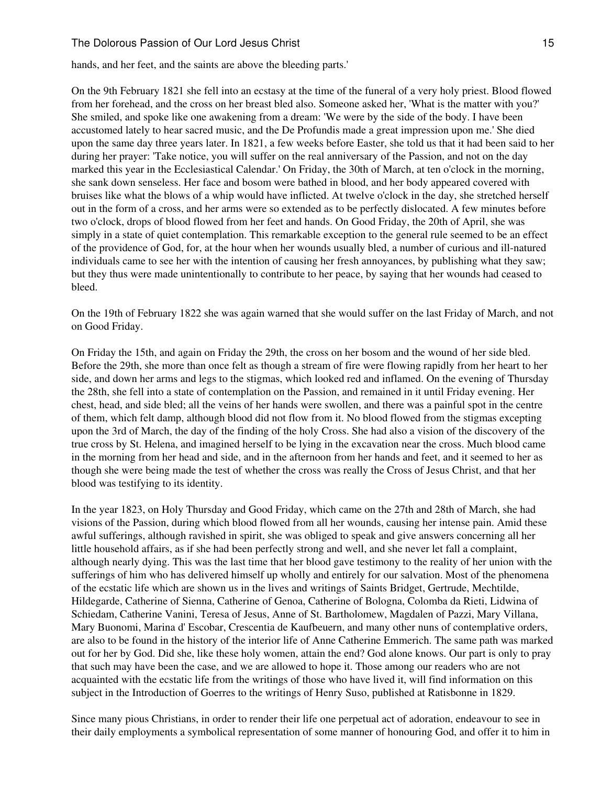# The Dolorous Passion of Our Lord Jesus Christ 15 and 15 and 15 and 15 and 15 and 15 and 15 and 15 and 15 and 15 and 15 and 15 and 15 and 15 and 15 and 15 and 15 and 15 and 16 and 16 and 16 and 16 and 16 and 16 and 16 and 1

hands, and her feet, and the saints are above the bleeding parts.'

On the 9th February 1821 she fell into an ecstasy at the time of the funeral of a very holy priest. Blood flowed from her forehead, and the cross on her breast bled also. Someone asked her, 'What is the matter with you?' She smiled, and spoke like one awakening from a dream: 'We were by the side of the body. I have been accustomed lately to hear sacred music, and the De Profundis made a great impression upon me.' She died upon the same day three years later. In 1821, a few weeks before Easter, she told us that it had been said to her during her prayer: 'Take notice, you will suffer on the real anniversary of the Passion, and not on the day marked this year in the Ecclesiastical Calendar.' On Friday, the 30th of March, at ten o'clock in the morning, she sank down senseless. Her face and bosom were bathed in blood, and her body appeared covered with bruises like what the blows of a whip would have inflicted. At twelve o'clock in the day, she stretched herself out in the form of a cross, and her arms were so extended as to be perfectly dislocated. A few minutes before two o'clock, drops of blood flowed from her feet and hands. On Good Friday, the 20th of April, she was simply in a state of quiet contemplation. This remarkable exception to the general rule seemed to be an effect of the providence of God, for, at the hour when her wounds usually bled, a number of curious and ill-natured individuals came to see her with the intention of causing her fresh annoyances, by publishing what they saw; but they thus were made unintentionally to contribute to her peace, by saying that her wounds had ceased to bleed.

On the 19th of February 1822 she was again warned that she would suffer on the last Friday of March, and not on Good Friday.

On Friday the 15th, and again on Friday the 29th, the cross on her bosom and the wound of her side bled. Before the 29th, she more than once felt as though a stream of fire were flowing rapidly from her heart to her side, and down her arms and legs to the stigmas, which looked red and inflamed. On the evening of Thursday the 28th, she fell into a state of contemplation on the Passion, and remained in it until Friday evening. Her chest, head, and side bled; all the veins of her hands were swollen, and there was a painful spot in the centre of them, which felt damp, although blood did not flow from it. No blood flowed from the stigmas excepting upon the 3rd of March, the day of the finding of the holy Cross. She had also a vision of the discovery of the true cross by St. Helena, and imagined herself to be lying in the excavation near the cross. Much blood came in the morning from her head and side, and in the afternoon from her hands and feet, and it seemed to her as though she were being made the test of whether the cross was really the Cross of Jesus Christ, and that her blood was testifying to its identity.

In the year 1823, on Holy Thursday and Good Friday, which came on the 27th and 28th of March, she had visions of the Passion, during which blood flowed from all her wounds, causing her intense pain. Amid these awful sufferings, although ravished in spirit, she was obliged to speak and give answers concerning all her little household affairs, as if she had been perfectly strong and well, and she never let fall a complaint, although nearly dying. This was the last time that her blood gave testimony to the reality of her union with the sufferings of him who has delivered himself up wholly and entirely for our salvation. Most of the phenomena of the ecstatic life which are shown us in the lives and writings of Saints Bridget, Gertrude, Mechtilde, Hildegarde, Catherine of Sienna, Catherine of Genoa, Catherine of Bologna, Colomba da Rieti, Lidwina of Schiedam, Catherine Vanini, Teresa of Jesus, Anne of St. Bartholomew, Magdalen of Pazzi, Mary Villana, Mary Buonomi, Marina d' Escobar, Crescentia de Kaufbeuern, and many other nuns of contemplative orders, are also to be found in the history of the interior life of Anne Catherine Emmerich. The same path was marked out for her by God. Did she, like these holy women, attain the end? God alone knows. Our part is only to pray that such may have been the case, and we are allowed to hope it. Those among our readers who are not acquainted with the ecstatic life from the writings of those who have lived it, will find information on this subject in the Introduction of Goerres to the writings of Henry Suso, published at Ratisbonne in 1829.

Since many pious Christians, in order to render their life one perpetual act of adoration, endeavour to see in their daily employments a symbolical representation of some manner of honouring God, and offer it to him in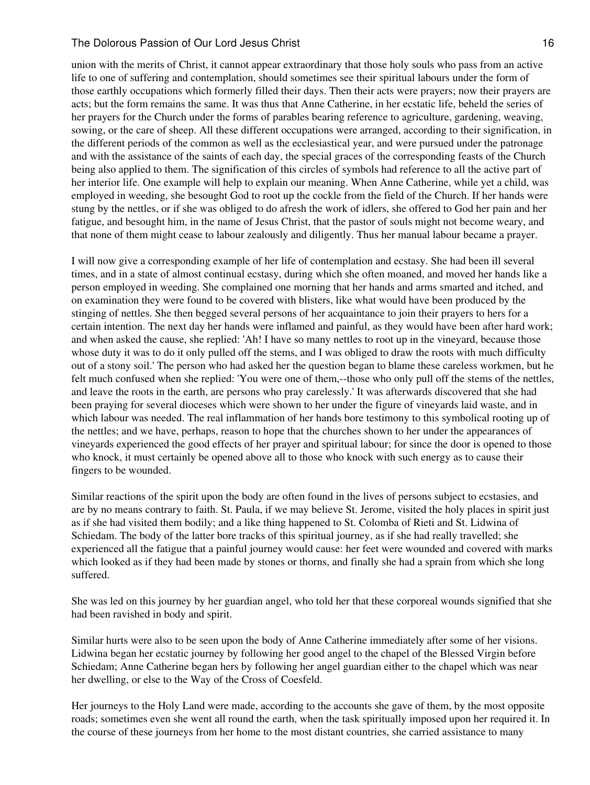union with the merits of Christ, it cannot appear extraordinary that those holy souls who pass from an active life to one of suffering and contemplation, should sometimes see their spiritual labours under the form of those earthly occupations which formerly filled their days. Then their acts were prayers; now their prayers are acts; but the form remains the same. It was thus that Anne Catherine, in her ecstatic life, beheld the series of her prayers for the Church under the forms of parables bearing reference to agriculture, gardening, weaving, sowing, or the care of sheep. All these different occupations were arranged, according to their signification, in the different periods of the common as well as the ecclesiastical year, and were pursued under the patronage and with the assistance of the saints of each day, the special graces of the corresponding feasts of the Church being also applied to them. The signification of this circles of symbols had reference to all the active part of her interior life. One example will help to explain our meaning. When Anne Catherine, while yet a child, was employed in weeding, she besought God to root up the cockle from the field of the Church. If her hands were stung by the nettles, or if she was obliged to do afresh the work of idlers, she offered to God her pain and her fatigue, and besought him, in the name of Jesus Christ, that the pastor of souls might not become weary, and that none of them might cease to labour zealously and diligently. Thus her manual labour became a prayer.

I will now give a corresponding example of her life of contemplation and ecstasy. She had been ill several times, and in a state of almost continual ecstasy, during which she often moaned, and moved her hands like a person employed in weeding. She complained one morning that her hands and arms smarted and itched, and on examination they were found to be covered with blisters, like what would have been produced by the stinging of nettles. She then begged several persons of her acquaintance to join their prayers to hers for a certain intention. The next day her hands were inflamed and painful, as they would have been after hard work; and when asked the cause, she replied: 'Ah! I have so many nettles to root up in the vineyard, because those whose duty it was to do it only pulled off the stems, and I was obliged to draw the roots with much difficulty out of a stony soil.' The person who had asked her the question began to blame these careless workmen, but he felt much confused when she replied: 'You were one of them,--those who only pull off the stems of the nettles, and leave the roots in the earth, are persons who pray carelessly.' It was afterwards discovered that she had been praying for several dioceses which were shown to her under the figure of vineyards laid waste, and in which labour was needed. The real inflammation of her hands bore testimony to this symbolical rooting up of the nettles; and we have, perhaps, reason to hope that the churches shown to her under the appearances of vineyards experienced the good effects of her prayer and spiritual labour; for since the door is opened to those who knock, it must certainly be opened above all to those who knock with such energy as to cause their fingers to be wounded.

Similar reactions of the spirit upon the body are often found in the lives of persons subject to ecstasies, and are by no means contrary to faith. St. Paula, if we may believe St. Jerome, visited the holy places in spirit just as if she had visited them bodily; and a like thing happened to St. Colomba of Rieti and St. Lidwina of Schiedam. The body of the latter bore tracks of this spiritual journey, as if she had really travelled; she experienced all the fatigue that a painful journey would cause: her feet were wounded and covered with marks which looked as if they had been made by stones or thorns, and finally she had a sprain from which she long suffered.

She was led on this journey by her guardian angel, who told her that these corporeal wounds signified that she had been ravished in body and spirit.

Similar hurts were also to be seen upon the body of Anne Catherine immediately after some of her visions. Lidwina began her ecstatic journey by following her good angel to the chapel of the Blessed Virgin before Schiedam; Anne Catherine began hers by following her angel guardian either to the chapel which was near her dwelling, or else to the Way of the Cross of Coesfeld.

Her journeys to the Holy Land were made, according to the accounts she gave of them, by the most opposite roads; sometimes even she went all round the earth, when the task spiritually imposed upon her required it. In the course of these journeys from her home to the most distant countries, she carried assistance to many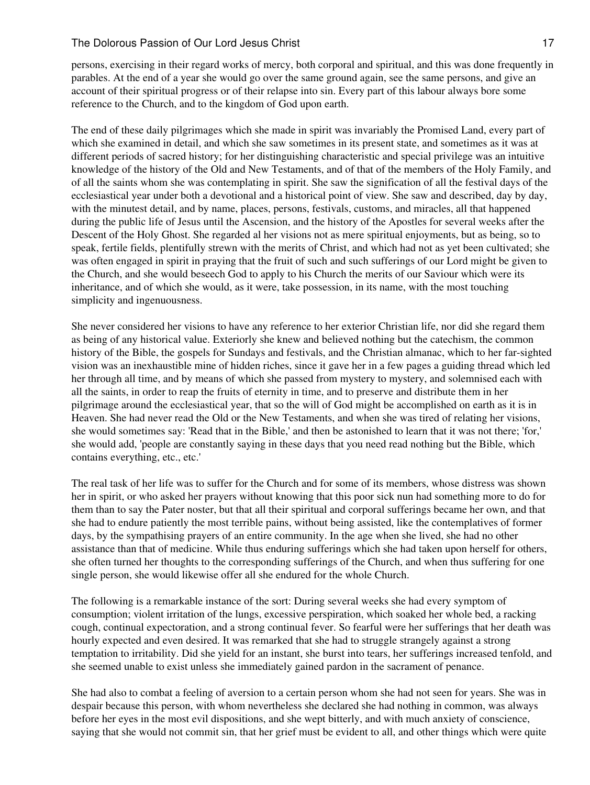persons, exercising in their regard works of mercy, both corporal and spiritual, and this was done frequently in parables. At the end of a year she would go over the same ground again, see the same persons, and give an account of their spiritual progress or of their relapse into sin. Every part of this labour always bore some reference to the Church, and to the kingdom of God upon earth.

The end of these daily pilgrimages which she made in spirit was invariably the Promised Land, every part of which she examined in detail, and which she saw sometimes in its present state, and sometimes as it was at different periods of sacred history; for her distinguishing characteristic and special privilege was an intuitive knowledge of the history of the Old and New Testaments, and of that of the members of the Holy Family, and of all the saints whom she was contemplating in spirit. She saw the signification of all the festival days of the ecclesiastical year under both a devotional and a historical point of view. She saw and described, day by day, with the minutest detail, and by name, places, persons, festivals, customs, and miracles, all that happened during the public life of Jesus until the Ascension, and the history of the Apostles for several weeks after the Descent of the Holy Ghost. She regarded al her visions not as mere spiritual enjoyments, but as being, so to speak, fertile fields, plentifully strewn with the merits of Christ, and which had not as yet been cultivated; she was often engaged in spirit in praying that the fruit of such and such sufferings of our Lord might be given to the Church, and she would beseech God to apply to his Church the merits of our Saviour which were its inheritance, and of which she would, as it were, take possession, in its name, with the most touching simplicity and ingenuousness.

She never considered her visions to have any reference to her exterior Christian life, nor did she regard them as being of any historical value. Exteriorly she knew and believed nothing but the catechism, the common history of the Bible, the gospels for Sundays and festivals, and the Christian almanac, which to her far-sighted vision was an inexhaustible mine of hidden riches, since it gave her in a few pages a guiding thread which led her through all time, and by means of which she passed from mystery to mystery, and solemnised each with all the saints, in order to reap the fruits of eternity in time, and to preserve and distribute them in her pilgrimage around the ecclesiastical year, that so the will of God might be accomplished on earth as it is in Heaven. She had never read the Old or the New Testaments, and when she was tired of relating her visions, she would sometimes say: 'Read that in the Bible,' and then be astonished to learn that it was not there; 'for,' she would add, 'people are constantly saying in these days that you need read nothing but the Bible, which contains everything, etc., etc.'

The real task of her life was to suffer for the Church and for some of its members, whose distress was shown her in spirit, or who asked her prayers without knowing that this poor sick nun had something more to do for them than to say the Pater noster, but that all their spiritual and corporal sufferings became her own, and that she had to endure patiently the most terrible pains, without being assisted, like the contemplatives of former days, by the sympathising prayers of an entire community. In the age when she lived, she had no other assistance than that of medicine. While thus enduring sufferings which she had taken upon herself for others, she often turned her thoughts to the corresponding sufferings of the Church, and when thus suffering for one single person, she would likewise offer all she endured for the whole Church.

The following is a remarkable instance of the sort: During several weeks she had every symptom of consumption; violent irritation of the lungs, excessive perspiration, which soaked her whole bed, a racking cough, continual expectoration, and a strong continual fever. So fearful were her sufferings that her death was hourly expected and even desired. It was remarked that she had to struggle strangely against a strong temptation to irritability. Did she yield for an instant, she burst into tears, her sufferings increased tenfold, and she seemed unable to exist unless she immediately gained pardon in the sacrament of penance.

She had also to combat a feeling of aversion to a certain person whom she had not seen for years. She was in despair because this person, with whom nevertheless she declared she had nothing in common, was always before her eyes in the most evil dispositions, and she wept bitterly, and with much anxiety of conscience, saying that she would not commit sin, that her grief must be evident to all, and other things which were quite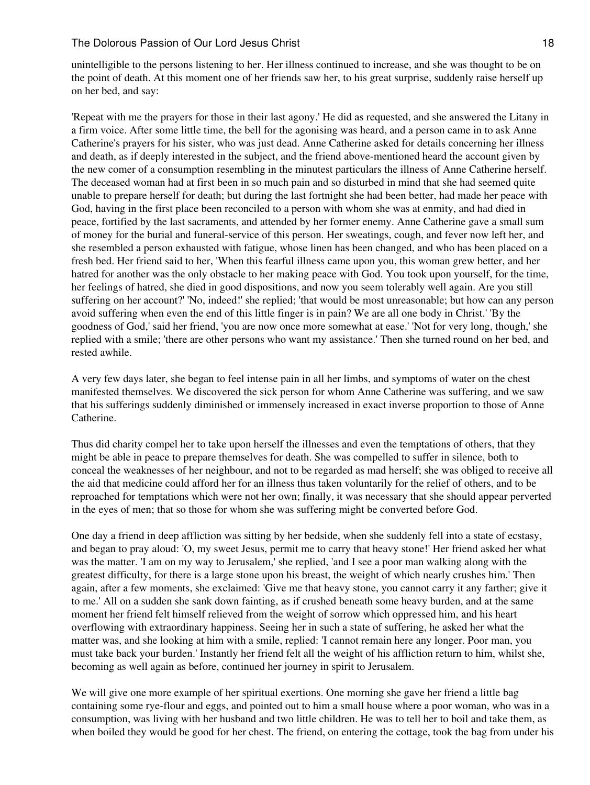unintelligible to the persons listening to her. Her illness continued to increase, and she was thought to be on the point of death. At this moment one of her friends saw her, to his great surprise, suddenly raise herself up on her bed, and say:

'Repeat with me the prayers for those in their last agony.' He did as requested, and she answered the Litany in a firm voice. After some little time, the bell for the agonising was heard, and a person came in to ask Anne Catherine's prayers for his sister, who was just dead. Anne Catherine asked for details concerning her illness and death, as if deeply interested in the subject, and the friend above-mentioned heard the account given by the new comer of a consumption resembling in the minutest particulars the illness of Anne Catherine herself. The deceased woman had at first been in so much pain and so disturbed in mind that she had seemed quite unable to prepare herself for death; but during the last fortnight she had been better, had made her peace with God, having in the first place been reconciled to a person with whom she was at enmity, and had died in peace, fortified by the last sacraments, and attended by her former enemy. Anne Catherine gave a small sum of money for the burial and funeral-service of this person. Her sweatings, cough, and fever now left her, and she resembled a person exhausted with fatigue, whose linen has been changed, and who has been placed on a fresh bed. Her friend said to her, 'When this fearful illness came upon you, this woman grew better, and her hatred for another was the only obstacle to her making peace with God. You took upon yourself, for the time, her feelings of hatred, she died in good dispositions, and now you seem tolerably well again. Are you still suffering on her account?' 'No, indeed!' she replied; 'that would be most unreasonable; but how can any person avoid suffering when even the end of this little finger is in pain? We are all one body in Christ.' 'By the goodness of God,' said her friend, 'you are now once more somewhat at ease.' 'Not for very long, though,' she replied with a smile; 'there are other persons who want my assistance.' Then she turned round on her bed, and rested awhile.

A very few days later, she began to feel intense pain in all her limbs, and symptoms of water on the chest manifested themselves. We discovered the sick person for whom Anne Catherine was suffering, and we saw that his sufferings suddenly diminished or immensely increased in exact inverse proportion to those of Anne Catherine.

Thus did charity compel her to take upon herself the illnesses and even the temptations of others, that they might be able in peace to prepare themselves for death. She was compelled to suffer in silence, both to conceal the weaknesses of her neighbour, and not to be regarded as mad herself; she was obliged to receive all the aid that medicine could afford her for an illness thus taken voluntarily for the relief of others, and to be reproached for temptations which were not her own; finally, it was necessary that she should appear perverted in the eyes of men; that so those for whom she was suffering might be converted before God.

One day a friend in deep affliction was sitting by her bedside, when she suddenly fell into a state of ecstasy, and began to pray aloud: 'O, my sweet Jesus, permit me to carry that heavy stone!' Her friend asked her what was the matter. 'I am on my way to Jerusalem,' she replied, 'and I see a poor man walking along with the greatest difficulty, for there is a large stone upon his breast, the weight of which nearly crushes him.' Then again, after a few moments, she exclaimed: 'Give me that heavy stone, you cannot carry it any farther; give it to me.' All on a sudden she sank down fainting, as if crushed beneath some heavy burden, and at the same moment her friend felt himself relieved from the weight of sorrow which oppressed him, and his heart overflowing with extraordinary happiness. Seeing her in such a state of suffering, he asked her what the matter was, and she looking at him with a smile, replied: 'I cannot remain here any longer. Poor man, you must take back your burden.' Instantly her friend felt all the weight of his affliction return to him, whilst she, becoming as well again as before, continued her journey in spirit to Jerusalem.

We will give one more example of her spiritual exertions. One morning she gave her friend a little bag containing some rye-flour and eggs, and pointed out to him a small house where a poor woman, who was in a consumption, was living with her husband and two little children. He was to tell her to boil and take them, as when boiled they would be good for her chest. The friend, on entering the cottage, took the bag from under his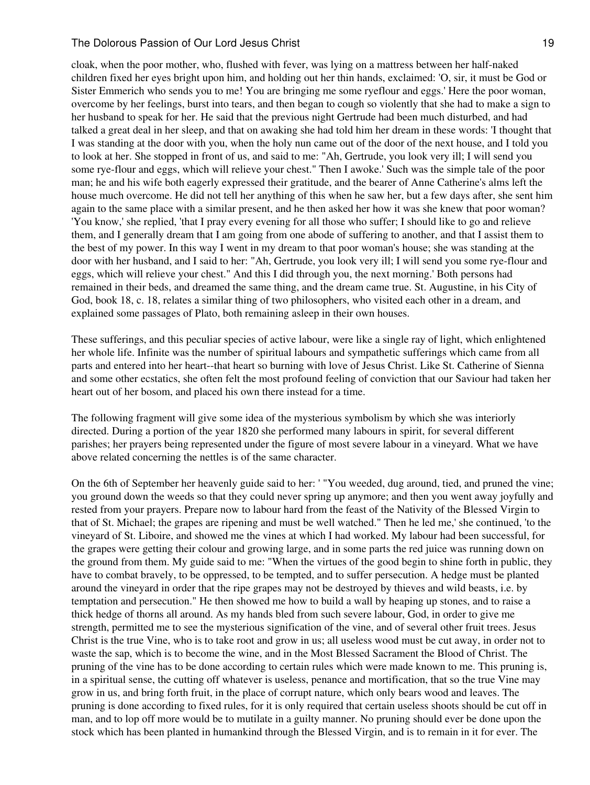cloak, when the poor mother, who, flushed with fever, was lying on a mattress between her half-naked children fixed her eyes bright upon him, and holding out her thin hands, exclaimed: 'O, sir, it must be God or Sister Emmerich who sends you to me! You are bringing me some ryeflour and eggs.' Here the poor woman, overcome by her feelings, burst into tears, and then began to cough so violently that she had to make a sign to her husband to speak for her. He said that the previous night Gertrude had been much disturbed, and had talked a great deal in her sleep, and that on awaking she had told him her dream in these words: 'I thought that I was standing at the door with you, when the holy nun came out of the door of the next house, and I told you to look at her. She stopped in front of us, and said to me: "Ah, Gertrude, you look very ill; I will send you some rye-flour and eggs, which will relieve your chest." Then I awoke.' Such was the simple tale of the poor man; he and his wife both eagerly expressed their gratitude, and the bearer of Anne Catherine's alms left the house much overcome. He did not tell her anything of this when he saw her, but a few days after, she sent him again to the same place with a similar present, and he then asked her how it was she knew that poor woman? 'You know,' she replied, 'that I pray every evening for all those who suffer; I should like to go and relieve them, and I generally dream that I am going from one abode of suffering to another, and that I assist them to the best of my power. In this way I went in my dream to that poor woman's house; she was standing at the door with her husband, and I said to her: "Ah, Gertrude, you look very ill; I will send you some rye-flour and eggs, which will relieve your chest." And this I did through you, the next morning.' Both persons had remained in their beds, and dreamed the same thing, and the dream came true. St. Augustine, in his City of God, book 18, c. 18, relates a similar thing of two philosophers, who visited each other in a dream, and explained some passages of Plato, both remaining asleep in their own houses.

These sufferings, and this peculiar species of active labour, were like a single ray of light, which enlightened her whole life. Infinite was the number of spiritual labours and sympathetic sufferings which came from all parts and entered into her heart--that heart so burning with love of Jesus Christ. Like St. Catherine of Sienna and some other ecstatics, she often felt the most profound feeling of conviction that our Saviour had taken her heart out of her bosom, and placed his own there instead for a time.

The following fragment will give some idea of the mysterious symbolism by which she was interiorly directed. During a portion of the year 1820 she performed many labours in spirit, for several different parishes; her prayers being represented under the figure of most severe labour in a vineyard. What we have above related concerning the nettles is of the same character.

On the 6th of September her heavenly guide said to her: ' "You weeded, dug around, tied, and pruned the vine; you ground down the weeds so that they could never spring up anymore; and then you went away joyfully and rested from your prayers. Prepare now to labour hard from the feast of the Nativity of the Blessed Virgin to that of St. Michael; the grapes are ripening and must be well watched." Then he led me,' she continued, 'to the vineyard of St. Liboire, and showed me the vines at which I had worked. My labour had been successful, for the grapes were getting their colour and growing large, and in some parts the red juice was running down on the ground from them. My guide said to me: "When the virtues of the good begin to shine forth in public, they have to combat bravely, to be oppressed, to be tempted, and to suffer persecution. A hedge must be planted around the vineyard in order that the ripe grapes may not be destroyed by thieves and wild beasts, i.e. by temptation and persecution." He then showed me how to build a wall by heaping up stones, and to raise a thick hedge of thorns all around. As my hands bled from such severe labour, God, in order to give me strength, permitted me to see the mysterious signification of the vine, and of several other fruit trees. Jesus Christ is the true Vine, who is to take root and grow in us; all useless wood must be cut away, in order not to waste the sap, which is to become the wine, and in the Most Blessed Sacrament the Blood of Christ. The pruning of the vine has to be done according to certain rules which were made known to me. This pruning is, in a spiritual sense, the cutting off whatever is useless, penance and mortification, that so the true Vine may grow in us, and bring forth fruit, in the place of corrupt nature, which only bears wood and leaves. The pruning is done according to fixed rules, for it is only required that certain useless shoots should be cut off in man, and to lop off more would be to mutilate in a guilty manner. No pruning should ever be done upon the stock which has been planted in humankind through the Blessed Virgin, and is to remain in it for ever. The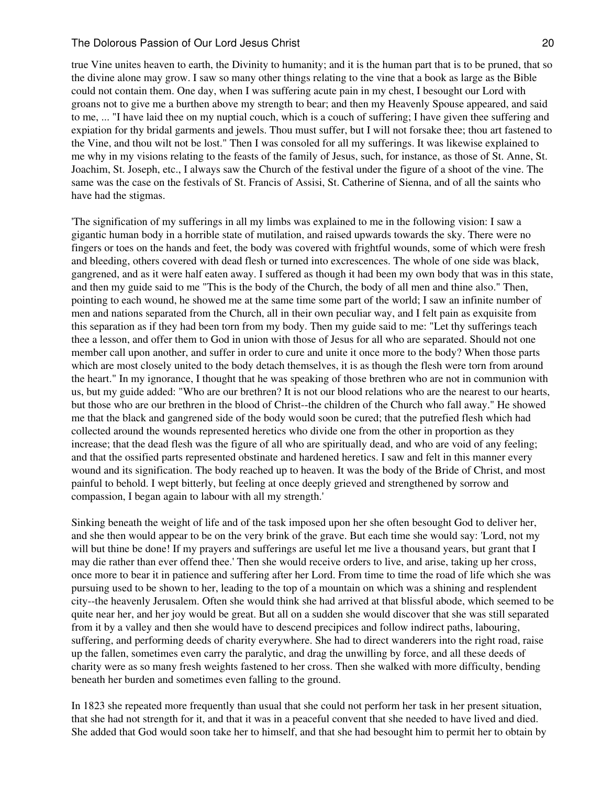true Vine unites heaven to earth, the Divinity to humanity; and it is the human part that is to be pruned, that so the divine alone may grow. I saw so many other things relating to the vine that a book as large as the Bible could not contain them. One day, when I was suffering acute pain in my chest, I besought our Lord with groans not to give me a burthen above my strength to bear; and then my Heavenly Spouse appeared, and said to me, ... "I have laid thee on my nuptial couch, which is a couch of suffering; I have given thee suffering and expiation for thy bridal garments and jewels. Thou must suffer, but I will not forsake thee; thou art fastened to the Vine, and thou wilt not be lost." Then I was consoled for all my sufferings. It was likewise explained to me why in my visions relating to the feasts of the family of Jesus, such, for instance, as those of St. Anne, St. Joachim, St. Joseph, etc., I always saw the Church of the festival under the figure of a shoot of the vine. The same was the case on the festivals of St. Francis of Assisi, St. Catherine of Sienna, and of all the saints who have had the stigmas.

'The signification of my sufferings in all my limbs was explained to me in the following vision: I saw a gigantic human body in a horrible state of mutilation, and raised upwards towards the sky. There were no fingers or toes on the hands and feet, the body was covered with frightful wounds, some of which were fresh and bleeding, others covered with dead flesh or turned into excrescences. The whole of one side was black, gangrened, and as it were half eaten away. I suffered as though it had been my own body that was in this state, and then my guide said to me "This is the body of the Church, the body of all men and thine also." Then, pointing to each wound, he showed me at the same time some part of the world; I saw an infinite number of men and nations separated from the Church, all in their own peculiar way, and I felt pain as exquisite from this separation as if they had been torn from my body. Then my guide said to me: "Let thy sufferings teach thee a lesson, and offer them to God in union with those of Jesus for all who are separated. Should not one member call upon another, and suffer in order to cure and unite it once more to the body? When those parts which are most closely united to the body detach themselves, it is as though the flesh were torn from around the heart." In my ignorance, I thought that he was speaking of those brethren who are not in communion with us, but my guide added: "Who are our brethren? It is not our blood relations who are the nearest to our hearts, but those who are our brethren in the blood of Christ--the children of the Church who fall away." He showed me that the black and gangrened side of the body would soon be cured; that the putrefied flesh which had collected around the wounds represented heretics who divide one from the other in proportion as they increase; that the dead flesh was the figure of all who are spiritually dead, and who are void of any feeling; and that the ossified parts represented obstinate and hardened heretics. I saw and felt in this manner every wound and its signification. The body reached up to heaven. It was the body of the Bride of Christ, and most painful to behold. I wept bitterly, but feeling at once deeply grieved and strengthened by sorrow and compassion, I began again to labour with all my strength.'

Sinking beneath the weight of life and of the task imposed upon her she often besought God to deliver her, and she then would appear to be on the very brink of the grave. But each time she would say: 'Lord, not my will but thine be done! If my prayers and sufferings are useful let me live a thousand years, but grant that I may die rather than ever offend thee.' Then she would receive orders to live, and arise, taking up her cross, once more to bear it in patience and suffering after her Lord. From time to time the road of life which she was pursuing used to be shown to her, leading to the top of a mountain on which was a shining and resplendent city--the heavenly Jerusalem. Often she would think she had arrived at that blissful abode, which seemed to be quite near her, and her joy would be great. But all on a sudden she would discover that she was still separated from it by a valley and then she would have to descend precipices and follow indirect paths, labouring, suffering, and performing deeds of charity everywhere. She had to direct wanderers into the right road, raise up the fallen, sometimes even carry the paralytic, and drag the unwilling by force, and all these deeds of charity were as so many fresh weights fastened to her cross. Then she walked with more difficulty, bending beneath her burden and sometimes even falling to the ground.

In 1823 she repeated more frequently than usual that she could not perform her task in her present situation, that she had not strength for it, and that it was in a peaceful convent that she needed to have lived and died. She added that God would soon take her to himself, and that she had besought him to permit her to obtain by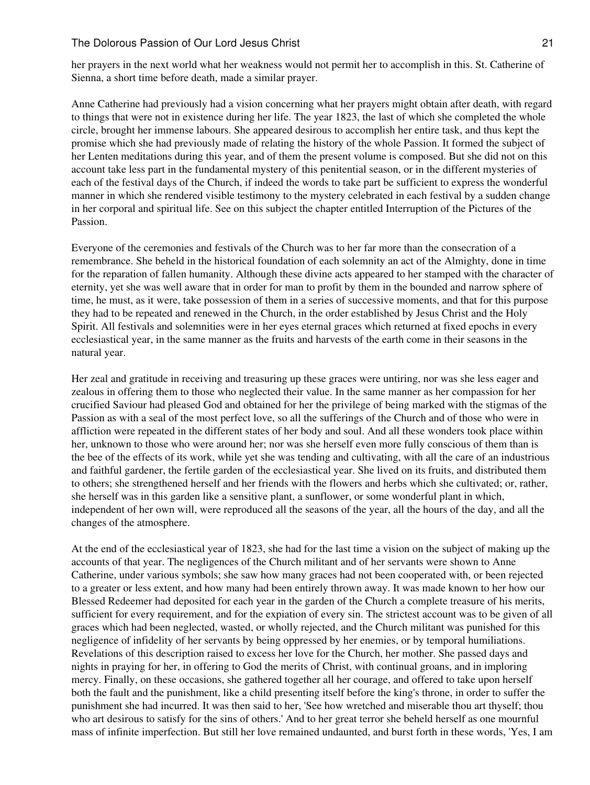her prayers in the next world what her weakness would not permit her to accomplish in this. St. Catherine of Sienna, a short time before death, made a similar prayer.

Anne Catherine had previously had a vision concerning what her prayers might obtain after death, with regard to things that were not in existence during her life. The year 1823, the last of which she completed the whole circle, brought her immense labours. She appeared desirous to accomplish her entire task, and thus kept the promise which she had previously made of relating the history of the whole Passion. It formed the subject of her Lenten meditations during this year, and of them the present volume is composed. But she did not on this account take less part in the fundamental mystery of this penitential season, or in the different mysteries of each of the festival days of the Church, if indeed the words to take part be sufficient to express the wonderful manner in which she rendered visible testimony to the mystery celebrated in each festival by a sudden change in her corporal and spiritual life. See on this subject the chapter entitled Interruption of the Pictures of the Passion.

Everyone of the ceremonies and festivals of the Church was to her far more than the consecration of a remembrance. She beheld in the historical foundation of each solemnity an act of the Almighty, done in time for the reparation of fallen humanity. Although these divine acts appeared to her stamped with the character of eternity, yet she was well aware that in order for man to profit by them in the bounded and narrow sphere of time, he must, as it were, take possession of them in a series of successive moments, and that for this purpose they had to be repeated and renewed in the Church, in the order established by Jesus Christ and the Holy Spirit. All festivals and solemnities were in her eyes eternal graces which returned at fixed epochs in every ecclesiastical year, in the same manner as the fruits and harvests of the earth come in their seasons in the natural year.

Her zeal and gratitude in receiving and treasuring up these graces were untiring, nor was she less eager and zealous in offering them to those who neglected their value. In the same manner as her compassion for her crucified Saviour had pleased God and obtained for her the privilege of being marked with the stigmas of the Passion as with a seal of the most perfect love, so all the sufferings of the Church and of those who were in affliction were repeated in the different states of her body and soul. And all these wonders took place within her, unknown to those who were around her; nor was she herself even more fully conscious of them than is the bee of the effects of its work, while yet she was tending and cultivating, with all the care of an industrious and faithful gardener, the fertile garden of the ecclesiastical year. She lived on its fruits, and distributed them to others; she strengthened herself and her friends with the flowers and herbs which she cultivated; or, rather, she herself was in this garden like a sensitive plant, a sunflower, or some wonderful plant in which, independent of her own will, were reproduced all the seasons of the year, all the hours of the day, and all the changes of the atmosphere.

At the end of the ecclesiastical year of 1823, she had for the last time a vision on the subject of making up the accounts of that year. The negligences of the Church militant and of her servants were shown to Anne Catherine, under various symbols; she saw how many graces had not been cooperated with, or been rejected to a greater or less extent, and how many had been entirely thrown away. It was made known to her how our Blessed Redeemer had deposited for each year in the garden of the Church a complete treasure of his merits, sufficient for every requirement, and for the expiation of every sin. The strictest account was to be given of all graces which had been neglected, wasted, or wholly rejected, and the Church militant was punished for this negligence of infidelity of her servants by being oppressed by her enemies, or by temporal humiliations. Revelations of this description raised to excess her love for the Church, her mother. She passed days and nights in praying for her, in offering to God the merits of Christ, with continual groans, and in imploring mercy. Finally, on these occasions, she gathered together all her courage, and offered to take upon herself both the fault and the punishment, like a child presenting itself before the king's throne, in order to suffer the punishment she had incurred. It was then said to her, 'See how wretched and miserable thou art thyself; thou who art desirous to satisfy for the sins of others.' And to her great terror she beheld herself as one mournful mass of infinite imperfection. But still her love remained undaunted, and burst forth in these words, 'Yes, I am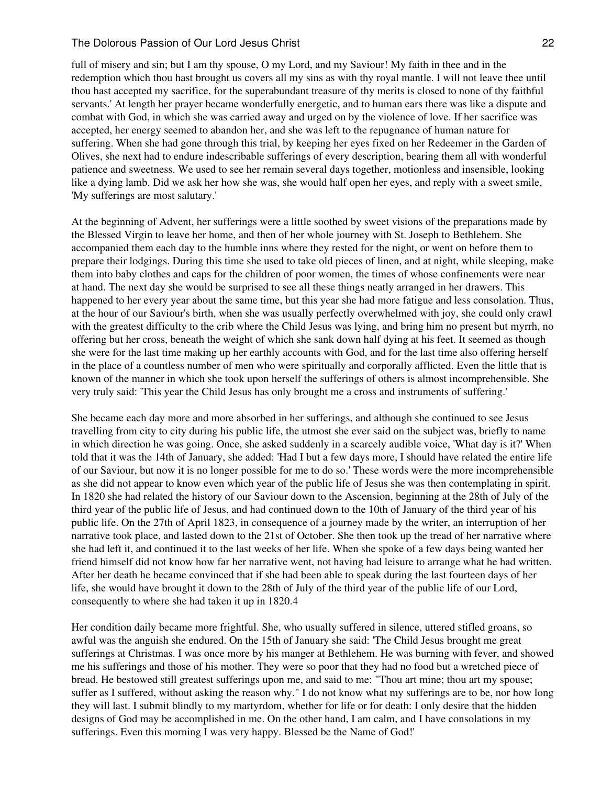full of misery and sin; but I am thy spouse, O my Lord, and my Saviour! My faith in thee and in the redemption which thou hast brought us covers all my sins as with thy royal mantle. I will not leave thee until thou hast accepted my sacrifice, for the superabundant treasure of thy merits is closed to none of thy faithful servants.' At length her prayer became wonderfully energetic, and to human ears there was like a dispute and combat with God, in which she was carried away and urged on by the violence of love. If her sacrifice was accepted, her energy seemed to abandon her, and she was left to the repugnance of human nature for suffering. When she had gone through this trial, by keeping her eyes fixed on her Redeemer in the Garden of Olives, she next had to endure indescribable sufferings of every description, bearing them all with wonderful patience and sweetness. We used to see her remain several days together, motionless and insensible, looking like a dying lamb. Did we ask her how she was, she would half open her eyes, and reply with a sweet smile, 'My sufferings are most salutary.'

At the beginning of Advent, her sufferings were a little soothed by sweet visions of the preparations made by the Blessed Virgin to leave her home, and then of her whole journey with St. Joseph to Bethlehem. She accompanied them each day to the humble inns where they rested for the night, or went on before them to prepare their lodgings. During this time she used to take old pieces of linen, and at night, while sleeping, make them into baby clothes and caps for the children of poor women, the times of whose confinements were near at hand. The next day she would be surprised to see all these things neatly arranged in her drawers. This happened to her every year about the same time, but this year she had more fatigue and less consolation. Thus, at the hour of our Saviour's birth, when she was usually perfectly overwhelmed with joy, she could only crawl with the greatest difficulty to the crib where the Child Jesus was lying, and bring him no present but myrrh, no offering but her cross, beneath the weight of which she sank down half dying at his feet. It seemed as though she were for the last time making up her earthly accounts with God, and for the last time also offering herself in the place of a countless number of men who were spiritually and corporally afflicted. Even the little that is known of the manner in which she took upon herself the sufferings of others is almost incomprehensible. She very truly said: 'This year the Child Jesus has only brought me a cross and instruments of suffering.'

She became each day more and more absorbed in her sufferings, and although she continued to see Jesus travelling from city to city during his public life, the utmost she ever said on the subject was, briefly to name in which direction he was going. Once, she asked suddenly in a scarcely audible voice, 'What day is it?' When told that it was the 14th of January, she added: 'Had I but a few days more, I should have related the entire life of our Saviour, but now it is no longer possible for me to do so.' These words were the more incomprehensible as she did not appear to know even which year of the public life of Jesus she was then contemplating in spirit. In 1820 she had related the history of our Saviour down to the Ascension, beginning at the 28th of July of the third year of the public life of Jesus, and had continued down to the 10th of January of the third year of his public life. On the 27th of April 1823, in consequence of a journey made by the writer, an interruption of her narrative took place, and lasted down to the 21st of October. She then took up the tread of her narrative where she had left it, and continued it to the last weeks of her life. When she spoke of a few days being wanted her friend himself did not know how far her narrative went, not having had leisure to arrange what he had written. After her death he became convinced that if she had been able to speak during the last fourteen days of her life, she would have brought it down to the 28th of July of the third year of the public life of our Lord, consequently to where she had taken it up in 1820.4

Her condition daily became more frightful. She, who usually suffered in silence, uttered stifled groans, so awful was the anguish she endured. On the 15th of January she said: 'The Child Jesus brought me great sufferings at Christmas. I was once more by his manger at Bethlehem. He was burning with fever, and showed me his sufferings and those of his mother. They were so poor that they had no food but a wretched piece of bread. He bestowed still greatest sufferings upon me, and said to me: "Thou art mine; thou art my spouse; suffer as I suffered, without asking the reason why." I do not know what my sufferings are to be, nor how long they will last. I submit blindly to my martyrdom, whether for life or for death: I only desire that the hidden designs of God may be accomplished in me. On the other hand, I am calm, and I have consolations in my sufferings. Even this morning I was very happy. Blessed be the Name of God!'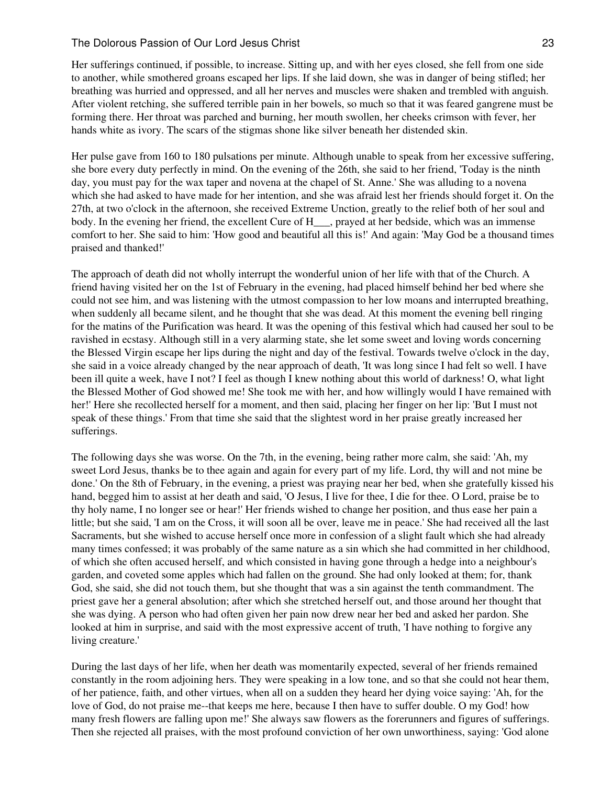Her sufferings continued, if possible, to increase. Sitting up, and with her eyes closed, she fell from one side to another, while smothered groans escaped her lips. If she laid down, she was in danger of being stifled; her breathing was hurried and oppressed, and all her nerves and muscles were shaken and trembled with anguish. After violent retching, she suffered terrible pain in her bowels, so much so that it was feared gangrene must be forming there. Her throat was parched and burning, her mouth swollen, her cheeks crimson with fever, her hands white as ivory. The scars of the stigmas shone like silver beneath her distended skin.

Her pulse gave from 160 to 180 pulsations per minute. Although unable to speak from her excessive suffering, she bore every duty perfectly in mind. On the evening of the 26th, she said to her friend, 'Today is the ninth day, you must pay for the wax taper and novena at the chapel of St. Anne.' She was alluding to a novena which she had asked to have made for her intention, and she was afraid lest her friends should forget it. On the 27th, at two o'clock in the afternoon, she received Extreme Unction, greatly to the relief both of her soul and body. In the evening her friend, the excellent Cure of H\_\_\_, prayed at her bedside, which was an immense comfort to her. She said to him: 'How good and beautiful all this is!' And again: 'May God be a thousand times praised and thanked!'

The approach of death did not wholly interrupt the wonderful union of her life with that of the Church. A friend having visited her on the 1st of February in the evening, had placed himself behind her bed where she could not see him, and was listening with the utmost compassion to her low moans and interrupted breathing, when suddenly all became silent, and he thought that she was dead. At this moment the evening bell ringing for the matins of the Purification was heard. It was the opening of this festival which had caused her soul to be ravished in ecstasy. Although still in a very alarming state, she let some sweet and loving words concerning the Blessed Virgin escape her lips during the night and day of the festival. Towards twelve o'clock in the day, she said in a voice already changed by the near approach of death, 'It was long since I had felt so well. I have been ill quite a week, have I not? I feel as though I knew nothing about this world of darkness! O, what light the Blessed Mother of God showed me! She took me with her, and how willingly would I have remained with her!' Here she recollected herself for a moment, and then said, placing her finger on her lip: 'But I must not speak of these things.' From that time she said that the slightest word in her praise greatly increased her sufferings.

The following days she was worse. On the 7th, in the evening, being rather more calm, she said: 'Ah, my sweet Lord Jesus, thanks be to thee again and again for every part of my life. Lord, thy will and not mine be done.' On the 8th of February, in the evening, a priest was praying near her bed, when she gratefully kissed his hand, begged him to assist at her death and said, 'O Jesus, I live for thee, I die for thee. O Lord, praise be to thy holy name, I no longer see or hear!' Her friends wished to change her position, and thus ease her pain a little; but she said, 'I am on the Cross, it will soon all be over, leave me in peace.' She had received all the last Sacraments, but she wished to accuse herself once more in confession of a slight fault which she had already many times confessed; it was probably of the same nature as a sin which she had committed in her childhood, of which she often accused herself, and which consisted in having gone through a hedge into a neighbour's garden, and coveted some apples which had fallen on the ground. She had only looked at them; for, thank God, she said, she did not touch them, but she thought that was a sin against the tenth commandment. The priest gave her a general absolution; after which she stretched herself out, and those around her thought that she was dying. A person who had often given her pain now drew near her bed and asked her pardon. She looked at him in surprise, and said with the most expressive accent of truth. Thave nothing to forgive any living creature.'

During the last days of her life, when her death was momentarily expected, several of her friends remained constantly in the room adjoining hers. They were speaking in a low tone, and so that she could not hear them, of her patience, faith, and other virtues, when all on a sudden they heard her dying voice saying: 'Ah, for the love of God, do not praise me--that keeps me here, because I then have to suffer double. O my God! how many fresh flowers are falling upon me!' She always saw flowers as the forerunners and figures of sufferings. Then she rejected all praises, with the most profound conviction of her own unworthiness, saying: 'God alone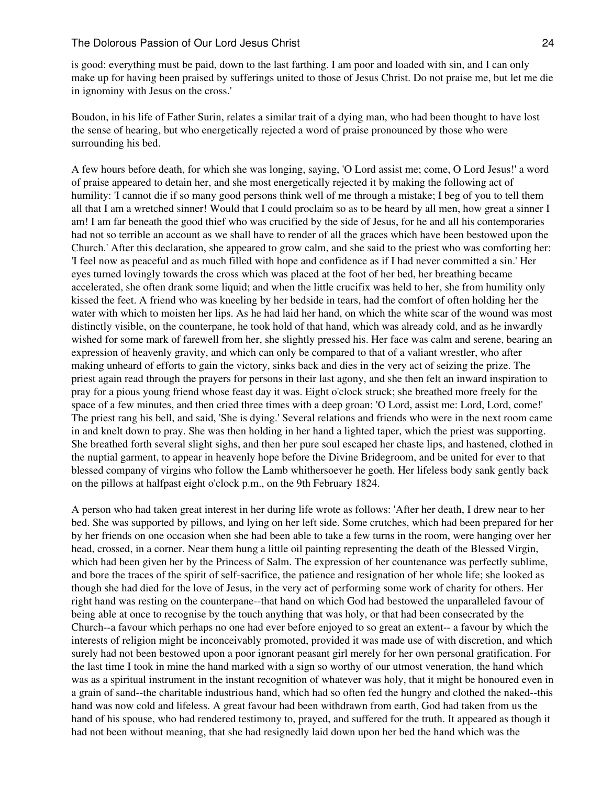is good: everything must be paid, down to the last farthing. I am poor and loaded with sin, and I can only make up for having been praised by sufferings united to those of Jesus Christ. Do not praise me, but let me die in ignominy with Jesus on the cross.'

Boudon, in his life of Father Surin, relates a similar trait of a dying man, who had been thought to have lost the sense of hearing, but who energetically rejected a word of praise pronounced by those who were surrounding his bed.

A few hours before death, for which she was longing, saying, 'O Lord assist me; come, O Lord Jesus!' a word of praise appeared to detain her, and she most energetically rejected it by making the following act of humility: 'I cannot die if so many good persons think well of me through a mistake; I beg of you to tell them all that I am a wretched sinner! Would that I could proclaim so as to be heard by all men, how great a sinner I am! I am far beneath the good thief who was crucified by the side of Jesus, for he and all his contemporaries had not so terrible an account as we shall have to render of all the graces which have been bestowed upon the Church.' After this declaration, she appeared to grow calm, and she said to the priest who was comforting her: 'I feel now as peaceful and as much filled with hope and confidence as if I had never committed a sin.' Her eyes turned lovingly towards the cross which was placed at the foot of her bed, her breathing became accelerated, she often drank some liquid; and when the little crucifix was held to her, she from humility only kissed the feet. A friend who was kneeling by her bedside in tears, had the comfort of often holding her the water with which to moisten her lips. As he had laid her hand, on which the white scar of the wound was most distinctly visible, on the counterpane, he took hold of that hand, which was already cold, and as he inwardly wished for some mark of farewell from her, she slightly pressed his. Her face was calm and serene, bearing an expression of heavenly gravity, and which can only be compared to that of a valiant wrestler, who after making unheard of efforts to gain the victory, sinks back and dies in the very act of seizing the prize. The priest again read through the prayers for persons in their last agony, and she then felt an inward inspiration to pray for a pious young friend whose feast day it was. Eight o'clock struck; she breathed more freely for the space of a few minutes, and then cried three times with a deep groan: 'O Lord, assist me: Lord, Lord, come!' The priest rang his bell, and said, 'She is dying.' Several relations and friends who were in the next room came in and knelt down to pray. She was then holding in her hand a lighted taper, which the priest was supporting. She breathed forth several slight sighs, and then her pure soul escaped her chaste lips, and hastened, clothed in the nuptial garment, to appear in heavenly hope before the Divine Bridegroom, and be united for ever to that blessed company of virgins who follow the Lamb whithersoever he goeth. Her lifeless body sank gently back on the pillows at halfpast eight o'clock p.m., on the 9th February 1824.

A person who had taken great interest in her during life wrote as follows: 'After her death, I drew near to her bed. She was supported by pillows, and lying on her left side. Some crutches, which had been prepared for her by her friends on one occasion when she had been able to take a few turns in the room, were hanging over her head, crossed, in a corner. Near them hung a little oil painting representing the death of the Blessed Virgin, which had been given her by the Princess of Salm. The expression of her countenance was perfectly sublime, and bore the traces of the spirit of self-sacrifice, the patience and resignation of her whole life; she looked as though she had died for the love of Jesus, in the very act of performing some work of charity for others. Her right hand was resting on the counterpane--that hand on which God had bestowed the unparalleled favour of being able at once to recognise by the touch anything that was holy, or that had been consecrated by the Church--a favour which perhaps no one had ever before enjoyed to so great an extent-- a favour by which the interests of religion might be inconceivably promoted, provided it was made use of with discretion, and which surely had not been bestowed upon a poor ignorant peasant girl merely for her own personal gratification. For the last time I took in mine the hand marked with a sign so worthy of our utmost veneration, the hand which was as a spiritual instrument in the instant recognition of whatever was holy, that it might be honoured even in a grain of sand--the charitable industrious hand, which had so often fed the hungry and clothed the naked--this hand was now cold and lifeless. A great favour had been withdrawn from earth, God had taken from us the hand of his spouse, who had rendered testimony to, prayed, and suffered for the truth. It appeared as though it had not been without meaning, that she had resignedly laid down upon her bed the hand which was the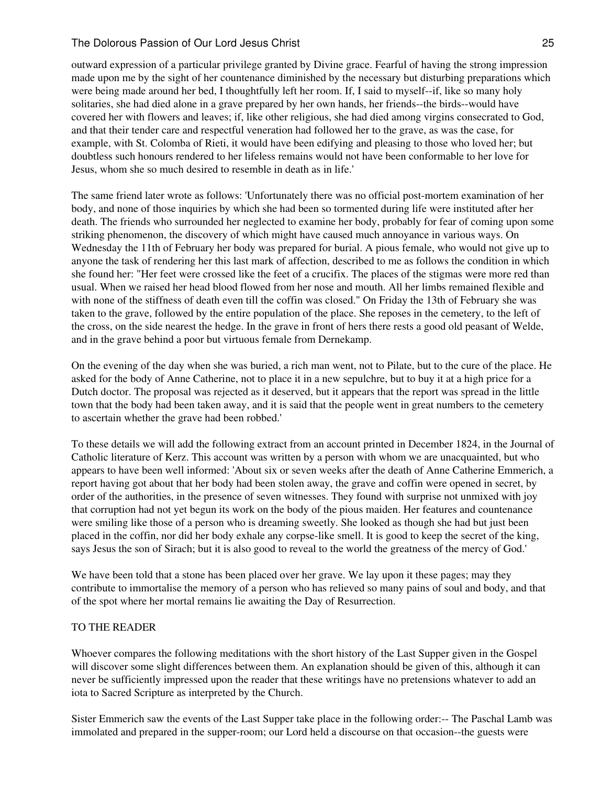outward expression of a particular privilege granted by Divine grace. Fearful of having the strong impression made upon me by the sight of her countenance diminished by the necessary but disturbing preparations which were being made around her bed, I thoughtfully left her room. If, I said to myself--if, like so many holy solitaries, she had died alone in a grave prepared by her own hands, her friends--the birds--would have covered her with flowers and leaves; if, like other religious, she had died among virgins consecrated to God, and that their tender care and respectful veneration had followed her to the grave, as was the case, for example, with St. Colomba of Rieti, it would have been edifying and pleasing to those who loved her; but doubtless such honours rendered to her lifeless remains would not have been conformable to her love for Jesus, whom she so much desired to resemble in death as in life.'

The same friend later wrote as follows: 'Unfortunately there was no official post-mortem examination of her body, and none of those inquiries by which she had been so tormented during life were instituted after her death. The friends who surrounded her neglected to examine her body, probably for fear of coming upon some striking phenomenon, the discovery of which might have caused much annoyance in various ways. On Wednesday the 11th of February her body was prepared for burial. A pious female, who would not give up to anyone the task of rendering her this last mark of affection, described to me as follows the condition in which she found her: "Her feet were crossed like the feet of a crucifix. The places of the stigmas were more red than usual. When we raised her head blood flowed from her nose and mouth. All her limbs remained flexible and with none of the stiffness of death even till the coffin was closed." On Friday the 13th of February she was taken to the grave, followed by the entire population of the place. She reposes in the cemetery, to the left of the cross, on the side nearest the hedge. In the grave in front of hers there rests a good old peasant of Welde, and in the grave behind a poor but virtuous female from Dernekamp.

On the evening of the day when she was buried, a rich man went, not to Pilate, but to the cure of the place. He asked for the body of Anne Catherine, not to place it in a new sepulchre, but to buy it at a high price for a Dutch doctor. The proposal was rejected as it deserved, but it appears that the report was spread in the little town that the body had been taken away, and it is said that the people went in great numbers to the cemetery to ascertain whether the grave had been robbed.'

To these details we will add the following extract from an account printed in December 1824, in the Journal of Catholic literature of Kerz. This account was written by a person with whom we are unacquainted, but who appears to have been well informed: 'About six or seven weeks after the death of Anne Catherine Emmerich, a report having got about that her body had been stolen away, the grave and coffin were opened in secret, by order of the authorities, in the presence of seven witnesses. They found with surprise not unmixed with joy that corruption had not yet begun its work on the body of the pious maiden. Her features and countenance were smiling like those of a person who is dreaming sweetly. She looked as though she had but just been placed in the coffin, nor did her body exhale any corpse-like smell. It is good to keep the secret of the king, says Jesus the son of Sirach; but it is also good to reveal to the world the greatness of the mercy of God.'

We have been told that a stone has been placed over her grave. We lay upon it these pages; may they contribute to immortalise the memory of a person who has relieved so many pains of soul and body, and that of the spot where her mortal remains lie awaiting the Day of Resurrection.

# TO THE READER

Whoever compares the following meditations with the short history of the Last Supper given in the Gospel will discover some slight differences between them. An explanation should be given of this, although it can never be sufficiently impressed upon the reader that these writings have no pretensions whatever to add an iota to Sacred Scripture as interpreted by the Church.

Sister Emmerich saw the events of the Last Supper take place in the following order:-- The Paschal Lamb was immolated and prepared in the supper-room; our Lord held a discourse on that occasion--the guests were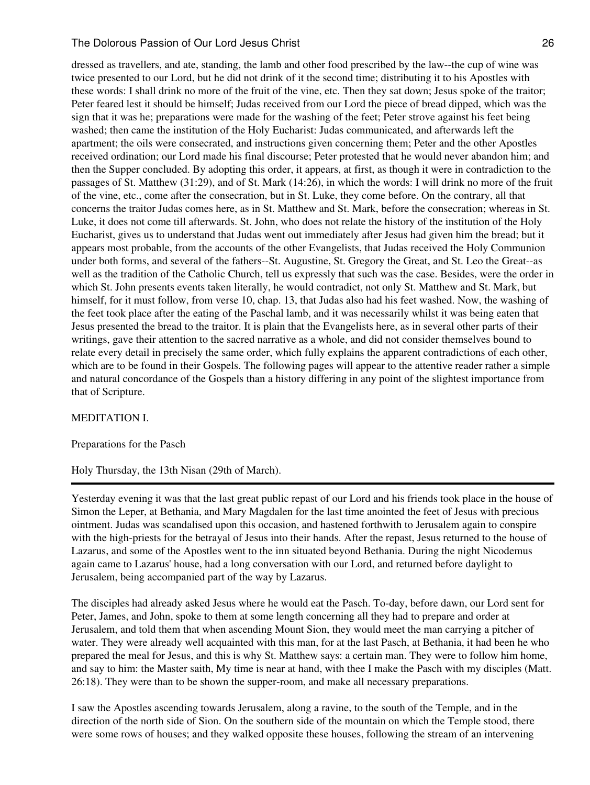dressed as travellers, and ate, standing, the lamb and other food prescribed by the law--the cup of wine was twice presented to our Lord, but he did not drink of it the second time; distributing it to his Apostles with these words: I shall drink no more of the fruit of the vine, etc. Then they sat down; Jesus spoke of the traitor; Peter feared lest it should be himself; Judas received from our Lord the piece of bread dipped, which was the sign that it was he; preparations were made for the washing of the feet; Peter strove against his feet being washed; then came the institution of the Holy Eucharist: Judas communicated, and afterwards left the apartment; the oils were consecrated, and instructions given concerning them; Peter and the other Apostles received ordination; our Lord made his final discourse; Peter protested that he would never abandon him; and then the Supper concluded. By adopting this order, it appears, at first, as though it were in contradiction to the passages of St. Matthew (31:29), and of St. Mark (14:26), in which the words: I will drink no more of the fruit of the vine, etc., come after the consecration, but in St. Luke, they come before. On the contrary, all that concerns the traitor Judas comes here, as in St. Matthew and St. Mark, before the consecration; whereas in St. Luke, it does not come till afterwards. St. John, who does not relate the history of the institution of the Holy Eucharist, gives us to understand that Judas went out immediately after Jesus had given him the bread; but it appears most probable, from the accounts of the other Evangelists, that Judas received the Holy Communion under both forms, and several of the fathers--St. Augustine, St. Gregory the Great, and St. Leo the Great--as well as the tradition of the Catholic Church, tell us expressly that such was the case. Besides, were the order in which St. John presents events taken literally, he would contradict, not only St. Matthew and St. Mark, but himself, for it must follow, from verse 10, chap. 13, that Judas also had his feet washed. Now, the washing of the feet took place after the eating of the Paschal lamb, and it was necessarily whilst it was being eaten that Jesus presented the bread to the traitor. It is plain that the Evangelists here, as in several other parts of their writings, gave their attention to the sacred narrative as a whole, and did not consider themselves bound to relate every detail in precisely the same order, which fully explains the apparent contradictions of each other, which are to be found in their Gospels. The following pages will appear to the attentive reader rather a simple and natural concordance of the Gospels than a history differing in any point of the slightest importance from that of Scripture.

# MEDITATION I.

Preparations for the Pasch

Holy Thursday, the 13th Nisan (29th of March).

Yesterday evening it was that the last great public repast of our Lord and his friends took place in the house of Simon the Leper, at Bethania, and Mary Magdalen for the last time anointed the feet of Jesus with precious ointment. Judas was scandalised upon this occasion, and hastened forthwith to Jerusalem again to conspire with the high-priests for the betrayal of Jesus into their hands. After the repast, Jesus returned to the house of Lazarus, and some of the Apostles went to the inn situated beyond Bethania. During the night Nicodemus again came to Lazarus' house, had a long conversation with our Lord, and returned before daylight to Jerusalem, being accompanied part of the way by Lazarus.

The disciples had already asked Jesus where he would eat the Pasch. To-day, before dawn, our Lord sent for Peter, James, and John, spoke to them at some length concerning all they had to prepare and order at Jerusalem, and told them that when ascending Mount Sion, they would meet the man carrying a pitcher of water. They were already well acquainted with this man, for at the last Pasch, at Bethania, it had been he who prepared the meal for Jesus, and this is why St. Matthew says: a certain man. They were to follow him home, and say to him: the Master saith, My time is near at hand, with thee I make the Pasch with my disciples (Matt. 26:18). They were than to be shown the supper-room, and make all necessary preparations.

I saw the Apostles ascending towards Jerusalem, along a ravine, to the south of the Temple, and in the direction of the north side of Sion. On the southern side of the mountain on which the Temple stood, there were some rows of houses; and they walked opposite these houses, following the stream of an intervening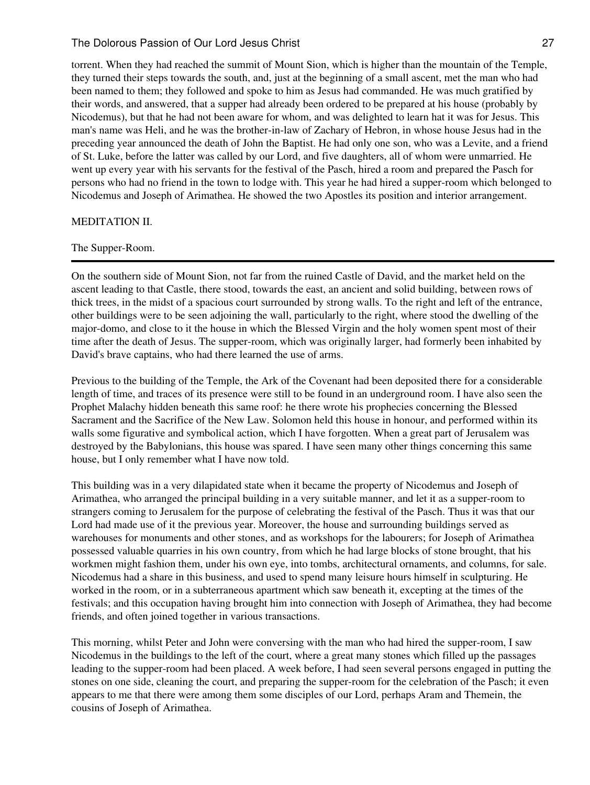torrent. When they had reached the summit of Mount Sion, which is higher than the mountain of the Temple, they turned their steps towards the south, and, just at the beginning of a small ascent, met the man who had been named to them; they followed and spoke to him as Jesus had commanded. He was much gratified by their words, and answered, that a supper had already been ordered to be prepared at his house (probably by Nicodemus), but that he had not been aware for whom, and was delighted to learn hat it was for Jesus. This man's name was Heli, and he was the brother-in-law of Zachary of Hebron, in whose house Jesus had in the preceding year announced the death of John the Baptist. He had only one son, who was a Levite, and a friend of St. Luke, before the latter was called by our Lord, and five daughters, all of whom were unmarried. He went up every year with his servants for the festival of the Pasch, hired a room and prepared the Pasch for persons who had no friend in the town to lodge with. This year he had hired a supper-room which belonged to Nicodemus and Joseph of Arimathea. He showed the two Apostles its position and interior arrangement.

#### MEDITATION II.

#### The Supper-Room.

On the southern side of Mount Sion, not far from the ruined Castle of David, and the market held on the ascent leading to that Castle, there stood, towards the east, an ancient and solid building, between rows of thick trees, in the midst of a spacious court surrounded by strong walls. To the right and left of the entrance, other buildings were to be seen adjoining the wall, particularly to the right, where stood the dwelling of the major-domo, and close to it the house in which the Blessed Virgin and the holy women spent most of their time after the death of Jesus. The supper-room, which was originally larger, had formerly been inhabited by David's brave captains, who had there learned the use of arms.

Previous to the building of the Temple, the Ark of the Covenant had been deposited there for a considerable length of time, and traces of its presence were still to be found in an underground room. I have also seen the Prophet Malachy hidden beneath this same roof: he there wrote his prophecies concerning the Blessed Sacrament and the Sacrifice of the New Law. Solomon held this house in honour, and performed within its walls some figurative and symbolical action, which I have forgotten. When a great part of Jerusalem was destroyed by the Babylonians, this house was spared. I have seen many other things concerning this same house, but I only remember what I have now told.

This building was in a very dilapidated state when it became the property of Nicodemus and Joseph of Arimathea, who arranged the principal building in a very suitable manner, and let it as a supper-room to strangers coming to Jerusalem for the purpose of celebrating the festival of the Pasch. Thus it was that our Lord had made use of it the previous year. Moreover, the house and surrounding buildings served as warehouses for monuments and other stones, and as workshops for the labourers; for Joseph of Arimathea possessed valuable quarries in his own country, from which he had large blocks of stone brought, that his workmen might fashion them, under his own eye, into tombs, architectural ornaments, and columns, for sale. Nicodemus had a share in this business, and used to spend many leisure hours himself in sculpturing. He worked in the room, or in a subterraneous apartment which saw beneath it, excepting at the times of the festivals; and this occupation having brought him into connection with Joseph of Arimathea, they had become friends, and often joined together in various transactions.

This morning, whilst Peter and John were conversing with the man who had hired the supper-room, I saw Nicodemus in the buildings to the left of the court, where a great many stones which filled up the passages leading to the supper-room had been placed. A week before, I had seen several persons engaged in putting the stones on one side, cleaning the court, and preparing the supper-room for the celebration of the Pasch; it even appears to me that there were among them some disciples of our Lord, perhaps Aram and Themein, the cousins of Joseph of Arimathea.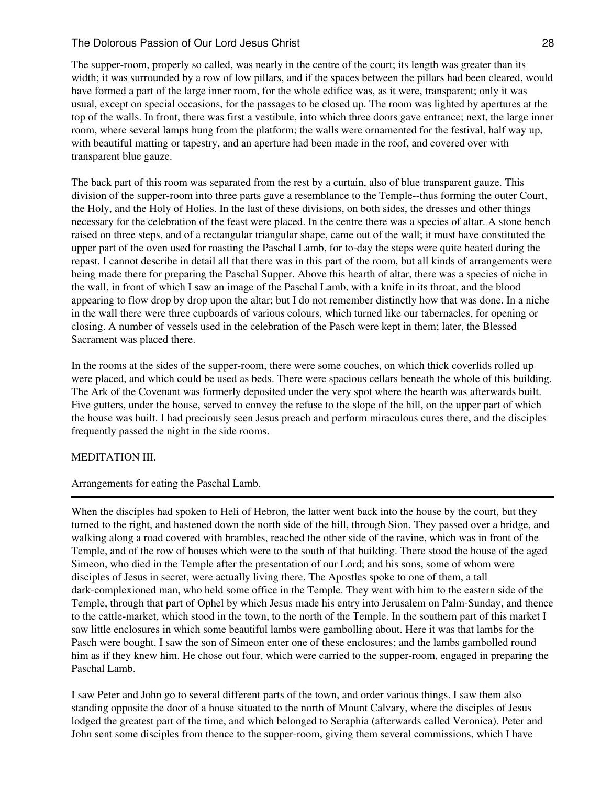The supper-room, properly so called, was nearly in the centre of the court; its length was greater than its width; it was surrounded by a row of low pillars, and if the spaces between the pillars had been cleared, would have formed a part of the large inner room, for the whole edifice was, as it were, transparent; only it was usual, except on special occasions, for the passages to be closed up. The room was lighted by apertures at the top of the walls. In front, there was first a vestibule, into which three doors gave entrance; next, the large inner room, where several lamps hung from the platform; the walls were ornamented for the festival, half way up, with beautiful matting or tapestry, and an aperture had been made in the roof, and covered over with transparent blue gauze.

The back part of this room was separated from the rest by a curtain, also of blue transparent gauze. This division of the supper-room into three parts gave a resemblance to the Temple--thus forming the outer Court, the Holy, and the Holy of Holies. In the last of these divisions, on both sides, the dresses and other things necessary for the celebration of the feast were placed. In the centre there was a species of altar. A stone bench raised on three steps, and of a rectangular triangular shape, came out of the wall; it must have constituted the upper part of the oven used for roasting the Paschal Lamb, for to-day the steps were quite heated during the repast. I cannot describe in detail all that there was in this part of the room, but all kinds of arrangements were being made there for preparing the Paschal Supper. Above this hearth of altar, there was a species of niche in the wall, in front of which I saw an image of the Paschal Lamb, with a knife in its throat, and the blood appearing to flow drop by drop upon the altar; but I do not remember distinctly how that was done. In a niche in the wall there were three cupboards of various colours, which turned like our tabernacles, for opening or closing. A number of vessels used in the celebration of the Pasch were kept in them; later, the Blessed Sacrament was placed there.

In the rooms at the sides of the supper-room, there were some couches, on which thick coverlids rolled up were placed, and which could be used as beds. There were spacious cellars beneath the whole of this building. The Ark of the Covenant was formerly deposited under the very spot where the hearth was afterwards built. Five gutters, under the house, served to convey the refuse to the slope of the hill, on the upper part of which the house was built. I had preciously seen Jesus preach and perform miraculous cures there, and the disciples frequently passed the night in the side rooms.

# MEDITATION III.

# Arrangements for eating the Paschal Lamb.

When the disciples had spoken to Heli of Hebron, the latter went back into the house by the court, but they turned to the right, and hastened down the north side of the hill, through Sion. They passed over a bridge, and walking along a road covered with brambles, reached the other side of the ravine, which was in front of the Temple, and of the row of houses which were to the south of that building. There stood the house of the aged Simeon, who died in the Temple after the presentation of our Lord; and his sons, some of whom were disciples of Jesus in secret, were actually living there. The Apostles spoke to one of them, a tall dark-complexioned man, who held some office in the Temple. They went with him to the eastern side of the Temple, through that part of Ophel by which Jesus made his entry into Jerusalem on Palm-Sunday, and thence to the cattle-market, which stood in the town, to the north of the Temple. In the southern part of this market I saw little enclosures in which some beautiful lambs were gambolling about. Here it was that lambs for the Pasch were bought. I saw the son of Simeon enter one of these enclosures; and the lambs gambolled round him as if they knew him. He chose out four, which were carried to the supper-room, engaged in preparing the Paschal Lamb.

I saw Peter and John go to several different parts of the town, and order various things. I saw them also standing opposite the door of a house situated to the north of Mount Calvary, where the disciples of Jesus lodged the greatest part of the time, and which belonged to Seraphia (afterwards called Veronica). Peter and John sent some disciples from thence to the supper-room, giving them several commissions, which I have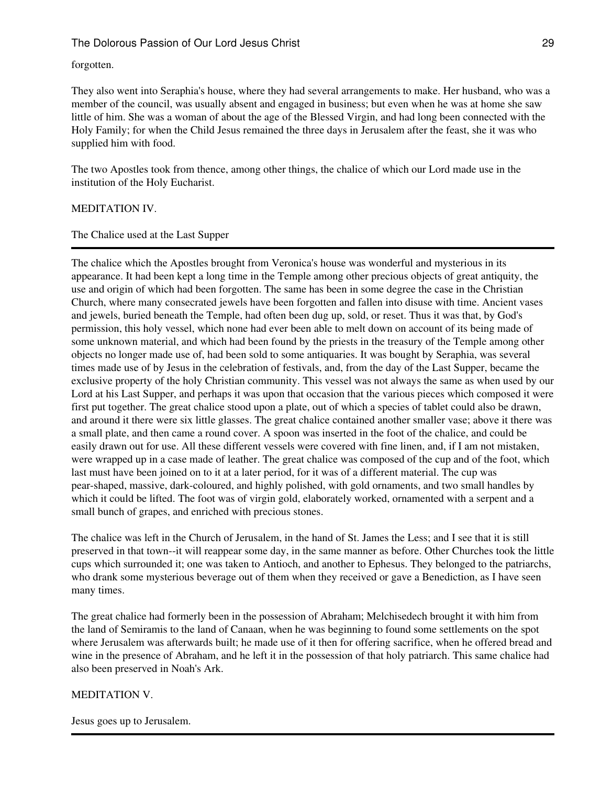# forgotten.

They also went into Seraphia's house, where they had several arrangements to make. Her husband, who was a member of the council, was usually absent and engaged in business; but even when he was at home she saw little of him. She was a woman of about the age of the Blessed Virgin, and had long been connected with the Holy Family; for when the Child Jesus remained the three days in Jerusalem after the feast, she it was who supplied him with food.

The two Apostles took from thence, among other things, the chalice of which our Lord made use in the institution of the Holy Eucharist.

# MEDITATION IV.

# The Chalice used at the Last Supper

The chalice which the Apostles brought from Veronica's house was wonderful and mysterious in its appearance. It had been kept a long time in the Temple among other precious objects of great antiquity, the use and origin of which had been forgotten. The same has been in some degree the case in the Christian Church, where many consecrated jewels have been forgotten and fallen into disuse with time. Ancient vases and jewels, buried beneath the Temple, had often been dug up, sold, or reset. Thus it was that, by God's permission, this holy vessel, which none had ever been able to melt down on account of its being made of some unknown material, and which had been found by the priests in the treasury of the Temple among other objects no longer made use of, had been sold to some antiquaries. It was bought by Seraphia, was several times made use of by Jesus in the celebration of festivals, and, from the day of the Last Supper, became the exclusive property of the holy Christian community. This vessel was not always the same as when used by our Lord at his Last Supper, and perhaps it was upon that occasion that the various pieces which composed it were first put together. The great chalice stood upon a plate, out of which a species of tablet could also be drawn, and around it there were six little glasses. The great chalice contained another smaller vase; above it there was a small plate, and then came a round cover. A spoon was inserted in the foot of the chalice, and could be easily drawn out for use. All these different vessels were covered with fine linen, and, if I am not mistaken, were wrapped up in a case made of leather. The great chalice was composed of the cup and of the foot, which last must have been joined on to it at a later period, for it was of a different material. The cup was pear-shaped, massive, dark-coloured, and highly polished, with gold ornaments, and two small handles by which it could be lifted. The foot was of virgin gold, elaborately worked, ornamented with a serpent and a small bunch of grapes, and enriched with precious stones.

The chalice was left in the Church of Jerusalem, in the hand of St. James the Less; and I see that it is still preserved in that town--it will reappear some day, in the same manner as before. Other Churches took the little cups which surrounded it; one was taken to Antioch, and another to Ephesus. They belonged to the patriarchs, who drank some mysterious beverage out of them when they received or gave a Benediction, as I have seen many times.

The great chalice had formerly been in the possession of Abraham; Melchisedech brought it with him from the land of Semiramis to the land of Canaan, when he was beginning to found some settlements on the spot where Jerusalem was afterwards built; he made use of it then for offering sacrifice, when he offered bread and wine in the presence of Abraham, and he left it in the possession of that holy patriarch. This same chalice had also been preserved in Noah's Ark.

# MEDITATION V.

Jesus goes up to Jerusalem.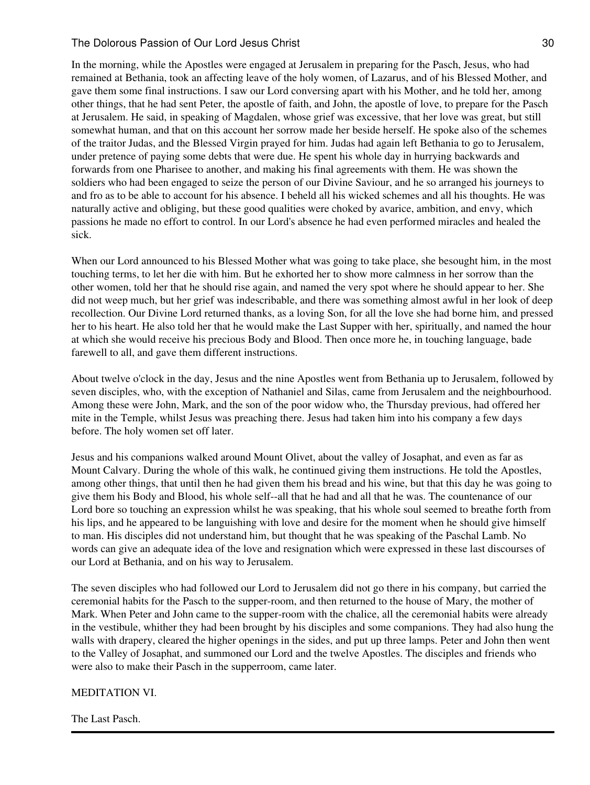In the morning, while the Apostles were engaged at Jerusalem in preparing for the Pasch, Jesus, who had remained at Bethania, took an affecting leave of the holy women, of Lazarus, and of his Blessed Mother, and gave them some final instructions. I saw our Lord conversing apart with his Mother, and he told her, among other things, that he had sent Peter, the apostle of faith, and John, the apostle of love, to prepare for the Pasch at Jerusalem. He said, in speaking of Magdalen, whose grief was excessive, that her love was great, but still somewhat human, and that on this account her sorrow made her beside herself. He spoke also of the schemes of the traitor Judas, and the Blessed Virgin prayed for him. Judas had again left Bethania to go to Jerusalem, under pretence of paying some debts that were due. He spent his whole day in hurrying backwards and forwards from one Pharisee to another, and making his final agreements with them. He was shown the soldiers who had been engaged to seize the person of our Divine Saviour, and he so arranged his journeys to and fro as to be able to account for his absence. I beheld all his wicked schemes and all his thoughts. He was naturally active and obliging, but these good qualities were choked by avarice, ambition, and envy, which passions he made no effort to control. In our Lord's absence he had even performed miracles and healed the sick.

When our Lord announced to his Blessed Mother what was going to take place, she besought him, in the most touching terms, to let her die with him. But he exhorted her to show more calmness in her sorrow than the other women, told her that he should rise again, and named the very spot where he should appear to her. She did not weep much, but her grief was indescribable, and there was something almost awful in her look of deep recollection. Our Divine Lord returned thanks, as a loving Son, for all the love she had borne him, and pressed her to his heart. He also told her that he would make the Last Supper with her, spiritually, and named the hour at which she would receive his precious Body and Blood. Then once more he, in touching language, bade farewell to all, and gave them different instructions.

About twelve o'clock in the day, Jesus and the nine Apostles went from Bethania up to Jerusalem, followed by seven disciples, who, with the exception of Nathaniel and Silas, came from Jerusalem and the neighbourhood. Among these were John, Mark, and the son of the poor widow who, the Thursday previous, had offered her mite in the Temple, whilst Jesus was preaching there. Jesus had taken him into his company a few days before. The holy women set off later.

Jesus and his companions walked around Mount Olivet, about the valley of Josaphat, and even as far as Mount Calvary. During the whole of this walk, he continued giving them instructions. He told the Apostles, among other things, that until then he had given them his bread and his wine, but that this day he was going to give them his Body and Blood, his whole self--all that he had and all that he was. The countenance of our Lord bore so touching an expression whilst he was speaking, that his whole soul seemed to breathe forth from his lips, and he appeared to be languishing with love and desire for the moment when he should give himself to man. His disciples did not understand him, but thought that he was speaking of the Paschal Lamb. No words can give an adequate idea of the love and resignation which were expressed in these last discourses of our Lord at Bethania, and on his way to Jerusalem.

The seven disciples who had followed our Lord to Jerusalem did not go there in his company, but carried the ceremonial habits for the Pasch to the supper-room, and then returned to the house of Mary, the mother of Mark. When Peter and John came to the supper-room with the chalice, all the ceremonial habits were already in the vestibule, whither they had been brought by his disciples and some companions. They had also hung the walls with drapery, cleared the higher openings in the sides, and put up three lamps. Peter and John then went to the Valley of Josaphat, and summoned our Lord and the twelve Apostles. The disciples and friends who were also to make their Pasch in the supperroom, came later.

# MEDITATION VI.

The Last Pasch.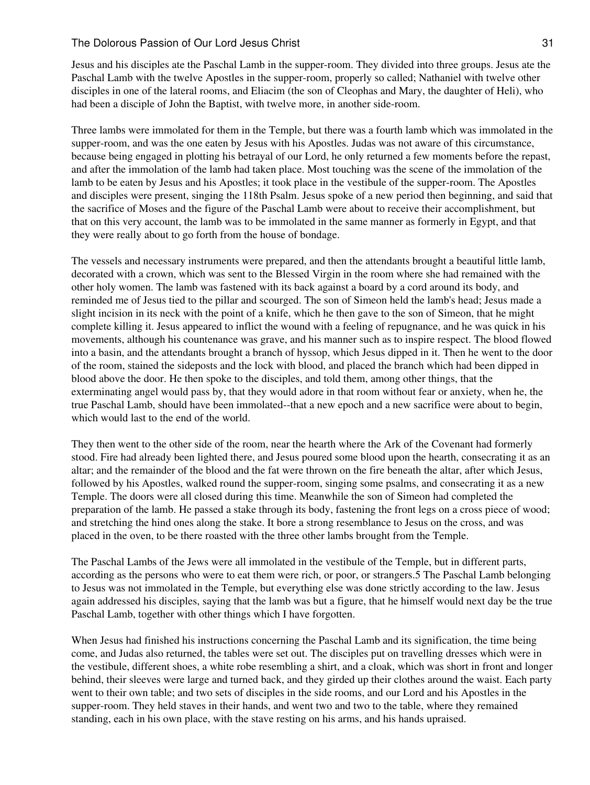Jesus and his disciples ate the Paschal Lamb in the supper-room. They divided into three groups. Jesus ate the Paschal Lamb with the twelve Apostles in the supper-room, properly so called; Nathaniel with twelve other disciples in one of the lateral rooms, and Eliacim (the son of Cleophas and Mary, the daughter of Heli), who had been a disciple of John the Baptist, with twelve more, in another side-room.

Three lambs were immolated for them in the Temple, but there was a fourth lamb which was immolated in the supper-room, and was the one eaten by Jesus with his Apostles. Judas was not aware of this circumstance, because being engaged in plotting his betrayal of our Lord, he only returned a few moments before the repast, and after the immolation of the lamb had taken place. Most touching was the scene of the immolation of the lamb to be eaten by Jesus and his Apostles; it took place in the vestibule of the supper-room. The Apostles and disciples were present, singing the 118th Psalm. Jesus spoke of a new period then beginning, and said that the sacrifice of Moses and the figure of the Paschal Lamb were about to receive their accomplishment, but that on this very account, the lamb was to be immolated in the same manner as formerly in Egypt, and that they were really about to go forth from the house of bondage.

The vessels and necessary instruments were prepared, and then the attendants brought a beautiful little lamb, decorated with a crown, which was sent to the Blessed Virgin in the room where she had remained with the other holy women. The lamb was fastened with its back against a board by a cord around its body, and reminded me of Jesus tied to the pillar and scourged. The son of Simeon held the lamb's head; Jesus made a slight incision in its neck with the point of a knife, which he then gave to the son of Simeon, that he might complete killing it. Jesus appeared to inflict the wound with a feeling of repugnance, and he was quick in his movements, although his countenance was grave, and his manner such as to inspire respect. The blood flowed into a basin, and the attendants brought a branch of hyssop, which Jesus dipped in it. Then he went to the door of the room, stained the sideposts and the lock with blood, and placed the branch which had been dipped in blood above the door. He then spoke to the disciples, and told them, among other things, that the exterminating angel would pass by, that they would adore in that room without fear or anxiety, when he, the true Paschal Lamb, should have been immolated--that a new epoch and a new sacrifice were about to begin, which would last to the end of the world.

They then went to the other side of the room, near the hearth where the Ark of the Covenant had formerly stood. Fire had already been lighted there, and Jesus poured some blood upon the hearth, consecrating it as an altar; and the remainder of the blood and the fat were thrown on the fire beneath the altar, after which Jesus, followed by his Apostles, walked round the supper-room, singing some psalms, and consecrating it as a new Temple. The doors were all closed during this time. Meanwhile the son of Simeon had completed the preparation of the lamb. He passed a stake through its body, fastening the front legs on a cross piece of wood; and stretching the hind ones along the stake. It bore a strong resemblance to Jesus on the cross, and was placed in the oven, to be there roasted with the three other lambs brought from the Temple.

The Paschal Lambs of the Jews were all immolated in the vestibule of the Temple, but in different parts, according as the persons who were to eat them were rich, or poor, or strangers.5 The Paschal Lamb belonging to Jesus was not immolated in the Temple, but everything else was done strictly according to the law. Jesus again addressed his disciples, saying that the lamb was but a figure, that he himself would next day be the true Paschal Lamb, together with other things which I have forgotten.

When Jesus had finished his instructions concerning the Paschal Lamb and its signification, the time being come, and Judas also returned, the tables were set out. The disciples put on travelling dresses which were in the vestibule, different shoes, a white robe resembling a shirt, and a cloak, which was short in front and longer behind, their sleeves were large and turned back, and they girded up their clothes around the waist. Each party went to their own table; and two sets of disciples in the side rooms, and our Lord and his Apostles in the supper-room. They held staves in their hands, and went two and two to the table, where they remained standing, each in his own place, with the stave resting on his arms, and his hands upraised.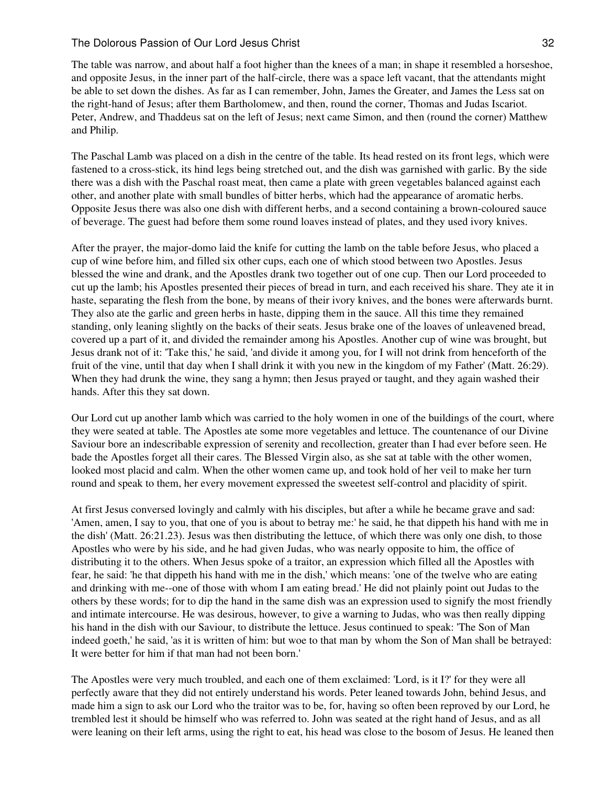The table was narrow, and about half a foot higher than the knees of a man; in shape it resembled a horseshoe, and opposite Jesus, in the inner part of the half-circle, there was a space left vacant, that the attendants might be able to set down the dishes. As far as I can remember, John, James the Greater, and James the Less sat on the right-hand of Jesus; after them Bartholomew, and then, round the corner, Thomas and Judas Iscariot. Peter, Andrew, and Thaddeus sat on the left of Jesus; next came Simon, and then (round the corner) Matthew and Philip.

The Paschal Lamb was placed on a dish in the centre of the table. Its head rested on its front legs, which were fastened to a cross-stick, its hind legs being stretched out, and the dish was garnished with garlic. By the side there was a dish with the Paschal roast meat, then came a plate with green vegetables balanced against each other, and another plate with small bundles of bitter herbs, which had the appearance of aromatic herbs. Opposite Jesus there was also one dish with different herbs, and a second containing a brown-coloured sauce of beverage. The guest had before them some round loaves instead of plates, and they used ivory knives.

After the prayer, the major-domo laid the knife for cutting the lamb on the table before Jesus, who placed a cup of wine before him, and filled six other cups, each one of which stood between two Apostles. Jesus blessed the wine and drank, and the Apostles drank two together out of one cup. Then our Lord proceeded to cut up the lamb; his Apostles presented their pieces of bread in turn, and each received his share. They ate it in haste, separating the flesh from the bone, by means of their ivory knives, and the bones were afterwards burnt. They also ate the garlic and green herbs in haste, dipping them in the sauce. All this time they remained standing, only leaning slightly on the backs of their seats. Jesus brake one of the loaves of unleavened bread, covered up a part of it, and divided the remainder among his Apostles. Another cup of wine was brought, but Jesus drank not of it: 'Take this,' he said, 'and divide it among you, for I will not drink from henceforth of the fruit of the vine, until that day when I shall drink it with you new in the kingdom of my Father' (Matt. 26:29). When they had drunk the wine, they sang a hymn; then Jesus prayed or taught, and they again washed their hands. After this they sat down.

Our Lord cut up another lamb which was carried to the holy women in one of the buildings of the court, where they were seated at table. The Apostles ate some more vegetables and lettuce. The countenance of our Divine Saviour bore an indescribable expression of serenity and recollection, greater than I had ever before seen. He bade the Apostles forget all their cares. The Blessed Virgin also, as she sat at table with the other women, looked most placid and calm. When the other women came up, and took hold of her veil to make her turn round and speak to them, her every movement expressed the sweetest self-control and placidity of spirit.

At first Jesus conversed lovingly and calmly with his disciples, but after a while he became grave and sad: 'Amen, amen, I say to you, that one of you is about to betray me:' he said, he that dippeth his hand with me in the dish' (Matt. 26:21.23). Jesus was then distributing the lettuce, of which there was only one dish, to those Apostles who were by his side, and he had given Judas, who was nearly opposite to him, the office of distributing it to the others. When Jesus spoke of a traitor, an expression which filled all the Apostles with fear, he said: 'he that dippeth his hand with me in the dish,' which means: 'one of the twelve who are eating and drinking with me--one of those with whom I am eating bread.' He did not plainly point out Judas to the others by these words; for to dip the hand in the same dish was an expression used to signify the most friendly and intimate intercourse. He was desirous, however, to give a warning to Judas, who was then really dipping his hand in the dish with our Saviour, to distribute the lettuce. Jesus continued to speak: 'The Son of Man indeed goeth,' he said, 'as it is written of him: but woe to that man by whom the Son of Man shall be betrayed: It were better for him if that man had not been born.'

The Apostles were very much troubled, and each one of them exclaimed: 'Lord, is it I?' for they were all perfectly aware that they did not entirely understand his words. Peter leaned towards John, behind Jesus, and made him a sign to ask our Lord who the traitor was to be, for, having so often been reproved by our Lord, he trembled lest it should be himself who was referred to. John was seated at the right hand of Jesus, and as all were leaning on their left arms, using the right to eat, his head was close to the bosom of Jesus. He leaned then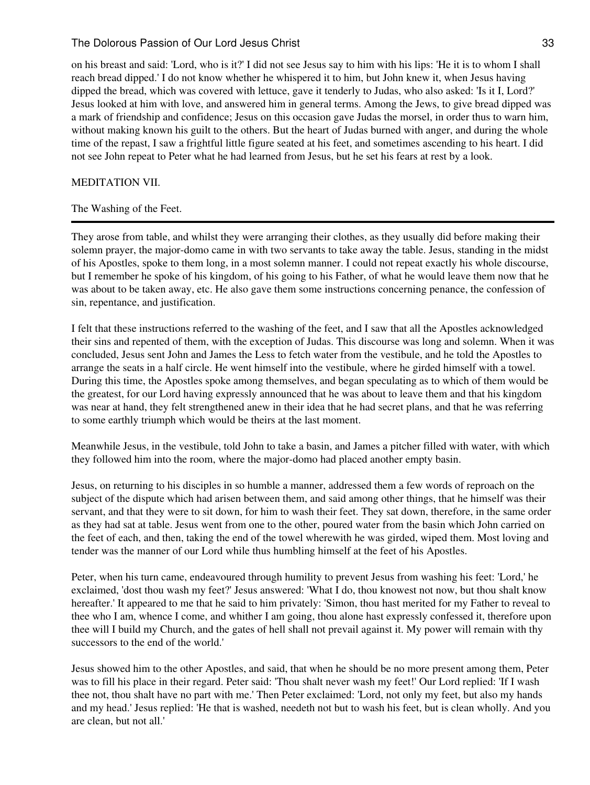on his breast and said: 'Lord, who is it?' I did not see Jesus say to him with his lips: 'He it is to whom I shall reach bread dipped.' I do not know whether he whispered it to him, but John knew it, when Jesus having dipped the bread, which was covered with lettuce, gave it tenderly to Judas, who also asked: 'Is it I, Lord?' Jesus looked at him with love, and answered him in general terms. Among the Jews, to give bread dipped was a mark of friendship and confidence; Jesus on this occasion gave Judas the morsel, in order thus to warn him, without making known his guilt to the others. But the heart of Judas burned with anger, and during the whole time of the repast, I saw a frightful little figure seated at his feet, and sometimes ascending to his heart. I did not see John repeat to Peter what he had learned from Jesus, but he set his fears at rest by a look.

# MEDITATION VII.

# The Washing of the Feet.

They arose from table, and whilst they were arranging their clothes, as they usually did before making their solemn prayer, the major-domo came in with two servants to take away the table. Jesus, standing in the midst of his Apostles, spoke to them long, in a most solemn manner. I could not repeat exactly his whole discourse, but I remember he spoke of his kingdom, of his going to his Father, of what he would leave them now that he was about to be taken away, etc. He also gave them some instructions concerning penance, the confession of sin, repentance, and justification.

I felt that these instructions referred to the washing of the feet, and I saw that all the Apostles acknowledged their sins and repented of them, with the exception of Judas. This discourse was long and solemn. When it was concluded, Jesus sent John and James the Less to fetch water from the vestibule, and he told the Apostles to arrange the seats in a half circle. He went himself into the vestibule, where he girded himself with a towel. During this time, the Apostles spoke among themselves, and began speculating as to which of them would be the greatest, for our Lord having expressly announced that he was about to leave them and that his kingdom was near at hand, they felt strengthened anew in their idea that he had secret plans, and that he was referring to some earthly triumph which would be theirs at the last moment.

Meanwhile Jesus, in the vestibule, told John to take a basin, and James a pitcher filled with water, with which they followed him into the room, where the major-domo had placed another empty basin.

Jesus, on returning to his disciples in so humble a manner, addressed them a few words of reproach on the subject of the dispute which had arisen between them, and said among other things, that he himself was their servant, and that they were to sit down, for him to wash their feet. They sat down, therefore, in the same order as they had sat at table. Jesus went from one to the other, poured water from the basin which John carried on the feet of each, and then, taking the end of the towel wherewith he was girded, wiped them. Most loving and tender was the manner of our Lord while thus humbling himself at the feet of his Apostles.

Peter, when his turn came, endeavoured through humility to prevent Jesus from washing his feet: 'Lord,' he exclaimed, 'dost thou wash my feet?' Jesus answered: 'What I do, thou knowest not now, but thou shalt know hereafter.' It appeared to me that he said to him privately: 'Simon, thou hast merited for my Father to reveal to thee who I am, whence I come, and whither I am going, thou alone hast expressly confessed it, therefore upon thee will I build my Church, and the gates of hell shall not prevail against it. My power will remain with thy successors to the end of the world.'

Jesus showed him to the other Apostles, and said, that when he should be no more present among them, Peter was to fill his place in their regard. Peter said: 'Thou shalt never wash my feet!' Our Lord replied: 'If I wash thee not, thou shalt have no part with me.' Then Peter exclaimed: 'Lord, not only my feet, but also my hands and my head.' Jesus replied: 'He that is washed, needeth not but to wash his feet, but is clean wholly. And you are clean, but not all.'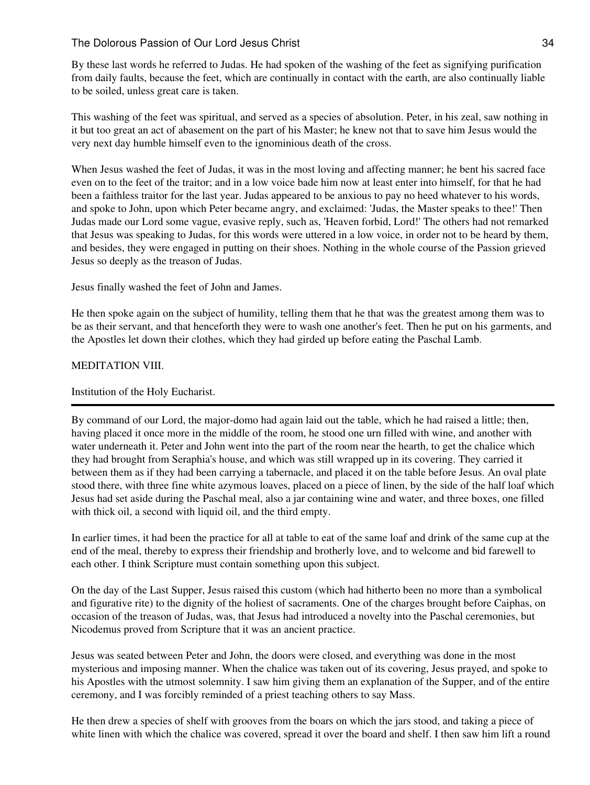By these last words he referred to Judas. He had spoken of the washing of the feet as signifying purification from daily faults, because the feet, which are continually in contact with the earth, are also continually liable to be soiled, unless great care is taken.

This washing of the feet was spiritual, and served as a species of absolution. Peter, in his zeal, saw nothing in it but too great an act of abasement on the part of his Master; he knew not that to save him Jesus would the very next day humble himself even to the ignominious death of the cross.

When Jesus washed the feet of Judas, it was in the most loving and affecting manner; he bent his sacred face even on to the feet of the traitor; and in a low voice bade him now at least enter into himself, for that he had been a faithless traitor for the last year. Judas appeared to be anxious to pay no heed whatever to his words, and spoke to John, upon which Peter became angry, and exclaimed: 'Judas, the Master speaks to thee!' Then Judas made our Lord some vague, evasive reply, such as, 'Heaven forbid, Lord!' The others had not remarked that Jesus was speaking to Judas, for this words were uttered in a low voice, in order not to be heard by them, and besides, they were engaged in putting on their shoes. Nothing in the whole course of the Passion grieved Jesus so deeply as the treason of Judas.

Jesus finally washed the feet of John and James.

He then spoke again on the subject of humility, telling them that he that was the greatest among them was to be as their servant, and that henceforth they were to wash one another's feet. Then he put on his garments, and the Apostles let down their clothes, which they had girded up before eating the Paschal Lamb.

# MEDITATION VIII.

# Institution of the Holy Eucharist.

By command of our Lord, the major-domo had again laid out the table, which he had raised a little; then, having placed it once more in the middle of the room, he stood one urn filled with wine, and another with water underneath it. Peter and John went into the part of the room near the hearth, to get the chalice which they had brought from Seraphia's house, and which was still wrapped up in its covering. They carried it between them as if they had been carrying a tabernacle, and placed it on the table before Jesus. An oval plate stood there, with three fine white azymous loaves, placed on a piece of linen, by the side of the half loaf which Jesus had set aside during the Paschal meal, also a jar containing wine and water, and three boxes, one filled with thick oil, a second with liquid oil, and the third empty.

In earlier times, it had been the practice for all at table to eat of the same loaf and drink of the same cup at the end of the meal, thereby to express their friendship and brotherly love, and to welcome and bid farewell to each other. I think Scripture must contain something upon this subject.

On the day of the Last Supper, Jesus raised this custom (which had hitherto been no more than a symbolical and figurative rite) to the dignity of the holiest of sacraments. One of the charges brought before Caiphas, on occasion of the treason of Judas, was, that Jesus had introduced a novelty into the Paschal ceremonies, but Nicodemus proved from Scripture that it was an ancient practice.

Jesus was seated between Peter and John, the doors were closed, and everything was done in the most mysterious and imposing manner. When the chalice was taken out of its covering, Jesus prayed, and spoke to his Apostles with the utmost solemnity. I saw him giving them an explanation of the Supper, and of the entire ceremony, and I was forcibly reminded of a priest teaching others to say Mass.

He then drew a species of shelf with grooves from the boars on which the jars stood, and taking a piece of white linen with which the chalice was covered, spread it over the board and shelf. I then saw him lift a round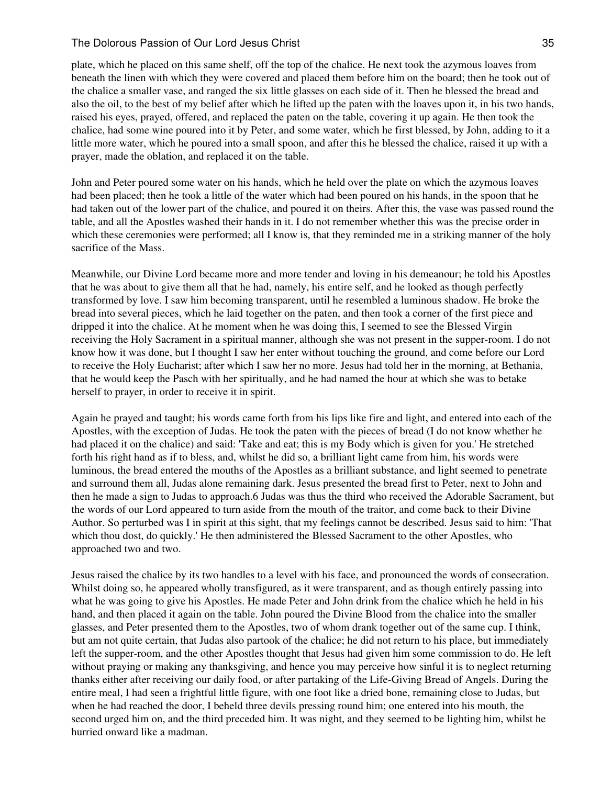plate, which he placed on this same shelf, off the top of the chalice. He next took the azymous loaves from beneath the linen with which they were covered and placed them before him on the board; then he took out of the chalice a smaller vase, and ranged the six little glasses on each side of it. Then he blessed the bread and also the oil, to the best of my belief after which he lifted up the paten with the loaves upon it, in his two hands, raised his eyes, prayed, offered, and replaced the paten on the table, covering it up again. He then took the chalice, had some wine poured into it by Peter, and some water, which he first blessed, by John, adding to it a little more water, which he poured into a small spoon, and after this he blessed the chalice, raised it up with a prayer, made the oblation, and replaced it on the table.

John and Peter poured some water on his hands, which he held over the plate on which the azymous loaves had been placed; then he took a little of the water which had been poured on his hands, in the spoon that he had taken out of the lower part of the chalice, and poured it on theirs. After this, the vase was passed round the table, and all the Apostles washed their hands in it. I do not remember whether this was the precise order in which these ceremonies were performed; all I know is, that they reminded me in a striking manner of the holy sacrifice of the Mass.

Meanwhile, our Divine Lord became more and more tender and loving in his demeanour; he told his Apostles that he was about to give them all that he had, namely, his entire self, and he looked as though perfectly transformed by love. I saw him becoming transparent, until he resembled a luminous shadow. He broke the bread into several pieces, which he laid together on the paten, and then took a corner of the first piece and dripped it into the chalice. At he moment when he was doing this, I seemed to see the Blessed Virgin receiving the Holy Sacrament in a spiritual manner, although she was not present in the supper-room. I do not know how it was done, but I thought I saw her enter without touching the ground, and come before our Lord to receive the Holy Eucharist; after which I saw her no more. Jesus had told her in the morning, at Bethania, that he would keep the Pasch with her spiritually, and he had named the hour at which she was to betake herself to prayer, in order to receive it in spirit.

Again he prayed and taught; his words came forth from his lips like fire and light, and entered into each of the Apostles, with the exception of Judas. He took the paten with the pieces of bread (I do not know whether he had placed it on the chalice) and said: 'Take and eat; this is my Body which is given for you.' He stretched forth his right hand as if to bless, and, whilst he did so, a brilliant light came from him, his words were luminous, the bread entered the mouths of the Apostles as a brilliant substance, and light seemed to penetrate and surround them all, Judas alone remaining dark. Jesus presented the bread first to Peter, next to John and then he made a sign to Judas to approach.6 Judas was thus the third who received the Adorable Sacrament, but the words of our Lord appeared to turn aside from the mouth of the traitor, and come back to their Divine Author. So perturbed was I in spirit at this sight, that my feelings cannot be described. Jesus said to him: 'That which thou dost, do quickly.' He then administered the Blessed Sacrament to the other Apostles, who approached two and two.

Jesus raised the chalice by its two handles to a level with his face, and pronounced the words of consecration. Whilst doing so, he appeared wholly transfigured, as it were transparent, and as though entirely passing into what he was going to give his Apostles. He made Peter and John drink from the chalice which he held in his hand, and then placed it again on the table. John poured the Divine Blood from the chalice into the smaller glasses, and Peter presented them to the Apostles, two of whom drank together out of the same cup. I think, but am not quite certain, that Judas also partook of the chalice; he did not return to his place, but immediately left the supper-room, and the other Apostles thought that Jesus had given him some commission to do. He left without praying or making any thanksgiving, and hence you may perceive how sinful it is to neglect returning thanks either after receiving our daily food, or after partaking of the Life-Giving Bread of Angels. During the entire meal, I had seen a frightful little figure, with one foot like a dried bone, remaining close to Judas, but when he had reached the door, I beheld three devils pressing round him; one entered into his mouth, the second urged him on, and the third preceded him. It was night, and they seemed to be lighting him, whilst he hurried onward like a madman.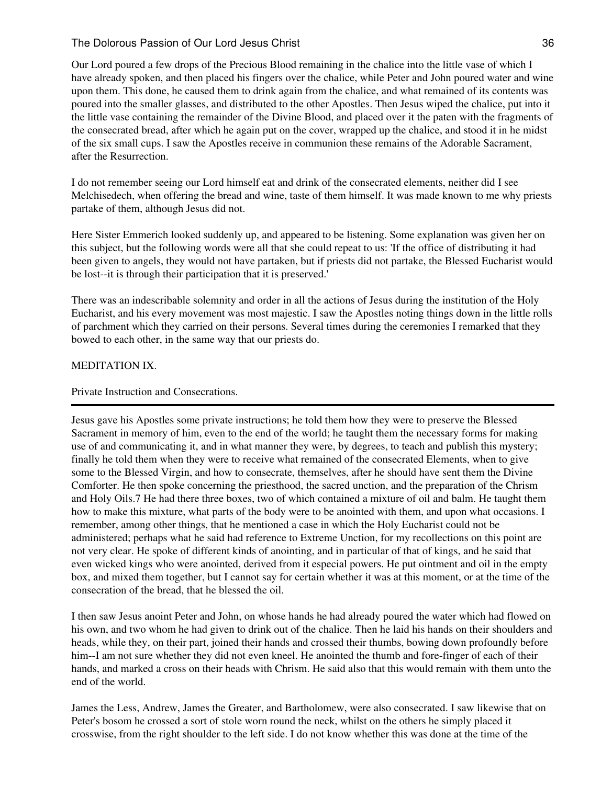Our Lord poured a few drops of the Precious Blood remaining in the chalice into the little vase of which I have already spoken, and then placed his fingers over the chalice, while Peter and John poured water and wine upon them. This done, he caused them to drink again from the chalice, and what remained of its contents was poured into the smaller glasses, and distributed to the other Apostles. Then Jesus wiped the chalice, put into it the little vase containing the remainder of the Divine Blood, and placed over it the paten with the fragments of the consecrated bread, after which he again put on the cover, wrapped up the chalice, and stood it in he midst of the six small cups. I saw the Apostles receive in communion these remains of the Adorable Sacrament, after the Resurrection.

I do not remember seeing our Lord himself eat and drink of the consecrated elements, neither did I see Melchisedech, when offering the bread and wine, taste of them himself. It was made known to me why priests partake of them, although Jesus did not.

Here Sister Emmerich looked suddenly up, and appeared to be listening. Some explanation was given her on this subject, but the following words were all that she could repeat to us: 'If the office of distributing it had been given to angels, they would not have partaken, but if priests did not partake, the Blessed Eucharist would be lost--it is through their participation that it is preserved.'

There was an indescribable solemnity and order in all the actions of Jesus during the institution of the Holy Eucharist, and his every movement was most majestic. I saw the Apostles noting things down in the little rolls of parchment which they carried on their persons. Several times during the ceremonies I remarked that they bowed to each other, in the same way that our priests do.

# MEDITATION IX.

# Private Instruction and Consecrations.

Jesus gave his Apostles some private instructions; he told them how they were to preserve the Blessed Sacrament in memory of him, even to the end of the world; he taught them the necessary forms for making use of and communicating it, and in what manner they were, by degrees, to teach and publish this mystery; finally he told them when they were to receive what remained of the consecrated Elements, when to give some to the Blessed Virgin, and how to consecrate, themselves, after he should have sent them the Divine Comforter. He then spoke concerning the priesthood, the sacred unction, and the preparation of the Chrism and Holy Oils.7 He had there three boxes, two of which contained a mixture of oil and balm. He taught them how to make this mixture, what parts of the body were to be anointed with them, and upon what occasions. I remember, among other things, that he mentioned a case in which the Holy Eucharist could not be administered; perhaps what he said had reference to Extreme Unction, for my recollections on this point are not very clear. He spoke of different kinds of anointing, and in particular of that of kings, and he said that even wicked kings who were anointed, derived from it especial powers. He put ointment and oil in the empty box, and mixed them together, but I cannot say for certain whether it was at this moment, or at the time of the consecration of the bread, that he blessed the oil.

I then saw Jesus anoint Peter and John, on whose hands he had already poured the water which had flowed on his own, and two whom he had given to drink out of the chalice. Then he laid his hands on their shoulders and heads, while they, on their part, joined their hands and crossed their thumbs, bowing down profoundly before him--I am not sure whether they did not even kneel. He anointed the thumb and fore-finger of each of their hands, and marked a cross on their heads with Chrism. He said also that this would remain with them unto the end of the world.

James the Less, Andrew, James the Greater, and Bartholomew, were also consecrated. I saw likewise that on Peter's bosom he crossed a sort of stole worn round the neck, whilst on the others he simply placed it crosswise, from the right shoulder to the left side. I do not know whether this was done at the time of the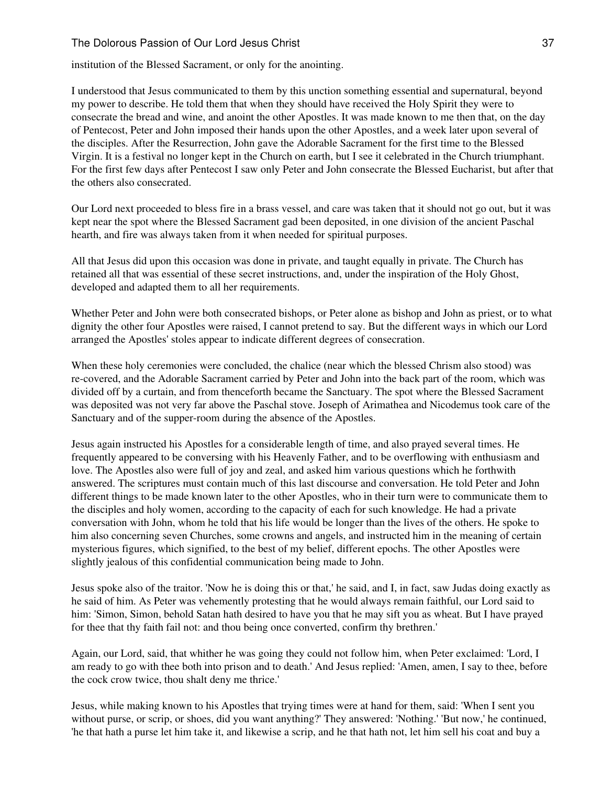#### The Dolorous Passion of Our Lord Jesus Christ 37 (37) 37

institution of the Blessed Sacrament, or only for the anointing.

I understood that Jesus communicated to them by this unction something essential and supernatural, beyond my power to describe. He told them that when they should have received the Holy Spirit they were to consecrate the bread and wine, and anoint the other Apostles. It was made known to me then that, on the day of Pentecost, Peter and John imposed their hands upon the other Apostles, and a week later upon several of the disciples. After the Resurrection, John gave the Adorable Sacrament for the first time to the Blessed Virgin. It is a festival no longer kept in the Church on earth, but I see it celebrated in the Church triumphant. For the first few days after Pentecost I saw only Peter and John consecrate the Blessed Eucharist, but after that the others also consecrated.

Our Lord next proceeded to bless fire in a brass vessel, and care was taken that it should not go out, but it was kept near the spot where the Blessed Sacrament gad been deposited, in one division of the ancient Paschal hearth, and fire was always taken from it when needed for spiritual purposes.

All that Jesus did upon this occasion was done in private, and taught equally in private. The Church has retained all that was essential of these secret instructions, and, under the inspiration of the Holy Ghost, developed and adapted them to all her requirements.

Whether Peter and John were both consecrated bishops, or Peter alone as bishop and John as priest, or to what dignity the other four Apostles were raised, I cannot pretend to say. But the different ways in which our Lord arranged the Apostles' stoles appear to indicate different degrees of consecration.

When these holy ceremonies were concluded, the chalice (near which the blessed Chrism also stood) was re-covered, and the Adorable Sacrament carried by Peter and John into the back part of the room, which was divided off by a curtain, and from thenceforth became the Sanctuary. The spot where the Blessed Sacrament was deposited was not very far above the Paschal stove. Joseph of Arimathea and Nicodemus took care of the Sanctuary and of the supper-room during the absence of the Apostles.

Jesus again instructed his Apostles for a considerable length of time, and also prayed several times. He frequently appeared to be conversing with his Heavenly Father, and to be overflowing with enthusiasm and love. The Apostles also were full of joy and zeal, and asked him various questions which he forthwith answered. The scriptures must contain much of this last discourse and conversation. He told Peter and John different things to be made known later to the other Apostles, who in their turn were to communicate them to the disciples and holy women, according to the capacity of each for such knowledge. He had a private conversation with John, whom he told that his life would be longer than the lives of the others. He spoke to him also concerning seven Churches, some crowns and angels, and instructed him in the meaning of certain mysterious figures, which signified, to the best of my belief, different epochs. The other Apostles were slightly jealous of this confidential communication being made to John.

Jesus spoke also of the traitor. 'Now he is doing this or that,' he said, and I, in fact, saw Judas doing exactly as he said of him. As Peter was vehemently protesting that he would always remain faithful, our Lord said to him: 'Simon, Simon, behold Satan hath desired to have you that he may sift you as wheat. But I have prayed for thee that thy faith fail not: and thou being once converted, confirm thy brethren.'

Again, our Lord, said, that whither he was going they could not follow him, when Peter exclaimed: 'Lord, I am ready to go with thee both into prison and to death.' And Jesus replied: 'Amen, amen, I say to thee, before the cock crow twice, thou shalt deny me thrice.'

Jesus, while making known to his Apostles that trying times were at hand for them, said: 'When I sent you without purse, or scrip, or shoes, did you want anything?' They answered: 'Nothing.' 'But now,' he continued, 'he that hath a purse let him take it, and likewise a scrip, and he that hath not, let him sell his coat and buy a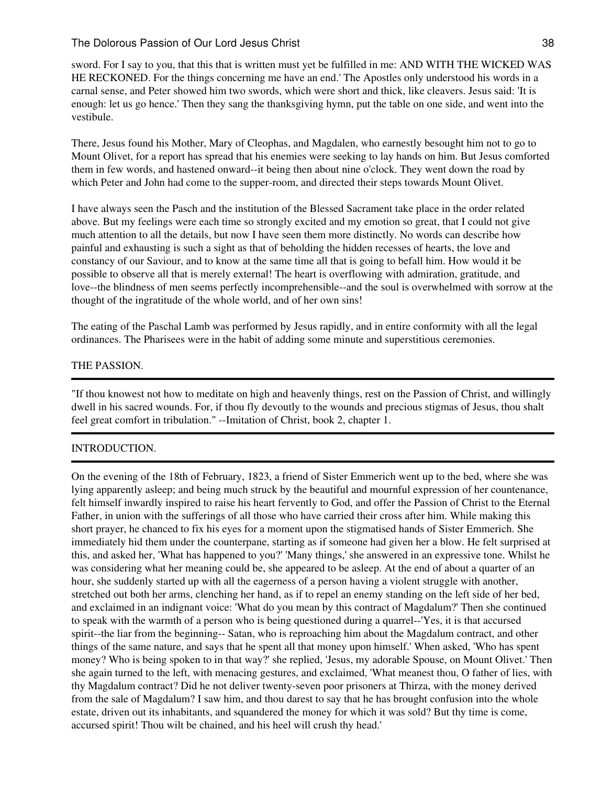#### The Dolorous Passion of Our Lord Jesus Christ 38

sword. For I say to you, that this that is written must yet be fulfilled in me: AND WITH THE WICKED WAS HE RECKONED. For the things concerning me have an end.' The Apostles only understood his words in a carnal sense, and Peter showed him two swords, which were short and thick, like cleavers. Jesus said: 'It is enough: let us go hence.' Then they sang the thanksgiving hymn, put the table on one side, and went into the vestibule.

There, Jesus found his Mother, Mary of Cleophas, and Magdalen, who earnestly besought him not to go to Mount Olivet, for a report has spread that his enemies were seeking to lay hands on him. But Jesus comforted them in few words, and hastened onward--it being then about nine o'clock. They went down the road by which Peter and John had come to the supper-room, and directed their steps towards Mount Olivet.

I have always seen the Pasch and the institution of the Blessed Sacrament take place in the order related above. But my feelings were each time so strongly excited and my emotion so great, that I could not give much attention to all the details, but now I have seen them more distinctly. No words can describe how painful and exhausting is such a sight as that of beholding the hidden recesses of hearts, the love and constancy of our Saviour, and to know at the same time all that is going to befall him. How would it be possible to observe all that is merely external! The heart is overflowing with admiration, gratitude, and love--the blindness of men seems perfectly incomprehensible--and the soul is overwhelmed with sorrow at the thought of the ingratitude of the whole world, and of her own sins!

The eating of the Paschal Lamb was performed by Jesus rapidly, and in entire conformity with all the legal ordinances. The Pharisees were in the habit of adding some minute and superstitious ceremonies.

#### THE PASSION.

"If thou knowest not how to meditate on high and heavenly things, rest on the Passion of Christ, and willingly dwell in his sacred wounds. For, if thou fly devoutly to the wounds and precious stigmas of Jesus, thou shalt feel great comfort in tribulation." --Imitation of Christ, book 2, chapter 1.

#### INTRODUCTION.

On the evening of the 18th of February, 1823, a friend of Sister Emmerich went up to the bed, where she was lying apparently asleep; and being much struck by the beautiful and mournful expression of her countenance, felt himself inwardly inspired to raise his heart fervently to God, and offer the Passion of Christ to the Eternal Father, in union with the sufferings of all those who have carried their cross after him. While making this short prayer, he chanced to fix his eyes for a moment upon the stigmatised hands of Sister Emmerich. She immediately hid them under the counterpane, starting as if someone had given her a blow. He felt surprised at this, and asked her, 'What has happened to you?' 'Many things,' she answered in an expressive tone. Whilst he was considering what her meaning could be, she appeared to be asleep. At the end of about a quarter of an hour, she suddenly started up with all the eagerness of a person having a violent struggle with another, stretched out both her arms, clenching her hand, as if to repel an enemy standing on the left side of her bed, and exclaimed in an indignant voice: 'What do you mean by this contract of Magdalum?' Then she continued to speak with the warmth of a person who is being questioned during a quarrel--'Yes, it is that accursed spirit--the liar from the beginning-- Satan, who is reproaching him about the Magdalum contract, and other things of the same nature, and says that he spent all that money upon himself.' When asked, 'Who has spent money? Who is being spoken to in that way?' she replied, 'Jesus, my adorable Spouse, on Mount Olivet.' Then she again turned to the left, with menacing gestures, and exclaimed, 'What meanest thou, O father of lies, with thy Magdalum contract? Did he not deliver twenty-seven poor prisoners at Thirza, with the money derived from the sale of Magdalum? I saw him, and thou darest to say that he has brought confusion into the whole estate, driven out its inhabitants, and squandered the money for which it was sold? But thy time is come, accursed spirit! Thou wilt be chained, and his heel will crush thy head.'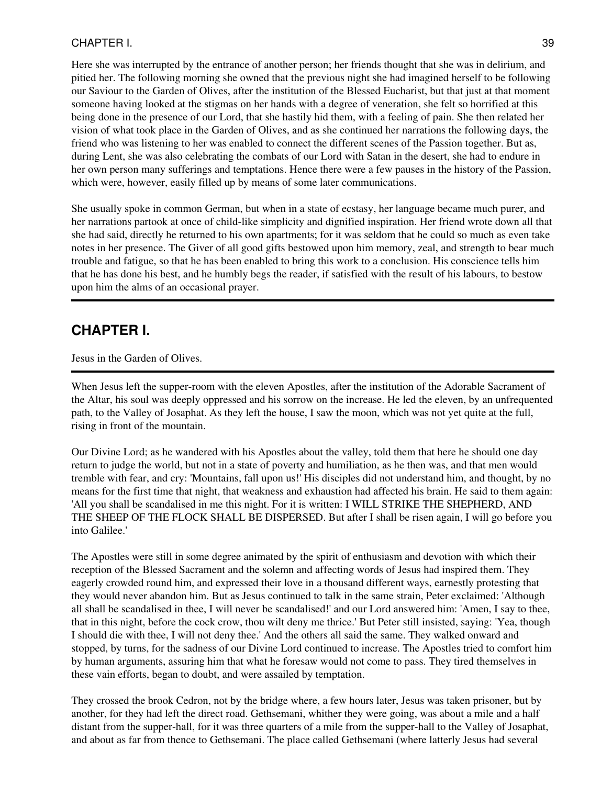Here she was interrupted by the entrance of another person; her friends thought that she was in delirium, and pitied her. The following morning she owned that the previous night she had imagined herself to be following our Saviour to the Garden of Olives, after the institution of the Blessed Eucharist, but that just at that moment someone having looked at the stigmas on her hands with a degree of veneration, she felt so horrified at this being done in the presence of our Lord, that she hastily hid them, with a feeling of pain. She then related her vision of what took place in the Garden of Olives, and as she continued her narrations the following days, the friend who was listening to her was enabled to connect the different scenes of the Passion together. But as, during Lent, she was also celebrating the combats of our Lord with Satan in the desert, she had to endure in her own person many sufferings and temptations. Hence there were a few pauses in the history of the Passion, which were, however, easily filled up by means of some later communications.

She usually spoke in common German, but when in a state of ecstasy, her language became much purer, and her narrations partook at once of child-like simplicity and dignified inspiration. Her friend wrote down all that she had said, directly he returned to his own apartments; for it was seldom that he could so much as even take notes in her presence. The Giver of all good gifts bestowed upon him memory, zeal, and strength to bear much trouble and fatigue, so that he has been enabled to bring this work to a conclusion. His conscience tells him that he has done his best, and he humbly begs the reader, if satisfied with the result of his labours, to bestow upon him the alms of an occasional prayer.

## **CHAPTER I.**

Jesus in the Garden of Olives.

When Jesus left the supper-room with the eleven Apostles, after the institution of the Adorable Sacrament of the Altar, his soul was deeply oppressed and his sorrow on the increase. He led the eleven, by an unfrequented path, to the Valley of Josaphat. As they left the house, I saw the moon, which was not yet quite at the full, rising in front of the mountain.

Our Divine Lord; as he wandered with his Apostles about the valley, told them that here he should one day return to judge the world, but not in a state of poverty and humiliation, as he then was, and that men would tremble with fear, and cry: 'Mountains, fall upon us!' His disciples did not understand him, and thought, by no means for the first time that night, that weakness and exhaustion had affected his brain. He said to them again: 'All you shall be scandalised in me this night. For it is written: I WILL STRIKE THE SHEPHERD, AND THE SHEEP OF THE FLOCK SHALL BE DISPERSED. But after I shall be risen again, I will go before you into Galilee.'

The Apostles were still in some degree animated by the spirit of enthusiasm and devotion with which their reception of the Blessed Sacrament and the solemn and affecting words of Jesus had inspired them. They eagerly crowded round him, and expressed their love in a thousand different ways, earnestly protesting that they would never abandon him. But as Jesus continued to talk in the same strain, Peter exclaimed: 'Although all shall be scandalised in thee, I will never be scandalised!' and our Lord answered him: 'Amen, I say to thee, that in this night, before the cock crow, thou wilt deny me thrice.' But Peter still insisted, saying: 'Yea, though I should die with thee, I will not deny thee.' And the others all said the same. They walked onward and stopped, by turns, for the sadness of our Divine Lord continued to increase. The Apostles tried to comfort him by human arguments, assuring him that what he foresaw would not come to pass. They tired themselves in these vain efforts, began to doubt, and were assailed by temptation.

They crossed the brook Cedron, not by the bridge where, a few hours later, Jesus was taken prisoner, but by another, for they had left the direct road. Gethsemani, whither they were going, was about a mile and a half distant from the supper-hall, for it was three quarters of a mile from the supper-hall to the Valley of Josaphat, and about as far from thence to Gethsemani. The place called Gethsemani (where latterly Jesus had several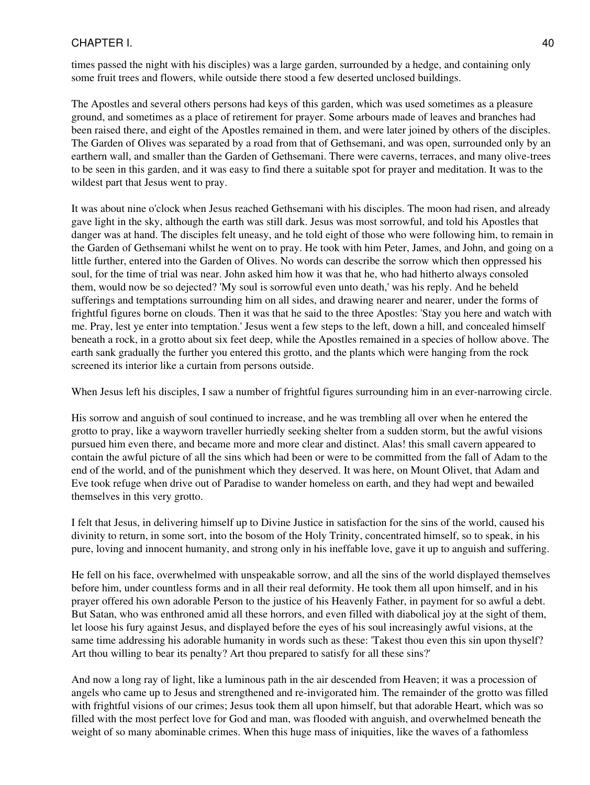times passed the night with his disciples) was a large garden, surrounded by a hedge, and containing only some fruit trees and flowers, while outside there stood a few deserted unclosed buildings.

The Apostles and several others persons had keys of this garden, which was used sometimes as a pleasure ground, and sometimes as a place of retirement for prayer. Some arbours made of leaves and branches had been raised there, and eight of the Apostles remained in them, and were later joined by others of the disciples. The Garden of Olives was separated by a road from that of Gethsemani, and was open, surrounded only by an earthern wall, and smaller than the Garden of Gethsemani. There were caverns, terraces, and many olive-trees to be seen in this garden, and it was easy to find there a suitable spot for prayer and meditation. It was to the wildest part that Jesus went to pray.

It was about nine o'clock when Jesus reached Gethsemani with his disciples. The moon had risen, and already gave light in the sky, although the earth was still dark. Jesus was most sorrowful, and told his Apostles that danger was at hand. The disciples felt uneasy, and he told eight of those who were following him, to remain in the Garden of Gethsemani whilst he went on to pray. He took with him Peter, James, and John, and going on a little further, entered into the Garden of Olives. No words can describe the sorrow which then oppressed his soul, for the time of trial was near. John asked him how it was that he, who had hitherto always consoled them, would now be so dejected? 'My soul is sorrowful even unto death,' was his reply. And he beheld sufferings and temptations surrounding him on all sides, and drawing nearer and nearer, under the forms of frightful figures borne on clouds. Then it was that he said to the three Apostles: 'Stay you here and watch with me. Pray, lest ye enter into temptation.' Jesus went a few steps to the left, down a hill, and concealed himself beneath a rock, in a grotto about six feet deep, while the Apostles remained in a species of hollow above. The earth sank gradually the further you entered this grotto, and the plants which were hanging from the rock screened its interior like a curtain from persons outside.

When Jesus left his disciples, I saw a number of frightful figures surrounding him in an ever-narrowing circle.

His sorrow and anguish of soul continued to increase, and he was trembling all over when he entered the grotto to pray, like a wayworn traveller hurriedly seeking shelter from a sudden storm, but the awful visions pursued him even there, and became more and more clear and distinct. Alas! this small cavern appeared to contain the awful picture of all the sins which had been or were to be committed from the fall of Adam to the end of the world, and of the punishment which they deserved. It was here, on Mount Olivet, that Adam and Eve took refuge when drive out of Paradise to wander homeless on earth, and they had wept and bewailed themselves in this very grotto.

I felt that Jesus, in delivering himself up to Divine Justice in satisfaction for the sins of the world, caused his divinity to return, in some sort, into the bosom of the Holy Trinity, concentrated himself, so to speak, in his pure, loving and innocent humanity, and strong only in his ineffable love, gave it up to anguish and suffering.

He fell on his face, overwhelmed with unspeakable sorrow, and all the sins of the world displayed themselves before him, under countless forms and in all their real deformity. He took them all upon himself, and in his prayer offered his own adorable Person to the justice of his Heavenly Father, in payment for so awful a debt. But Satan, who was enthroned amid all these horrors, and even filled with diabolical joy at the sight of them, let loose his fury against Jesus, and displayed before the eyes of his soul increasingly awful visions, at the same time addressing his adorable humanity in words such as these: 'Takest thou even this sin upon thyself? Art thou willing to bear its penalty? Art thou prepared to satisfy for all these sins?'

And now a long ray of light, like a luminous path in the air descended from Heaven; it was a procession of angels who came up to Jesus and strengthened and re-invigorated him. The remainder of the grotto was filled with frightful visions of our crimes; Jesus took them all upon himself, but that adorable Heart, which was so filled with the most perfect love for God and man, was flooded with anguish, and overwhelmed beneath the weight of so many abominable crimes. When this huge mass of iniquities, like the waves of a fathomless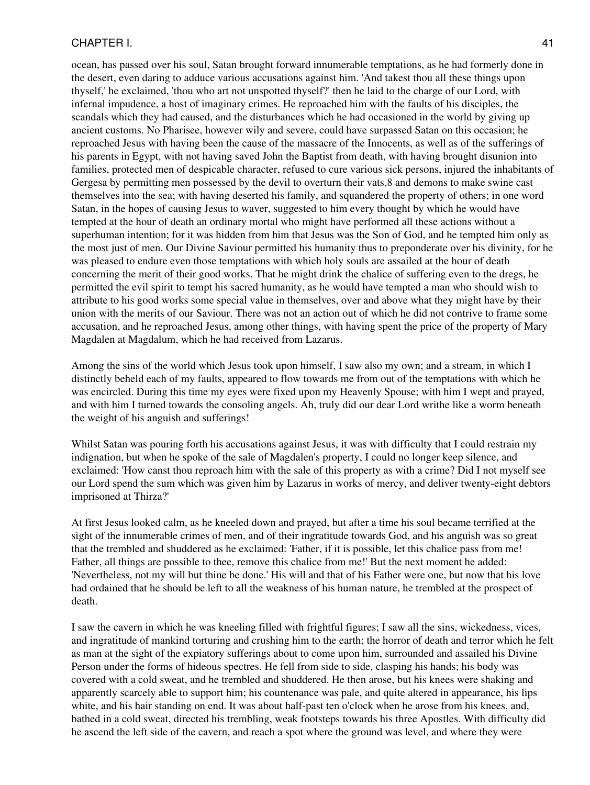ocean, has passed over his soul, Satan brought forward innumerable temptations, as he had formerly done in the desert, even daring to adduce various accusations against him. 'And takest thou all these things upon thyself,' he exclaimed, 'thou who art not unspotted thyself?' then he laid to the charge of our Lord, with infernal impudence, a host of imaginary crimes. He reproached him with the faults of his disciples, the scandals which they had caused, and the disturbances which he had occasioned in the world by giving up ancient customs. No Pharisee, however wily and severe, could have surpassed Satan on this occasion; he reproached Jesus with having been the cause of the massacre of the Innocents, as well as of the sufferings of his parents in Egypt, with not having saved John the Baptist from death, with having brought disunion into families, protected men of despicable character, refused to cure various sick persons, injured the inhabitants of Gergesa by permitting men possessed by the devil to overturn their vats,8 and demons to make swine cast themselves into the sea; with having deserted his family, and squandered the property of others; in one word Satan, in the hopes of causing Jesus to waver, suggested to him every thought by which he would have tempted at the hour of death an ordinary mortal who might have performed all these actions without a superhuman intention; for it was hidden from him that Jesus was the Son of God, and he tempted him only as the most just of men. Our Divine Saviour permitted his humanity thus to preponderate over his divinity, for he was pleased to endure even those temptations with which holy souls are assailed at the hour of death concerning the merit of their good works. That he might drink the chalice of suffering even to the dregs, he permitted the evil spirit to tempt his sacred humanity, as he would have tempted a man who should wish to attribute to his good works some special value in themselves, over and above what they might have by their union with the merits of our Saviour. There was not an action out of which he did not contrive to frame some accusation, and he reproached Jesus, among other things, with having spent the price of the property of Mary Magdalen at Magdalum, which he had received from Lazarus.

Among the sins of the world which Jesus took upon himself, I saw also my own; and a stream, in which I distinctly beheld each of my faults, appeared to flow towards me from out of the temptations with which he was encircled. During this time my eyes were fixed upon my Heavenly Spouse; with him I wept and prayed, and with him I turned towards the consoling angels. Ah, truly did our dear Lord writhe like a worm beneath the weight of his anguish and sufferings!

Whilst Satan was pouring forth his accusations against Jesus, it was with difficulty that I could restrain my indignation, but when he spoke of the sale of Magdalen's property, I could no longer keep silence, and exclaimed: 'How canst thou reproach him with the sale of this property as with a crime? Did I not myself see our Lord spend the sum which was given him by Lazarus in works of mercy, and deliver twenty-eight debtors imprisoned at Thirza?'

At first Jesus looked calm, as he kneeled down and prayed, but after a time his soul became terrified at the sight of the innumerable crimes of men, and of their ingratitude towards God, and his anguish was so great that the trembled and shuddered as he exclaimed: 'Father, if it is possible, let this chalice pass from me! Father, all things are possible to thee, remove this chalice from me!' But the next moment he added: 'Nevertheless, not my will but thine be done.' His will and that of his Father were one, but now that his love had ordained that he should be left to all the weakness of his human nature, he trembled at the prospect of death.

I saw the cavern in which he was kneeling filled with frightful figures; I saw all the sins, wickedness, vices, and ingratitude of mankind torturing and crushing him to the earth; the horror of death and terror which he felt as man at the sight of the expiatory sufferings about to come upon him, surrounded and assailed his Divine Person under the forms of hideous spectres. He fell from side to side, clasping his hands; his body was covered with a cold sweat, and he trembled and shuddered. He then arose, but his knees were shaking and apparently scarcely able to support him; his countenance was pale, and quite altered in appearance, his lips white, and his hair standing on end. It was about half-past ten o'clock when he arose from his knees, and, bathed in a cold sweat, directed his trembling, weak footsteps towards his three Apostles. With difficulty did he ascend the left side of the cavern, and reach a spot where the ground was level, and where they were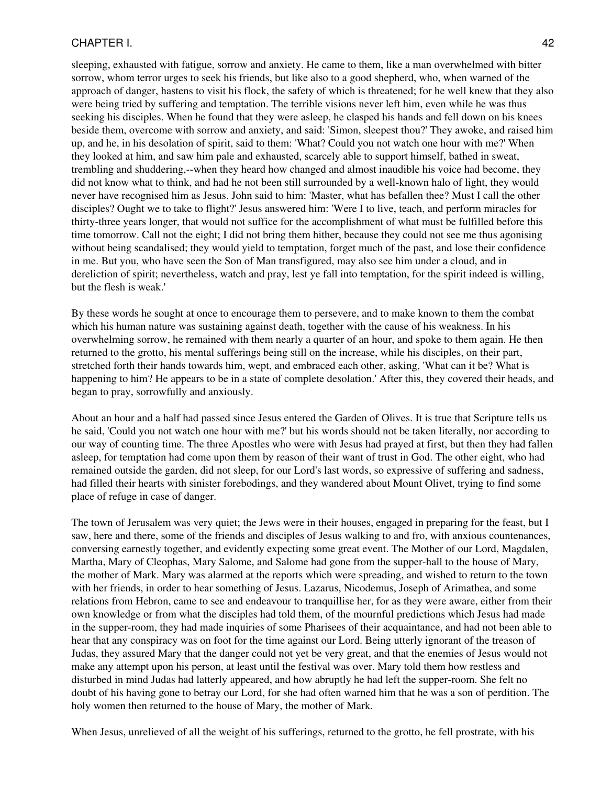sleeping, exhausted with fatigue, sorrow and anxiety. He came to them, like a man overwhelmed with bitter sorrow, whom terror urges to seek his friends, but like also to a good shepherd, who, when warned of the approach of danger, hastens to visit his flock, the safety of which is threatened; for he well knew that they also were being tried by suffering and temptation. The terrible visions never left him, even while he was thus seeking his disciples. When he found that they were asleep, he clasped his hands and fell down on his knees beside them, overcome with sorrow and anxiety, and said: 'Simon, sleepest thou?' They awoke, and raised him up, and he, in his desolation of spirit, said to them: 'What? Could you not watch one hour with me?' When they looked at him, and saw him pale and exhausted, scarcely able to support himself, bathed in sweat, trembling and shuddering,--when they heard how changed and almost inaudible his voice had become, they did not know what to think, and had he not been still surrounded by a well-known halo of light, they would never have recognised him as Jesus. John said to him: 'Master, what has befallen thee? Must I call the other disciples? Ought we to take to flight?' Jesus answered him: 'Were I to live, teach, and perform miracles for thirty-three years longer, that would not suffice for the accomplishment of what must be fulfilled before this time tomorrow. Call not the eight; I did not bring them hither, because they could not see me thus agonising without being scandalised; they would yield to temptation, forget much of the past, and lose their confidence in me. But you, who have seen the Son of Man transfigured, may also see him under a cloud, and in dereliction of spirit; nevertheless, watch and pray, lest ye fall into temptation, for the spirit indeed is willing, but the flesh is weak.'

By these words he sought at once to encourage them to persevere, and to make known to them the combat which his human nature was sustaining against death, together with the cause of his weakness. In his overwhelming sorrow, he remained with them nearly a quarter of an hour, and spoke to them again. He then returned to the grotto, his mental sufferings being still on the increase, while his disciples, on their part, stretched forth their hands towards him, wept, and embraced each other, asking, 'What can it be? What is happening to him? He appears to be in a state of complete desolation.' After this, they covered their heads, and began to pray, sorrowfully and anxiously.

About an hour and a half had passed since Jesus entered the Garden of Olives. It is true that Scripture tells us he said, 'Could you not watch one hour with me?' but his words should not be taken literally, nor according to our way of counting time. The three Apostles who were with Jesus had prayed at first, but then they had fallen asleep, for temptation had come upon them by reason of their want of trust in God. The other eight, who had remained outside the garden, did not sleep, for our Lord's last words, so expressive of suffering and sadness, had filled their hearts with sinister forebodings, and they wandered about Mount Olivet, trying to find some place of refuge in case of danger.

The town of Jerusalem was very quiet; the Jews were in their houses, engaged in preparing for the feast, but I saw, here and there, some of the friends and disciples of Jesus walking to and fro, with anxious countenances, conversing earnestly together, and evidently expecting some great event. The Mother of our Lord, Magdalen, Martha, Mary of Cleophas, Mary Salome, and Salome had gone from the supper-hall to the house of Mary, the mother of Mark. Mary was alarmed at the reports which were spreading, and wished to return to the town with her friends, in order to hear something of Jesus. Lazarus, Nicodemus, Joseph of Arimathea, and some relations from Hebron, came to see and endeavour to tranquillise her, for as they were aware, either from their own knowledge or from what the disciples had told them, of the mournful predictions which Jesus had made in the supper-room, they had made inquiries of some Pharisees of their acquaintance, and had not been able to hear that any conspiracy was on foot for the time against our Lord. Being utterly ignorant of the treason of Judas, they assured Mary that the danger could not yet be very great, and that the enemies of Jesus would not make any attempt upon his person, at least until the festival was over. Mary told them how restless and disturbed in mind Judas had latterly appeared, and how abruptly he had left the supper-room. She felt no doubt of his having gone to betray our Lord, for she had often warned him that he was a son of perdition. The holy women then returned to the house of Mary, the mother of Mark.

When Jesus, unrelieved of all the weight of his sufferings, returned to the grotto, he fell prostrate, with his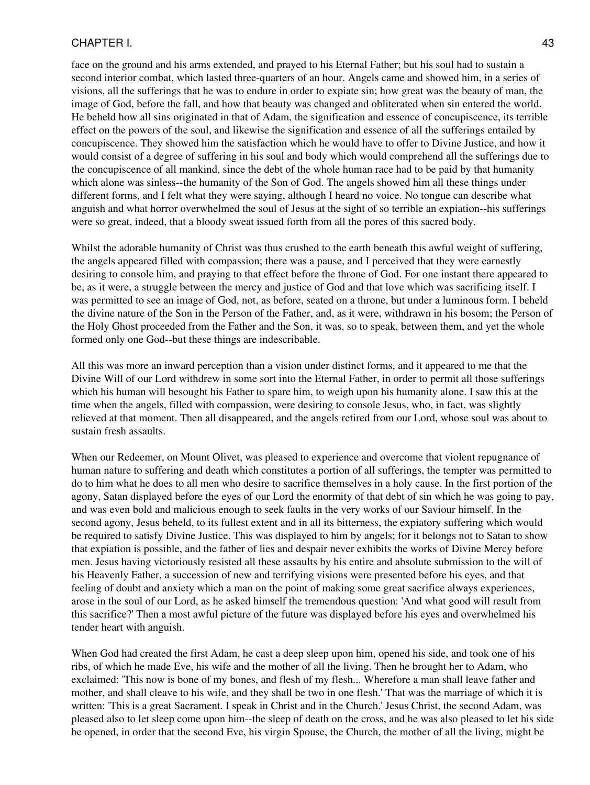face on the ground and his arms extended, and prayed to his Eternal Father; but his soul had to sustain a second interior combat, which lasted three-quarters of an hour. Angels came and showed him, in a series of visions, all the sufferings that he was to endure in order to expiate sin; how great was the beauty of man, the image of God, before the fall, and how that beauty was changed and obliterated when sin entered the world. He beheld how all sins originated in that of Adam, the signification and essence of concupiscence, its terrible effect on the powers of the soul, and likewise the signification and essence of all the sufferings entailed by concupiscence. They showed him the satisfaction which he would have to offer to Divine Justice, and how it would consist of a degree of suffering in his soul and body which would comprehend all the sufferings due to the concupiscence of all mankind, since the debt of the whole human race had to be paid by that humanity which alone was sinless--the humanity of the Son of God. The angels showed him all these things under different forms, and I felt what they were saying, although I heard no voice. No tongue can describe what anguish and what horror overwhelmed the soul of Jesus at the sight of so terrible an expiation--his sufferings were so great, indeed, that a bloody sweat issued forth from all the pores of this sacred body.

Whilst the adorable humanity of Christ was thus crushed to the earth beneath this awful weight of suffering, the angels appeared filled with compassion; there was a pause, and I perceived that they were earnestly desiring to console him, and praying to that effect before the throne of God. For one instant there appeared to be, as it were, a struggle between the mercy and justice of God and that love which was sacrificing itself. I was permitted to see an image of God, not, as before, seated on a throne, but under a luminous form. I beheld the divine nature of the Son in the Person of the Father, and, as it were, withdrawn in his bosom; the Person of the Holy Ghost proceeded from the Father and the Son, it was, so to speak, between them, and yet the whole formed only one God--but these things are indescribable.

All this was more an inward perception than a vision under distinct forms, and it appeared to me that the Divine Will of our Lord withdrew in some sort into the Eternal Father, in order to permit all those sufferings which his human will besought his Father to spare him, to weigh upon his humanity alone. I saw this at the time when the angels, filled with compassion, were desiring to console Jesus, who, in fact, was slightly relieved at that moment. Then all disappeared, and the angels retired from our Lord, whose soul was about to sustain fresh assaults.

When our Redeemer, on Mount Olivet, was pleased to experience and overcome that violent repugnance of human nature to suffering and death which constitutes a portion of all sufferings, the tempter was permitted to do to him what he does to all men who desire to sacrifice themselves in a holy cause. In the first portion of the agony, Satan displayed before the eyes of our Lord the enormity of that debt of sin which he was going to pay, and was even bold and malicious enough to seek faults in the very works of our Saviour himself. In the second agony, Jesus beheld, to its fullest extent and in all its bitterness, the expiatory suffering which would be required to satisfy Divine Justice. This was displayed to him by angels; for it belongs not to Satan to show that expiation is possible, and the father of lies and despair never exhibits the works of Divine Mercy before men. Jesus having victoriously resisted all these assaults by his entire and absolute submission to the will of his Heavenly Father, a succession of new and terrifying visions were presented before his eyes, and that feeling of doubt and anxiety which a man on the point of making some great sacrifice always experiences, arose in the soul of our Lord, as he asked himself the tremendous question: 'And what good will result from this sacrifice?' Then a most awful picture of the future was displayed before his eyes and overwhelmed his tender heart with anguish.

When God had created the first Adam, he cast a deep sleep upon him, opened his side, and took one of his ribs, of which he made Eve, his wife and the mother of all the living. Then he brought her to Adam, who exclaimed: 'This now is bone of my bones, and flesh of my flesh... Wherefore a man shall leave father and mother, and shall cleave to his wife, and they shall be two in one flesh.' That was the marriage of which it is written: 'This is a great Sacrament. I speak in Christ and in the Church.' Jesus Christ, the second Adam, was pleased also to let sleep come upon him--the sleep of death on the cross, and he was also pleased to let his side be opened, in order that the second Eve, his virgin Spouse, the Church, the mother of all the living, might be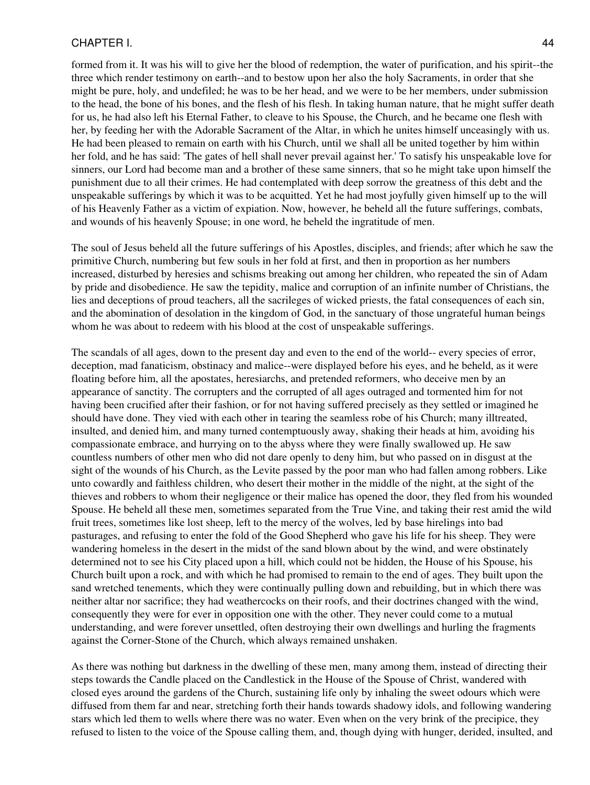formed from it. It was his will to give her the blood of redemption, the water of purification, and his spirit--the three which render testimony on earth--and to bestow upon her also the holy Sacraments, in order that she might be pure, holy, and undefiled; he was to be her head, and we were to be her members, under submission to the head, the bone of his bones, and the flesh of his flesh. In taking human nature, that he might suffer death for us, he had also left his Eternal Father, to cleave to his Spouse, the Church, and he became one flesh with her, by feeding her with the Adorable Sacrament of the Altar, in which he unites himself unceasingly with us. He had been pleased to remain on earth with his Church, until we shall all be united together by him within her fold, and he has said: 'The gates of hell shall never prevail against her.' To satisfy his unspeakable love for sinners, our Lord had become man and a brother of these same sinners, that so he might take upon himself the punishment due to all their crimes. He had contemplated with deep sorrow the greatness of this debt and the unspeakable sufferings by which it was to be acquitted. Yet he had most joyfully given himself up to the will of his Heavenly Father as a victim of expiation. Now, however, he beheld all the future sufferings, combats, and wounds of his heavenly Spouse; in one word, he beheld the ingratitude of men.

The soul of Jesus beheld all the future sufferings of his Apostles, disciples, and friends; after which he saw the primitive Church, numbering but few souls in her fold at first, and then in proportion as her numbers increased, disturbed by heresies and schisms breaking out among her children, who repeated the sin of Adam by pride and disobedience. He saw the tepidity, malice and corruption of an infinite number of Christians, the lies and deceptions of proud teachers, all the sacrileges of wicked priests, the fatal consequences of each sin, and the abomination of desolation in the kingdom of God, in the sanctuary of those ungrateful human beings whom he was about to redeem with his blood at the cost of unspeakable sufferings.

The scandals of all ages, down to the present day and even to the end of the world-- every species of error, deception, mad fanaticism, obstinacy and malice--were displayed before his eyes, and he beheld, as it were floating before him, all the apostates, heresiarchs, and pretended reformers, who deceive men by an appearance of sanctity. The corrupters and the corrupted of all ages outraged and tormented him for not having been crucified after their fashion, or for not having suffered precisely as they settled or imagined he should have done. They vied with each other in tearing the seamless robe of his Church; many illtreated, insulted, and denied him, and many turned contemptuously away, shaking their heads at him, avoiding his compassionate embrace, and hurrying on to the abyss where they were finally swallowed up. He saw countless numbers of other men who did not dare openly to deny him, but who passed on in disgust at the sight of the wounds of his Church, as the Levite passed by the poor man who had fallen among robbers. Like unto cowardly and faithless children, who desert their mother in the middle of the night, at the sight of the thieves and robbers to whom their negligence or their malice has opened the door, they fled from his wounded Spouse. He beheld all these men, sometimes separated from the True Vine, and taking their rest amid the wild fruit trees, sometimes like lost sheep, left to the mercy of the wolves, led by base hirelings into bad pasturages, and refusing to enter the fold of the Good Shepherd who gave his life for his sheep. They were wandering homeless in the desert in the midst of the sand blown about by the wind, and were obstinately determined not to see his City placed upon a hill, which could not be hidden, the House of his Spouse, his Church built upon a rock, and with which he had promised to remain to the end of ages. They built upon the sand wretched tenements, which they were continually pulling down and rebuilding, but in which there was neither altar nor sacrifice; they had weathercocks on their roofs, and their doctrines changed with the wind, consequently they were for ever in opposition one with the other. They never could come to a mutual understanding, and were forever unsettled, often destroying their own dwellings and hurling the fragments against the Corner-Stone of the Church, which always remained unshaken.

As there was nothing but darkness in the dwelling of these men, many among them, instead of directing their steps towards the Candle placed on the Candlestick in the House of the Spouse of Christ, wandered with closed eyes around the gardens of the Church, sustaining life only by inhaling the sweet odours which were diffused from them far and near, stretching forth their hands towards shadowy idols, and following wandering stars which led them to wells where there was no water. Even when on the very brink of the precipice, they refused to listen to the voice of the Spouse calling them, and, though dying with hunger, derided, insulted, and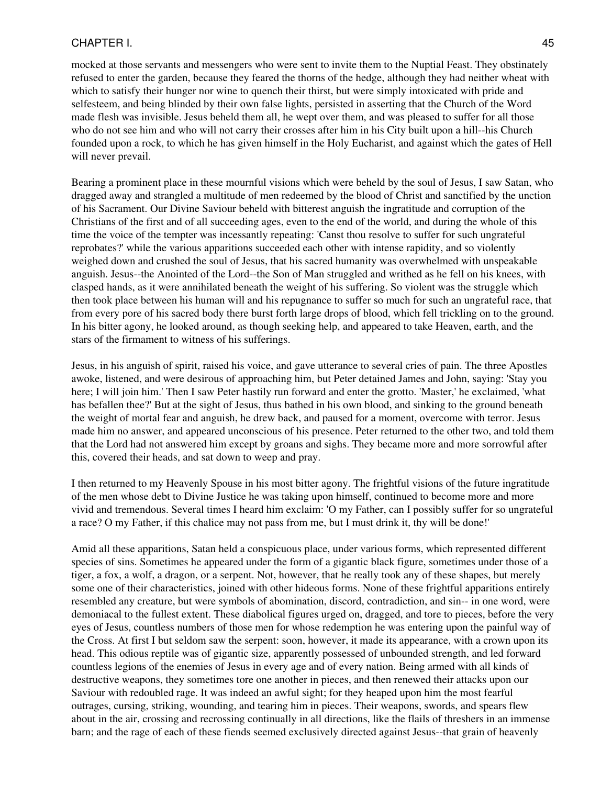mocked at those servants and messengers who were sent to invite them to the Nuptial Feast. They obstinately refused to enter the garden, because they feared the thorns of the hedge, although they had neither wheat with which to satisfy their hunger nor wine to quench their thirst, but were simply intoxicated with pride and selfesteem, and being blinded by their own false lights, persisted in asserting that the Church of the Word made flesh was invisible. Jesus beheld them all, he wept over them, and was pleased to suffer for all those who do not see him and who will not carry their crosses after him in his City built upon a hill--his Church founded upon a rock, to which he has given himself in the Holy Eucharist, and against which the gates of Hell will never prevail.

Bearing a prominent place in these mournful visions which were beheld by the soul of Jesus, I saw Satan, who dragged away and strangled a multitude of men redeemed by the blood of Christ and sanctified by the unction of his Sacrament. Our Divine Saviour beheld with bitterest anguish the ingratitude and corruption of the Christians of the first and of all succeeding ages, even to the end of the world, and during the whole of this time the voice of the tempter was incessantly repeating: 'Canst thou resolve to suffer for such ungrateful reprobates?' while the various apparitions succeeded each other with intense rapidity, and so violently weighed down and crushed the soul of Jesus, that his sacred humanity was overwhelmed with unspeakable anguish. Jesus--the Anointed of the Lord--the Son of Man struggled and writhed as he fell on his knees, with clasped hands, as it were annihilated beneath the weight of his suffering. So violent was the struggle which then took place between his human will and his repugnance to suffer so much for such an ungrateful race, that from every pore of his sacred body there burst forth large drops of blood, which fell trickling on to the ground. In his bitter agony, he looked around, as though seeking help, and appeared to take Heaven, earth, and the stars of the firmament to witness of his sufferings.

Jesus, in his anguish of spirit, raised his voice, and gave utterance to several cries of pain. The three Apostles awoke, listened, and were desirous of approaching him, but Peter detained James and John, saying: 'Stay you here; I will join him.' Then I saw Peter hastily run forward and enter the grotto. 'Master,' he exclaimed, 'what has befallen thee?' But at the sight of Jesus, thus bathed in his own blood, and sinking to the ground beneath the weight of mortal fear and anguish, he drew back, and paused for a moment, overcome with terror. Jesus made him no answer, and appeared unconscious of his presence. Peter returned to the other two, and told them that the Lord had not answered him except by groans and sighs. They became more and more sorrowful after this, covered their heads, and sat down to weep and pray.

I then returned to my Heavenly Spouse in his most bitter agony. The frightful visions of the future ingratitude of the men whose debt to Divine Justice he was taking upon himself, continued to become more and more vivid and tremendous. Several times I heard him exclaim: 'O my Father, can I possibly suffer for so ungrateful a race? O my Father, if this chalice may not pass from me, but I must drink it, thy will be done!'

Amid all these apparitions, Satan held a conspicuous place, under various forms, which represented different species of sins. Sometimes he appeared under the form of a gigantic black figure, sometimes under those of a tiger, a fox, a wolf, a dragon, or a serpent. Not, however, that he really took any of these shapes, but merely some one of their characteristics, joined with other hideous forms. None of these frightful apparitions entirely resembled any creature, but were symbols of abomination, discord, contradiction, and sin-- in one word, were demoniacal to the fullest extent. These diabolical figures urged on, dragged, and tore to pieces, before the very eyes of Jesus, countless numbers of those men for whose redemption he was entering upon the painful way of the Cross. At first I but seldom saw the serpent: soon, however, it made its appearance, with a crown upon its head. This odious reptile was of gigantic size, apparently possessed of unbounded strength, and led forward countless legions of the enemies of Jesus in every age and of every nation. Being armed with all kinds of destructive weapons, they sometimes tore one another in pieces, and then renewed their attacks upon our Saviour with redoubled rage. It was indeed an awful sight; for they heaped upon him the most fearful outrages, cursing, striking, wounding, and tearing him in pieces. Their weapons, swords, and spears flew about in the air, crossing and recrossing continually in all directions, like the flails of threshers in an immense barn; and the rage of each of these fiends seemed exclusively directed against Jesus--that grain of heavenly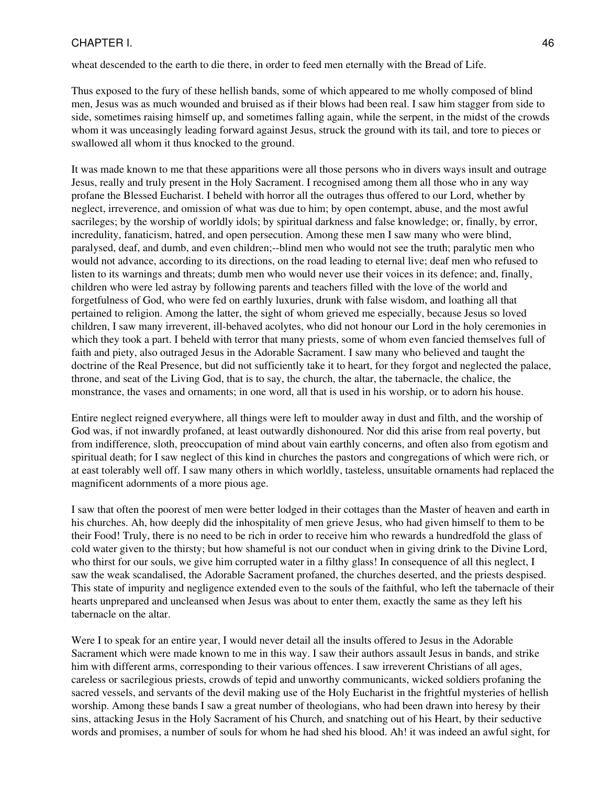wheat descended to the earth to die there, in order to feed men eternally with the Bread of Life.

Thus exposed to the fury of these hellish bands, some of which appeared to me wholly composed of blind men, Jesus was as much wounded and bruised as if their blows had been real. I saw him stagger from side to side, sometimes raising himself up, and sometimes falling again, while the serpent, in the midst of the crowds whom it was unceasingly leading forward against Jesus, struck the ground with its tail, and tore to pieces or swallowed all whom it thus knocked to the ground.

It was made known to me that these apparitions were all those persons who in divers ways insult and outrage Jesus, really and truly present in the Holy Sacrament. I recognised among them all those who in any way profane the Blessed Eucharist. I beheld with horror all the outrages thus offered to our Lord, whether by neglect, irreverence, and omission of what was due to him; by open contempt, abuse, and the most awful sacrileges; by the worship of worldly idols; by spiritual darkness and false knowledge; or, finally, by error, incredulity, fanaticism, hatred, and open persecution. Among these men I saw many who were blind, paralysed, deaf, and dumb, and even children;--blind men who would not see the truth; paralytic men who would not advance, according to its directions, on the road leading to eternal live; deaf men who refused to listen to its warnings and threats; dumb men who would never use their voices in its defence; and, finally, children who were led astray by following parents and teachers filled with the love of the world and forgetfulness of God, who were fed on earthly luxuries, drunk with false wisdom, and loathing all that pertained to religion. Among the latter, the sight of whom grieved me especially, because Jesus so loved children, I saw many irreverent, ill-behaved acolytes, who did not honour our Lord in the holy ceremonies in which they took a part. I beheld with terror that many priests, some of whom even fancied themselves full of faith and piety, also outraged Jesus in the Adorable Sacrament. I saw many who believed and taught the doctrine of the Real Presence, but did not sufficiently take it to heart, for they forgot and neglected the palace, throne, and seat of the Living God, that is to say, the church, the altar, the tabernacle, the chalice, the monstrance, the vases and ornaments; in one word, all that is used in his worship, or to adorn his house.

Entire neglect reigned everywhere, all things were left to moulder away in dust and filth, and the worship of God was, if not inwardly profaned, at least outwardly dishonoured. Nor did this arise from real poverty, but from indifference, sloth, preoccupation of mind about vain earthly concerns, and often also from egotism and spiritual death; for I saw neglect of this kind in churches the pastors and congregations of which were rich, or at east tolerably well off. I saw many others in which worldly, tasteless, unsuitable ornaments had replaced the magnificent adornments of a more pious age.

I saw that often the poorest of men were better lodged in their cottages than the Master of heaven and earth in his churches. Ah, how deeply did the inhospitality of men grieve Jesus, who had given himself to them to be their Food! Truly, there is no need to be rich in order to receive him who rewards a hundredfold the glass of cold water given to the thirsty; but how shameful is not our conduct when in giving drink to the Divine Lord, who thirst for our souls, we give him corrupted water in a filthy glass! In consequence of all this neglect, I saw the weak scandalised, the Adorable Sacrament profaned, the churches deserted, and the priests despised. This state of impurity and negligence extended even to the souls of the faithful, who left the tabernacle of their hearts unprepared and uncleansed when Jesus was about to enter them, exactly the same as they left his tabernacle on the altar.

Were I to speak for an entire year, I would never detail all the insults offered to Jesus in the Adorable Sacrament which were made known to me in this way. I saw their authors assault Jesus in bands, and strike him with different arms, corresponding to their various offences. I saw irreverent Christians of all ages, careless or sacrilegious priests, crowds of tepid and unworthy communicants, wicked soldiers profaning the sacred vessels, and servants of the devil making use of the Holy Eucharist in the frightful mysteries of hellish worship. Among these bands I saw a great number of theologians, who had been drawn into heresy by their sins, attacking Jesus in the Holy Sacrament of his Church, and snatching out of his Heart, by their seductive words and promises, a number of souls for whom he had shed his blood. Ah! it was indeed an awful sight, for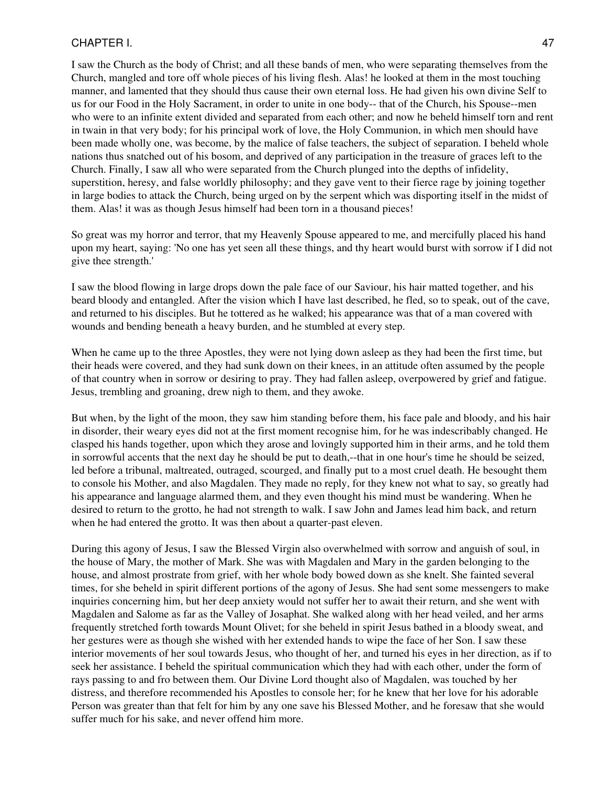I saw the Church as the body of Christ; and all these bands of men, who were separating themselves from the Church, mangled and tore off whole pieces of his living flesh. Alas! he looked at them in the most touching manner, and lamented that they should thus cause their own eternal loss. He had given his own divine Self to us for our Food in the Holy Sacrament, in order to unite in one body-- that of the Church, his Spouse--men who were to an infinite extent divided and separated from each other; and now he beheld himself torn and rent in twain in that very body; for his principal work of love, the Holy Communion, in which men should have been made wholly one, was become, by the malice of false teachers, the subject of separation. I beheld whole nations thus snatched out of his bosom, and deprived of any participation in the treasure of graces left to the Church. Finally, I saw all who were separated from the Church plunged into the depths of infidelity, superstition, heresy, and false worldly philosophy; and they gave vent to their fierce rage by joining together in large bodies to attack the Church, being urged on by the serpent which was disporting itself in the midst of them. Alas! it was as though Jesus himself had been torn in a thousand pieces!

So great was my horror and terror, that my Heavenly Spouse appeared to me, and mercifully placed his hand upon my heart, saying: 'No one has yet seen all these things, and thy heart would burst with sorrow if I did not give thee strength.'

I saw the blood flowing in large drops down the pale face of our Saviour, his hair matted together, and his beard bloody and entangled. After the vision which I have last described, he fled, so to speak, out of the cave, and returned to his disciples. But he tottered as he walked; his appearance was that of a man covered with wounds and bending beneath a heavy burden, and he stumbled at every step.

When he came up to the three Apostles, they were not lying down asleep as they had been the first time, but their heads were covered, and they had sunk down on their knees, in an attitude often assumed by the people of that country when in sorrow or desiring to pray. They had fallen asleep, overpowered by grief and fatigue. Jesus, trembling and groaning, drew nigh to them, and they awoke.

But when, by the light of the moon, they saw him standing before them, his face pale and bloody, and his hair in disorder, their weary eyes did not at the first moment recognise him, for he was indescribably changed. He clasped his hands together, upon which they arose and lovingly supported him in their arms, and he told them in sorrowful accents that the next day he should be put to death,--that in one hour's time he should be seized, led before a tribunal, maltreated, outraged, scourged, and finally put to a most cruel death. He besought them to console his Mother, and also Magdalen. They made no reply, for they knew not what to say, so greatly had his appearance and language alarmed them, and they even thought his mind must be wandering. When he desired to return to the grotto, he had not strength to walk. I saw John and James lead him back, and return when he had entered the grotto. It was then about a quarter-past eleven.

During this agony of Jesus, I saw the Blessed Virgin also overwhelmed with sorrow and anguish of soul, in the house of Mary, the mother of Mark. She was with Magdalen and Mary in the garden belonging to the house, and almost prostrate from grief, with her whole body bowed down as she knelt. She fainted several times, for she beheld in spirit different portions of the agony of Jesus. She had sent some messengers to make inquiries concerning him, but her deep anxiety would not suffer her to await their return, and she went with Magdalen and Salome as far as the Valley of Josaphat. She walked along with her head veiled, and her arms frequently stretched forth towards Mount Olivet; for she beheld in spirit Jesus bathed in a bloody sweat, and her gestures were as though she wished with her extended hands to wipe the face of her Son. I saw these interior movements of her soul towards Jesus, who thought of her, and turned his eyes in her direction, as if to seek her assistance. I beheld the spiritual communication which they had with each other, under the form of rays passing to and fro between them. Our Divine Lord thought also of Magdalen, was touched by her distress, and therefore recommended his Apostles to console her; for he knew that her love for his adorable Person was greater than that felt for him by any one save his Blessed Mother, and he foresaw that she would suffer much for his sake, and never offend him more.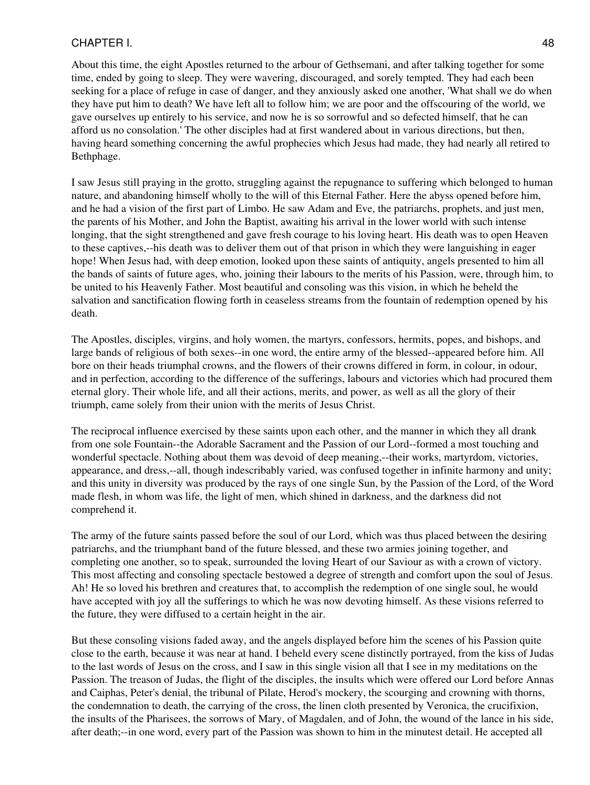About this time, the eight Apostles returned to the arbour of Gethsemani, and after talking together for some time, ended by going to sleep. They were wavering, discouraged, and sorely tempted. They had each been seeking for a place of refuge in case of danger, and they anxiously asked one another, 'What shall we do when they have put him to death? We have left all to follow him; we are poor and the offscouring of the world, we gave ourselves up entirely to his service, and now he is so sorrowful and so defected himself, that he can afford us no consolation.' The other disciples had at first wandered about in various directions, but then, having heard something concerning the awful prophecies which Jesus had made, they had nearly all retired to Bethphage.

I saw Jesus still praying in the grotto, struggling against the repugnance to suffering which belonged to human nature, and abandoning himself wholly to the will of this Eternal Father. Here the abyss opened before him, and he had a vision of the first part of Limbo. He saw Adam and Eve, the patriarchs, prophets, and just men, the parents of his Mother, and John the Baptist, awaiting his arrival in the lower world with such intense longing, that the sight strengthened and gave fresh courage to his loving heart. His death was to open Heaven to these captives,--his death was to deliver them out of that prison in which they were languishing in eager hope! When Jesus had, with deep emotion, looked upon these saints of antiquity, angels presented to him all the bands of saints of future ages, who, joining their labours to the merits of his Passion, were, through him, to be united to his Heavenly Father. Most beautiful and consoling was this vision, in which he beheld the salvation and sanctification flowing forth in ceaseless streams from the fountain of redemption opened by his death.

The Apostles, disciples, virgins, and holy women, the martyrs, confessors, hermits, popes, and bishops, and large bands of religious of both sexes--in one word, the entire army of the blessed--appeared before him. All bore on their heads triumphal crowns, and the flowers of their crowns differed in form, in colour, in odour, and in perfection, according to the difference of the sufferings, labours and victories which had procured them eternal glory. Their whole life, and all their actions, merits, and power, as well as all the glory of their triumph, came solely from their union with the merits of Jesus Christ.

The reciprocal influence exercised by these saints upon each other, and the manner in which they all drank from one sole Fountain--the Adorable Sacrament and the Passion of our Lord--formed a most touching and wonderful spectacle. Nothing about them was devoid of deep meaning,--their works, martyrdom, victories, appearance, and dress,--all, though indescribably varied, was confused together in infinite harmony and unity; and this unity in diversity was produced by the rays of one single Sun, by the Passion of the Lord, of the Word made flesh, in whom was life, the light of men, which shined in darkness, and the darkness did not comprehend it.

The army of the future saints passed before the soul of our Lord, which was thus placed between the desiring patriarchs, and the triumphant band of the future blessed, and these two armies joining together, and completing one another, so to speak, surrounded the loving Heart of our Saviour as with a crown of victory. This most affecting and consoling spectacle bestowed a degree of strength and comfort upon the soul of Jesus. Ah! He so loved his brethren and creatures that, to accomplish the redemption of one single soul, he would have accepted with joy all the sufferings to which he was now devoting himself. As these visions referred to the future, they were diffused to a certain height in the air.

But these consoling visions faded away, and the angels displayed before him the scenes of his Passion quite close to the earth, because it was near at hand. I beheld every scene distinctly portrayed, from the kiss of Judas to the last words of Jesus on the cross, and I saw in this single vision all that I see in my meditations on the Passion. The treason of Judas, the flight of the disciples, the insults which were offered our Lord before Annas and Caiphas, Peter's denial, the tribunal of Pilate, Herod's mockery, the scourging and crowning with thorns, the condemnation to death, the carrying of the cross, the linen cloth presented by Veronica, the crucifixion, the insults of the Pharisees, the sorrows of Mary, of Magdalen, and of John, the wound of the lance in his side, after death;--in one word, every part of the Passion was shown to him in the minutest detail. He accepted all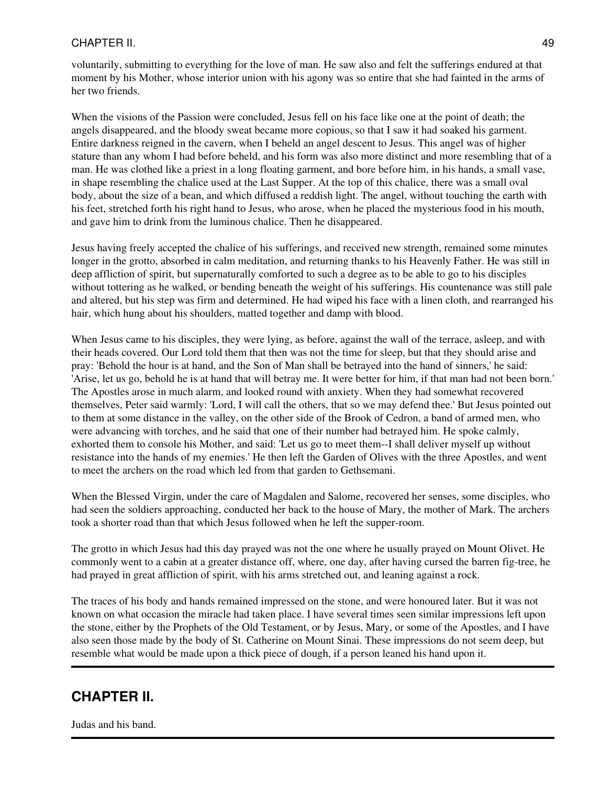voluntarily, submitting to everything for the love of man. He saw also and felt the sufferings endured at that moment by his Mother, whose interior union with his agony was so entire that she had fainted in the arms of her two friends.

When the visions of the Passion were concluded, Jesus fell on his face like one at the point of death; the angels disappeared, and the bloody sweat became more copious, so that I saw it had soaked his garment. Entire darkness reigned in the cavern, when I beheld an angel descent to Jesus. This angel was of higher stature than any whom I had before beheld, and his form was also more distinct and more resembling that of a man. He was clothed like a priest in a long floating garment, and bore before him, in his hands, a small vase, in shape resembling the chalice used at the Last Supper. At the top of this chalice, there was a small oval body, about the size of a bean, and which diffused a reddish light. The angel, without touching the earth with his feet, stretched forth his right hand to Jesus, who arose, when he placed the mysterious food in his mouth, and gave him to drink from the luminous chalice. Then he disappeared.

Jesus having freely accepted the chalice of his sufferings, and received new strength, remained some minutes longer in the grotto, absorbed in calm meditation, and returning thanks to his Heavenly Father. He was still in deep affliction of spirit, but supernaturally comforted to such a degree as to be able to go to his disciples without tottering as he walked, or bending beneath the weight of his sufferings. His countenance was still pale and altered, but his step was firm and determined. He had wiped his face with a linen cloth, and rearranged his hair, which hung about his shoulders, matted together and damp with blood.

When Jesus came to his disciples, they were lying, as before, against the wall of the terrace, asleep, and with their heads covered. Our Lord told them that then was not the time for sleep, but that they should arise and pray: 'Behold the hour is at hand, and the Son of Man shall be betrayed into the hand of sinners,' he said: 'Arise, let us go, behold he is at hand that will betray me. It were better for him, if that man had not been born.' The Apostles arose in much alarm, and looked round with anxiety. When they had somewhat recovered themselves, Peter said warmly: 'Lord, I will call the others, that so we may defend thee.' But Jesus pointed out to them at some distance in the valley, on the other side of the Brook of Cedron, a band of armed men, who were advancing with torches, and he said that one of their number had betrayed him. He spoke calmly, exhorted them to console his Mother, and said: 'Let us go to meet them--I shall deliver myself up without resistance into the hands of my enemies.' He then left the Garden of Olives with the three Apostles, and went to meet the archers on the road which led from that garden to Gethsemani.

When the Blessed Virgin, under the care of Magdalen and Salome, recovered her senses, some disciples, who had seen the soldiers approaching, conducted her back to the house of Mary, the mother of Mark. The archers took a shorter road than that which Jesus followed when he left the supper-room.

The grotto in which Jesus had this day prayed was not the one where he usually prayed on Mount Olivet. He commonly went to a cabin at a greater distance off, where, one day, after having cursed the barren fig-tree, he had prayed in great affliction of spirit, with his arms stretched out, and leaning against a rock.

The traces of his body and hands remained impressed on the stone, and were honoured later. But it was not known on what occasion the miracle had taken place. I have several times seen similar impressions left upon the stone, either by the Prophets of the Old Testament, or by Jesus, Mary, or some of the Apostles, and I have also seen those made by the body of St. Catherine on Mount Sinai. These impressions do not seem deep, but resemble what would be made upon a thick piece of dough, if a person leaned his hand upon it.

### **CHAPTER II.**

Judas and his band.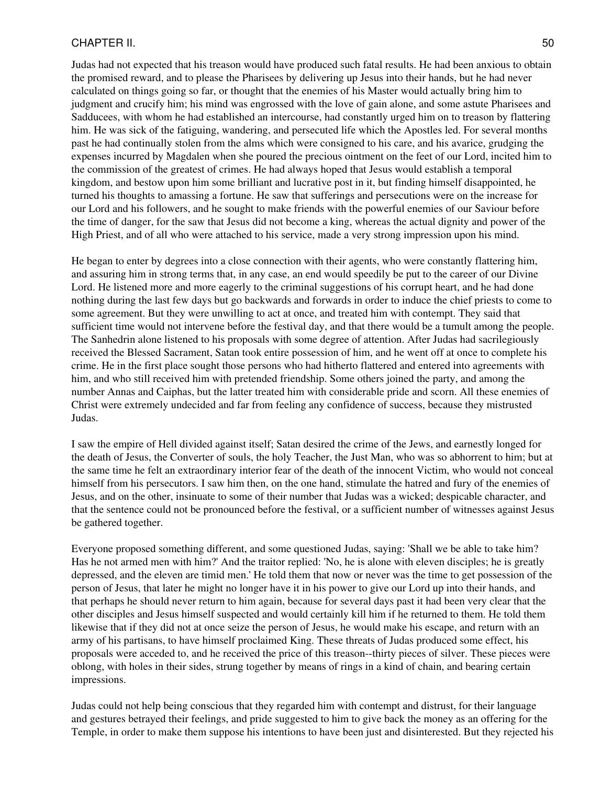Judas had not expected that his treason would have produced such fatal results. He had been anxious to obtain the promised reward, and to please the Pharisees by delivering up Jesus into their hands, but he had never calculated on things going so far, or thought that the enemies of his Master would actually bring him to judgment and crucify him; his mind was engrossed with the love of gain alone, and some astute Pharisees and Sadducees, with whom he had established an intercourse, had constantly urged him on to treason by flattering him. He was sick of the fatiguing, wandering, and persecuted life which the Apostles led. For several months past he had continually stolen from the alms which were consigned to his care, and his avarice, grudging the expenses incurred by Magdalen when she poured the precious ointment on the feet of our Lord, incited him to the commission of the greatest of crimes. He had always hoped that Jesus would establish a temporal kingdom, and bestow upon him some brilliant and lucrative post in it, but finding himself disappointed, he turned his thoughts to amassing a fortune. He saw that sufferings and persecutions were on the increase for our Lord and his followers, and he sought to make friends with the powerful enemies of our Saviour before the time of danger, for the saw that Jesus did not become a king, whereas the actual dignity and power of the High Priest, and of all who were attached to his service, made a very strong impression upon his mind.

He began to enter by degrees into a close connection with their agents, who were constantly flattering him, and assuring him in strong terms that, in any case, an end would speedily be put to the career of our Divine Lord. He listened more and more eagerly to the criminal suggestions of his corrupt heart, and he had done nothing during the last few days but go backwards and forwards in order to induce the chief priests to come to some agreement. But they were unwilling to act at once, and treated him with contempt. They said that sufficient time would not intervene before the festival day, and that there would be a tumult among the people. The Sanhedrin alone listened to his proposals with some degree of attention. After Judas had sacrilegiously received the Blessed Sacrament, Satan took entire possession of him, and he went off at once to complete his crime. He in the first place sought those persons who had hitherto flattered and entered into agreements with him, and who still received him with pretended friendship. Some others joined the party, and among the number Annas and Caiphas, but the latter treated him with considerable pride and scorn. All these enemies of Christ were extremely undecided and far from feeling any confidence of success, because they mistrusted Judas.

I saw the empire of Hell divided against itself; Satan desired the crime of the Jews, and earnestly longed for the death of Jesus, the Converter of souls, the holy Teacher, the Just Man, who was so abhorrent to him; but at the same time he felt an extraordinary interior fear of the death of the innocent Victim, who would not conceal himself from his persecutors. I saw him then, on the one hand, stimulate the hatred and fury of the enemies of Jesus, and on the other, insinuate to some of their number that Judas was a wicked; despicable character, and that the sentence could not be pronounced before the festival, or a sufficient number of witnesses against Jesus be gathered together.

Everyone proposed something different, and some questioned Judas, saying: 'Shall we be able to take him? Has he not armed men with him?' And the traitor replied: 'No, he is alone with eleven disciples; he is greatly depressed, and the eleven are timid men.' He told them that now or never was the time to get possession of the person of Jesus, that later he might no longer have it in his power to give our Lord up into their hands, and that perhaps he should never return to him again, because for several days past it had been very clear that the other disciples and Jesus himself suspected and would certainly kill him if he returned to them. He told them likewise that if they did not at once seize the person of Jesus, he would make his escape, and return with an army of his partisans, to have himself proclaimed King. These threats of Judas produced some effect, his proposals were acceded to, and he received the price of this treason--thirty pieces of silver. These pieces were oblong, with holes in their sides, strung together by means of rings in a kind of chain, and bearing certain impressions.

Judas could not help being conscious that they regarded him with contempt and distrust, for their language and gestures betrayed their feelings, and pride suggested to him to give back the money as an offering for the Temple, in order to make them suppose his intentions to have been just and disinterested. But they rejected his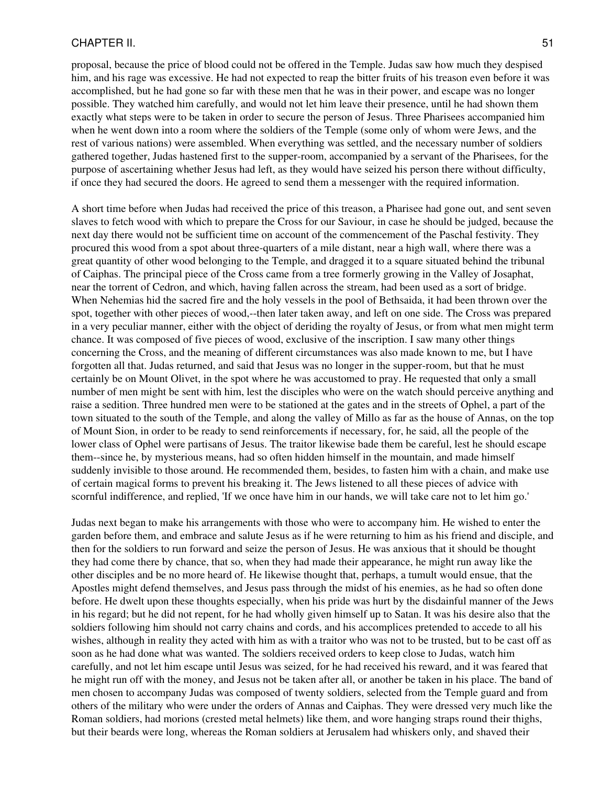proposal, because the price of blood could not be offered in the Temple. Judas saw how much they despised him, and his rage was excessive. He had not expected to reap the bitter fruits of his treason even before it was accomplished, but he had gone so far with these men that he was in their power, and escape was no longer possible. They watched him carefully, and would not let him leave their presence, until he had shown them exactly what steps were to be taken in order to secure the person of Jesus. Three Pharisees accompanied him when he went down into a room where the soldiers of the Temple (some only of whom were Jews, and the rest of various nations) were assembled. When everything was settled, and the necessary number of soldiers gathered together, Judas hastened first to the supper-room, accompanied by a servant of the Pharisees, for the purpose of ascertaining whether Jesus had left, as they would have seized his person there without difficulty, if once they had secured the doors. He agreed to send them a messenger with the required information.

A short time before when Judas had received the price of this treason, a Pharisee had gone out, and sent seven slaves to fetch wood with which to prepare the Cross for our Saviour, in case he should be judged, because the next day there would not be sufficient time on account of the commencement of the Paschal festivity. They procured this wood from a spot about three-quarters of a mile distant, near a high wall, where there was a great quantity of other wood belonging to the Temple, and dragged it to a square situated behind the tribunal of Caiphas. The principal piece of the Cross came from a tree formerly growing in the Valley of Josaphat, near the torrent of Cedron, and which, having fallen across the stream, had been used as a sort of bridge. When Nehemias hid the sacred fire and the holy vessels in the pool of Bethsaida, it had been thrown over the spot, together with other pieces of wood,--then later taken away, and left on one side. The Cross was prepared in a very peculiar manner, either with the object of deriding the royalty of Jesus, or from what men might term chance. It was composed of five pieces of wood, exclusive of the inscription. I saw many other things concerning the Cross, and the meaning of different circumstances was also made known to me, but I have forgotten all that. Judas returned, and said that Jesus was no longer in the supper-room, but that he must certainly be on Mount Olivet, in the spot where he was accustomed to pray. He requested that only a small number of men might be sent with him, lest the disciples who were on the watch should perceive anything and raise a sedition. Three hundred men were to be stationed at the gates and in the streets of Ophel, a part of the town situated to the south of the Temple, and along the valley of Millo as far as the house of Annas, on the top of Mount Sion, in order to be ready to send reinforcements if necessary, for, he said, all the people of the lower class of Ophel were partisans of Jesus. The traitor likewise bade them be careful, lest he should escape them--since he, by mysterious means, had so often hidden himself in the mountain, and made himself suddenly invisible to those around. He recommended them, besides, to fasten him with a chain, and make use of certain magical forms to prevent his breaking it. The Jews listened to all these pieces of advice with scornful indifference, and replied, 'If we once have him in our hands, we will take care not to let him go.'

Judas next began to make his arrangements with those who were to accompany him. He wished to enter the garden before them, and embrace and salute Jesus as if he were returning to him as his friend and disciple, and then for the soldiers to run forward and seize the person of Jesus. He was anxious that it should be thought they had come there by chance, that so, when they had made their appearance, he might run away like the other disciples and be no more heard of. He likewise thought that, perhaps, a tumult would ensue, that the Apostles might defend themselves, and Jesus pass through the midst of his enemies, as he had so often done before. He dwelt upon these thoughts especially, when his pride was hurt by the disdainful manner of the Jews in his regard; but he did not repent, for he had wholly given himself up to Satan. It was his desire also that the soldiers following him should not carry chains and cords, and his accomplices pretended to accede to all his wishes, although in reality they acted with him as with a traitor who was not to be trusted, but to be cast off as soon as he had done what was wanted. The soldiers received orders to keep close to Judas, watch him carefully, and not let him escape until Jesus was seized, for he had received his reward, and it was feared that he might run off with the money, and Jesus not be taken after all, or another be taken in his place. The band of men chosen to accompany Judas was composed of twenty soldiers, selected from the Temple guard and from others of the military who were under the orders of Annas and Caiphas. They were dressed very much like the Roman soldiers, had morions (crested metal helmets) like them, and wore hanging straps round their thighs, but their beards were long, whereas the Roman soldiers at Jerusalem had whiskers only, and shaved their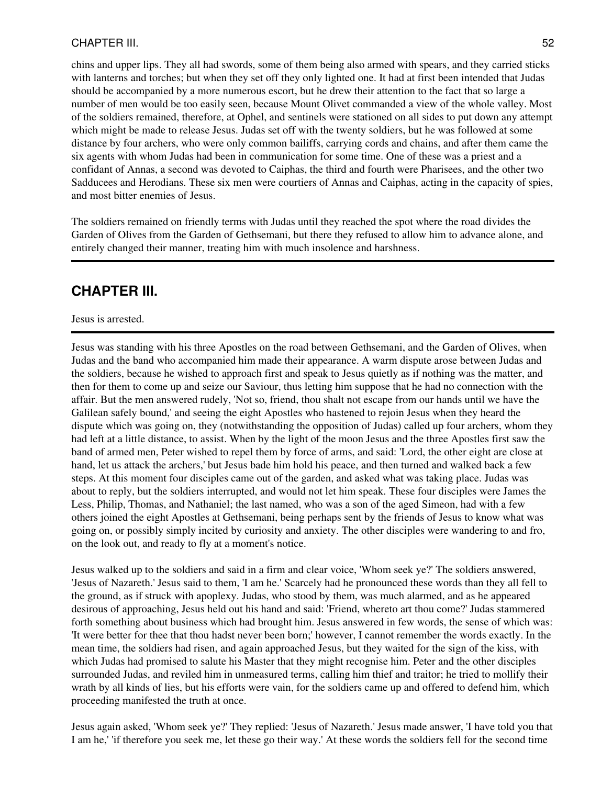chins and upper lips. They all had swords, some of them being also armed with spears, and they carried sticks with lanterns and torches; but when they set off they only lighted one. It had at first been intended that Judas should be accompanied by a more numerous escort, but he drew their attention to the fact that so large a number of men would be too easily seen, because Mount Olivet commanded a view of the whole valley. Most of the soldiers remained, therefore, at Ophel, and sentinels were stationed on all sides to put down any attempt which might be made to release Jesus. Judas set off with the twenty soldiers, but he was followed at some distance by four archers, who were only common bailiffs, carrying cords and chains, and after them came the six agents with whom Judas had been in communication for some time. One of these was a priest and a confidant of Annas, a second was devoted to Caiphas, the third and fourth were Pharisees, and the other two Sadducees and Herodians. These six men were courtiers of Annas and Caiphas, acting in the capacity of spies, and most bitter enemies of Jesus.

The soldiers remained on friendly terms with Judas until they reached the spot where the road divides the Garden of Olives from the Garden of Gethsemani, but there they refused to allow him to advance alone, and entirely changed their manner, treating him with much insolence and harshness.

# **CHAPTER III.**

#### Jesus is arrested.

Jesus was standing with his three Apostles on the road between Gethsemani, and the Garden of Olives, when Judas and the band who accompanied him made their appearance. A warm dispute arose between Judas and the soldiers, because he wished to approach first and speak to Jesus quietly as if nothing was the matter, and then for them to come up and seize our Saviour, thus letting him suppose that he had no connection with the affair. But the men answered rudely, 'Not so, friend, thou shalt not escape from our hands until we have the Galilean safely bound,' and seeing the eight Apostles who hastened to rejoin Jesus when they heard the dispute which was going on, they (notwithstanding the opposition of Judas) called up four archers, whom they had left at a little distance, to assist. When by the light of the moon Jesus and the three Apostles first saw the band of armed men, Peter wished to repel them by force of arms, and said: 'Lord, the other eight are close at hand, let us attack the archers,' but Jesus bade him hold his peace, and then turned and walked back a few steps. At this moment four disciples came out of the garden, and asked what was taking place. Judas was about to reply, but the soldiers interrupted, and would not let him speak. These four disciples were James the Less, Philip, Thomas, and Nathaniel; the last named, who was a son of the aged Simeon, had with a few others joined the eight Apostles at Gethsemani, being perhaps sent by the friends of Jesus to know what was going on, or possibly simply incited by curiosity and anxiety. The other disciples were wandering to and fro, on the look out, and ready to fly at a moment's notice.

Jesus walked up to the soldiers and said in a firm and clear voice, 'Whom seek ye?' The soldiers answered, 'Jesus of Nazareth.' Jesus said to them, 'I am he.' Scarcely had he pronounced these words than they all fell to the ground, as if struck with apoplexy. Judas, who stood by them, was much alarmed, and as he appeared desirous of approaching, Jesus held out his hand and said: 'Friend, whereto art thou come?' Judas stammered forth something about business which had brought him. Jesus answered in few words, the sense of which was: 'It were better for thee that thou hadst never been born;' however, I cannot remember the words exactly. In the mean time, the soldiers had risen, and again approached Jesus, but they waited for the sign of the kiss, with which Judas had promised to salute his Master that they might recognise him. Peter and the other disciples surrounded Judas, and reviled him in unmeasured terms, calling him thief and traitor; he tried to mollify their wrath by all kinds of lies, but his efforts were vain, for the soldiers came up and offered to defend him, which proceeding manifested the truth at once.

Jesus again asked, 'Whom seek ye?' They replied: 'Jesus of Nazareth.' Jesus made answer, 'I have told you that I am he,' 'if therefore you seek me, let these go their way.' At these words the soldiers fell for the second time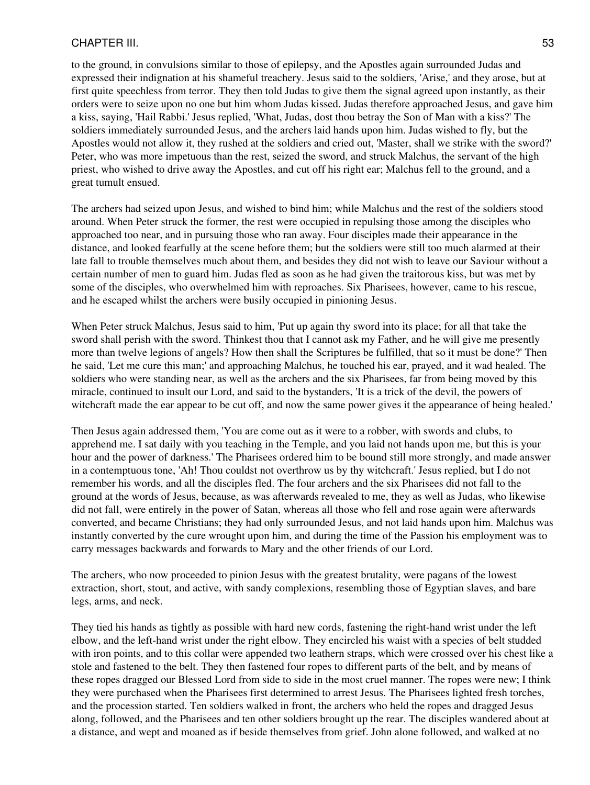to the ground, in convulsions similar to those of epilepsy, and the Apostles again surrounded Judas and expressed their indignation at his shameful treachery. Jesus said to the soldiers, 'Arise,' and they arose, but at first quite speechless from terror. They then told Judas to give them the signal agreed upon instantly, as their orders were to seize upon no one but him whom Judas kissed. Judas therefore approached Jesus, and gave him a kiss, saying, 'Hail Rabbi.' Jesus replied, 'What, Judas, dost thou betray the Son of Man with a kiss?' The soldiers immediately surrounded Jesus, and the archers laid hands upon him. Judas wished to fly, but the Apostles would not allow it, they rushed at the soldiers and cried out, 'Master, shall we strike with the sword?' Peter, who was more impetuous than the rest, seized the sword, and struck Malchus, the servant of the high priest, who wished to drive away the Apostles, and cut off his right ear; Malchus fell to the ground, and a great tumult ensued.

The archers had seized upon Jesus, and wished to bind him; while Malchus and the rest of the soldiers stood around. When Peter struck the former, the rest were occupied in repulsing those among the disciples who approached too near, and in pursuing those who ran away. Four disciples made their appearance in the distance, and looked fearfully at the scene before them; but the soldiers were still too much alarmed at their late fall to trouble themselves much about them, and besides they did not wish to leave our Saviour without a certain number of men to guard him. Judas fled as soon as he had given the traitorous kiss, but was met by some of the disciples, who overwhelmed him with reproaches. Six Pharisees, however, came to his rescue, and he escaped whilst the archers were busily occupied in pinioning Jesus.

When Peter struck Malchus, Jesus said to him, 'Put up again thy sword into its place; for all that take the sword shall perish with the sword. Thinkest thou that I cannot ask my Father, and he will give me presently more than twelve legions of angels? How then shall the Scriptures be fulfilled, that so it must be done?' Then he said, 'Let me cure this man;' and approaching Malchus, he touched his ear, prayed, and it wad healed. The soldiers who were standing near, as well as the archers and the six Pharisees, far from being moved by this miracle, continued to insult our Lord, and said to the bystanders, 'It is a trick of the devil, the powers of witchcraft made the ear appear to be cut off, and now the same power gives it the appearance of being healed.'

Then Jesus again addressed them, 'You are come out as it were to a robber, with swords and clubs, to apprehend me. I sat daily with you teaching in the Temple, and you laid not hands upon me, but this is your hour and the power of darkness.' The Pharisees ordered him to be bound still more strongly, and made answer in a contemptuous tone, 'Ah! Thou couldst not overthrow us by thy witchcraft.' Jesus replied, but I do not remember his words, and all the disciples fled. The four archers and the six Pharisees did not fall to the ground at the words of Jesus, because, as was afterwards revealed to me, they as well as Judas, who likewise did not fall, were entirely in the power of Satan, whereas all those who fell and rose again were afterwards converted, and became Christians; they had only surrounded Jesus, and not laid hands upon him. Malchus was instantly converted by the cure wrought upon him, and during the time of the Passion his employment was to carry messages backwards and forwards to Mary and the other friends of our Lord.

The archers, who now proceeded to pinion Jesus with the greatest brutality, were pagans of the lowest extraction, short, stout, and active, with sandy complexions, resembling those of Egyptian slaves, and bare legs, arms, and neck.

They tied his hands as tightly as possible with hard new cords, fastening the right-hand wrist under the left elbow, and the left-hand wrist under the right elbow. They encircled his waist with a species of belt studded with iron points, and to this collar were appended two leathern straps, which were crossed over his chest like a stole and fastened to the belt. They then fastened four ropes to different parts of the belt, and by means of these ropes dragged our Blessed Lord from side to side in the most cruel manner. The ropes were new; I think they were purchased when the Pharisees first determined to arrest Jesus. The Pharisees lighted fresh torches, and the procession started. Ten soldiers walked in front, the archers who held the ropes and dragged Jesus along, followed, and the Pharisees and ten other soldiers brought up the rear. The disciples wandered about at a distance, and wept and moaned as if beside themselves from grief. John alone followed, and walked at no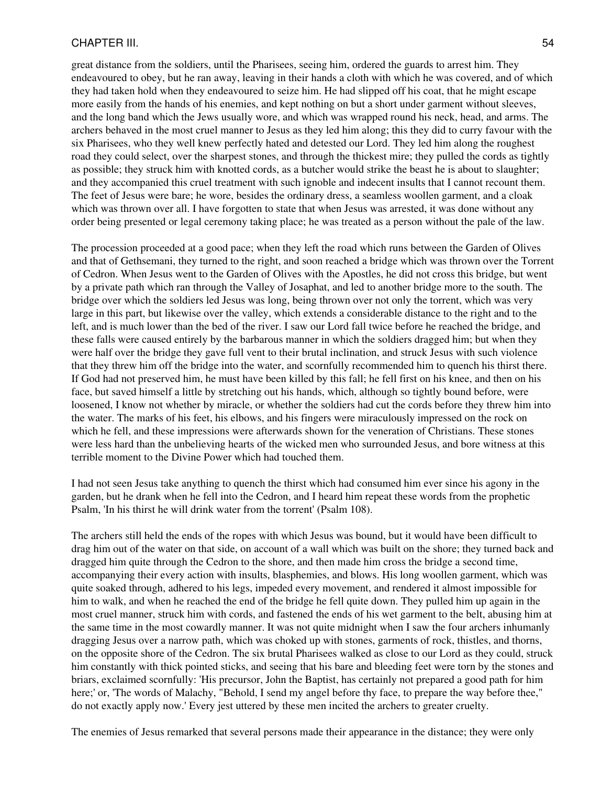great distance from the soldiers, until the Pharisees, seeing him, ordered the guards to arrest him. They endeavoured to obey, but he ran away, leaving in their hands a cloth with which he was covered, and of which they had taken hold when they endeavoured to seize him. He had slipped off his coat, that he might escape more easily from the hands of his enemies, and kept nothing on but a short under garment without sleeves, and the long band which the Jews usually wore, and which was wrapped round his neck, head, and arms. The archers behaved in the most cruel manner to Jesus as they led him along; this they did to curry favour with the six Pharisees, who they well knew perfectly hated and detested our Lord. They led him along the roughest road they could select, over the sharpest stones, and through the thickest mire; they pulled the cords as tightly as possible; they struck him with knotted cords, as a butcher would strike the beast he is about to slaughter; and they accompanied this cruel treatment with such ignoble and indecent insults that I cannot recount them. The feet of Jesus were bare; he wore, besides the ordinary dress, a seamless woollen garment, and a cloak which was thrown over all. I have forgotten to state that when Jesus was arrested, it was done without any order being presented or legal ceremony taking place; he was treated as a person without the pale of the law.

The procession proceeded at a good pace; when they left the road which runs between the Garden of Olives and that of Gethsemani, they turned to the right, and soon reached a bridge which was thrown over the Torrent of Cedron. When Jesus went to the Garden of Olives with the Apostles, he did not cross this bridge, but went by a private path which ran through the Valley of Josaphat, and led to another bridge more to the south. The bridge over which the soldiers led Jesus was long, being thrown over not only the torrent, which was very large in this part, but likewise over the valley, which extends a considerable distance to the right and to the left, and is much lower than the bed of the river. I saw our Lord fall twice before he reached the bridge, and these falls were caused entirely by the barbarous manner in which the soldiers dragged him; but when they were half over the bridge they gave full vent to their brutal inclination, and struck Jesus with such violence that they threw him off the bridge into the water, and scornfully recommended him to quench his thirst there. If God had not preserved him, he must have been killed by this fall; he fell first on his knee, and then on his face, but saved himself a little by stretching out his hands, which, although so tightly bound before, were loosened, I know not whether by miracle, or whether the soldiers had cut the cords before they threw him into the water. The marks of his feet, his elbows, and his fingers were miraculously impressed on the rock on which he fell, and these impressions were afterwards shown for the veneration of Christians. These stones were less hard than the unbelieving hearts of the wicked men who surrounded Jesus, and bore witness at this terrible moment to the Divine Power which had touched them.

I had not seen Jesus take anything to quench the thirst which had consumed him ever since his agony in the garden, but he drank when he fell into the Cedron, and I heard him repeat these words from the prophetic Psalm, 'In his thirst he will drink water from the torrent' (Psalm 108).

The archers still held the ends of the ropes with which Jesus was bound, but it would have been difficult to drag him out of the water on that side, on account of a wall which was built on the shore; they turned back and dragged him quite through the Cedron to the shore, and then made him cross the bridge a second time, accompanying their every action with insults, blasphemies, and blows. His long woollen garment, which was quite soaked through, adhered to his legs, impeded every movement, and rendered it almost impossible for him to walk, and when he reached the end of the bridge he fell quite down. They pulled him up again in the most cruel manner, struck him with cords, and fastened the ends of his wet garment to the belt, abusing him at the same time in the most cowardly manner. It was not quite midnight when I saw the four archers inhumanly dragging Jesus over a narrow path, which was choked up with stones, garments of rock, thistles, and thorns, on the opposite shore of the Cedron. The six brutal Pharisees walked as close to our Lord as they could, struck him constantly with thick pointed sticks, and seeing that his bare and bleeding feet were torn by the stones and briars, exclaimed scornfully: 'His precursor, John the Baptist, has certainly not prepared a good path for him here;' or, 'The words of Malachy, "Behold, I send my angel before thy face, to prepare the way before thee," do not exactly apply now.' Every jest uttered by these men incited the archers to greater cruelty.

The enemies of Jesus remarked that several persons made their appearance in the distance; they were only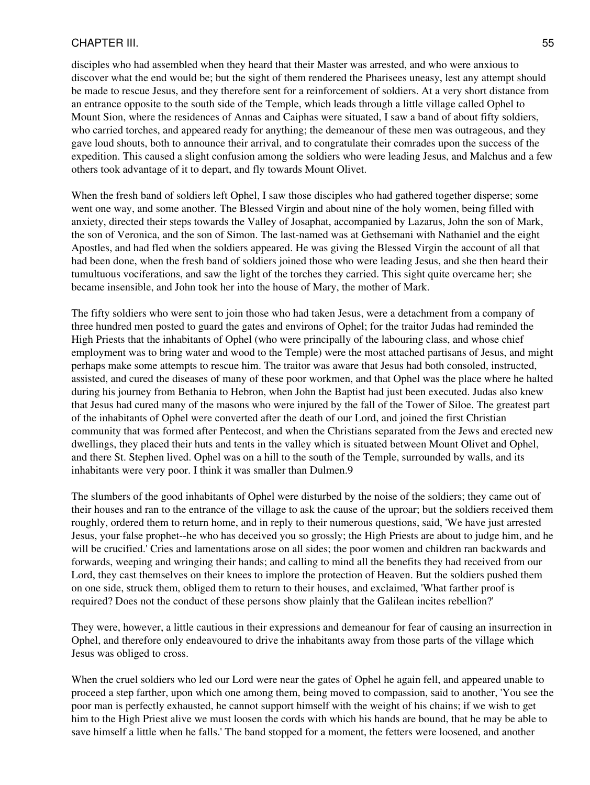disciples who had assembled when they heard that their Master was arrested, and who were anxious to discover what the end would be; but the sight of them rendered the Pharisees uneasy, lest any attempt should be made to rescue Jesus, and they therefore sent for a reinforcement of soldiers. At a very short distance from an entrance opposite to the south side of the Temple, which leads through a little village called Ophel to Mount Sion, where the residences of Annas and Caiphas were situated, I saw a band of about fifty soldiers, who carried torches, and appeared ready for anything; the demeanour of these men was outrageous, and they gave loud shouts, both to announce their arrival, and to congratulate their comrades upon the success of the expedition. This caused a slight confusion among the soldiers who were leading Jesus, and Malchus and a few others took advantage of it to depart, and fly towards Mount Olivet.

When the fresh band of soldiers left Ophel, I saw those disciples who had gathered together disperse; some went one way, and some another. The Blessed Virgin and about nine of the holy women, being filled with anxiety, directed their steps towards the Valley of Josaphat, accompanied by Lazarus, John the son of Mark, the son of Veronica, and the son of Simon. The last-named was at Gethsemani with Nathaniel and the eight Apostles, and had fled when the soldiers appeared. He was giving the Blessed Virgin the account of all that had been done, when the fresh band of soldiers joined those who were leading Jesus, and she then heard their tumultuous vociferations, and saw the light of the torches they carried. This sight quite overcame her; she became insensible, and John took her into the house of Mary, the mother of Mark.

The fifty soldiers who were sent to join those who had taken Jesus, were a detachment from a company of three hundred men posted to guard the gates and environs of Ophel; for the traitor Judas had reminded the High Priests that the inhabitants of Ophel (who were principally of the labouring class, and whose chief employment was to bring water and wood to the Temple) were the most attached partisans of Jesus, and might perhaps make some attempts to rescue him. The traitor was aware that Jesus had both consoled, instructed, assisted, and cured the diseases of many of these poor workmen, and that Ophel was the place where he halted during his journey from Bethania to Hebron, when John the Baptist had just been executed. Judas also knew that Jesus had cured many of the masons who were injured by the fall of the Tower of Siloe. The greatest part of the inhabitants of Ophel were converted after the death of our Lord, and joined the first Christian community that was formed after Pentecost, and when the Christians separated from the Jews and erected new dwellings, they placed their huts and tents in the valley which is situated between Mount Olivet and Ophel, and there St. Stephen lived. Ophel was on a hill to the south of the Temple, surrounded by walls, and its inhabitants were very poor. I think it was smaller than Dulmen.9

The slumbers of the good inhabitants of Ophel were disturbed by the noise of the soldiers; they came out of their houses and ran to the entrance of the village to ask the cause of the uproar; but the soldiers received them roughly, ordered them to return home, and in reply to their numerous questions, said, 'We have just arrested Jesus, your false prophet--he who has deceived you so grossly; the High Priests are about to judge him, and he will be crucified.' Cries and lamentations arose on all sides; the poor women and children ran backwards and forwards, weeping and wringing their hands; and calling to mind all the benefits they had received from our Lord, they cast themselves on their knees to implore the protection of Heaven. But the soldiers pushed them on one side, struck them, obliged them to return to their houses, and exclaimed, 'What farther proof is required? Does not the conduct of these persons show plainly that the Galilean incites rebellion?'

They were, however, a little cautious in their expressions and demeanour for fear of causing an insurrection in Ophel, and therefore only endeavoured to drive the inhabitants away from those parts of the village which Jesus was obliged to cross.

When the cruel soldiers who led our Lord were near the gates of Ophel he again fell, and appeared unable to proceed a step farther, upon which one among them, being moved to compassion, said to another, 'You see the poor man is perfectly exhausted, he cannot support himself with the weight of his chains; if we wish to get him to the High Priest alive we must loosen the cords with which his hands are bound, that he may be able to save himself a little when he falls.' The band stopped for a moment, the fetters were loosened, and another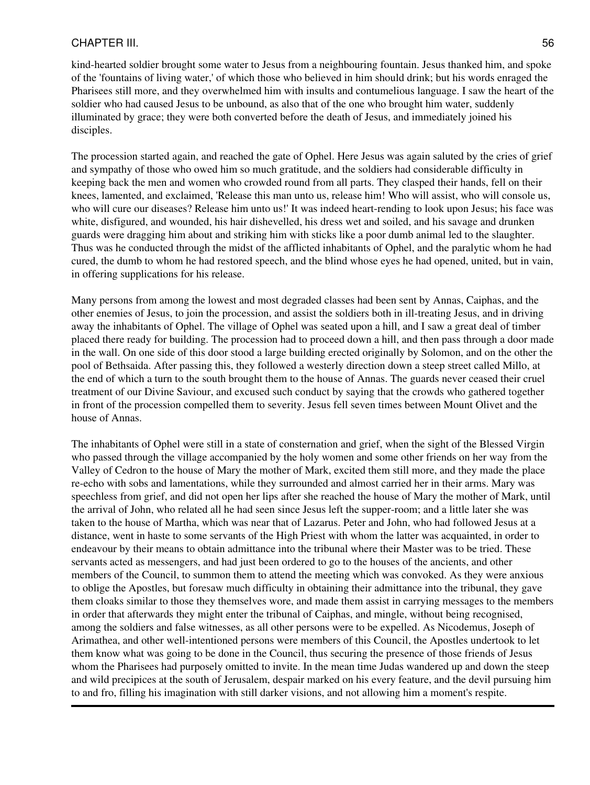kind-hearted soldier brought some water to Jesus from a neighbouring fountain. Jesus thanked him, and spoke of the 'fountains of living water,' of which those who believed in him should drink; but his words enraged the Pharisees still more, and they overwhelmed him with insults and contumelious language. I saw the heart of the soldier who had caused Jesus to be unbound, as also that of the one who brought him water, suddenly illuminated by grace; they were both converted before the death of Jesus, and immediately joined his disciples.

The procession started again, and reached the gate of Ophel. Here Jesus was again saluted by the cries of grief and sympathy of those who owed him so much gratitude, and the soldiers had considerable difficulty in keeping back the men and women who crowded round from all parts. They clasped their hands, fell on their knees, lamented, and exclaimed, 'Release this man unto us, release him! Who will assist, who will console us, who will cure our diseases? Release him unto us!' It was indeed heart-rending to look upon Jesus; his face was white, disfigured, and wounded, his hair dishevelled, his dress wet and soiled, and his savage and drunken guards were dragging him about and striking him with sticks like a poor dumb animal led to the slaughter. Thus was he conducted through the midst of the afflicted inhabitants of Ophel, and the paralytic whom he had cured, the dumb to whom he had restored speech, and the blind whose eyes he had opened, united, but in vain, in offering supplications for his release.

Many persons from among the lowest and most degraded classes had been sent by Annas, Caiphas, and the other enemies of Jesus, to join the procession, and assist the soldiers both in ill-treating Jesus, and in driving away the inhabitants of Ophel. The village of Ophel was seated upon a hill, and I saw a great deal of timber placed there ready for building. The procession had to proceed down a hill, and then pass through a door made in the wall. On one side of this door stood a large building erected originally by Solomon, and on the other the pool of Bethsaida. After passing this, they followed a westerly direction down a steep street called Millo, at the end of which a turn to the south brought them to the house of Annas. The guards never ceased their cruel treatment of our Divine Saviour, and excused such conduct by saying that the crowds who gathered together in front of the procession compelled them to severity. Jesus fell seven times between Mount Olivet and the house of Annas.

The inhabitants of Ophel were still in a state of consternation and grief, when the sight of the Blessed Virgin who passed through the village accompanied by the holy women and some other friends on her way from the Valley of Cedron to the house of Mary the mother of Mark, excited them still more, and they made the place re-echo with sobs and lamentations, while they surrounded and almost carried her in their arms. Mary was speechless from grief, and did not open her lips after she reached the house of Mary the mother of Mark, until the arrival of John, who related all he had seen since Jesus left the supper-room; and a little later she was taken to the house of Martha, which was near that of Lazarus. Peter and John, who had followed Jesus at a distance, went in haste to some servants of the High Priest with whom the latter was acquainted, in order to endeavour by their means to obtain admittance into the tribunal where their Master was to be tried. These servants acted as messengers, and had just been ordered to go to the houses of the ancients, and other members of the Council, to summon them to attend the meeting which was convoked. As they were anxious to oblige the Apostles, but foresaw much difficulty in obtaining their admittance into the tribunal, they gave them cloaks similar to those they themselves wore, and made them assist in carrying messages to the members in order that afterwards they might enter the tribunal of Caiphas, and mingle, without being recognised, among the soldiers and false witnesses, as all other persons were to be expelled. As Nicodemus, Joseph of Arimathea, and other well-intentioned persons were members of this Council, the Apostles undertook to let them know what was going to be done in the Council, thus securing the presence of those friends of Jesus whom the Pharisees had purposely omitted to invite. In the mean time Judas wandered up and down the steep and wild precipices at the south of Jerusalem, despair marked on his every feature, and the devil pursuing him to and fro, filling his imagination with still darker visions, and not allowing him a moment's respite.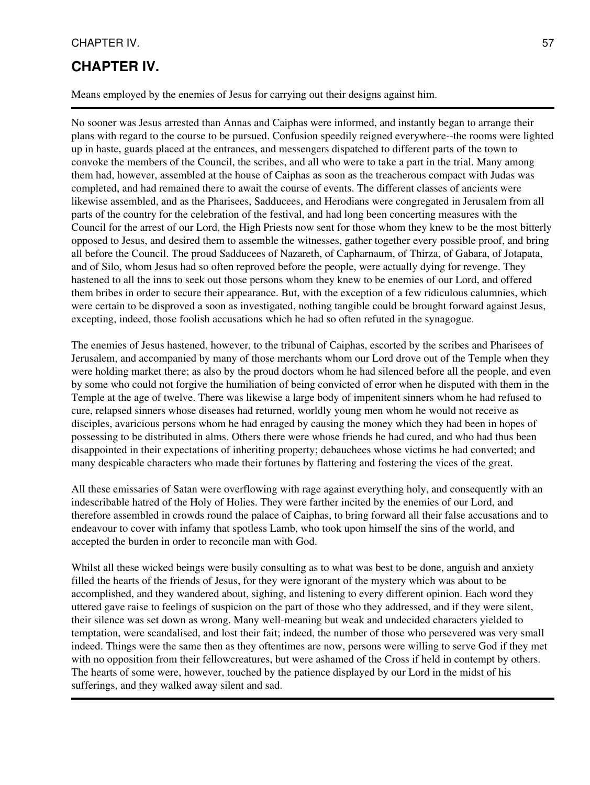# **CHAPTER IV.**

Means employed by the enemies of Jesus for carrying out their designs against him.

No sooner was Jesus arrested than Annas and Caiphas were informed, and instantly began to arrange their plans with regard to the course to be pursued. Confusion speedily reigned everywhere--the rooms were lighted up in haste, guards placed at the entrances, and messengers dispatched to different parts of the town to convoke the members of the Council, the scribes, and all who were to take a part in the trial. Many among them had, however, assembled at the house of Caiphas as soon as the treacherous compact with Judas was completed, and had remained there to await the course of events. The different classes of ancients were likewise assembled, and as the Pharisees, Sadducees, and Herodians were congregated in Jerusalem from all parts of the country for the celebration of the festival, and had long been concerting measures with the Council for the arrest of our Lord, the High Priests now sent for those whom they knew to be the most bitterly opposed to Jesus, and desired them to assemble the witnesses, gather together every possible proof, and bring all before the Council. The proud Sadducees of Nazareth, of Capharnaum, of Thirza, of Gabara, of Jotapata, and of Silo, whom Jesus had so often reproved before the people, were actually dying for revenge. They hastened to all the inns to seek out those persons whom they knew to be enemies of our Lord, and offered them bribes in order to secure their appearance. But, with the exception of a few ridiculous calumnies, which were certain to be disproved a soon as investigated, nothing tangible could be brought forward against Jesus, excepting, indeed, those foolish accusations which he had so often refuted in the synagogue.

The enemies of Jesus hastened, however, to the tribunal of Caiphas, escorted by the scribes and Pharisees of Jerusalem, and accompanied by many of those merchants whom our Lord drove out of the Temple when they were holding market there; as also by the proud doctors whom he had silenced before all the people, and even by some who could not forgive the humiliation of being convicted of error when he disputed with them in the Temple at the age of twelve. There was likewise a large body of impenitent sinners whom he had refused to cure, relapsed sinners whose diseases had returned, worldly young men whom he would not receive as disciples, avaricious persons whom he had enraged by causing the money which they had been in hopes of possessing to be distributed in alms. Others there were whose friends he had cured, and who had thus been disappointed in their expectations of inheriting property; debauchees whose victims he had converted; and many despicable characters who made their fortunes by flattering and fostering the vices of the great.

All these emissaries of Satan were overflowing with rage against everything holy, and consequently with an indescribable hatred of the Holy of Holies. They were farther incited by the enemies of our Lord, and therefore assembled in crowds round the palace of Caiphas, to bring forward all their false accusations and to endeavour to cover with infamy that spotless Lamb, who took upon himself the sins of the world, and accepted the burden in order to reconcile man with God.

Whilst all these wicked beings were busily consulting as to what was best to be done, anguish and anxiety filled the hearts of the friends of Jesus, for they were ignorant of the mystery which was about to be accomplished, and they wandered about, sighing, and listening to every different opinion. Each word they uttered gave raise to feelings of suspicion on the part of those who they addressed, and if they were silent, their silence was set down as wrong. Many well-meaning but weak and undecided characters yielded to temptation, were scandalised, and lost their fait; indeed, the number of those who persevered was very small indeed. Things were the same then as they oftentimes are now, persons were willing to serve God if they met with no opposition from their fellowcreatures, but were ashamed of the Cross if held in contempt by others. The hearts of some were, however, touched by the patience displayed by our Lord in the midst of his sufferings, and they walked away silent and sad.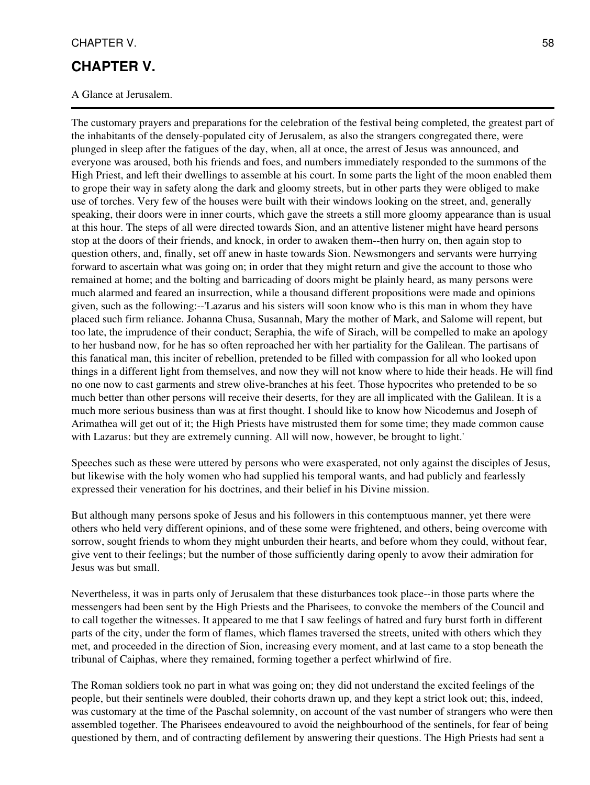#### CHAPTER V. 58

### **CHAPTER V.**

A Glance at Jerusalem.

The customary prayers and preparations for the celebration of the festival being completed, the greatest part of the inhabitants of the densely-populated city of Jerusalem, as also the strangers congregated there, were plunged in sleep after the fatigues of the day, when, all at once, the arrest of Jesus was announced, and everyone was aroused, both his friends and foes, and numbers immediately responded to the summons of the High Priest, and left their dwellings to assemble at his court. In some parts the light of the moon enabled them to grope their way in safety along the dark and gloomy streets, but in other parts they were obliged to make use of torches. Very few of the houses were built with their windows looking on the street, and, generally speaking, their doors were in inner courts, which gave the streets a still more gloomy appearance than is usual at this hour. The steps of all were directed towards Sion, and an attentive listener might have heard persons stop at the doors of their friends, and knock, in order to awaken them--then hurry on, then again stop to question others, and, finally, set off anew in haste towards Sion. Newsmongers and servants were hurrying forward to ascertain what was going on; in order that they might return and give the account to those who remained at home; and the bolting and barricading of doors might be plainly heard, as many persons were much alarmed and feared an insurrection, while a thousand different propositions were made and opinions given, such as the following:--'Lazarus and his sisters will soon know who is this man in whom they have placed such firm reliance. Johanna Chusa, Susannah, Mary the mother of Mark, and Salome will repent, but too late, the imprudence of their conduct; Seraphia, the wife of Sirach, will be compelled to make an apology to her husband now, for he has so often reproached her with her partiality for the Galilean. The partisans of this fanatical man, this inciter of rebellion, pretended to be filled with compassion for all who looked upon things in a different light from themselves, and now they will not know where to hide their heads. He will find no one now to cast garments and strew olive-branches at his feet. Those hypocrites who pretended to be so much better than other persons will receive their deserts, for they are all implicated with the Galilean. It is a much more serious business than was at first thought. I should like to know how Nicodemus and Joseph of Arimathea will get out of it; the High Priests have mistrusted them for some time; they made common cause with Lazarus: but they are extremely cunning. All will now, however, be brought to light.'

Speeches such as these were uttered by persons who were exasperated, not only against the disciples of Jesus, but likewise with the holy women who had supplied his temporal wants, and had publicly and fearlessly expressed their veneration for his doctrines, and their belief in his Divine mission.

But although many persons spoke of Jesus and his followers in this contemptuous manner, yet there were others who held very different opinions, and of these some were frightened, and others, being overcome with sorrow, sought friends to whom they might unburden their hearts, and before whom they could, without fear, give vent to their feelings; but the number of those sufficiently daring openly to avow their admiration for Jesus was but small.

Nevertheless, it was in parts only of Jerusalem that these disturbances took place--in those parts where the messengers had been sent by the High Priests and the Pharisees, to convoke the members of the Council and to call together the witnesses. It appeared to me that I saw feelings of hatred and fury burst forth in different parts of the city, under the form of flames, which flames traversed the streets, united with others which they met, and proceeded in the direction of Sion, increasing every moment, and at last came to a stop beneath the tribunal of Caiphas, where they remained, forming together a perfect whirlwind of fire.

The Roman soldiers took no part in what was going on; they did not understand the excited feelings of the people, but their sentinels were doubled, their cohorts drawn up, and they kept a strict look out; this, indeed, was customary at the time of the Paschal solemnity, on account of the vast number of strangers who were then assembled together. The Pharisees endeavoured to avoid the neighbourhood of the sentinels, for fear of being questioned by them, and of contracting defilement by answering their questions. The High Priests had sent a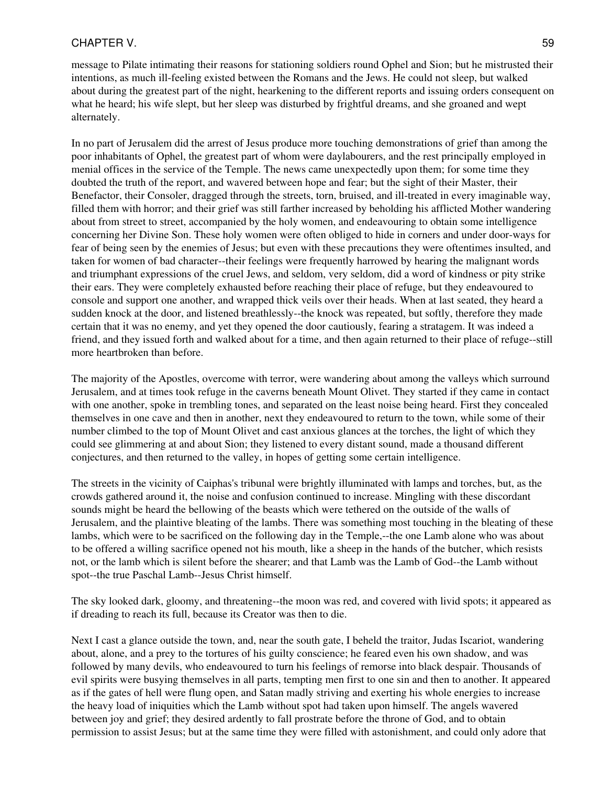#### CHAPTER V. 59

message to Pilate intimating their reasons for stationing soldiers round Ophel and Sion; but he mistrusted their intentions, as much ill-feeling existed between the Romans and the Jews. He could not sleep, but walked about during the greatest part of the night, hearkening to the different reports and issuing orders consequent on what he heard; his wife slept, but her sleep was disturbed by frightful dreams, and she groaned and wept alternately.

In no part of Jerusalem did the arrest of Jesus produce more touching demonstrations of grief than among the poor inhabitants of Ophel, the greatest part of whom were daylabourers, and the rest principally employed in menial offices in the service of the Temple. The news came unexpectedly upon them; for some time they doubted the truth of the report, and wavered between hope and fear; but the sight of their Master, their Benefactor, their Consoler, dragged through the streets, torn, bruised, and ill-treated in every imaginable way, filled them with horror; and their grief was still farther increased by beholding his afflicted Mother wandering about from street to street, accompanied by the holy women, and endeavouring to obtain some intelligence concerning her Divine Son. These holy women were often obliged to hide in corners and under door-ways for fear of being seen by the enemies of Jesus; but even with these precautions they were oftentimes insulted, and taken for women of bad character--their feelings were frequently harrowed by hearing the malignant words and triumphant expressions of the cruel Jews, and seldom, very seldom, did a word of kindness or pity strike their ears. They were completely exhausted before reaching their place of refuge, but they endeavoured to console and support one another, and wrapped thick veils over their heads. When at last seated, they heard a sudden knock at the door, and listened breathlessly--the knock was repeated, but softly, therefore they made certain that it was no enemy, and yet they opened the door cautiously, fearing a stratagem. It was indeed a friend, and they issued forth and walked about for a time, and then again returned to their place of refuge--still more heartbroken than before.

The majority of the Apostles, overcome with terror, were wandering about among the valleys which surround Jerusalem, and at times took refuge in the caverns beneath Mount Olivet. They started if they came in contact with one another, spoke in trembling tones, and separated on the least noise being heard. First they concealed themselves in one cave and then in another, next they endeavoured to return to the town, while some of their number climbed to the top of Mount Olivet and cast anxious glances at the torches, the light of which they could see glimmering at and about Sion; they listened to every distant sound, made a thousand different conjectures, and then returned to the valley, in hopes of getting some certain intelligence.

The streets in the vicinity of Caiphas's tribunal were brightly illuminated with lamps and torches, but, as the crowds gathered around it, the noise and confusion continued to increase. Mingling with these discordant sounds might be heard the bellowing of the beasts which were tethered on the outside of the walls of Jerusalem, and the plaintive bleating of the lambs. There was something most touching in the bleating of these lambs, which were to be sacrificed on the following day in the Temple,--the one Lamb alone who was about to be offered a willing sacrifice opened not his mouth, like a sheep in the hands of the butcher, which resists not, or the lamb which is silent before the shearer; and that Lamb was the Lamb of God--the Lamb without spot--the true Paschal Lamb--Jesus Christ himself.

The sky looked dark, gloomy, and threatening--the moon was red, and covered with livid spots; it appeared as if dreading to reach its full, because its Creator was then to die.

Next I cast a glance outside the town, and, near the south gate, I beheld the traitor, Judas Iscariot, wandering about, alone, and a prey to the tortures of his guilty conscience; he feared even his own shadow, and was followed by many devils, who endeavoured to turn his feelings of remorse into black despair. Thousands of evil spirits were busying themselves in all parts, tempting men first to one sin and then to another. It appeared as if the gates of hell were flung open, and Satan madly striving and exerting his whole energies to increase the heavy load of iniquities which the Lamb without spot had taken upon himself. The angels wavered between joy and grief; they desired ardently to fall prostrate before the throne of God, and to obtain permission to assist Jesus; but at the same time they were filled with astonishment, and could only adore that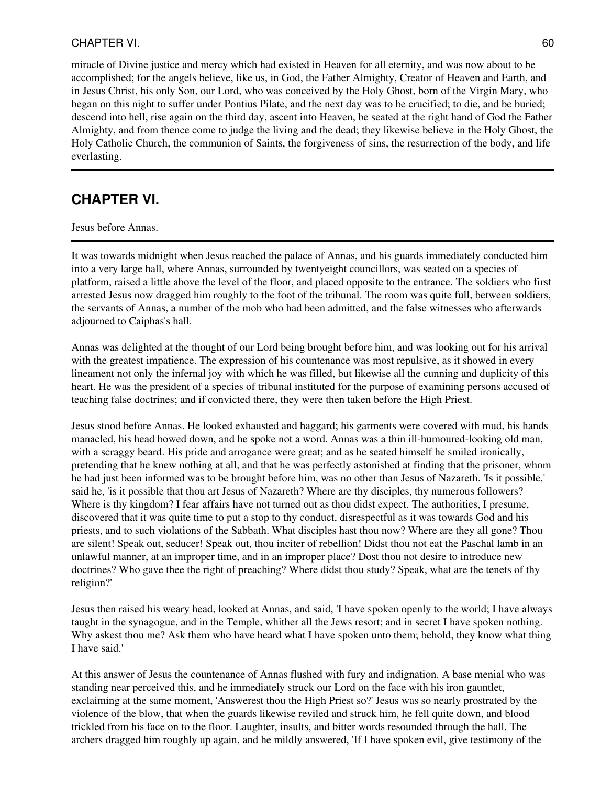miracle of Divine justice and mercy which had existed in Heaven for all eternity, and was now about to be accomplished; for the angels believe, like us, in God, the Father Almighty, Creator of Heaven and Earth, and in Jesus Christ, his only Son, our Lord, who was conceived by the Holy Ghost, born of the Virgin Mary, who began on this night to suffer under Pontius Pilate, and the next day was to be crucified; to die, and be buried; descend into hell, rise again on the third day, ascent into Heaven, be seated at the right hand of God the Father Almighty, and from thence come to judge the living and the dead; they likewise believe in the Holy Ghost, the Holy Catholic Church, the communion of Saints, the forgiveness of sins, the resurrection of the body, and life everlasting.

# **CHAPTER VI.**

Jesus before Annas.

It was towards midnight when Jesus reached the palace of Annas, and his guards immediately conducted him into a very large hall, where Annas, surrounded by twentyeight councillors, was seated on a species of platform, raised a little above the level of the floor, and placed opposite to the entrance. The soldiers who first arrested Jesus now dragged him roughly to the foot of the tribunal. The room was quite full, between soldiers, the servants of Annas, a number of the mob who had been admitted, and the false witnesses who afterwards adjourned to Caiphas's hall.

Annas was delighted at the thought of our Lord being brought before him, and was looking out for his arrival with the greatest impatience. The expression of his countenance was most repulsive, as it showed in every lineament not only the infernal joy with which he was filled, but likewise all the cunning and duplicity of this heart. He was the president of a species of tribunal instituted for the purpose of examining persons accused of teaching false doctrines; and if convicted there, they were then taken before the High Priest.

Jesus stood before Annas. He looked exhausted and haggard; his garments were covered with mud, his hands manacled, his head bowed down, and he spoke not a word. Annas was a thin ill-humoured-looking old man, with a scraggy beard. His pride and arrogance were great; and as he seated himself he smiled ironically, pretending that he knew nothing at all, and that he was perfectly astonished at finding that the prisoner, whom he had just been informed was to be brought before him, was no other than Jesus of Nazareth. 'Is it possible,' said he, 'is it possible that thou art Jesus of Nazareth? Where are thy disciples, thy numerous followers? Where is thy kingdom? I fear affairs have not turned out as thou didst expect. The authorities, I presume, discovered that it was quite time to put a stop to thy conduct, disrespectful as it was towards God and his priests, and to such violations of the Sabbath. What disciples hast thou now? Where are they all gone? Thou are silent! Speak out, seducer! Speak out, thou inciter of rebellion! Didst thou not eat the Paschal lamb in an unlawful manner, at an improper time, and in an improper place? Dost thou not desire to introduce new doctrines? Who gave thee the right of preaching? Where didst thou study? Speak, what are the tenets of thy religion?'

Jesus then raised his weary head, looked at Annas, and said, 'I have spoken openly to the world; I have always taught in the synagogue, and in the Temple, whither all the Jews resort; and in secret I have spoken nothing. Why askest thou me? Ask them who have heard what I have spoken unto them; behold, they know what thing I have said.'

At this answer of Jesus the countenance of Annas flushed with fury and indignation. A base menial who was standing near perceived this, and he immediately struck our Lord on the face with his iron gauntlet, exclaiming at the same moment, 'Answerest thou the High Priest so?' Jesus was so nearly prostrated by the violence of the blow, that when the guards likewise reviled and struck him, he fell quite down, and blood trickled from his face on to the floor. Laughter, insults, and bitter words resounded through the hall. The archers dragged him roughly up again, and he mildly answered, 'If I have spoken evil, give testimony of the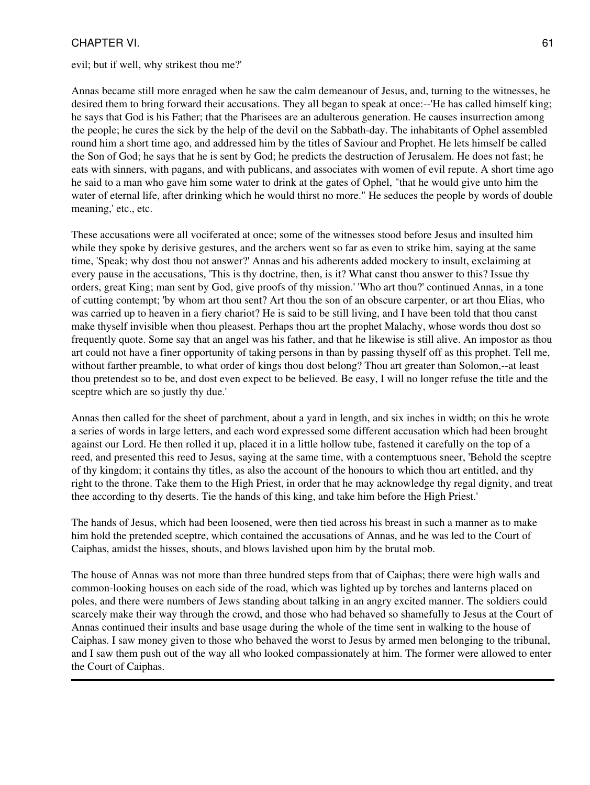evil; but if well, why strikest thou me?'

Annas became still more enraged when he saw the calm demeanour of Jesus, and, turning to the witnesses, he desired them to bring forward their accusations. They all began to speak at once:--'He has called himself king; he says that God is his Father; that the Pharisees are an adulterous generation. He causes insurrection among the people; he cures the sick by the help of the devil on the Sabbath-day. The inhabitants of Ophel assembled round him a short time ago, and addressed him by the titles of Saviour and Prophet. He lets himself be called the Son of God; he says that he is sent by God; he predicts the destruction of Jerusalem. He does not fast; he eats with sinners, with pagans, and with publicans, and associates with women of evil repute. A short time ago he said to a man who gave him some water to drink at the gates of Ophel, "that he would give unto him the water of eternal life, after drinking which he would thirst no more." He seduces the people by words of double meaning,' etc., etc.

These accusations were all vociferated at once; some of the witnesses stood before Jesus and insulted him while they spoke by derisive gestures, and the archers went so far as even to strike him, saying at the same time, 'Speak; why dost thou not answer?' Annas and his adherents added mockery to insult, exclaiming at every pause in the accusations, 'This is thy doctrine, then, is it? What canst thou answer to this? Issue thy orders, great King; man sent by God, give proofs of thy mission.' 'Who art thou?' continued Annas, in a tone of cutting contempt; 'by whom art thou sent? Art thou the son of an obscure carpenter, or art thou Elias, who was carried up to heaven in a fiery chariot? He is said to be still living, and I have been told that thou canst make thyself invisible when thou pleasest. Perhaps thou art the prophet Malachy, whose words thou dost so frequently quote. Some say that an angel was his father, and that he likewise is still alive. An impostor as thou art could not have a finer opportunity of taking persons in than by passing thyself off as this prophet. Tell me, without farther preamble, to what order of kings thou dost belong? Thou art greater than Solomon,--at least thou pretendest so to be, and dost even expect to be believed. Be easy, I will no longer refuse the title and the sceptre which are so justly thy due.'

Annas then called for the sheet of parchment, about a yard in length, and six inches in width; on this he wrote a series of words in large letters, and each word expressed some different accusation which had been brought against our Lord. He then rolled it up, placed it in a little hollow tube, fastened it carefully on the top of a reed, and presented this reed to Jesus, saying at the same time, with a contemptuous sneer, 'Behold the sceptre of thy kingdom; it contains thy titles, as also the account of the honours to which thou art entitled, and thy right to the throne. Take them to the High Priest, in order that he may acknowledge thy regal dignity, and treat thee according to thy deserts. Tie the hands of this king, and take him before the High Priest.'

The hands of Jesus, which had been loosened, were then tied across his breast in such a manner as to make him hold the pretended sceptre, which contained the accusations of Annas, and he was led to the Court of Caiphas, amidst the hisses, shouts, and blows lavished upon him by the brutal mob.

The house of Annas was not more than three hundred steps from that of Caiphas; there were high walls and common-looking houses on each side of the road, which was lighted up by torches and lanterns placed on poles, and there were numbers of Jews standing about talking in an angry excited manner. The soldiers could scarcely make their way through the crowd, and those who had behaved so shamefully to Jesus at the Court of Annas continued their insults and base usage during the whole of the time sent in walking to the house of Caiphas. I saw money given to those who behaved the worst to Jesus by armed men belonging to the tribunal, and I saw them push out of the way all who looked compassionately at him. The former were allowed to enter the Court of Caiphas.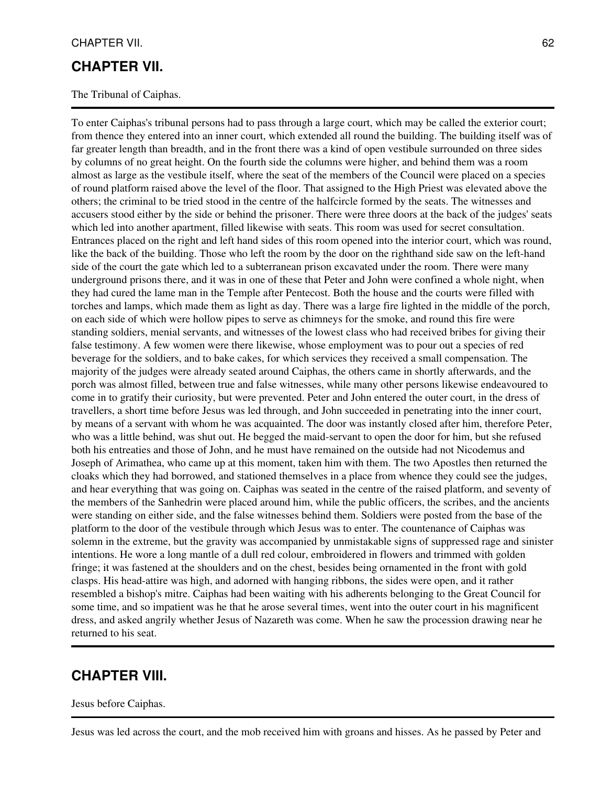### **CHAPTER VII.**

The Tribunal of Caiphas.

To enter Caiphas's tribunal persons had to pass through a large court, which may be called the exterior court; from thence they entered into an inner court, which extended all round the building. The building itself was of far greater length than breadth, and in the front there was a kind of open vestibule surrounded on three sides by columns of no great height. On the fourth side the columns were higher, and behind them was a room almost as large as the vestibule itself, where the seat of the members of the Council were placed on a species of round platform raised above the level of the floor. That assigned to the High Priest was elevated above the others; the criminal to be tried stood in the centre of the halfcircle formed by the seats. The witnesses and accusers stood either by the side or behind the prisoner. There were three doors at the back of the judges' seats which led into another apartment, filled likewise with seats. This room was used for secret consultation. Entrances placed on the right and left hand sides of this room opened into the interior court, which was round, like the back of the building. Those who left the room by the door on the righthand side saw on the left-hand side of the court the gate which led to a subterranean prison excavated under the room. There were many underground prisons there, and it was in one of these that Peter and John were confined a whole night, when they had cured the lame man in the Temple after Pentecost. Both the house and the courts were filled with torches and lamps, which made them as light as day. There was a large fire lighted in the middle of the porch, on each side of which were hollow pipes to serve as chimneys for the smoke, and round this fire were standing soldiers, menial servants, and witnesses of the lowest class who had received bribes for giving their false testimony. A few women were there likewise, whose employment was to pour out a species of red beverage for the soldiers, and to bake cakes, for which services they received a small compensation. The majority of the judges were already seated around Caiphas, the others came in shortly afterwards, and the porch was almost filled, between true and false witnesses, while many other persons likewise endeavoured to come in to gratify their curiosity, but were prevented. Peter and John entered the outer court, in the dress of travellers, a short time before Jesus was led through, and John succeeded in penetrating into the inner court, by means of a servant with whom he was acquainted. The door was instantly closed after him, therefore Peter, who was a little behind, was shut out. He begged the maid-servant to open the door for him, but she refused both his entreaties and those of John, and he must have remained on the outside had not Nicodemus and Joseph of Arimathea, who came up at this moment, taken him with them. The two Apostles then returned the cloaks which they had borrowed, and stationed themselves in a place from whence they could see the judges, and hear everything that was going on. Caiphas was seated in the centre of the raised platform, and seventy of the members of the Sanhedrin were placed around him, while the public officers, the scribes, and the ancients were standing on either side, and the false witnesses behind them. Soldiers were posted from the base of the platform to the door of the vestibule through which Jesus was to enter. The countenance of Caiphas was solemn in the extreme, but the gravity was accompanied by unmistakable signs of suppressed rage and sinister intentions. He wore a long mantle of a dull red colour, embroidered in flowers and trimmed with golden fringe; it was fastened at the shoulders and on the chest, besides being ornamented in the front with gold clasps. His head-attire was high, and adorned with hanging ribbons, the sides were open, and it rather resembled a bishop's mitre. Caiphas had been waiting with his adherents belonging to the Great Council for some time, and so impatient was he that he arose several times, went into the outer court in his magnificent dress, and asked angrily whether Jesus of Nazareth was come. When he saw the procession drawing near he returned to his seat.

### **CHAPTER VIII.**

#### Jesus before Caiphas.

Jesus was led across the court, and the mob received him with groans and hisses. As he passed by Peter and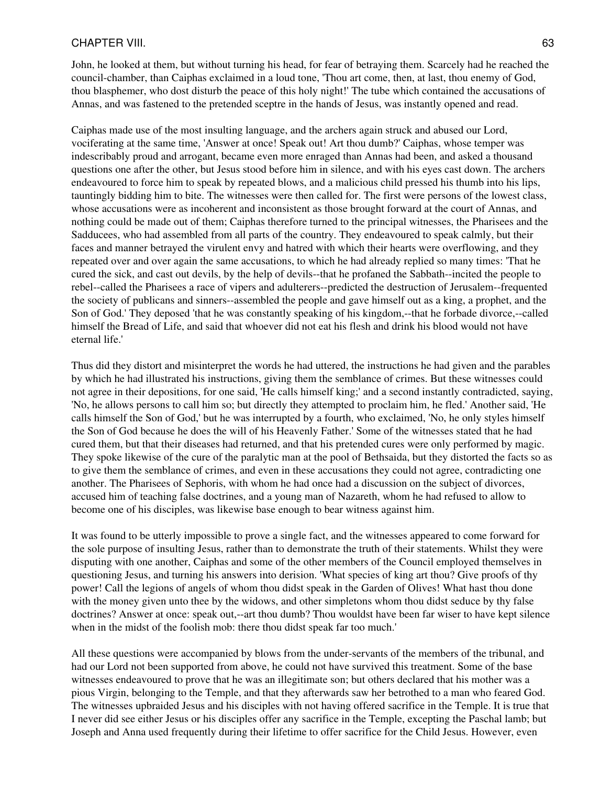John, he looked at them, but without turning his head, for fear of betraying them. Scarcely had he reached the council-chamber, than Caiphas exclaimed in a loud tone, 'Thou art come, then, at last, thou enemy of God, thou blasphemer, who dost disturb the peace of this holy night!' The tube which contained the accusations of Annas, and was fastened to the pretended sceptre in the hands of Jesus, was instantly opened and read.

Caiphas made use of the most insulting language, and the archers again struck and abused our Lord, vociferating at the same time, 'Answer at once! Speak out! Art thou dumb?' Caiphas, whose temper was indescribably proud and arrogant, became even more enraged than Annas had been, and asked a thousand questions one after the other, but Jesus stood before him in silence, and with his eyes cast down. The archers endeavoured to force him to speak by repeated blows, and a malicious child pressed his thumb into his lips, tauntingly bidding him to bite. The witnesses were then called for. The first were persons of the lowest class, whose accusations were as incoherent and inconsistent as those brought forward at the court of Annas, and nothing could be made out of them; Caiphas therefore turned to the principal witnesses, the Pharisees and the Sadducees, who had assembled from all parts of the country. They endeavoured to speak calmly, but their faces and manner betrayed the virulent envy and hatred with which their hearts were overflowing, and they repeated over and over again the same accusations, to which he had already replied so many times: 'That he cured the sick, and cast out devils, by the help of devils--that he profaned the Sabbath--incited the people to rebel--called the Pharisees a race of vipers and adulterers--predicted the destruction of Jerusalem--frequented the society of publicans and sinners--assembled the people and gave himself out as a king, a prophet, and the Son of God.' They deposed 'that he was constantly speaking of his kingdom,--that he forbade divorce,--called himself the Bread of Life, and said that whoever did not eat his flesh and drink his blood would not have eternal life.'

Thus did they distort and misinterpret the words he had uttered, the instructions he had given and the parables by which he had illustrated his instructions, giving them the semblance of crimes. But these witnesses could not agree in their depositions, for one said, 'He calls himself king;' and a second instantly contradicted, saying, 'No, he allows persons to call him so; but directly they attempted to proclaim him, he fled.' Another said, 'He calls himself the Son of God,' but he was interrupted by a fourth, who exclaimed, 'No, he only styles himself the Son of God because he does the will of his Heavenly Father.' Some of the witnesses stated that he had cured them, but that their diseases had returned, and that his pretended cures were only performed by magic. They spoke likewise of the cure of the paralytic man at the pool of Bethsaida, but they distorted the facts so as to give them the semblance of crimes, and even in these accusations they could not agree, contradicting one another. The Pharisees of Sephoris, with whom he had once had a discussion on the subject of divorces, accused him of teaching false doctrines, and a young man of Nazareth, whom he had refused to allow to become one of his disciples, was likewise base enough to bear witness against him.

It was found to be utterly impossible to prove a single fact, and the witnesses appeared to come forward for the sole purpose of insulting Jesus, rather than to demonstrate the truth of their statements. Whilst they were disputing with one another, Caiphas and some of the other members of the Council employed themselves in questioning Jesus, and turning his answers into derision. 'What species of king art thou? Give proofs of thy power! Call the legions of angels of whom thou didst speak in the Garden of Olives! What hast thou done with the money given unto thee by the widows, and other simpletons whom thou didst seduce by thy false doctrines? Answer at once: speak out,--art thou dumb? Thou wouldst have been far wiser to have kept silence when in the midst of the foolish mob: there thou didst speak far too much.'

All these questions were accompanied by blows from the under-servants of the members of the tribunal, and had our Lord not been supported from above, he could not have survived this treatment. Some of the base witnesses endeavoured to prove that he was an illegitimate son; but others declared that his mother was a pious Virgin, belonging to the Temple, and that they afterwards saw her betrothed to a man who feared God. The witnesses upbraided Jesus and his disciples with not having offered sacrifice in the Temple. It is true that I never did see either Jesus or his disciples offer any sacrifice in the Temple, excepting the Paschal lamb; but Joseph and Anna used frequently during their lifetime to offer sacrifice for the Child Jesus. However, even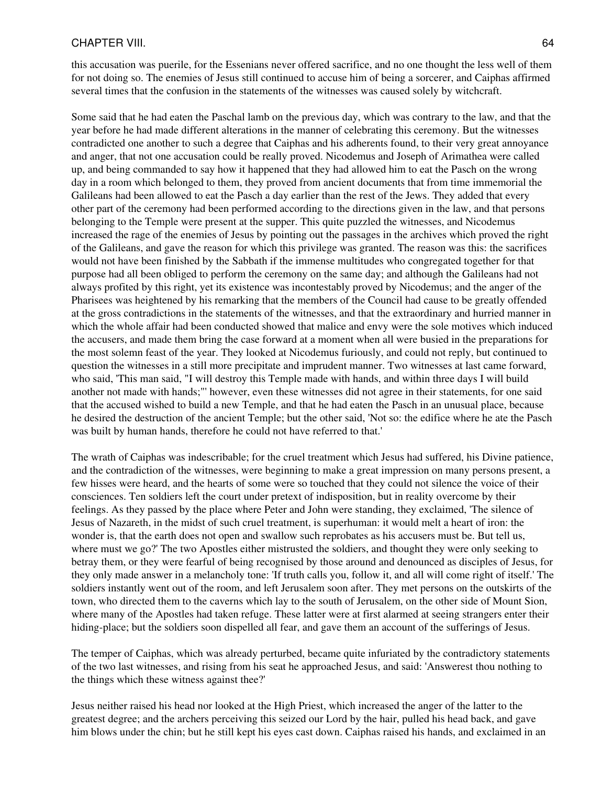this accusation was puerile, for the Essenians never offered sacrifice, and no one thought the less well of them for not doing so. The enemies of Jesus still continued to accuse him of being a sorcerer, and Caiphas affirmed several times that the confusion in the statements of the witnesses was caused solely by witchcraft.

Some said that he had eaten the Paschal lamb on the previous day, which was contrary to the law, and that the year before he had made different alterations in the manner of celebrating this ceremony. But the witnesses contradicted one another to such a degree that Caiphas and his adherents found, to their very great annoyance and anger, that not one accusation could be really proved. Nicodemus and Joseph of Arimathea were called up, and being commanded to say how it happened that they had allowed him to eat the Pasch on the wrong day in a room which belonged to them, they proved from ancient documents that from time immemorial the Galileans had been allowed to eat the Pasch a day earlier than the rest of the Jews. They added that every other part of the ceremony had been performed according to the directions given in the law, and that persons belonging to the Temple were present at the supper. This quite puzzled the witnesses, and Nicodemus increased the rage of the enemies of Jesus by pointing out the passages in the archives which proved the right of the Galileans, and gave the reason for which this privilege was granted. The reason was this: the sacrifices would not have been finished by the Sabbath if the immense multitudes who congregated together for that purpose had all been obliged to perform the ceremony on the same day; and although the Galileans had not always profited by this right, yet its existence was incontestably proved by Nicodemus; and the anger of the Pharisees was heightened by his remarking that the members of the Council had cause to be greatly offended at the gross contradictions in the statements of the witnesses, and that the extraordinary and hurried manner in which the whole affair had been conducted showed that malice and envy were the sole motives which induced the accusers, and made them bring the case forward at a moment when all were busied in the preparations for the most solemn feast of the year. They looked at Nicodemus furiously, and could not reply, but continued to question the witnesses in a still more precipitate and imprudent manner. Two witnesses at last came forward, who said, 'This man said, "I will destroy this Temple made with hands, and within three days I will build another not made with hands;"' however, even these witnesses did not agree in their statements, for one said that the accused wished to build a new Temple, and that he had eaten the Pasch in an unusual place, because he desired the destruction of the ancient Temple; but the other said, 'Not so: the edifice where he ate the Pasch was built by human hands, therefore he could not have referred to that.'

The wrath of Caiphas was indescribable; for the cruel treatment which Jesus had suffered, his Divine patience, and the contradiction of the witnesses, were beginning to make a great impression on many persons present, a few hisses were heard, and the hearts of some were so touched that they could not silence the voice of their consciences. Ten soldiers left the court under pretext of indisposition, but in reality overcome by their feelings. As they passed by the place where Peter and John were standing, they exclaimed, 'The silence of Jesus of Nazareth, in the midst of such cruel treatment, is superhuman: it would melt a heart of iron: the wonder is, that the earth does not open and swallow such reprobates as his accusers must be. But tell us, where must we go?' The two Apostles either mistrusted the soldiers, and thought they were only seeking to betray them, or they were fearful of being recognised by those around and denounced as disciples of Jesus, for they only made answer in a melancholy tone: 'If truth calls you, follow it, and all will come right of itself.' The soldiers instantly went out of the room, and left Jerusalem soon after. They met persons on the outskirts of the town, who directed them to the caverns which lay to the south of Jerusalem, on the other side of Mount Sion, where many of the Apostles had taken refuge. These latter were at first alarmed at seeing strangers enter their hiding-place; but the soldiers soon dispelled all fear, and gave them an account of the sufferings of Jesus.

The temper of Caiphas, which was already perturbed, became quite infuriated by the contradictory statements of the two last witnesses, and rising from his seat he approached Jesus, and said: 'Answerest thou nothing to the things which these witness against thee?'

Jesus neither raised his head nor looked at the High Priest, which increased the anger of the latter to the greatest degree; and the archers perceiving this seized our Lord by the hair, pulled his head back, and gave him blows under the chin; but he still kept his eyes cast down. Caiphas raised his hands, and exclaimed in an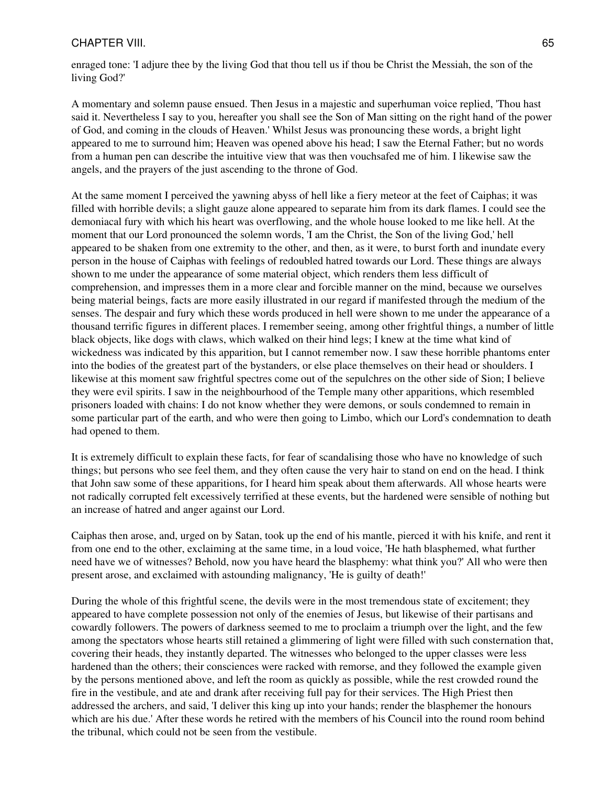enraged tone: 'I adjure thee by the living God that thou tell us if thou be Christ the Messiah, the son of the living God?'

A momentary and solemn pause ensued. Then Jesus in a majestic and superhuman voice replied, 'Thou hast said it. Nevertheless I say to you, hereafter you shall see the Son of Man sitting on the right hand of the power of God, and coming in the clouds of Heaven.' Whilst Jesus was pronouncing these words, a bright light appeared to me to surround him; Heaven was opened above his head; I saw the Eternal Father; but no words from a human pen can describe the intuitive view that was then vouchsafed me of him. I likewise saw the angels, and the prayers of the just ascending to the throne of God.

At the same moment I perceived the yawning abyss of hell like a fiery meteor at the feet of Caiphas; it was filled with horrible devils; a slight gauze alone appeared to separate him from its dark flames. I could see the demoniacal fury with which his heart was overflowing, and the whole house looked to me like hell. At the moment that our Lord pronounced the solemn words, 'I am the Christ, the Son of the living God,' hell appeared to be shaken from one extremity to the other, and then, as it were, to burst forth and inundate every person in the house of Caiphas with feelings of redoubled hatred towards our Lord. These things are always shown to me under the appearance of some material object, which renders them less difficult of comprehension, and impresses them in a more clear and forcible manner on the mind, because we ourselves being material beings, facts are more easily illustrated in our regard if manifested through the medium of the senses. The despair and fury which these words produced in hell were shown to me under the appearance of a thousand terrific figures in different places. I remember seeing, among other frightful things, a number of little black objects, like dogs with claws, which walked on their hind legs; I knew at the time what kind of wickedness was indicated by this apparition, but I cannot remember now. I saw these horrible phantoms enter into the bodies of the greatest part of the bystanders, or else place themselves on their head or shoulders. I likewise at this moment saw frightful spectres come out of the sepulchres on the other side of Sion; I believe they were evil spirits. I saw in the neighbourhood of the Temple many other apparitions, which resembled prisoners loaded with chains: I do not know whether they were demons, or souls condemned to remain in some particular part of the earth, and who were then going to Limbo, which our Lord's condemnation to death had opened to them.

It is extremely difficult to explain these facts, for fear of scandalising those who have no knowledge of such things; but persons who see feel them, and they often cause the very hair to stand on end on the head. I think that John saw some of these apparitions, for I heard him speak about them afterwards. All whose hearts were not radically corrupted felt excessively terrified at these events, but the hardened were sensible of nothing but an increase of hatred and anger against our Lord.

Caiphas then arose, and, urged on by Satan, took up the end of his mantle, pierced it with his knife, and rent it from one end to the other, exclaiming at the same time, in a loud voice, 'He hath blasphemed, what further need have we of witnesses? Behold, now you have heard the blasphemy: what think you?' All who were then present arose, and exclaimed with astounding malignancy, 'He is guilty of death!'

During the whole of this frightful scene, the devils were in the most tremendous state of excitement; they appeared to have complete possession not only of the enemies of Jesus, but likewise of their partisans and cowardly followers. The powers of darkness seemed to me to proclaim a triumph over the light, and the few among the spectators whose hearts still retained a glimmering of light were filled with such consternation that, covering their heads, they instantly departed. The witnesses who belonged to the upper classes were less hardened than the others; their consciences were racked with remorse, and they followed the example given by the persons mentioned above, and left the room as quickly as possible, while the rest crowded round the fire in the vestibule, and ate and drank after receiving full pay for their services. The High Priest then addressed the archers, and said, 'I deliver this king up into your hands; render the blasphemer the honours which are his due.' After these words he retired with the members of his Council into the round room behind the tribunal, which could not be seen from the vestibule.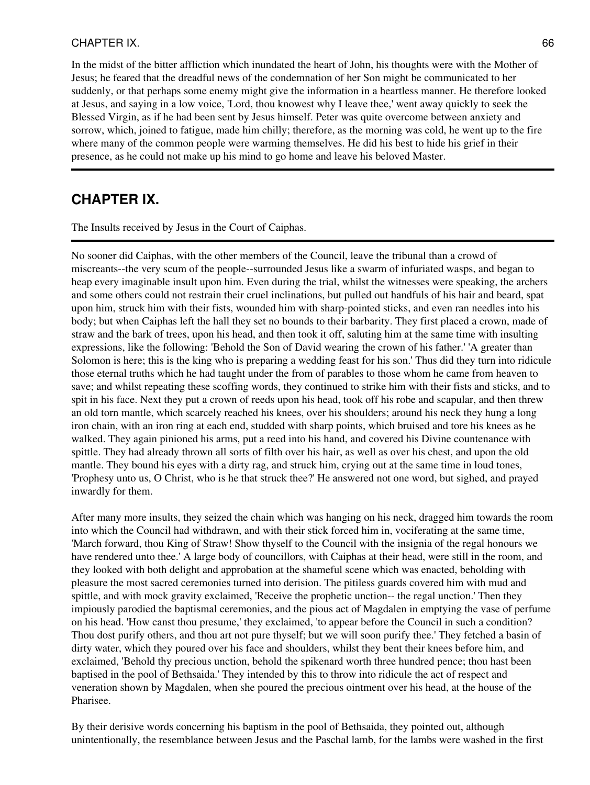In the midst of the bitter affliction which inundated the heart of John, his thoughts were with the Mother of Jesus; he feared that the dreadful news of the condemnation of her Son might be communicated to her suddenly, or that perhaps some enemy might give the information in a heartless manner. He therefore looked at Jesus, and saying in a low voice, 'Lord, thou knowest why I leave thee,' went away quickly to seek the Blessed Virgin, as if he had been sent by Jesus himself. Peter was quite overcome between anxiety and sorrow, which, joined to fatigue, made him chilly; therefore, as the morning was cold, he went up to the fire where many of the common people were warming themselves. He did his best to hide his grief in their presence, as he could not make up his mind to go home and leave his beloved Master.

## **CHAPTER IX.**

The Insults received by Jesus in the Court of Caiphas.

No sooner did Caiphas, with the other members of the Council, leave the tribunal than a crowd of miscreants--the very scum of the people--surrounded Jesus like a swarm of infuriated wasps, and began to heap every imaginable insult upon him. Even during the trial, whilst the witnesses were speaking, the archers and some others could not restrain their cruel inclinations, but pulled out handfuls of his hair and beard, spat upon him, struck him with their fists, wounded him with sharp-pointed sticks, and even ran needles into his body; but when Caiphas left the hall they set no bounds to their barbarity. They first placed a crown, made of straw and the bark of trees, upon his head, and then took it off, saluting him at the same time with insulting expressions, like the following: 'Behold the Son of David wearing the crown of his father.' 'A greater than Solomon is here; this is the king who is preparing a wedding feast for his son.' Thus did they turn into ridicule those eternal truths which he had taught under the from of parables to those whom he came from heaven to save; and whilst repeating these scoffing words, they continued to strike him with their fists and sticks, and to spit in his face. Next they put a crown of reeds upon his head, took off his robe and scapular, and then threw an old torn mantle, which scarcely reached his knees, over his shoulders; around his neck they hung a long iron chain, with an iron ring at each end, studded with sharp points, which bruised and tore his knees as he walked. They again pinioned his arms, put a reed into his hand, and covered his Divine countenance with spittle. They had already thrown all sorts of filth over his hair, as well as over his chest, and upon the old mantle. They bound his eyes with a dirty rag, and struck him, crying out at the same time in loud tones, 'Prophesy unto us, O Christ, who is he that struck thee?' He answered not one word, but sighed, and prayed inwardly for them.

After many more insults, they seized the chain which was hanging on his neck, dragged him towards the room into which the Council had withdrawn, and with their stick forced him in, vociferating at the same time, 'March forward, thou King of Straw! Show thyself to the Council with the insignia of the regal honours we have rendered unto thee.' A large body of councillors, with Caiphas at their head, were still in the room, and they looked with both delight and approbation at the shameful scene which was enacted, beholding with pleasure the most sacred ceremonies turned into derision. The pitiless guards covered him with mud and spittle, and with mock gravity exclaimed, 'Receive the prophetic unction-- the regal unction.' Then they impiously parodied the baptismal ceremonies, and the pious act of Magdalen in emptying the vase of perfume on his head. 'How canst thou presume,' they exclaimed, 'to appear before the Council in such a condition? Thou dost purify others, and thou art not pure thyself; but we will soon purify thee.' They fetched a basin of dirty water, which they poured over his face and shoulders, whilst they bent their knees before him, and exclaimed, 'Behold thy precious unction, behold the spikenard worth three hundred pence; thou hast been baptised in the pool of Bethsaida.' They intended by this to throw into ridicule the act of respect and veneration shown by Magdalen, when she poured the precious ointment over his head, at the house of the Pharisee.

By their derisive words concerning his baptism in the pool of Bethsaida, they pointed out, although unintentionally, the resemblance between Jesus and the Paschal lamb, for the lambs were washed in the first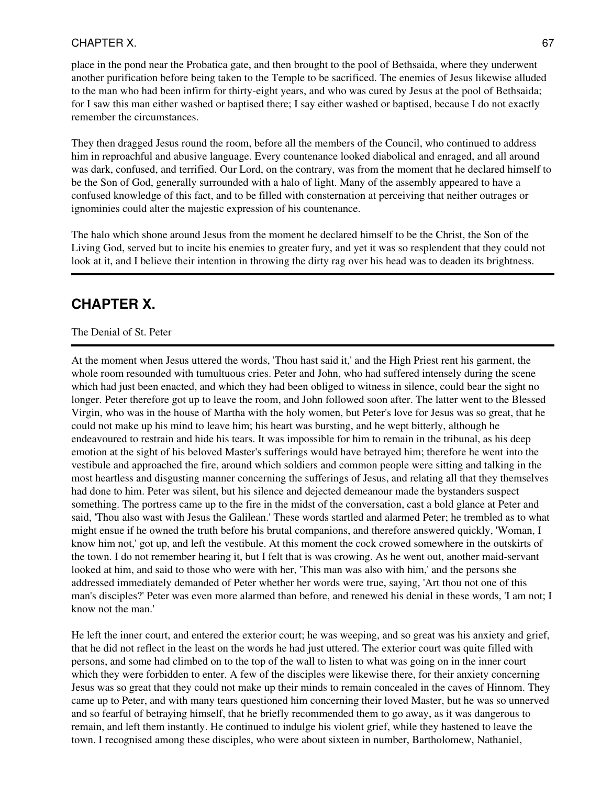#### CHAPTER X. 67

place in the pond near the Probatica gate, and then brought to the pool of Bethsaida, where they underwent another purification before being taken to the Temple to be sacrificed. The enemies of Jesus likewise alluded to the man who had been infirm for thirty-eight years, and who was cured by Jesus at the pool of Bethsaida; for I saw this man either washed or baptised there; I say either washed or baptised, because I do not exactly remember the circumstances.

They then dragged Jesus round the room, before all the members of the Council, who continued to address him in reproachful and abusive language. Every countenance looked diabolical and enraged, and all around was dark, confused, and terrified. Our Lord, on the contrary, was from the moment that he declared himself to be the Son of God, generally surrounded with a halo of light. Many of the assembly appeared to have a confused knowledge of this fact, and to be filled with consternation at perceiving that neither outrages or ignominies could alter the majestic expression of his countenance.

The halo which shone around Jesus from the moment he declared himself to be the Christ, the Son of the Living God, served but to incite his enemies to greater fury, and yet it was so resplendent that they could not look at it, and I believe their intention in throwing the dirty rag over his head was to deaden its brightness.

## **CHAPTER X.**

#### The Denial of St. Peter

At the moment when Jesus uttered the words, 'Thou hast said it,' and the High Priest rent his garment, the whole room resounded with tumultuous cries. Peter and John, who had suffered intensely during the scene which had just been enacted, and which they had been obliged to witness in silence, could bear the sight no longer. Peter therefore got up to leave the room, and John followed soon after. The latter went to the Blessed Virgin, who was in the house of Martha with the holy women, but Peter's love for Jesus was so great, that he could not make up his mind to leave him; his heart was bursting, and he wept bitterly, although he endeavoured to restrain and hide his tears. It was impossible for him to remain in the tribunal, as his deep emotion at the sight of his beloved Master's sufferings would have betrayed him; therefore he went into the vestibule and approached the fire, around which soldiers and common people were sitting and talking in the most heartless and disgusting manner concerning the sufferings of Jesus, and relating all that they themselves had done to him. Peter was silent, but his silence and dejected demeanour made the bystanders suspect something. The portress came up to the fire in the midst of the conversation, cast a bold glance at Peter and said, 'Thou also wast with Jesus the Galilean.' These words startled and alarmed Peter; he trembled as to what might ensue if he owned the truth before his brutal companions, and therefore answered quickly, 'Woman, I know him not,' got up, and left the vestibule. At this moment the cock crowed somewhere in the outskirts of the town. I do not remember hearing it, but I felt that is was crowing. As he went out, another maid-servant looked at him, and said to those who were with her, 'This man was also with him,' and the persons she addressed immediately demanded of Peter whether her words were true, saying, 'Art thou not one of this man's disciples?' Peter was even more alarmed than before, and renewed his denial in these words, 'I am not; I know not the man.'

He left the inner court, and entered the exterior court; he was weeping, and so great was his anxiety and grief, that he did not reflect in the least on the words he had just uttered. The exterior court was quite filled with persons, and some had climbed on to the top of the wall to listen to what was going on in the inner court which they were forbidden to enter. A few of the disciples were likewise there, for their anxiety concerning Jesus was so great that they could not make up their minds to remain concealed in the caves of Hinnom. They came up to Peter, and with many tears questioned him concerning their loved Master, but he was so unnerved and so fearful of betraying himself, that he briefly recommended them to go away, as it was dangerous to remain, and left them instantly. He continued to indulge his violent grief, while they hastened to leave the town. I recognised among these disciples, who were about sixteen in number, Bartholomew, Nathaniel,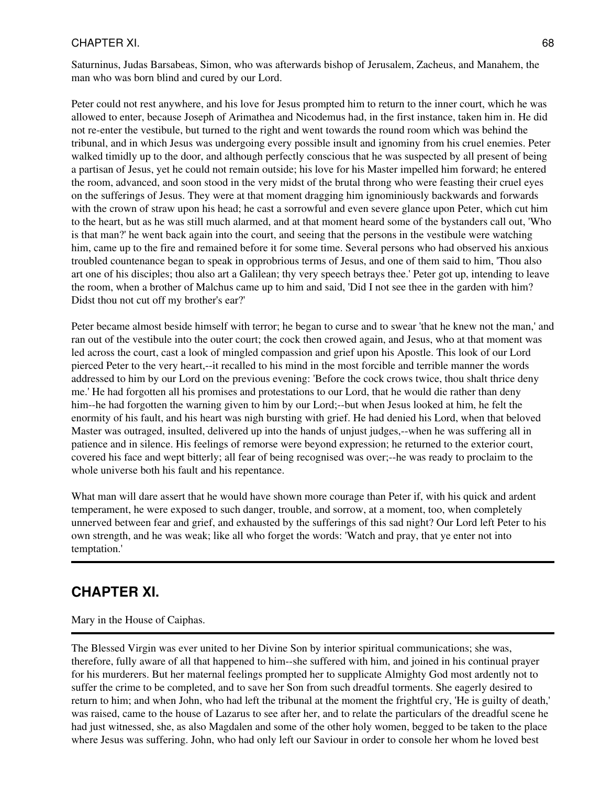Saturninus, Judas Barsabeas, Simon, who was afterwards bishop of Jerusalem, Zacheus, and Manahem, the man who was born blind and cured by our Lord.

Peter could not rest anywhere, and his love for Jesus prompted him to return to the inner court, which he was allowed to enter, because Joseph of Arimathea and Nicodemus had, in the first instance, taken him in. He did not re-enter the vestibule, but turned to the right and went towards the round room which was behind the tribunal, and in which Jesus was undergoing every possible insult and ignominy from his cruel enemies. Peter walked timidly up to the door, and although perfectly conscious that he was suspected by all present of being a partisan of Jesus, yet he could not remain outside; his love for his Master impelled him forward; he entered the room, advanced, and soon stood in the very midst of the brutal throng who were feasting their cruel eyes on the sufferings of Jesus. They were at that moment dragging him ignominiously backwards and forwards with the crown of straw upon his head; he cast a sorrowful and even severe glance upon Peter, which cut him to the heart, but as he was still much alarmed, and at that moment heard some of the bystanders call out, 'Who is that man?' he went back again into the court, and seeing that the persons in the vestibule were watching him, came up to the fire and remained before it for some time. Several persons who had observed his anxious troubled countenance began to speak in opprobrious terms of Jesus, and one of them said to him, 'Thou also art one of his disciples; thou also art a Galilean; thy very speech betrays thee.' Peter got up, intending to leave the room, when a brother of Malchus came up to him and said, 'Did I not see thee in the garden with him? Didst thou not cut off my brother's ear?'

Peter became almost beside himself with terror; he began to curse and to swear 'that he knew not the man,' and ran out of the vestibule into the outer court; the cock then crowed again, and Jesus, who at that moment was led across the court, cast a look of mingled compassion and grief upon his Apostle. This look of our Lord pierced Peter to the very heart,--it recalled to his mind in the most forcible and terrible manner the words addressed to him by our Lord on the previous evening: 'Before the cock crows twice, thou shalt thrice deny me.' He had forgotten all his promises and protestations to our Lord, that he would die rather than deny him--he had forgotten the warning given to him by our Lord;--but when Jesus looked at him, he felt the enormity of his fault, and his heart was nigh bursting with grief. He had denied his Lord, when that beloved Master was outraged, insulted, delivered up into the hands of unjust judges,--when he was suffering all in patience and in silence. His feelings of remorse were beyond expression; he returned to the exterior court, covered his face and wept bitterly; all fear of being recognised was over;--he was ready to proclaim to the whole universe both his fault and his repentance.

What man will dare assert that he would have shown more courage than Peter if, with his quick and ardent temperament, he were exposed to such danger, trouble, and sorrow, at a moment, too, when completely unnerved between fear and grief, and exhausted by the sufferings of this sad night? Our Lord left Peter to his own strength, and he was weak; like all who forget the words: 'Watch and pray, that ye enter not into temptation.'

# **CHAPTER XI.**

Mary in the House of Caiphas.

The Blessed Virgin was ever united to her Divine Son by interior spiritual communications; she was, therefore, fully aware of all that happened to him--she suffered with him, and joined in his continual prayer for his murderers. But her maternal feelings prompted her to supplicate Almighty God most ardently not to suffer the crime to be completed, and to save her Son from such dreadful torments. She eagerly desired to return to him; and when John, who had left the tribunal at the moment the frightful cry, 'He is guilty of death,' was raised, came to the house of Lazarus to see after her, and to relate the particulars of the dreadful scene he had just witnessed, she, as also Magdalen and some of the other holy women, begged to be taken to the place where Jesus was suffering. John, who had only left our Saviour in order to console her whom he loved best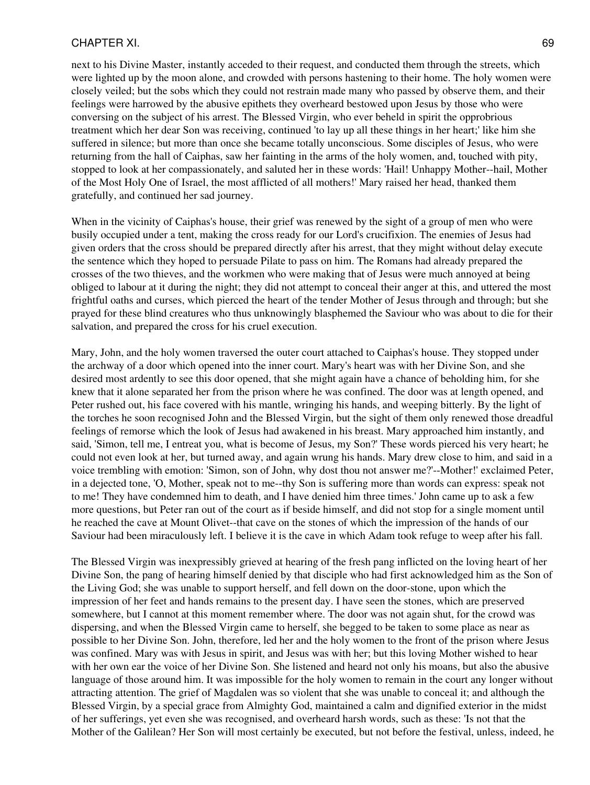next to his Divine Master, instantly acceded to their request, and conducted them through the streets, which were lighted up by the moon alone, and crowded with persons hastening to their home. The holy women were closely veiled; but the sobs which they could not restrain made many who passed by observe them, and their feelings were harrowed by the abusive epithets they overheard bestowed upon Jesus by those who were conversing on the subject of his arrest. The Blessed Virgin, who ever beheld in spirit the opprobrious treatment which her dear Son was receiving, continued 'to lay up all these things in her heart;' like him she suffered in silence; but more than once she became totally unconscious. Some disciples of Jesus, who were returning from the hall of Caiphas, saw her fainting in the arms of the holy women, and, touched with pity, stopped to look at her compassionately, and saluted her in these words: 'Hail! Unhappy Mother--hail, Mother of the Most Holy One of Israel, the most afflicted of all mothers!' Mary raised her head, thanked them gratefully, and continued her sad journey.

When in the vicinity of Caiphas's house, their grief was renewed by the sight of a group of men who were busily occupied under a tent, making the cross ready for our Lord's crucifixion. The enemies of Jesus had given orders that the cross should be prepared directly after his arrest, that they might without delay execute the sentence which they hoped to persuade Pilate to pass on him. The Romans had already prepared the crosses of the two thieves, and the workmen who were making that of Jesus were much annoyed at being obliged to labour at it during the night; they did not attempt to conceal their anger at this, and uttered the most frightful oaths and curses, which pierced the heart of the tender Mother of Jesus through and through; but she prayed for these blind creatures who thus unknowingly blasphemed the Saviour who was about to die for their salvation, and prepared the cross for his cruel execution.

Mary, John, and the holy women traversed the outer court attached to Caiphas's house. They stopped under the archway of a door which opened into the inner court. Mary's heart was with her Divine Son, and she desired most ardently to see this door opened, that she might again have a chance of beholding him, for she knew that it alone separated her from the prison where he was confined. The door was at length opened, and Peter rushed out, his face covered with his mantle, wringing his hands, and weeping bitterly. By the light of the torches he soon recognised John and the Blessed Virgin, but the sight of them only renewed those dreadful feelings of remorse which the look of Jesus had awakened in his breast. Mary approached him instantly, and said, 'Simon, tell me, I entreat you, what is become of Jesus, my Son?' These words pierced his very heart; he could not even look at her, but turned away, and again wrung his hands. Mary drew close to him, and said in a voice trembling with emotion: 'Simon, son of John, why dost thou not answer me?'--Mother!' exclaimed Peter, in a dejected tone, 'O, Mother, speak not to me--thy Son is suffering more than words can express: speak not to me! They have condemned him to death, and I have denied him three times.' John came up to ask a few more questions, but Peter ran out of the court as if beside himself, and did not stop for a single moment until he reached the cave at Mount Olivet--that cave on the stones of which the impression of the hands of our Saviour had been miraculously left. I believe it is the cave in which Adam took refuge to weep after his fall.

The Blessed Virgin was inexpressibly grieved at hearing of the fresh pang inflicted on the loving heart of her Divine Son, the pang of hearing himself denied by that disciple who had first acknowledged him as the Son of the Living God; she was unable to support herself, and fell down on the door-stone, upon which the impression of her feet and hands remains to the present day. I have seen the stones, which are preserved somewhere, but I cannot at this moment remember where. The door was not again shut, for the crowd was dispersing, and when the Blessed Virgin came to herself, she begged to be taken to some place as near as possible to her Divine Son. John, therefore, led her and the holy women to the front of the prison where Jesus was confined. Mary was with Jesus in spirit, and Jesus was with her; but this loving Mother wished to hear with her own ear the voice of her Divine Son. She listened and heard not only his moans, but also the abusive language of those around him. It was impossible for the holy women to remain in the court any longer without attracting attention. The grief of Magdalen was so violent that she was unable to conceal it; and although the Blessed Virgin, by a special grace from Almighty God, maintained a calm and dignified exterior in the midst of her sufferings, yet even she was recognised, and overheard harsh words, such as these: 'Is not that the Mother of the Galilean? Her Son will most certainly be executed, but not before the festival, unless, indeed, he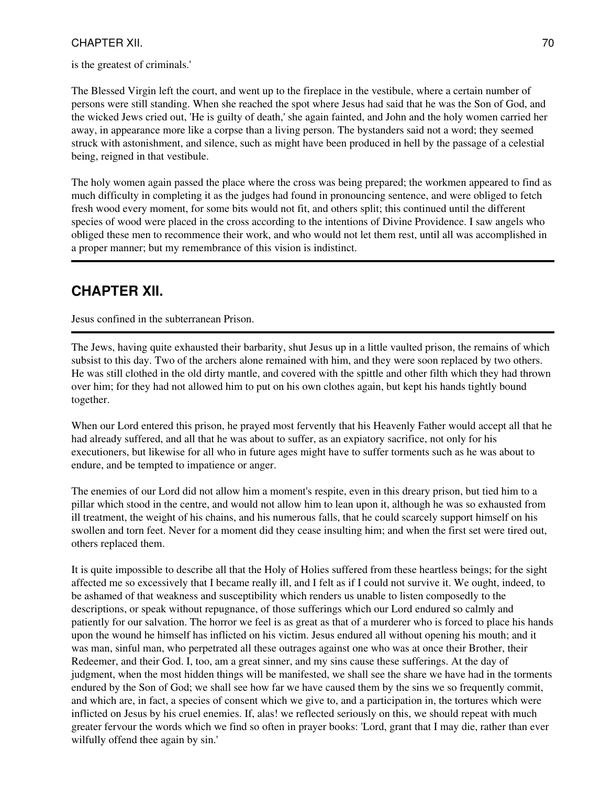is the greatest of criminals.'

The Blessed Virgin left the court, and went up to the fireplace in the vestibule, where a certain number of persons were still standing. When she reached the spot where Jesus had said that he was the Son of God, and the wicked Jews cried out, 'He is guilty of death,' she again fainted, and John and the holy women carried her away, in appearance more like a corpse than a living person. The bystanders said not a word; they seemed struck with astonishment, and silence, such as might have been produced in hell by the passage of a celestial being, reigned in that vestibule.

The holy women again passed the place where the cross was being prepared; the workmen appeared to find as much difficulty in completing it as the judges had found in pronouncing sentence, and were obliged to fetch fresh wood every moment, for some bits would not fit, and others split; this continued until the different species of wood were placed in the cross according to the intentions of Divine Providence. I saw angels who obliged these men to recommence their work, and who would not let them rest, until all was accomplished in a proper manner; but my remembrance of this vision is indistinct.

# **CHAPTER XII.**

Jesus confined in the subterranean Prison.

The Jews, having quite exhausted their barbarity, shut Jesus up in a little vaulted prison, the remains of which subsist to this day. Two of the archers alone remained with him, and they were soon replaced by two others. He was still clothed in the old dirty mantle, and covered with the spittle and other filth which they had thrown over him; for they had not allowed him to put on his own clothes again, but kept his hands tightly bound together.

When our Lord entered this prison, he prayed most fervently that his Heavenly Father would accept all that he had already suffered, and all that he was about to suffer, as an expiatory sacrifice, not only for his executioners, but likewise for all who in future ages might have to suffer torments such as he was about to endure, and be tempted to impatience or anger.

The enemies of our Lord did not allow him a moment's respite, even in this dreary prison, but tied him to a pillar which stood in the centre, and would not allow him to lean upon it, although he was so exhausted from ill treatment, the weight of his chains, and his numerous falls, that he could scarcely support himself on his swollen and torn feet. Never for a moment did they cease insulting him; and when the first set were tired out, others replaced them.

It is quite impossible to describe all that the Holy of Holies suffered from these heartless beings; for the sight affected me so excessively that I became really ill, and I felt as if I could not survive it. We ought, indeed, to be ashamed of that weakness and susceptibility which renders us unable to listen composedly to the descriptions, or speak without repugnance, of those sufferings which our Lord endured so calmly and patiently for our salvation. The horror we feel is as great as that of a murderer who is forced to place his hands upon the wound he himself has inflicted on his victim. Jesus endured all without opening his mouth; and it was man, sinful man, who perpetrated all these outrages against one who was at once their Brother, their Redeemer, and their God. I, too, am a great sinner, and my sins cause these sufferings. At the day of judgment, when the most hidden things will be manifested, we shall see the share we have had in the torments endured by the Son of God; we shall see how far we have caused them by the sins we so frequently commit, and which are, in fact, a species of consent which we give to, and a participation in, the tortures which were inflicted on Jesus by his cruel enemies. If, alas! we reflected seriously on this, we should repeat with much greater fervour the words which we find so often in prayer books: 'Lord, grant that I may die, rather than ever wilfully offend thee again by sin.'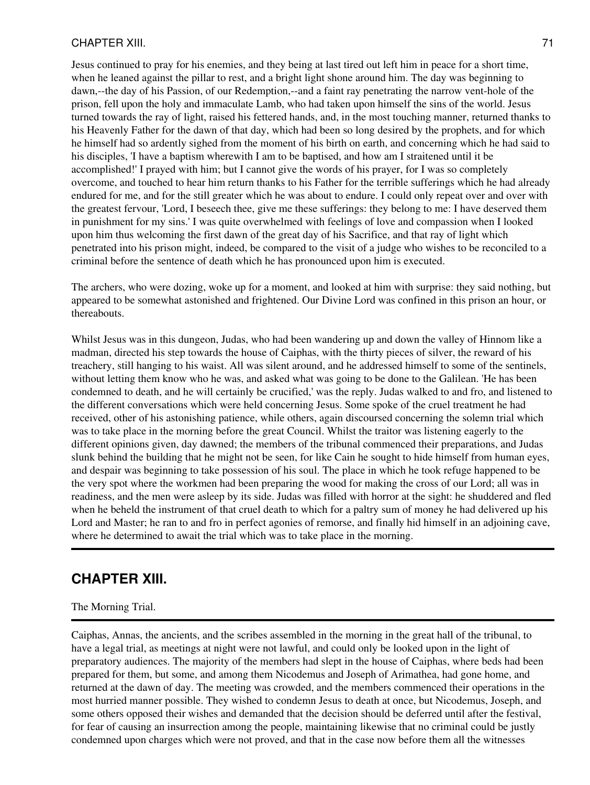Jesus continued to pray for his enemies, and they being at last tired out left him in peace for a short time, when he leaned against the pillar to rest, and a bright light shone around him. The day was beginning to dawn,--the day of his Passion, of our Redemption,--and a faint ray penetrating the narrow vent-hole of the prison, fell upon the holy and immaculate Lamb, who had taken upon himself the sins of the world. Jesus turned towards the ray of light, raised his fettered hands, and, in the most touching manner, returned thanks to his Heavenly Father for the dawn of that day, which had been so long desired by the prophets, and for which he himself had so ardently sighed from the moment of his birth on earth, and concerning which he had said to his disciples, 'I have a baptism wherewith I am to be baptised, and how am I straitened until it be accomplished!' I prayed with him; but I cannot give the words of his prayer, for I was so completely overcome, and touched to hear him return thanks to his Father for the terrible sufferings which he had already endured for me, and for the still greater which he was about to endure. I could only repeat over and over with the greatest fervour, 'Lord, I beseech thee, give me these sufferings: they belong to me: I have deserved them in punishment for my sins.' I was quite overwhelmed with feelings of love and compassion when I looked upon him thus welcoming the first dawn of the great day of his Sacrifice, and that ray of light which penetrated into his prison might, indeed, be compared to the visit of a judge who wishes to be reconciled to a criminal before the sentence of death which he has pronounced upon him is executed.

The archers, who were dozing, woke up for a moment, and looked at him with surprise: they said nothing, but appeared to be somewhat astonished and frightened. Our Divine Lord was confined in this prison an hour, or thereabouts.

Whilst Jesus was in this dungeon, Judas, who had been wandering up and down the valley of Hinnom like a madman, directed his step towards the house of Caiphas, with the thirty pieces of silver, the reward of his treachery, still hanging to his waist. All was silent around, and he addressed himself to some of the sentinels, without letting them know who he was, and asked what was going to be done to the Galilean. 'He has been condemned to death, and he will certainly be crucified,' was the reply. Judas walked to and fro, and listened to the different conversations which were held concerning Jesus. Some spoke of the cruel treatment he had received, other of his astonishing patience, while others, again discoursed concerning the solemn trial which was to take place in the morning before the great Council. Whilst the traitor was listening eagerly to the different opinions given, day dawned; the members of the tribunal commenced their preparations, and Judas slunk behind the building that he might not be seen, for like Cain he sought to hide himself from human eyes, and despair was beginning to take possession of his soul. The place in which he took refuge happened to be the very spot where the workmen had been preparing the wood for making the cross of our Lord; all was in readiness, and the men were asleep by its side. Judas was filled with horror at the sight: he shuddered and fled when he beheld the instrument of that cruel death to which for a paltry sum of money he had delivered up his Lord and Master; he ran to and fro in perfect agonies of remorse, and finally hid himself in an adjoining cave, where he determined to await the trial which was to take place in the morning.

### **CHAPTER XIII.**

#### The Morning Trial.

Caiphas, Annas, the ancients, and the scribes assembled in the morning in the great hall of the tribunal, to have a legal trial, as meetings at night were not lawful, and could only be looked upon in the light of preparatory audiences. The majority of the members had slept in the house of Caiphas, where beds had been prepared for them, but some, and among them Nicodemus and Joseph of Arimathea, had gone home, and returned at the dawn of day. The meeting was crowded, and the members commenced their operations in the most hurried manner possible. They wished to condemn Jesus to death at once, but Nicodemus, Joseph, and some others opposed their wishes and demanded that the decision should be deferred until after the festival, for fear of causing an insurrection among the people, maintaining likewise that no criminal could be justly condemned upon charges which were not proved, and that in the case now before them all the witnesses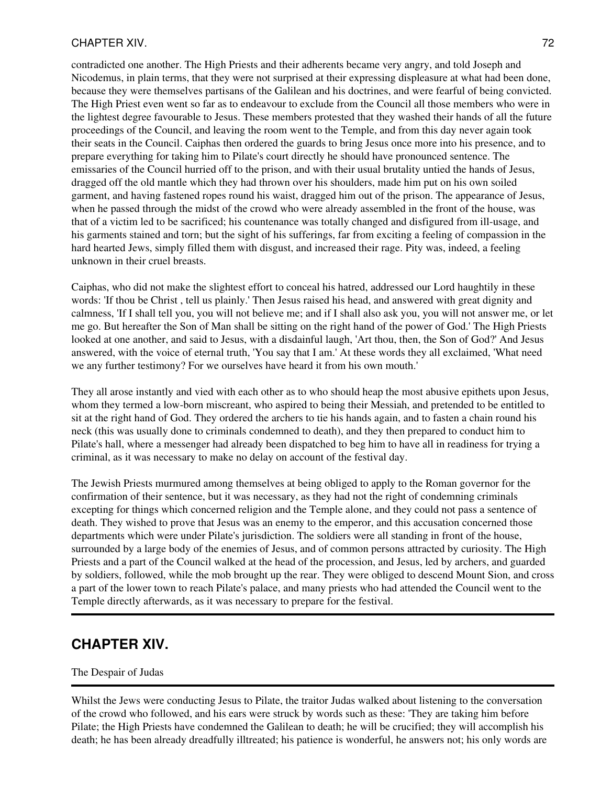contradicted one another. The High Priests and their adherents became very angry, and told Joseph and Nicodemus, in plain terms, that they were not surprised at their expressing displeasure at what had been done, because they were themselves partisans of the Galilean and his doctrines, and were fearful of being convicted. The High Priest even went so far as to endeavour to exclude from the Council all those members who were in the lightest degree favourable to Jesus. These members protested that they washed their hands of all the future proceedings of the Council, and leaving the room went to the Temple, and from this day never again took their seats in the Council. Caiphas then ordered the guards to bring Jesus once more into his presence, and to prepare everything for taking him to Pilate's court directly he should have pronounced sentence. The emissaries of the Council hurried off to the prison, and with their usual brutality untied the hands of Jesus, dragged off the old mantle which they had thrown over his shoulders, made him put on his own soiled garment, and having fastened ropes round his waist, dragged him out of the prison. The appearance of Jesus, when he passed through the midst of the crowd who were already assembled in the front of the house, was that of a victim led to be sacrificed; his countenance was totally changed and disfigured from ill-usage, and his garments stained and torn; but the sight of his sufferings, far from exciting a feeling of compassion in the hard hearted Jews, simply filled them with disgust, and increased their rage. Pity was, indeed, a feeling unknown in their cruel breasts.

Caiphas, who did not make the slightest effort to conceal his hatred, addressed our Lord haughtily in these words: 'If thou be Christ , tell us plainly.' Then Jesus raised his head, and answered with great dignity and calmness, 'If I shall tell you, you will not believe me; and if I shall also ask you, you will not answer me, or let me go. But hereafter the Son of Man shall be sitting on the right hand of the power of God.' The High Priests looked at one another, and said to Jesus, with a disdainful laugh, 'Art thou, then, the Son of God?' And Jesus answered, with the voice of eternal truth, 'You say that I am.' At these words they all exclaimed, 'What need we any further testimony? For we ourselves have heard it from his own mouth.'

They all arose instantly and vied with each other as to who should heap the most abusive epithets upon Jesus, whom they termed a low-born miscreant, who aspired to being their Messiah, and pretended to be entitled to sit at the right hand of God. They ordered the archers to tie his hands again, and to fasten a chain round his neck (this was usually done to criminals condemned to death), and they then prepared to conduct him to Pilate's hall, where a messenger had already been dispatched to beg him to have all in readiness for trying a criminal, as it was necessary to make no delay on account of the festival day.

The Jewish Priests murmured among themselves at being obliged to apply to the Roman governor for the confirmation of their sentence, but it was necessary, as they had not the right of condemning criminals excepting for things which concerned religion and the Temple alone, and they could not pass a sentence of death. They wished to prove that Jesus was an enemy to the emperor, and this accusation concerned those departments which were under Pilate's jurisdiction. The soldiers were all standing in front of the house, surrounded by a large body of the enemies of Jesus, and of common persons attracted by curiosity. The High Priests and a part of the Council walked at the head of the procession, and Jesus, led by archers, and guarded by soldiers, followed, while the mob brought up the rear. They were obliged to descend Mount Sion, and cross a part of the lower town to reach Pilate's palace, and many priests who had attended the Council went to the Temple directly afterwards, as it was necessary to prepare for the festival.

### **CHAPTER XIV.**

#### The Despair of Judas

Whilst the Jews were conducting Jesus to Pilate, the traitor Judas walked about listening to the conversation of the crowd who followed, and his ears were struck by words such as these: 'They are taking him before Pilate; the High Priests have condemned the Galilean to death; he will be crucified; they will accomplish his death; he has been already dreadfully illtreated; his patience is wonderful, he answers not; his only words are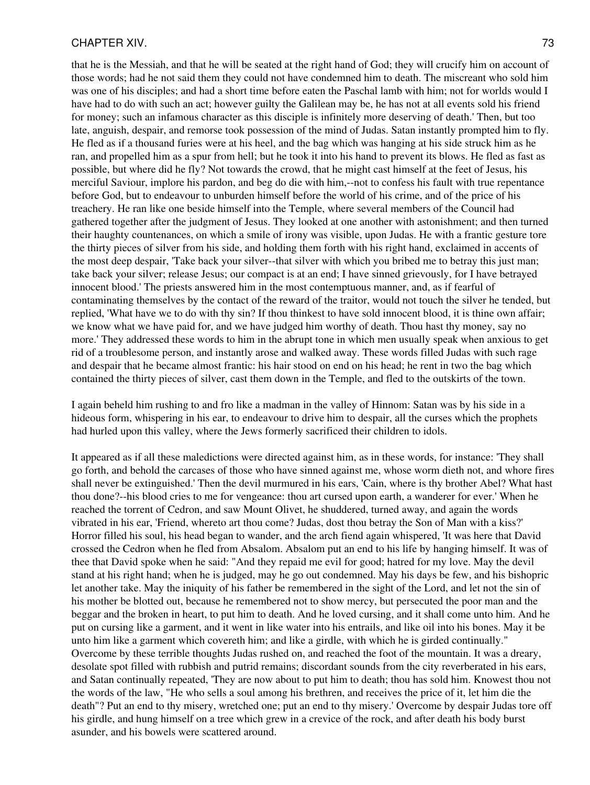#### CHAPTER XIV. 23

that he is the Messiah, and that he will be seated at the right hand of God; they will crucify him on account of those words; had he not said them they could not have condemned him to death. The miscreant who sold him was one of his disciples; and had a short time before eaten the Paschal lamb with him; not for worlds would I have had to do with such an act; however guilty the Galilean may be, he has not at all events sold his friend for money; such an infamous character as this disciple is infinitely more deserving of death.' Then, but too late, anguish, despair, and remorse took possession of the mind of Judas. Satan instantly prompted him to fly. He fled as if a thousand furies were at his heel, and the bag which was hanging at his side struck him as he ran, and propelled him as a spur from hell; but he took it into his hand to prevent its blows. He fled as fast as possible, but where did he fly? Not towards the crowd, that he might cast himself at the feet of Jesus, his merciful Saviour, implore his pardon, and beg do die with him,--not to confess his fault with true repentance before God, but to endeavour to unburden himself before the world of his crime, and of the price of his treachery. He ran like one beside himself into the Temple, where several members of the Council had gathered together after the judgment of Jesus. They looked at one another with astonishment; and then turned their haughty countenances, on which a smile of irony was visible, upon Judas. He with a frantic gesture tore the thirty pieces of silver from his side, and holding them forth with his right hand, exclaimed in accents of the most deep despair, 'Take back your silver--that silver with which you bribed me to betray this just man; take back your silver; release Jesus; our compact is at an end; I have sinned grievously, for I have betrayed innocent blood.' The priests answered him in the most contemptuous manner, and, as if fearful of contaminating themselves by the contact of the reward of the traitor, would not touch the silver he tended, but replied, 'What have we to do with thy sin? If thou thinkest to have sold innocent blood, it is thine own affair; we know what we have paid for, and we have judged him worthy of death. Thou hast thy money, say no more.' They addressed these words to him in the abrupt tone in which men usually speak when anxious to get rid of a troublesome person, and instantly arose and walked away. These words filled Judas with such rage and despair that he became almost frantic: his hair stood on end on his head; he rent in two the bag which contained the thirty pieces of silver, cast them down in the Temple, and fled to the outskirts of the town.

I again beheld him rushing to and fro like a madman in the valley of Hinnom: Satan was by his side in a hideous form, whispering in his ear, to endeavour to drive him to despair, all the curses which the prophets had hurled upon this valley, where the Jews formerly sacrificed their children to idols.

It appeared as if all these maledictions were directed against him, as in these words, for instance: 'They shall go forth, and behold the carcases of those who have sinned against me, whose worm dieth not, and whore fires shall never be extinguished.' Then the devil murmured in his ears, 'Cain, where is thy brother Abel? What hast thou done?--his blood cries to me for vengeance: thou art cursed upon earth, a wanderer for ever.' When he reached the torrent of Cedron, and saw Mount Olivet, he shuddered, turned away, and again the words vibrated in his ear, 'Friend, whereto art thou come? Judas, dost thou betray the Son of Man with a kiss?' Horror filled his soul, his head began to wander, and the arch fiend again whispered, 'It was here that David crossed the Cedron when he fled from Absalom. Absalom put an end to his life by hanging himself. It was of thee that David spoke when he said: "And they repaid me evil for good; hatred for my love. May the devil stand at his right hand; when he is judged, may he go out condemned. May his days be few, and his bishopric let another take. May the iniquity of his father be remembered in the sight of the Lord, and let not the sin of his mother be blotted out, because he remembered not to show mercy, but persecuted the poor man and the beggar and the broken in heart, to put him to death. And he loved cursing, and it shall come unto him. And he put on cursing like a garment, and it went in like water into his entrails, and like oil into his bones. May it be unto him like a garment which covereth him; and like a girdle, with which he is girded continually." Overcome by these terrible thoughts Judas rushed on, and reached the foot of the mountain. It was a dreary, desolate spot filled with rubbish and putrid remains; discordant sounds from the city reverberated in his ears, and Satan continually repeated, 'They are now about to put him to death; thou has sold him. Knowest thou not the words of the law, "He who sells a soul among his brethren, and receives the price of it, let him die the death"? Put an end to thy misery, wretched one; put an end to thy misery.' Overcome by despair Judas tore off his girdle, and hung himself on a tree which grew in a crevice of the rock, and after death his body burst asunder, and his bowels were scattered around.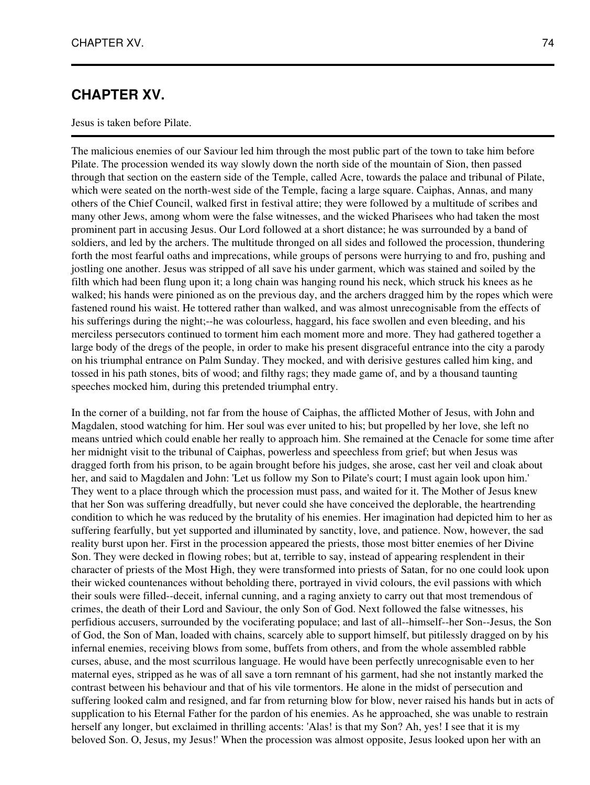## **CHAPTER XV.**

#### Jesus is taken before Pilate.

The malicious enemies of our Saviour led him through the most public part of the town to take him before Pilate. The procession wended its way slowly down the north side of the mountain of Sion, then passed through that section on the eastern side of the Temple, called Acre, towards the palace and tribunal of Pilate, which were seated on the north-west side of the Temple, facing a large square. Caiphas, Annas, and many others of the Chief Council, walked first in festival attire; they were followed by a multitude of scribes and many other Jews, among whom were the false witnesses, and the wicked Pharisees who had taken the most prominent part in accusing Jesus. Our Lord followed at a short distance; he was surrounded by a band of soldiers, and led by the archers. The multitude thronged on all sides and followed the procession, thundering forth the most fearful oaths and imprecations, while groups of persons were hurrying to and fro, pushing and jostling one another. Jesus was stripped of all save his under garment, which was stained and soiled by the filth which had been flung upon it; a long chain was hanging round his neck, which struck his knees as he walked; his hands were pinioned as on the previous day, and the archers dragged him by the ropes which were fastened round his waist. He tottered rather than walked, and was almost unrecognisable from the effects of his sufferings during the night;--he was colourless, haggard, his face swollen and even bleeding, and his merciless persecutors continued to torment him each moment more and more. They had gathered together a large body of the dregs of the people, in order to make his present disgraceful entrance into the city a parody on his triumphal entrance on Palm Sunday. They mocked, and with derisive gestures called him king, and tossed in his path stones, bits of wood; and filthy rags; they made game of, and by a thousand taunting speeches mocked him, during this pretended triumphal entry.

In the corner of a building, not far from the house of Caiphas, the afflicted Mother of Jesus, with John and Magdalen, stood watching for him. Her soul was ever united to his; but propelled by her love, she left no means untried which could enable her really to approach him. She remained at the Cenacle for some time after her midnight visit to the tribunal of Caiphas, powerless and speechless from grief; but when Jesus was dragged forth from his prison, to be again brought before his judges, she arose, cast her veil and cloak about her, and said to Magdalen and John: 'Let us follow my Son to Pilate's court; I must again look upon him.' They went to a place through which the procession must pass, and waited for it. The Mother of Jesus knew that her Son was suffering dreadfully, but never could she have conceived the deplorable, the heartrending condition to which he was reduced by the brutality of his enemies. Her imagination had depicted him to her as suffering fearfully, but yet supported and illuminated by sanctity, love, and patience. Now, however, the sad reality burst upon her. First in the procession appeared the priests, those most bitter enemies of her Divine Son. They were decked in flowing robes; but at, terrible to say, instead of appearing resplendent in their character of priests of the Most High, they were transformed into priests of Satan, for no one could look upon their wicked countenances without beholding there, portrayed in vivid colours, the evil passions with which their souls were filled--deceit, infernal cunning, and a raging anxiety to carry out that most tremendous of crimes, the death of their Lord and Saviour, the only Son of God. Next followed the false witnesses, his perfidious accusers, surrounded by the vociferating populace; and last of all--himself--her Son--Jesus, the Son of God, the Son of Man, loaded with chains, scarcely able to support himself, but pitilessly dragged on by his infernal enemies, receiving blows from some, buffets from others, and from the whole assembled rabble curses, abuse, and the most scurrilous language. He would have been perfectly unrecognisable even to her maternal eyes, stripped as he was of all save a torn remnant of his garment, had she not instantly marked the contrast between his behaviour and that of his vile tormentors. He alone in the midst of persecution and suffering looked calm and resigned, and far from returning blow for blow, never raised his hands but in acts of supplication to his Eternal Father for the pardon of his enemies. As he approached, she was unable to restrain herself any longer, but exclaimed in thrilling accents: 'Alas! is that my Son? Ah, yes! I see that it is my beloved Son. O, Jesus, my Jesus!' When the procession was almost opposite, Jesus looked upon her with an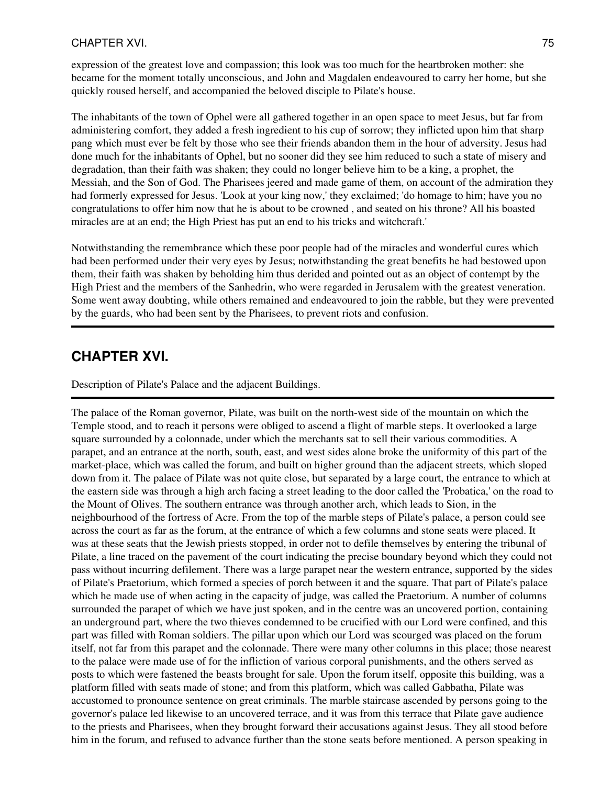### CHAPTER XVI. 25

expression of the greatest love and compassion; this look was too much for the heartbroken mother: she became for the moment totally unconscious, and John and Magdalen endeavoured to carry her home, but she quickly roused herself, and accompanied the beloved disciple to Pilate's house.

The inhabitants of the town of Ophel were all gathered together in an open space to meet Jesus, but far from administering comfort, they added a fresh ingredient to his cup of sorrow; they inflicted upon him that sharp pang which must ever be felt by those who see their friends abandon them in the hour of adversity. Jesus had done much for the inhabitants of Ophel, but no sooner did they see him reduced to such a state of misery and degradation, than their faith was shaken; they could no longer believe him to be a king, a prophet, the Messiah, and the Son of God. The Pharisees jeered and made game of them, on account of the admiration they had formerly expressed for Jesus. 'Look at your king now,' they exclaimed; 'do homage to him; have you no congratulations to offer him now that he is about to be crowned , and seated on his throne? All his boasted miracles are at an end; the High Priest has put an end to his tricks and witchcraft.'

Notwithstanding the remembrance which these poor people had of the miracles and wonderful cures which had been performed under their very eyes by Jesus; notwithstanding the great benefits he had bestowed upon them, their faith was shaken by beholding him thus derided and pointed out as an object of contempt by the High Priest and the members of the Sanhedrin, who were regarded in Jerusalem with the greatest veneration. Some went away doubting, while others remained and endeavoured to join the rabble, but they were prevented by the guards, who had been sent by the Pharisees, to prevent riots and confusion.

## **CHAPTER XVI.**

Description of Pilate's Palace and the adjacent Buildings.

The palace of the Roman governor, Pilate, was built on the north-west side of the mountain on which the Temple stood, and to reach it persons were obliged to ascend a flight of marble steps. It overlooked a large square surrounded by a colonnade, under which the merchants sat to sell their various commodities. A parapet, and an entrance at the north, south, east, and west sides alone broke the uniformity of this part of the market-place, which was called the forum, and built on higher ground than the adjacent streets, which sloped down from it. The palace of Pilate was not quite close, but separated by a large court, the entrance to which at the eastern side was through a high arch facing a street leading to the door called the 'Probatica,' on the road to the Mount of Olives. The southern entrance was through another arch, which leads to Sion, in the neighbourhood of the fortress of Acre. From the top of the marble steps of Pilate's palace, a person could see across the court as far as the forum, at the entrance of which a few columns and stone seats were placed. It was at these seats that the Jewish priests stopped, in order not to defile themselves by entering the tribunal of Pilate, a line traced on the pavement of the court indicating the precise boundary beyond which they could not pass without incurring defilement. There was a large parapet near the western entrance, supported by the sides of Pilate's Praetorium, which formed a species of porch between it and the square. That part of Pilate's palace which he made use of when acting in the capacity of judge, was called the Praetorium. A number of columns surrounded the parapet of which we have just spoken, and in the centre was an uncovered portion, containing an underground part, where the two thieves condemned to be crucified with our Lord were confined, and this part was filled with Roman soldiers. The pillar upon which our Lord was scourged was placed on the forum itself, not far from this parapet and the colonnade. There were many other columns in this place; those nearest to the palace were made use of for the infliction of various corporal punishments, and the others served as posts to which were fastened the beasts brought for sale. Upon the forum itself, opposite this building, was a platform filled with seats made of stone; and from this platform, which was called Gabbatha, Pilate was accustomed to pronounce sentence on great criminals. The marble staircase ascended by persons going to the governor's palace led likewise to an uncovered terrace, and it was from this terrace that Pilate gave audience to the priests and Pharisees, when they brought forward their accusations against Jesus. They all stood before him in the forum, and refused to advance further than the stone seats before mentioned. A person speaking in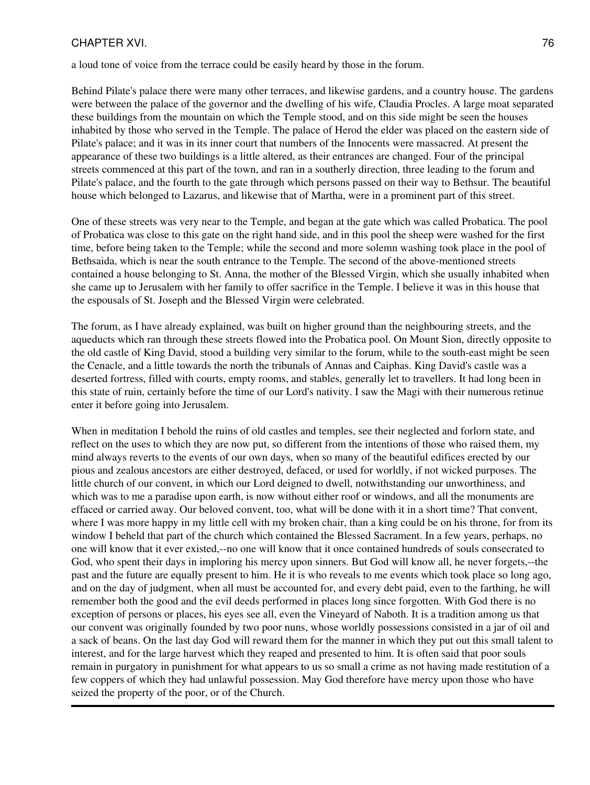### CHAPTER XVI. 26 and 20 and 20 and 20 and 20 and 20 and 20 and 20 and 20 and 20 and 20 and 20 and 20 and 20 and 20 and 20 and 20 and 20 and 20 and 20 and 20 and 20 and 20 and 20 and 20 and 20 and 20 and 20 and 20 and 20 and

a loud tone of voice from the terrace could be easily heard by those in the forum.

Behind Pilate's palace there were many other terraces, and likewise gardens, and a country house. The gardens were between the palace of the governor and the dwelling of his wife, Claudia Procles. A large moat separated these buildings from the mountain on which the Temple stood, and on this side might be seen the houses inhabited by those who served in the Temple. The palace of Herod the elder was placed on the eastern side of Pilate's palace; and it was in its inner court that numbers of the Innocents were massacred. At present the appearance of these two buildings is a little altered, as their entrances are changed. Four of the principal streets commenced at this part of the town, and ran in a southerly direction, three leading to the forum and Pilate's palace, and the fourth to the gate through which persons passed on their way to Bethsur. The beautiful house which belonged to Lazarus, and likewise that of Martha, were in a prominent part of this street.

One of these streets was very near to the Temple, and began at the gate which was called Probatica. The pool of Probatica was close to this gate on the right hand side, and in this pool the sheep were washed for the first time, before being taken to the Temple; while the second and more solemn washing took place in the pool of Bethsaida, which is near the south entrance to the Temple. The second of the above-mentioned streets contained a house belonging to St. Anna, the mother of the Blessed Virgin, which she usually inhabited when she came up to Jerusalem with her family to offer sacrifice in the Temple. I believe it was in this house that the espousals of St. Joseph and the Blessed Virgin were celebrated.

The forum, as I have already explained, was built on higher ground than the neighbouring streets, and the aqueducts which ran through these streets flowed into the Probatica pool. On Mount Sion, directly opposite to the old castle of King David, stood a building very similar to the forum, while to the south-east might be seen the Cenacle, and a little towards the north the tribunals of Annas and Caiphas. King David's castle was a deserted fortress, filled with courts, empty rooms, and stables, generally let to travellers. It had long been in this state of ruin, certainly before the time of our Lord's nativity. I saw the Magi with their numerous retinue enter it before going into Jerusalem.

When in meditation I behold the ruins of old castles and temples, see their neglected and forlorn state, and reflect on the uses to which they are now put, so different from the intentions of those who raised them, my mind always reverts to the events of our own days, when so many of the beautiful edifices erected by our pious and zealous ancestors are either destroyed, defaced, or used for worldly, if not wicked purposes. The little church of our convent, in which our Lord deigned to dwell, notwithstanding our unworthiness, and which was to me a paradise upon earth, is now without either roof or windows, and all the monuments are effaced or carried away. Our beloved convent, too, what will be done with it in a short time? That convent, where I was more happy in my little cell with my broken chair, than a king could be on his throne, for from its window I beheld that part of the church which contained the Blessed Sacrament. In a few years, perhaps, no one will know that it ever existed,--no one will know that it once contained hundreds of souls consecrated to God, who spent their days in imploring his mercy upon sinners. But God will know all, he never forgets,--the past and the future are equally present to him. He it is who reveals to me events which took place so long ago, and on the day of judgment, when all must be accounted for, and every debt paid, even to the farthing, he will remember both the good and the evil deeds performed in places long since forgotten. With God there is no exception of persons or places, his eyes see all, even the Vineyard of Naboth. It is a tradition among us that our convent was originally founded by two poor nuns, whose worldly possessions consisted in a jar of oil and a sack of beans. On the last day God will reward them for the manner in which they put out this small talent to interest, and for the large harvest which they reaped and presented to him. It is often said that poor souls remain in purgatory in punishment for what appears to us so small a crime as not having made restitution of a few coppers of which they had unlawful possession. May God therefore have mercy upon those who have seized the property of the poor, or of the Church.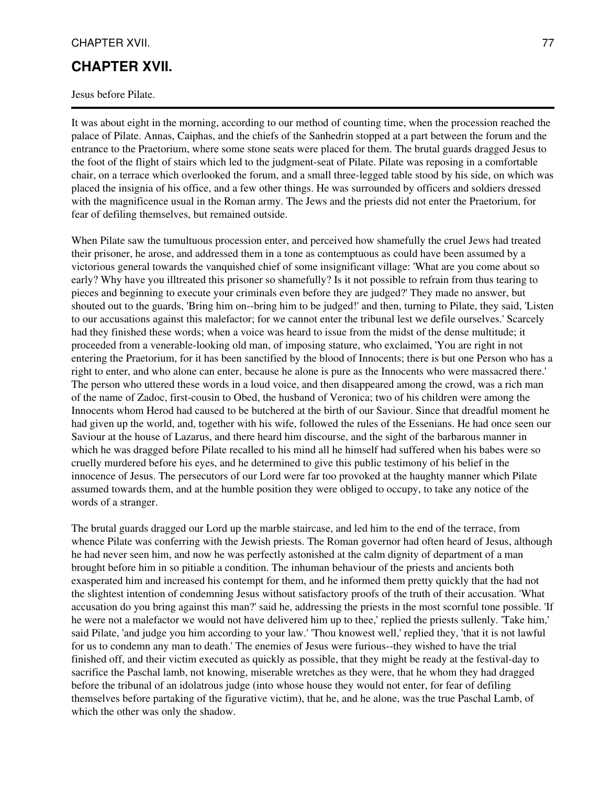### CHAPTER XVII. 27

## **CHAPTER XVII.**

#### Jesus before Pilate.

It was about eight in the morning, according to our method of counting time, when the procession reached the palace of Pilate. Annas, Caiphas, and the chiefs of the Sanhedrin stopped at a part between the forum and the entrance to the Praetorium, where some stone seats were placed for them. The brutal guards dragged Jesus to the foot of the flight of stairs which led to the judgment-seat of Pilate. Pilate was reposing in a comfortable chair, on a terrace which overlooked the forum, and a small three-legged table stood by his side, on which was placed the insignia of his office, and a few other things. He was surrounded by officers and soldiers dressed with the magnificence usual in the Roman army. The Jews and the priests did not enter the Praetorium, for fear of defiling themselves, but remained outside.

When Pilate saw the tumultuous procession enter, and perceived how shamefully the cruel Jews had treated their prisoner, he arose, and addressed them in a tone as contemptuous as could have been assumed by a victorious general towards the vanquished chief of some insignificant village: 'What are you come about so early? Why have you illtreated this prisoner so shamefully? Is it not possible to refrain from thus tearing to pieces and beginning to execute your criminals even before they are judged?' They made no answer, but shouted out to the guards, 'Bring him on--bring him to be judged!' and then, turning to Pilate, they said, 'Listen to our accusations against this malefactor; for we cannot enter the tribunal lest we defile ourselves.' Scarcely had they finished these words; when a voice was heard to issue from the midst of the dense multitude; it proceeded from a venerable-looking old man, of imposing stature, who exclaimed, 'You are right in not entering the Praetorium, for it has been sanctified by the blood of Innocents; there is but one Person who has a right to enter, and who alone can enter, because he alone is pure as the Innocents who were massacred there.' The person who uttered these words in a loud voice, and then disappeared among the crowd, was a rich man of the name of Zadoc, first-cousin to Obed, the husband of Veronica; two of his children were among the Innocents whom Herod had caused to be butchered at the birth of our Saviour. Since that dreadful moment he had given up the world, and, together with his wife, followed the rules of the Essenians. He had once seen our Saviour at the house of Lazarus, and there heard him discourse, and the sight of the barbarous manner in which he was dragged before Pilate recalled to his mind all he himself had suffered when his babes were so cruelly murdered before his eyes, and he determined to give this public testimony of his belief in the innocence of Jesus. The persecutors of our Lord were far too provoked at the haughty manner which Pilate assumed towards them, and at the humble position they were obliged to occupy, to take any notice of the words of a stranger.

The brutal guards dragged our Lord up the marble staircase, and led him to the end of the terrace, from whence Pilate was conferring with the Jewish priests. The Roman governor had often heard of Jesus, although he had never seen him, and now he was perfectly astonished at the calm dignity of department of a man brought before him in so pitiable a condition. The inhuman behaviour of the priests and ancients both exasperated him and increased his contempt for them, and he informed them pretty quickly that the had not the slightest intention of condemning Jesus without satisfactory proofs of the truth of their accusation. 'What accusation do you bring against this man?' said he, addressing the priests in the most scornful tone possible. 'If he were not a malefactor we would not have delivered him up to thee,' replied the priests sullenly. 'Take him,' said Pilate, 'and judge you him according to your law.' 'Thou knowest well,' replied they, 'that it is not lawful for us to condemn any man to death.' The enemies of Jesus were furious--they wished to have the trial finished off, and their victim executed as quickly as possible, that they might be ready at the festival-day to sacrifice the Paschal lamb, not knowing, miserable wretches as they were, that he whom they had dragged before the tribunal of an idolatrous judge (into whose house they would not enter, for fear of defiling themselves before partaking of the figurative victim), that he, and he alone, was the true Paschal Lamb, of which the other was only the shadow.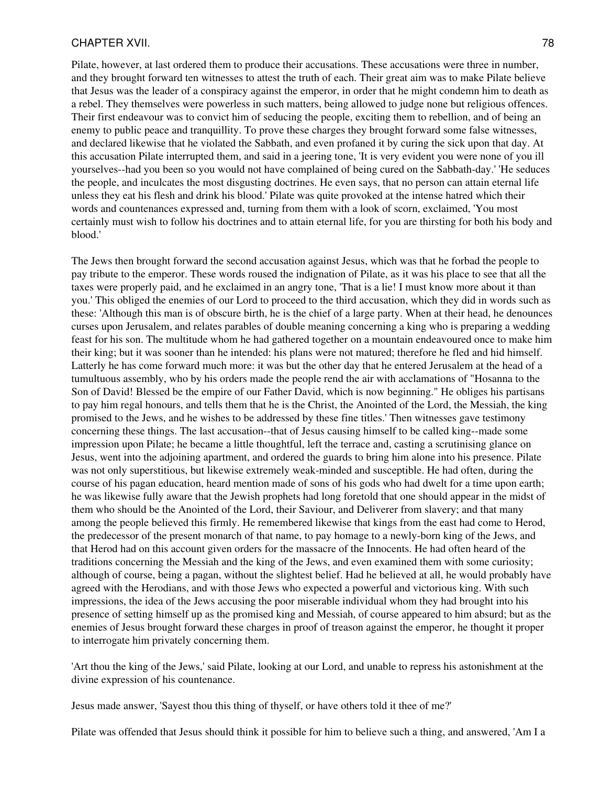#### CHAPTER XVII. 28 and 20 and 20 and 20 and 20 and 20 and 20 and 20 and 20 and 20 and 20 and 20 and 20 and 20 and 20 and 20 and 20 and 20 and 20 and 20 and 20 and 20 and 20 and 20 and 20 and 20 and 20 and 20 and 20 and 20 an

Pilate, however, at last ordered them to produce their accusations. These accusations were three in number, and they brought forward ten witnesses to attest the truth of each. Their great aim was to make Pilate believe that Jesus was the leader of a conspiracy against the emperor, in order that he might condemn him to death as a rebel. They themselves were powerless in such matters, being allowed to judge none but religious offences. Their first endeavour was to convict him of seducing the people, exciting them to rebellion, and of being an enemy to public peace and tranquillity. To prove these charges they brought forward some false witnesses, and declared likewise that he violated the Sabbath, and even profaned it by curing the sick upon that day. At this accusation Pilate interrupted them, and said in a jeering tone, 'It is very evident you were none of you ill yourselves--had you been so you would not have complained of being cured on the Sabbath-day.' 'He seduces the people, and inculcates the most disgusting doctrines. He even says, that no person can attain eternal life unless they eat his flesh and drink his blood.' Pilate was quite provoked at the intense hatred which their words and countenances expressed and, turning from them with a look of scorn, exclaimed, 'You most certainly must wish to follow his doctrines and to attain eternal life, for you are thirsting for both his body and blood.'

The Jews then brought forward the second accusation against Jesus, which was that he forbad the people to pay tribute to the emperor. These words roused the indignation of Pilate, as it was his place to see that all the taxes were properly paid, and he exclaimed in an angry tone, 'That is a lie! I must know more about it than you.' This obliged the enemies of our Lord to proceed to the third accusation, which they did in words such as these: 'Although this man is of obscure birth, he is the chief of a large party. When at their head, he denounces curses upon Jerusalem, and relates parables of double meaning concerning a king who is preparing a wedding feast for his son. The multitude whom he had gathered together on a mountain endeavoured once to make him their king; but it was sooner than he intended: his plans were not matured; therefore he fled and hid himself. Latterly he has come forward much more: it was but the other day that he entered Jerusalem at the head of a tumultuous assembly, who by his orders made the people rend the air with acclamations of "Hosanna to the Son of David! Blessed be the empire of our Father David, which is now beginning." He obliges his partisans to pay him regal honours, and tells them that he is the Christ, the Anointed of the Lord, the Messiah, the king promised to the Jews, and he wishes to be addressed by these fine titles.' Then witnesses gave testimony concerning these things. The last accusation--that of Jesus causing himself to be called king--made some impression upon Pilate; he became a little thoughtful, left the terrace and, casting a scrutinising glance on Jesus, went into the adjoining apartment, and ordered the guards to bring him alone into his presence. Pilate was not only superstitious, but likewise extremely weak-minded and susceptible. He had often, during the course of his pagan education, heard mention made of sons of his gods who had dwelt for a time upon earth; he was likewise fully aware that the Jewish prophets had long foretold that one should appear in the midst of them who should be the Anointed of the Lord, their Saviour, and Deliverer from slavery; and that many among the people believed this firmly. He remembered likewise that kings from the east had come to Herod, the predecessor of the present monarch of that name, to pay homage to a newly-born king of the Jews, and that Herod had on this account given orders for the massacre of the Innocents. He had often heard of the traditions concerning the Messiah and the king of the Jews, and even examined them with some curiosity; although of course, being a pagan, without the slightest belief. Had he believed at all, he would probably have agreed with the Herodians, and with those Jews who expected a powerful and victorious king. With such impressions, the idea of the Jews accusing the poor miserable individual whom they had brought into his presence of setting himself up as the promised king and Messiah, of course appeared to him absurd; but as the enemies of Jesus brought forward these charges in proof of treason against the emperor, he thought it proper to interrogate him privately concerning them.

'Art thou the king of the Jews,' said Pilate, looking at our Lord, and unable to repress his astonishment at the divine expression of his countenance.

Jesus made answer, 'Sayest thou this thing of thyself, or have others told it thee of me?'

Pilate was offended that Jesus should think it possible for him to believe such a thing, and answered, 'Am I a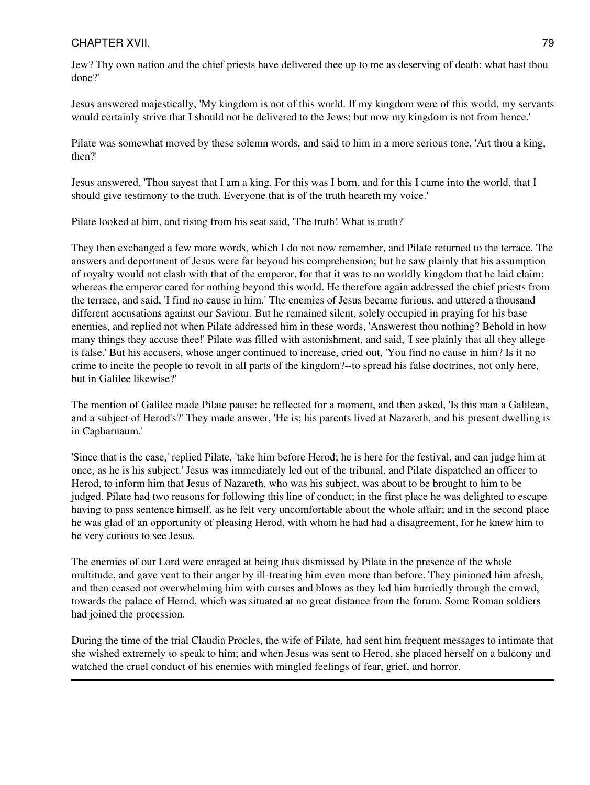### CHAPTER XVII. 29 20 20 20 20 20:00 20:00 20:00 20:00 20:00 20:00 20:00 20:00 20:00 20:00 20:00 20:00 20:00 20:0

Jew? Thy own nation and the chief priests have delivered thee up to me as deserving of death: what hast thou done?'

Jesus answered majestically, 'My kingdom is not of this world. If my kingdom were of this world, my servants would certainly strive that I should not be delivered to the Jews; but now my kingdom is not from hence.'

Pilate was somewhat moved by these solemn words, and said to him in a more serious tone, 'Art thou a king, then?'

Jesus answered, 'Thou sayest that I am a king. For this was I born, and for this I came into the world, that I should give testimony to the truth. Everyone that is of the truth heareth my voice.'

Pilate looked at him, and rising from his seat said, 'The truth! What is truth?'

They then exchanged a few more words, which I do not now remember, and Pilate returned to the terrace. The answers and deportment of Jesus were far beyond his comprehension; but he saw plainly that his assumption of royalty would not clash with that of the emperor, for that it was to no worldly kingdom that he laid claim; whereas the emperor cared for nothing beyond this world. He therefore again addressed the chief priests from the terrace, and said, 'I find no cause in him.' The enemies of Jesus became furious, and uttered a thousand different accusations against our Saviour. But he remained silent, solely occupied in praying for his base enemies, and replied not when Pilate addressed him in these words, 'Answerest thou nothing? Behold in how many things they accuse thee!' Pilate was filled with astonishment, and said, 'I see plainly that all they allege is false.' But his accusers, whose anger continued to increase, cried out, 'You find no cause in him? Is it no crime to incite the people to revolt in all parts of the kingdom?--to spread his false doctrines, not only here, but in Galilee likewise?'

The mention of Galilee made Pilate pause: he reflected for a moment, and then asked, 'Is this man a Galilean, and a subject of Herod's?' They made answer, 'He is; his parents lived at Nazareth, and his present dwelling is in Capharnaum.'

'Since that is the case,' replied Pilate, 'take him before Herod; he is here for the festival, and can judge him at once, as he is his subject.' Jesus was immediately led out of the tribunal, and Pilate dispatched an officer to Herod, to inform him that Jesus of Nazareth, who was his subject, was about to be brought to him to be judged. Pilate had two reasons for following this line of conduct; in the first place he was delighted to escape having to pass sentence himself, as he felt very uncomfortable about the whole affair; and in the second place he was glad of an opportunity of pleasing Herod, with whom he had had a disagreement, for he knew him to be very curious to see Jesus.

The enemies of our Lord were enraged at being thus dismissed by Pilate in the presence of the whole multitude, and gave vent to their anger by ill-treating him even more than before. They pinioned him afresh, and then ceased not overwhelming him with curses and blows as they led him hurriedly through the crowd, towards the palace of Herod, which was situated at no great distance from the forum. Some Roman soldiers had joined the procession.

During the time of the trial Claudia Procles, the wife of Pilate, had sent him frequent messages to intimate that she wished extremely to speak to him; and when Jesus was sent to Herod, she placed herself on a balcony and watched the cruel conduct of his enemies with mingled feelings of fear, grief, and horror.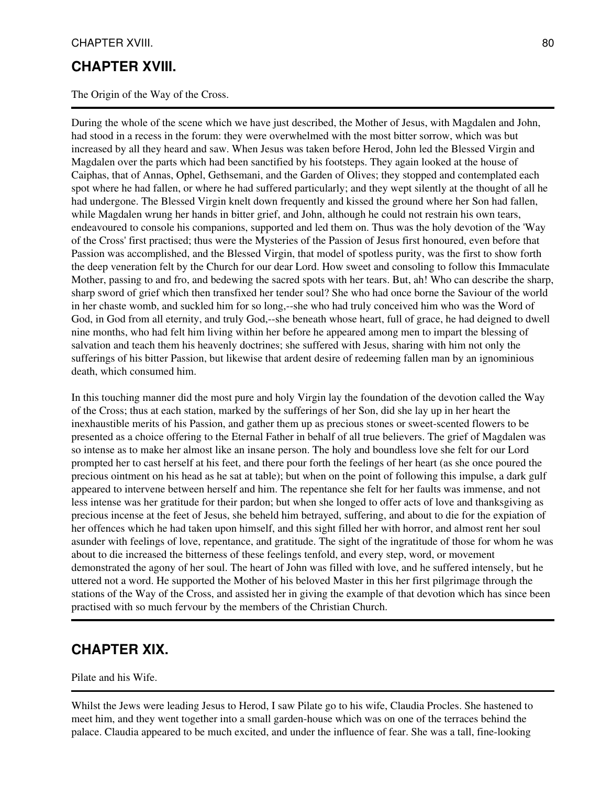## **CHAPTER XVIII.**

The Origin of the Way of the Cross.

During the whole of the scene which we have just described, the Mother of Jesus, with Magdalen and John, had stood in a recess in the forum: they were overwhelmed with the most bitter sorrow, which was but increased by all they heard and saw. When Jesus was taken before Herod, John led the Blessed Virgin and Magdalen over the parts which had been sanctified by his footsteps. They again looked at the house of Caiphas, that of Annas, Ophel, Gethsemani, and the Garden of Olives; they stopped and contemplated each spot where he had fallen, or where he had suffered particularly; and they wept silently at the thought of all he had undergone. The Blessed Virgin knelt down frequently and kissed the ground where her Son had fallen, while Magdalen wrung her hands in bitter grief, and John, although he could not restrain his own tears, endeavoured to console his companions, supported and led them on. Thus was the holy devotion of the 'Way of the Cross' first practised; thus were the Mysteries of the Passion of Jesus first honoured, even before that Passion was accomplished, and the Blessed Virgin, that model of spotless purity, was the first to show forth the deep veneration felt by the Church for our dear Lord. How sweet and consoling to follow this Immaculate Mother, passing to and fro, and bedewing the sacred spots with her tears. But, ah! Who can describe the sharp, sharp sword of grief which then transfixed her tender soul? She who had once borne the Saviour of the world in her chaste womb, and suckled him for so long,--she who had truly conceived him who was the Word of God, in God from all eternity, and truly God,--she beneath whose heart, full of grace, he had deigned to dwell nine months, who had felt him living within her before he appeared among men to impart the blessing of salvation and teach them his heavenly doctrines; she suffered with Jesus, sharing with him not only the sufferings of his bitter Passion, but likewise that ardent desire of redeeming fallen man by an ignominious death, which consumed him.

In this touching manner did the most pure and holy Virgin lay the foundation of the devotion called the Way of the Cross; thus at each station, marked by the sufferings of her Son, did she lay up in her heart the inexhaustible merits of his Passion, and gather them up as precious stones or sweet-scented flowers to be presented as a choice offering to the Eternal Father in behalf of all true believers. The grief of Magdalen was so intense as to make her almost like an insane person. The holy and boundless love she felt for our Lord prompted her to cast herself at his feet, and there pour forth the feelings of her heart (as she once poured the precious ointment on his head as he sat at table); but when on the point of following this impulse, a dark gulf appeared to intervene between herself and him. The repentance she felt for her faults was immense, and not less intense was her gratitude for their pardon; but when she longed to offer acts of love and thanksgiving as precious incense at the feet of Jesus, she beheld him betrayed, suffering, and about to die for the expiation of her offences which he had taken upon himself, and this sight filled her with horror, and almost rent her soul asunder with feelings of love, repentance, and gratitude. The sight of the ingratitude of those for whom he was about to die increased the bitterness of these feelings tenfold, and every step, word, or movement demonstrated the agony of her soul. The heart of John was filled with love, and he suffered intensely, but he uttered not a word. He supported the Mother of his beloved Master in this her first pilgrimage through the stations of the Way of the Cross, and assisted her in giving the example of that devotion which has since been practised with so much fervour by the members of the Christian Church.

## **CHAPTER XIX.**

Pilate and his Wife.

Whilst the Jews were leading Jesus to Herod, I saw Pilate go to his wife, Claudia Procles. She hastened to meet him, and they went together into a small garden-house which was on one of the terraces behind the palace. Claudia appeared to be much excited, and under the influence of fear. She was a tall, fine-looking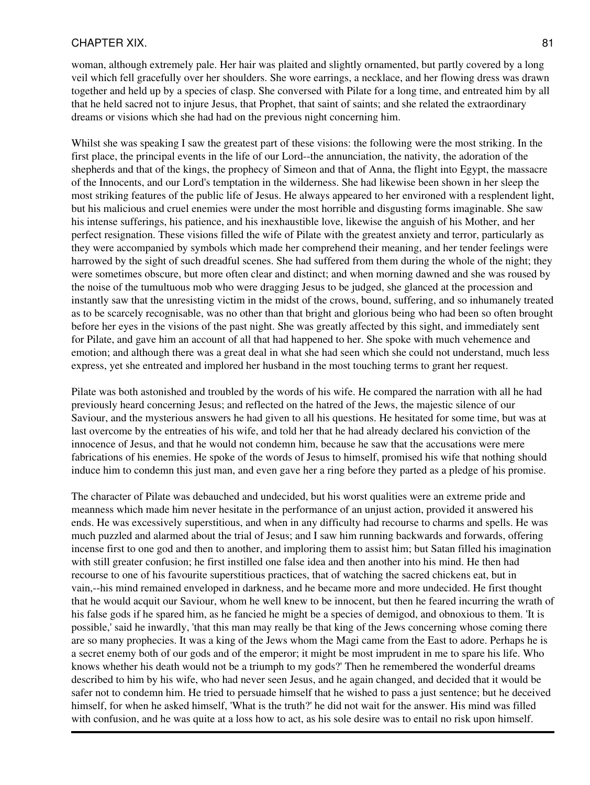#### CHAPTER XIX. 81

woman, although extremely pale. Her hair was plaited and slightly ornamented, but partly covered by a long veil which fell gracefully over her shoulders. She wore earrings, a necklace, and her flowing dress was drawn together and held up by a species of clasp. She conversed with Pilate for a long time, and entreated him by all that he held sacred not to injure Jesus, that Prophet, that saint of saints; and she related the extraordinary dreams or visions which she had had on the previous night concerning him.

Whilst she was speaking I saw the greatest part of these visions: the following were the most striking. In the first place, the principal events in the life of our Lord--the annunciation, the nativity, the adoration of the shepherds and that of the kings, the prophecy of Simeon and that of Anna, the flight into Egypt, the massacre of the Innocents, and our Lord's temptation in the wilderness. She had likewise been shown in her sleep the most striking features of the public life of Jesus. He always appeared to her environed with a resplendent light, but his malicious and cruel enemies were under the most horrible and disgusting forms imaginable. She saw his intense sufferings, his patience, and his inexhaustible love, likewise the anguish of his Mother, and her perfect resignation. These visions filled the wife of Pilate with the greatest anxiety and terror, particularly as they were accompanied by symbols which made her comprehend their meaning, and her tender feelings were harrowed by the sight of such dreadful scenes. She had suffered from them during the whole of the night; they were sometimes obscure, but more often clear and distinct; and when morning dawned and she was roused by the noise of the tumultuous mob who were dragging Jesus to be judged, she glanced at the procession and instantly saw that the unresisting victim in the midst of the crows, bound, suffering, and so inhumanely treated as to be scarcely recognisable, was no other than that bright and glorious being who had been so often brought before her eyes in the visions of the past night. She was greatly affected by this sight, and immediately sent for Pilate, and gave him an account of all that had happened to her. She spoke with much vehemence and emotion; and although there was a great deal in what she had seen which she could not understand, much less express, yet she entreated and implored her husband in the most touching terms to grant her request.

Pilate was both astonished and troubled by the words of his wife. He compared the narration with all he had previously heard concerning Jesus; and reflected on the hatred of the Jews, the majestic silence of our Saviour, and the mysterious answers he had given to all his questions. He hesitated for some time, but was at last overcome by the entreaties of his wife, and told her that he had already declared his conviction of the innocence of Jesus, and that he would not condemn him, because he saw that the accusations were mere fabrications of his enemies. He spoke of the words of Jesus to himself, promised his wife that nothing should induce him to condemn this just man, and even gave her a ring before they parted as a pledge of his promise.

The character of Pilate was debauched and undecided, but his worst qualities were an extreme pride and meanness which made him never hesitate in the performance of an unjust action, provided it answered his ends. He was excessively superstitious, and when in any difficulty had recourse to charms and spells. He was much puzzled and alarmed about the trial of Jesus; and I saw him running backwards and forwards, offering incense first to one god and then to another, and imploring them to assist him; but Satan filled his imagination with still greater confusion; he first instilled one false idea and then another into his mind. He then had recourse to one of his favourite superstitious practices, that of watching the sacred chickens eat, but in vain,--his mind remained enveloped in darkness, and he became more and more undecided. He first thought that he would acquit our Saviour, whom he well knew to be innocent, but then he feared incurring the wrath of his false gods if he spared him, as he fancied he might be a species of demigod, and obnoxious to them. 'It is possible,' said he inwardly, 'that this man may really be that king of the Jews concerning whose coming there are so many prophecies. It was a king of the Jews whom the Magi came from the East to adore. Perhaps he is a secret enemy both of our gods and of the emperor; it might be most imprudent in me to spare his life. Who knows whether his death would not be a triumph to my gods?' Then he remembered the wonderful dreams described to him by his wife, who had never seen Jesus, and he again changed, and decided that it would be safer not to condemn him. He tried to persuade himself that he wished to pass a just sentence; but he deceived himself, for when he asked himself, 'What is the truth?' he did not wait for the answer. His mind was filled with confusion, and he was quite at a loss how to act, as his sole desire was to entail no risk upon himself.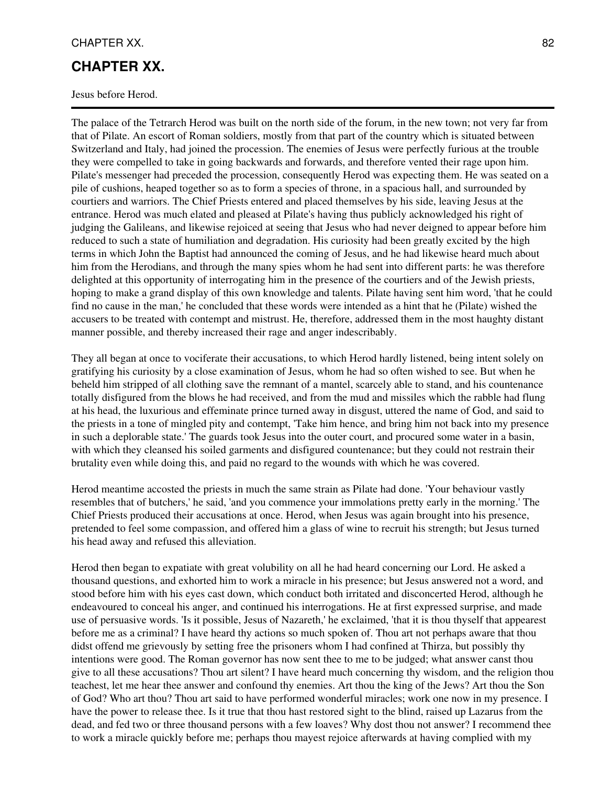### CHAPTER XX. 82

## **CHAPTER XX.**

Jesus before Herod.

The palace of the Tetrarch Herod was built on the north side of the forum, in the new town; not very far from that of Pilate. An escort of Roman soldiers, mostly from that part of the country which is situated between Switzerland and Italy, had joined the procession. The enemies of Jesus were perfectly furious at the trouble they were compelled to take in going backwards and forwards, and therefore vented their rage upon him. Pilate's messenger had preceded the procession, consequently Herod was expecting them. He was seated on a pile of cushions, heaped together so as to form a species of throne, in a spacious hall, and surrounded by courtiers and warriors. The Chief Priests entered and placed themselves by his side, leaving Jesus at the entrance. Herod was much elated and pleased at Pilate's having thus publicly acknowledged his right of judging the Galileans, and likewise rejoiced at seeing that Jesus who had never deigned to appear before him reduced to such a state of humiliation and degradation. His curiosity had been greatly excited by the high terms in which John the Baptist had announced the coming of Jesus, and he had likewise heard much about him from the Herodians, and through the many spies whom he had sent into different parts: he was therefore delighted at this opportunity of interrogating him in the presence of the courtiers and of the Jewish priests, hoping to make a grand display of this own knowledge and talents. Pilate having sent him word, 'that he could find no cause in the man,' he concluded that these words were intended as a hint that he (Pilate) wished the accusers to be treated with contempt and mistrust. He, therefore, addressed them in the most haughty distant manner possible, and thereby increased their rage and anger indescribably.

They all began at once to vociferate their accusations, to which Herod hardly listened, being intent solely on gratifying his curiosity by a close examination of Jesus, whom he had so often wished to see. But when he beheld him stripped of all clothing save the remnant of a mantel, scarcely able to stand, and his countenance totally disfigured from the blows he had received, and from the mud and missiles which the rabble had flung at his head, the luxurious and effeminate prince turned away in disgust, uttered the name of God, and said to the priests in a tone of mingled pity and contempt, 'Take him hence, and bring him not back into my presence in such a deplorable state.' The guards took Jesus into the outer court, and procured some water in a basin, with which they cleansed his soiled garments and disfigured countenance; but they could not restrain their brutality even while doing this, and paid no regard to the wounds with which he was covered.

Herod meantime accosted the priests in much the same strain as Pilate had done. 'Your behaviour vastly resembles that of butchers,' he said, 'and you commence your immolations pretty early in the morning.' The Chief Priests produced their accusations at once. Herod, when Jesus was again brought into his presence, pretended to feel some compassion, and offered him a glass of wine to recruit his strength; but Jesus turned his head away and refused this alleviation.

Herod then began to expatiate with great volubility on all he had heard concerning our Lord. He asked a thousand questions, and exhorted him to work a miracle in his presence; but Jesus answered not a word, and stood before him with his eyes cast down, which conduct both irritated and disconcerted Herod, although he endeavoured to conceal his anger, and continued his interrogations. He at first expressed surprise, and made use of persuasive words. 'Is it possible, Jesus of Nazareth,' he exclaimed, 'that it is thou thyself that appearest before me as a criminal? I have heard thy actions so much spoken of. Thou art not perhaps aware that thou didst offend me grievously by setting free the prisoners whom I had confined at Thirza, but possibly thy intentions were good. The Roman governor has now sent thee to me to be judged; what answer canst thou give to all these accusations? Thou art silent? I have heard much concerning thy wisdom, and the religion thou teachest, let me hear thee answer and confound thy enemies. Art thou the king of the Jews? Art thou the Son of God? Who art thou? Thou art said to have performed wonderful miracles; work one now in my presence. I have the power to release thee. Is it true that thou hast restored sight to the blind, raised up Lazarus from the dead, and fed two or three thousand persons with a few loaves? Why dost thou not answer? I recommend thee to work a miracle quickly before me; perhaps thou mayest rejoice afterwards at having complied with my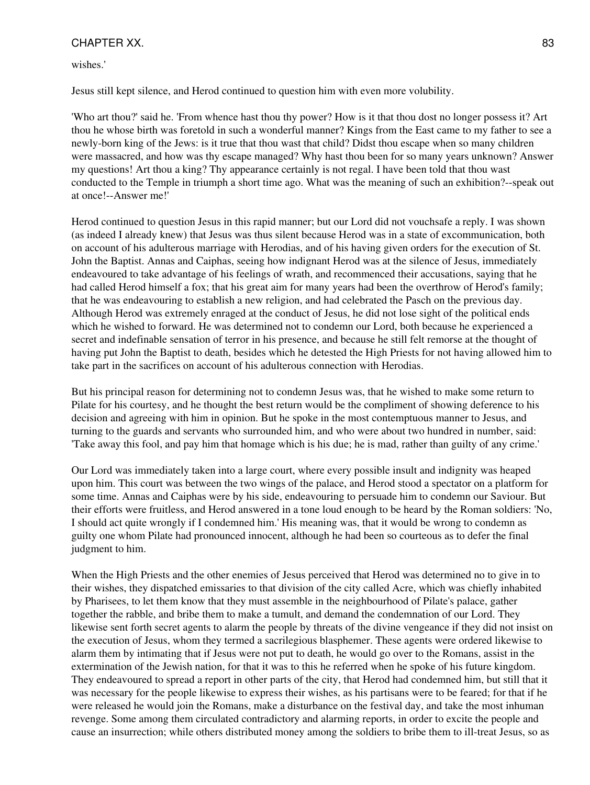### CHAPTER XX. 83

wishes.'

Jesus still kept silence, and Herod continued to question him with even more volubility.

'Who art thou?' said he. 'From whence hast thou thy power? How is it that thou dost no longer possess it? Art thou he whose birth was foretold in such a wonderful manner? Kings from the East came to my father to see a newly-born king of the Jews: is it true that thou wast that child? Didst thou escape when so many children were massacred, and how was thy escape managed? Why hast thou been for so many years unknown? Answer my questions! Art thou a king? Thy appearance certainly is not regal. I have been told that thou wast conducted to the Temple in triumph a short time ago. What was the meaning of such an exhibition?--speak out at once!--Answer me!'

Herod continued to question Jesus in this rapid manner; but our Lord did not vouchsafe a reply. I was shown (as indeed I already knew) that Jesus was thus silent because Herod was in a state of excommunication, both on account of his adulterous marriage with Herodias, and of his having given orders for the execution of St. John the Baptist. Annas and Caiphas, seeing how indignant Herod was at the silence of Jesus, immediately endeavoured to take advantage of his feelings of wrath, and recommenced their accusations, saying that he had called Herod himself a fox; that his great aim for many years had been the overthrow of Herod's family; that he was endeavouring to establish a new religion, and had celebrated the Pasch on the previous day. Although Herod was extremely enraged at the conduct of Jesus, he did not lose sight of the political ends which he wished to forward. He was determined not to condemn our Lord, both because he experienced a secret and indefinable sensation of terror in his presence, and because he still felt remorse at the thought of having put John the Baptist to death, besides which he detested the High Priests for not having allowed him to take part in the sacrifices on account of his adulterous connection with Herodias.

But his principal reason for determining not to condemn Jesus was, that he wished to make some return to Pilate for his courtesy, and he thought the best return would be the compliment of showing deference to his decision and agreeing with him in opinion. But he spoke in the most contemptuous manner to Jesus, and turning to the guards and servants who surrounded him, and who were about two hundred in number, said: 'Take away this fool, and pay him that homage which is his due; he is mad, rather than guilty of any crime.'

Our Lord was immediately taken into a large court, where every possible insult and indignity was heaped upon him. This court was between the two wings of the palace, and Herod stood a spectator on a platform for some time. Annas and Caiphas were by his side, endeavouring to persuade him to condemn our Saviour. But their efforts were fruitless, and Herod answered in a tone loud enough to be heard by the Roman soldiers: 'No, I should act quite wrongly if I condemned him.' His meaning was, that it would be wrong to condemn as guilty one whom Pilate had pronounced innocent, although he had been so courteous as to defer the final judgment to him.

When the High Priests and the other enemies of Jesus perceived that Herod was determined no to give in to their wishes, they dispatched emissaries to that division of the city called Acre, which was chiefly inhabited by Pharisees, to let them know that they must assemble in the neighbourhood of Pilate's palace, gather together the rabble, and bribe them to make a tumult, and demand the condemnation of our Lord. They likewise sent forth secret agents to alarm the people by threats of the divine vengeance if they did not insist on the execution of Jesus, whom they termed a sacrilegious blasphemer. These agents were ordered likewise to alarm them by intimating that if Jesus were not put to death, he would go over to the Romans, assist in the extermination of the Jewish nation, for that it was to this he referred when he spoke of his future kingdom. They endeavoured to spread a report in other parts of the city, that Herod had condemned him, but still that it was necessary for the people likewise to express their wishes, as his partisans were to be feared; for that if he were released he would join the Romans, make a disturbance on the festival day, and take the most inhuman revenge. Some among them circulated contradictory and alarming reports, in order to excite the people and cause an insurrection; while others distributed money among the soldiers to bribe them to ill-treat Jesus, so as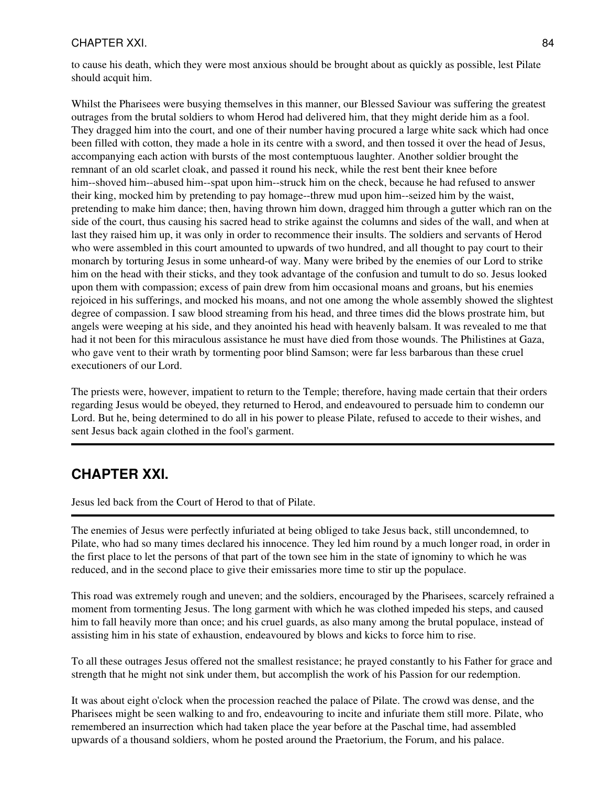### CHAPTER XXI. 84

to cause his death, which they were most anxious should be brought about as quickly as possible, lest Pilate should acquit him.

Whilst the Pharisees were busying themselves in this manner, our Blessed Saviour was suffering the greatest outrages from the brutal soldiers to whom Herod had delivered him, that they might deride him as a fool. They dragged him into the court, and one of their number having procured a large white sack which had once been filled with cotton, they made a hole in its centre with a sword, and then tossed it over the head of Jesus, accompanying each action with bursts of the most contemptuous laughter. Another soldier brought the remnant of an old scarlet cloak, and passed it round his neck, while the rest bent their knee before him--shoved him--abused him--spat upon him--struck him on the check, because he had refused to answer their king, mocked him by pretending to pay homage--threw mud upon him--seized him by the waist, pretending to make him dance; then, having thrown him down, dragged him through a gutter which ran on the side of the court, thus causing his sacred head to strike against the columns and sides of the wall, and when at last they raised him up, it was only in order to recommence their insults. The soldiers and servants of Herod who were assembled in this court amounted to upwards of two hundred, and all thought to pay court to their monarch by torturing Jesus in some unheard-of way. Many were bribed by the enemies of our Lord to strike him on the head with their sticks, and they took advantage of the confusion and tumult to do so. Jesus looked upon them with compassion; excess of pain drew from him occasional moans and groans, but his enemies rejoiced in his sufferings, and mocked his moans, and not one among the whole assembly showed the slightest degree of compassion. I saw blood streaming from his head, and three times did the blows prostrate him, but angels were weeping at his side, and they anointed his head with heavenly balsam. It was revealed to me that had it not been for this miraculous assistance he must have died from those wounds. The Philistines at Gaza, who gave vent to their wrath by tormenting poor blind Samson; were far less barbarous than these cruel executioners of our Lord.

The priests were, however, impatient to return to the Temple; therefore, having made certain that their orders regarding Jesus would be obeyed, they returned to Herod, and endeavoured to persuade him to condemn our Lord. But he, being determined to do all in his power to please Pilate, refused to accede to their wishes, and sent Jesus back again clothed in the fool's garment.

## **CHAPTER XXI.**

Jesus led back from the Court of Herod to that of Pilate.

The enemies of Jesus were perfectly infuriated at being obliged to take Jesus back, still uncondemned, to Pilate, who had so many times declared his innocence. They led him round by a much longer road, in order in the first place to let the persons of that part of the town see him in the state of ignominy to which he was reduced, and in the second place to give their emissaries more time to stir up the populace.

This road was extremely rough and uneven; and the soldiers, encouraged by the Pharisees, scarcely refrained a moment from tormenting Jesus. The long garment with which he was clothed impeded his steps, and caused him to fall heavily more than once; and his cruel guards, as also many among the brutal populace, instead of assisting him in his state of exhaustion, endeavoured by blows and kicks to force him to rise.

To all these outrages Jesus offered not the smallest resistance; he prayed constantly to his Father for grace and strength that he might not sink under them, but accomplish the work of his Passion for our redemption.

It was about eight o'clock when the procession reached the palace of Pilate. The crowd was dense, and the Pharisees might be seen walking to and fro, endeavouring to incite and infuriate them still more. Pilate, who remembered an insurrection which had taken place the year before at the Paschal time, had assembled upwards of a thousand soldiers, whom he posted around the Praetorium, the Forum, and his palace.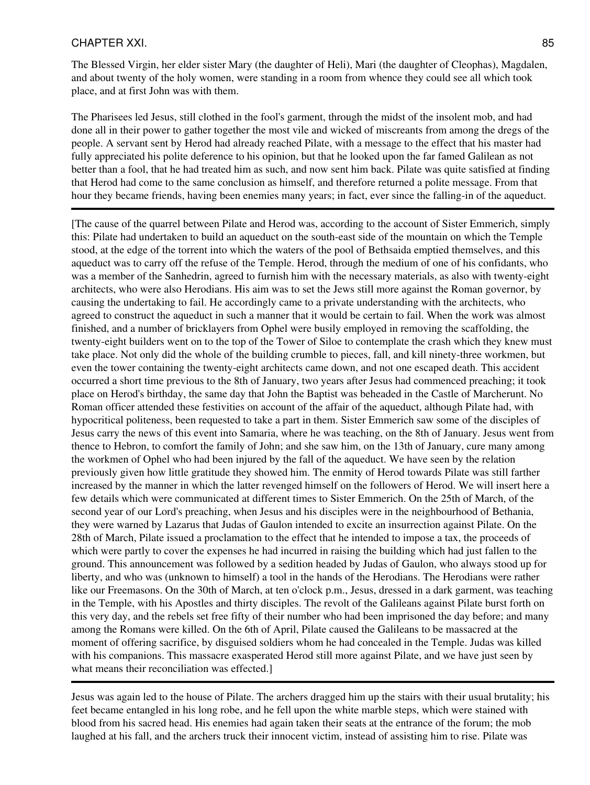#### CHAPTER XXI. 85

The Blessed Virgin, her elder sister Mary (the daughter of Heli), Mari (the daughter of Cleophas), Magdalen, and about twenty of the holy women, were standing in a room from whence they could see all which took place, and at first John was with them.

The Pharisees led Jesus, still clothed in the fool's garment, through the midst of the insolent mob, and had done all in their power to gather together the most vile and wicked of miscreants from among the dregs of the people. A servant sent by Herod had already reached Pilate, with a message to the effect that his master had fully appreciated his polite deference to his opinion, but that he looked upon the far famed Galilean as not better than a fool, that he had treated him as such, and now sent him back. Pilate was quite satisfied at finding that Herod had come to the same conclusion as himself, and therefore returned a polite message. From that hour they became friends, having been enemies many years; in fact, ever since the falling-in of the aqueduct.

[The cause of the quarrel between Pilate and Herod was, according to the account of Sister Emmerich, simply this: Pilate had undertaken to build an aqueduct on the south-east side of the mountain on which the Temple stood, at the edge of the torrent into which the waters of the pool of Bethsaida emptied themselves, and this aqueduct was to carry off the refuse of the Temple. Herod, through the medium of one of his confidants, who was a member of the Sanhedrin, agreed to furnish him with the necessary materials, as also with twenty-eight architects, who were also Herodians. His aim was to set the Jews still more against the Roman governor, by causing the undertaking to fail. He accordingly came to a private understanding with the architects, who agreed to construct the aqueduct in such a manner that it would be certain to fail. When the work was almost finished, and a number of bricklayers from Ophel were busily employed in removing the scaffolding, the twenty-eight builders went on to the top of the Tower of Siloe to contemplate the crash which they knew must take place. Not only did the whole of the building crumble to pieces, fall, and kill ninety-three workmen, but even the tower containing the twenty-eight architects came down, and not one escaped death. This accident occurred a short time previous to the 8th of January, two years after Jesus had commenced preaching; it took place on Herod's birthday, the same day that John the Baptist was beheaded in the Castle of Marcherunt. No Roman officer attended these festivities on account of the affair of the aqueduct, although Pilate had, with hypocritical politeness, been requested to take a part in them. Sister Emmerich saw some of the disciples of Jesus carry the news of this event into Samaria, where he was teaching, on the 8th of January. Jesus went from thence to Hebron, to comfort the family of John; and she saw him, on the 13th of January, cure many among the workmen of Ophel who had been injured by the fall of the aqueduct. We have seen by the relation previously given how little gratitude they showed him. The enmity of Herod towards Pilate was still farther increased by the manner in which the latter revenged himself on the followers of Herod. We will insert here a few details which were communicated at different times to Sister Emmerich. On the 25th of March, of the second year of our Lord's preaching, when Jesus and his disciples were in the neighbourhood of Bethania, they were warned by Lazarus that Judas of Gaulon intended to excite an insurrection against Pilate. On the 28th of March, Pilate issued a proclamation to the effect that he intended to impose a tax, the proceeds of which were partly to cover the expenses he had incurred in raising the building which had just fallen to the ground. This announcement was followed by a sedition headed by Judas of Gaulon, who always stood up for liberty, and who was (unknown to himself) a tool in the hands of the Herodians. The Herodians were rather like our Freemasons. On the 30th of March, at ten o'clock p.m., Jesus, dressed in a dark garment, was teaching in the Temple, with his Apostles and thirty disciples. The revolt of the Galileans against Pilate burst forth on this very day, and the rebels set free fifty of their number who had been imprisoned the day before; and many among the Romans were killed. On the 6th of April, Pilate caused the Galileans to be massacred at the moment of offering sacrifice, by disguised soldiers whom he had concealed in the Temple. Judas was killed with his companions. This massacre exasperated Herod still more against Pilate, and we have just seen by what means their reconciliation was effected.

Jesus was again led to the house of Pilate. The archers dragged him up the stairs with their usual brutality; his feet became entangled in his long robe, and he fell upon the white marble steps, which were stained with blood from his sacred head. His enemies had again taken their seats at the entrance of the forum; the mob laughed at his fall, and the archers truck their innocent victim, instead of assisting him to rise. Pilate was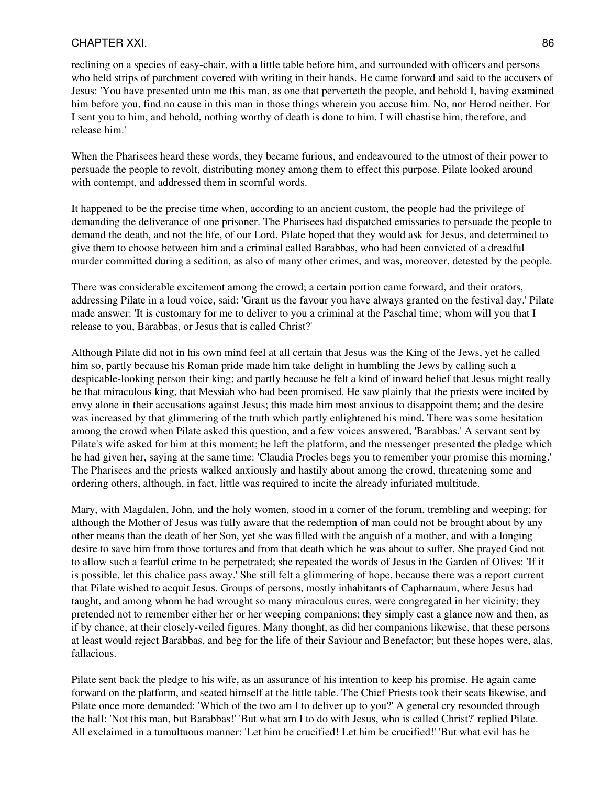### CHAPTER XXI. 86

reclining on a species of easy-chair, with a little table before him, and surrounded with officers and persons who held strips of parchment covered with writing in their hands. He came forward and said to the accusers of Jesus: 'You have presented unto me this man, as one that perverteth the people, and behold I, having examined him before you, find no cause in this man in those things wherein you accuse him. No, nor Herod neither. For I sent you to him, and behold, nothing worthy of death is done to him. I will chastise him, therefore, and release him.'

When the Pharisees heard these words, they became furious, and endeavoured to the utmost of their power to persuade the people to revolt, distributing money among them to effect this purpose. Pilate looked around with contempt, and addressed them in scornful words.

It happened to be the precise time when, according to an ancient custom, the people had the privilege of demanding the deliverance of one prisoner. The Pharisees had dispatched emissaries to persuade the people to demand the death, and not the life, of our Lord. Pilate hoped that they would ask for Jesus, and determined to give them to choose between him and a criminal called Barabbas, who had been convicted of a dreadful murder committed during a sedition, as also of many other crimes, and was, moreover, detested by the people.

There was considerable excitement among the crowd; a certain portion came forward, and their orators, addressing Pilate in a loud voice, said: 'Grant us the favour you have always granted on the festival day.' Pilate made answer: 'It is customary for me to deliver to you a criminal at the Paschal time; whom will you that I release to you, Barabbas, or Jesus that is called Christ?'

Although Pilate did not in his own mind feel at all certain that Jesus was the King of the Jews, yet he called him so, partly because his Roman pride made him take delight in humbling the Jews by calling such a despicable-looking person their king; and partly because he felt a kind of inward belief that Jesus might really be that miraculous king, that Messiah who had been promised. He saw plainly that the priests were incited by envy alone in their accusations against Jesus; this made him most anxious to disappoint them; and the desire was increased by that glimmering of the truth which partly enlightened his mind. There was some hesitation among the crowd when Pilate asked this question, and a few voices answered, 'Barabbas.' A servant sent by Pilate's wife asked for him at this moment; he left the platform, and the messenger presented the pledge which he had given her, saying at the same time: 'Claudia Procles begs you to remember your promise this morning.' The Pharisees and the priests walked anxiously and hastily about among the crowd, threatening some and ordering others, although, in fact, little was required to incite the already infuriated multitude.

Mary, with Magdalen, John, and the holy women, stood in a corner of the forum, trembling and weeping; for although the Mother of Jesus was fully aware that the redemption of man could not be brought about by any other means than the death of her Son, yet she was filled with the anguish of a mother, and with a longing desire to save him from those tortures and from that death which he was about to suffer. She prayed God not to allow such a fearful crime to be perpetrated; she repeated the words of Jesus in the Garden of Olives: 'If it is possible, let this chalice pass away.' She still felt a glimmering of hope, because there was a report current that Pilate wished to acquit Jesus. Groups of persons, mostly inhabitants of Capharnaum, where Jesus had taught, and among whom he had wrought so many miraculous cures, were congregated in her vicinity; they pretended not to remember either her or her weeping companions; they simply cast a glance now and then, as if by chance, at their closely-veiled figures. Many thought, as did her companions likewise, that these persons at least would reject Barabbas, and beg for the life of their Saviour and Benefactor; but these hopes were, alas, fallacious.

Pilate sent back the pledge to his wife, as an assurance of his intention to keep his promise. He again came forward on the platform, and seated himself at the little table. The Chief Priests took their seats likewise, and Pilate once more demanded: 'Which of the two am I to deliver up to you?' A general cry resounded through the hall: 'Not this man, but Barabbas!' 'But what am I to do with Jesus, who is called Christ?' replied Pilate. All exclaimed in a tumultuous manner: 'Let him be crucified! Let him be crucified!' 'But what evil has he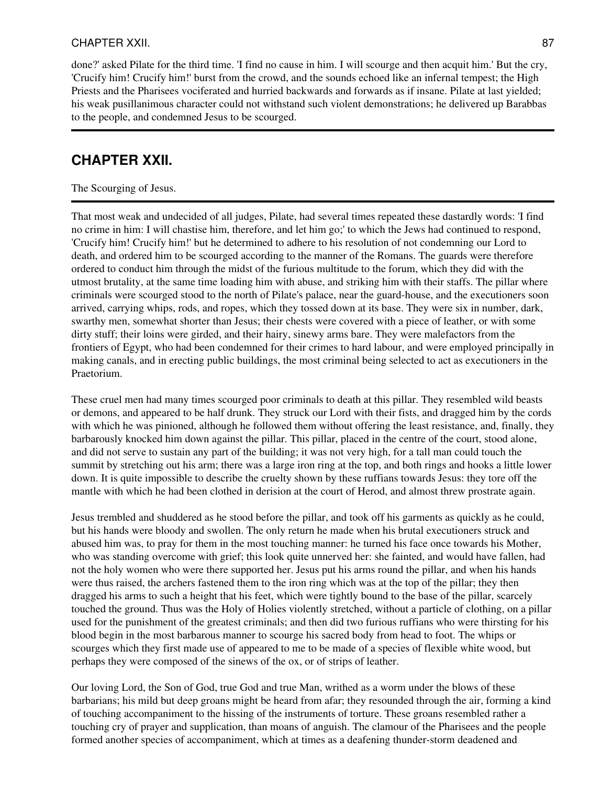### CHAPTER XXII. 87

done?' asked Pilate for the third time. 'I find no cause in him. I will scourge and then acquit him.' But the cry, 'Crucify him! Crucify him!' burst from the crowd, and the sounds echoed like an infernal tempest; the High Priests and the Pharisees vociferated and hurried backwards and forwards as if insane. Pilate at last yielded; his weak pusillanimous character could not withstand such violent demonstrations; he delivered up Barabbas to the people, and condemned Jesus to be scourged.

# **CHAPTER XXII.**

### The Scourging of Jesus.

That most weak and undecided of all judges, Pilate, had several times repeated these dastardly words: 'I find no crime in him: I will chastise him, therefore, and let him go;' to which the Jews had continued to respond, 'Crucify him! Crucify him!' but he determined to adhere to his resolution of not condemning our Lord to death, and ordered him to be scourged according to the manner of the Romans. The guards were therefore ordered to conduct him through the midst of the furious multitude to the forum, which they did with the utmost brutality, at the same time loading him with abuse, and striking him with their staffs. The pillar where criminals were scourged stood to the north of Pilate's palace, near the guard-house, and the executioners soon arrived, carrying whips, rods, and ropes, which they tossed down at its base. They were six in number, dark, swarthy men, somewhat shorter than Jesus; their chests were covered with a piece of leather, or with some dirty stuff; their loins were girded, and their hairy, sinewy arms bare. They were malefactors from the frontiers of Egypt, who had been condemned for their crimes to hard labour, and were employed principally in making canals, and in erecting public buildings, the most criminal being selected to act as executioners in the Praetorium.

These cruel men had many times scourged poor criminals to death at this pillar. They resembled wild beasts or demons, and appeared to be half drunk. They struck our Lord with their fists, and dragged him by the cords with which he was pinioned, although he followed them without offering the least resistance, and, finally, they barbarously knocked him down against the pillar. This pillar, placed in the centre of the court, stood alone, and did not serve to sustain any part of the building; it was not very high, for a tall man could touch the summit by stretching out his arm; there was a large iron ring at the top, and both rings and hooks a little lower down. It is quite impossible to describe the cruelty shown by these ruffians towards Jesus: they tore off the mantle with which he had been clothed in derision at the court of Herod, and almost threw prostrate again.

Jesus trembled and shuddered as he stood before the pillar, and took off his garments as quickly as he could, but his hands were bloody and swollen. The only return he made when his brutal executioners struck and abused him was, to pray for them in the most touching manner: he turned his face once towards his Mother, who was standing overcome with grief; this look quite unnerved her: she fainted, and would have fallen, had not the holy women who were there supported her. Jesus put his arms round the pillar, and when his hands were thus raised, the archers fastened them to the iron ring which was at the top of the pillar; they then dragged his arms to such a height that his feet, which were tightly bound to the base of the pillar, scarcely touched the ground. Thus was the Holy of Holies violently stretched, without a particle of clothing, on a pillar used for the punishment of the greatest criminals; and then did two furious ruffians who were thirsting for his blood begin in the most barbarous manner to scourge his sacred body from head to foot. The whips or scourges which they first made use of appeared to me to be made of a species of flexible white wood, but perhaps they were composed of the sinews of the ox, or of strips of leather.

Our loving Lord, the Son of God, true God and true Man, writhed as a worm under the blows of these barbarians; his mild but deep groans might be heard from afar; they resounded through the air, forming a kind of touching accompaniment to the hissing of the instruments of torture. These groans resembled rather a touching cry of prayer and supplication, than moans of anguish. The clamour of the Pharisees and the people formed another species of accompaniment, which at times as a deafening thunder-storm deadened and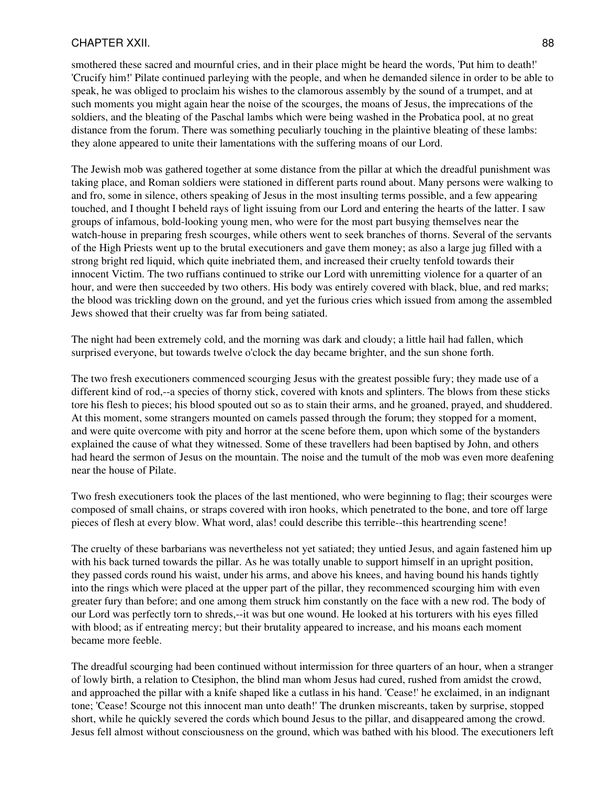### CHAPTER XXII. 88

smothered these sacred and mournful cries, and in their place might be heard the words, 'Put him to death!' 'Crucify him!' Pilate continued parleying with the people, and when he demanded silence in order to be able to speak, he was obliged to proclaim his wishes to the clamorous assembly by the sound of a trumpet, and at such moments you might again hear the noise of the scourges, the moans of Jesus, the imprecations of the soldiers, and the bleating of the Paschal lambs which were being washed in the Probatica pool, at no great distance from the forum. There was something peculiarly touching in the plaintive bleating of these lambs: they alone appeared to unite their lamentations with the suffering moans of our Lord.

The Jewish mob was gathered together at some distance from the pillar at which the dreadful punishment was taking place, and Roman soldiers were stationed in different parts round about. Many persons were walking to and fro, some in silence, others speaking of Jesus in the most insulting terms possible, and a few appearing touched, and I thought I beheld rays of light issuing from our Lord and entering the hearts of the latter. I saw groups of infamous, bold-looking young men, who were for the most part busying themselves near the watch-house in preparing fresh scourges, while others went to seek branches of thorns. Several of the servants of the High Priests went up to the brutal executioners and gave them money; as also a large jug filled with a strong bright red liquid, which quite inebriated them, and increased their cruelty tenfold towards their innocent Victim. The two ruffians continued to strike our Lord with unremitting violence for a quarter of an hour, and were then succeeded by two others. His body was entirely covered with black, blue, and red marks; the blood was trickling down on the ground, and yet the furious cries which issued from among the assembled Jews showed that their cruelty was far from being satiated.

The night had been extremely cold, and the morning was dark and cloudy; a little hail had fallen, which surprised everyone, but towards twelve o'clock the day became brighter, and the sun shone forth.

The two fresh executioners commenced scourging Jesus with the greatest possible fury; they made use of a different kind of rod,--a species of thorny stick, covered with knots and splinters. The blows from these sticks tore his flesh to pieces; his blood spouted out so as to stain their arms, and he groaned, prayed, and shuddered. At this moment, some strangers mounted on camels passed through the forum; they stopped for a moment, and were quite overcome with pity and horror at the scene before them, upon which some of the bystanders explained the cause of what they witnessed. Some of these travellers had been baptised by John, and others had heard the sermon of Jesus on the mountain. The noise and the tumult of the mob was even more deafening near the house of Pilate.

Two fresh executioners took the places of the last mentioned, who were beginning to flag; their scourges were composed of small chains, or straps covered with iron hooks, which penetrated to the bone, and tore off large pieces of flesh at every blow. What word, alas! could describe this terrible--this heartrending scene!

The cruelty of these barbarians was nevertheless not yet satiated; they untied Jesus, and again fastened him up with his back turned towards the pillar. As he was totally unable to support himself in an upright position, they passed cords round his waist, under his arms, and above his knees, and having bound his hands tightly into the rings which were placed at the upper part of the pillar, they recommenced scourging him with even greater fury than before; and one among them struck him constantly on the face with a new rod. The body of our Lord was perfectly torn to shreds,--it was but one wound. He looked at his torturers with his eyes filled with blood; as if entreating mercy; but their brutality appeared to increase, and his moans each moment became more feeble.

The dreadful scourging had been continued without intermission for three quarters of an hour, when a stranger of lowly birth, a relation to Ctesiphon, the blind man whom Jesus had cured, rushed from amidst the crowd, and approached the pillar with a knife shaped like a cutlass in his hand. 'Cease!' he exclaimed, in an indignant tone; 'Cease! Scourge not this innocent man unto death!' The drunken miscreants, taken by surprise, stopped short, while he quickly severed the cords which bound Jesus to the pillar, and disappeared among the crowd. Jesus fell almost without consciousness on the ground, which was bathed with his blood. The executioners left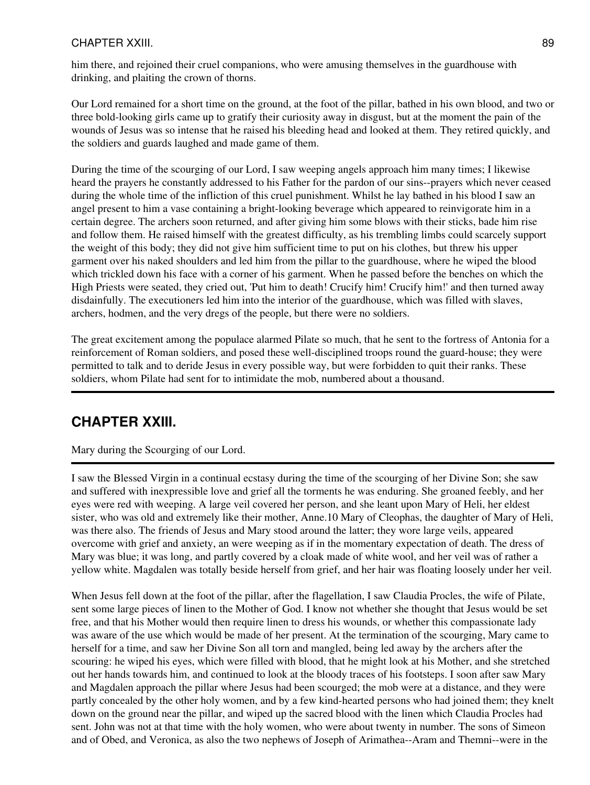### CHAPTER XXIII. 89

him there, and rejoined their cruel companions, who were amusing themselves in the guardhouse with drinking, and plaiting the crown of thorns.

Our Lord remained for a short time on the ground, at the foot of the pillar, bathed in his own blood, and two or three bold-looking girls came up to gratify their curiosity away in disgust, but at the moment the pain of the wounds of Jesus was so intense that he raised his bleeding head and looked at them. They retired quickly, and the soldiers and guards laughed and made game of them.

During the time of the scourging of our Lord, I saw weeping angels approach him many times; I likewise heard the prayers he constantly addressed to his Father for the pardon of our sins--prayers which never ceased during the whole time of the infliction of this cruel punishment. Whilst he lay bathed in his blood I saw an angel present to him a vase containing a bright-looking beverage which appeared to reinvigorate him in a certain degree. The archers soon returned, and after giving him some blows with their sticks, bade him rise and follow them. He raised himself with the greatest difficulty, as his trembling limbs could scarcely support the weight of this body; they did not give him sufficient time to put on his clothes, but threw his upper garment over his naked shoulders and led him from the pillar to the guardhouse, where he wiped the blood which trickled down his face with a corner of his garment. When he passed before the benches on which the High Priests were seated, they cried out, 'Put him to death! Crucify him! Crucify him!' and then turned away disdainfully. The executioners led him into the interior of the guardhouse, which was filled with slaves, archers, hodmen, and the very dregs of the people, but there were no soldiers.

The great excitement among the populace alarmed Pilate so much, that he sent to the fortress of Antonia for a reinforcement of Roman soldiers, and posed these well-disciplined troops round the guard-house; they were permitted to talk and to deride Jesus in every possible way, but were forbidden to quit their ranks. These soldiers, whom Pilate had sent for to intimidate the mob, numbered about a thousand.

# **CHAPTER XXIII.**

Mary during the Scourging of our Lord.

I saw the Blessed Virgin in a continual ecstasy during the time of the scourging of her Divine Son; she saw and suffered with inexpressible love and grief all the torments he was enduring. She groaned feebly, and her eyes were red with weeping. A large veil covered her person, and she leant upon Mary of Heli, her eldest sister, who was old and extremely like their mother, Anne.10 Mary of Cleophas, the daughter of Mary of Heli, was there also. The friends of Jesus and Mary stood around the latter; they wore large veils, appeared overcome with grief and anxiety, an were weeping as if in the momentary expectation of death. The dress of Mary was blue; it was long, and partly covered by a cloak made of white wool, and her veil was of rather a yellow white. Magdalen was totally beside herself from grief, and her hair was floating loosely under her veil.

When Jesus fell down at the foot of the pillar, after the flagellation, I saw Claudia Procles, the wife of Pilate, sent some large pieces of linen to the Mother of God. I know not whether she thought that Jesus would be set free, and that his Mother would then require linen to dress his wounds, or whether this compassionate lady was aware of the use which would be made of her present. At the termination of the scourging, Mary came to herself for a time, and saw her Divine Son all torn and mangled, being led away by the archers after the scouring: he wiped his eyes, which were filled with blood, that he might look at his Mother, and she stretched out her hands towards him, and continued to look at the bloody traces of his footsteps. I soon after saw Mary and Magdalen approach the pillar where Jesus had been scourged; the mob were at a distance, and they were partly concealed by the other holy women, and by a few kind-hearted persons who had joined them; they knelt down on the ground near the pillar, and wiped up the sacred blood with the linen which Claudia Procles had sent. John was not at that time with the holy women, who were about twenty in number. The sons of Simeon and of Obed, and Veronica, as also the two nephews of Joseph of Arimathea--Aram and Themni--were in the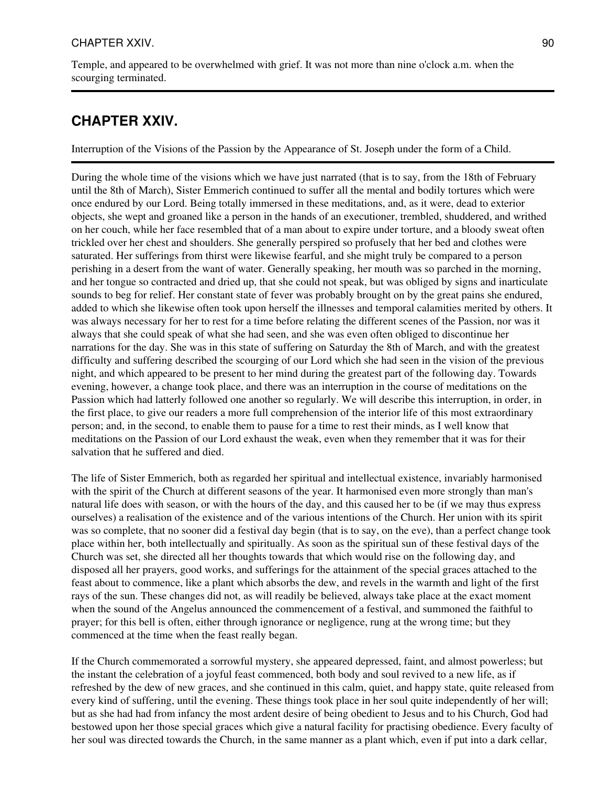Temple, and appeared to be overwhelmed with grief. It was not more than nine o'clock a.m. when the scourging terminated.

# **CHAPTER XXIV.**

Interruption of the Visions of the Passion by the Appearance of St. Joseph under the form of a Child.

During the whole time of the visions which we have just narrated (that is to say, from the 18th of February until the 8th of March), Sister Emmerich continued to suffer all the mental and bodily tortures which were once endured by our Lord. Being totally immersed in these meditations, and, as it were, dead to exterior objects, she wept and groaned like a person in the hands of an executioner, trembled, shuddered, and writhed on her couch, while her face resembled that of a man about to expire under torture, and a bloody sweat often trickled over her chest and shoulders. She generally perspired so profusely that her bed and clothes were saturated. Her sufferings from thirst were likewise fearful, and she might truly be compared to a person perishing in a desert from the want of water. Generally speaking, her mouth was so parched in the morning, and her tongue so contracted and dried up, that she could not speak, but was obliged by signs and inarticulate sounds to beg for relief. Her constant state of fever was probably brought on by the great pains she endured, added to which she likewise often took upon herself the illnesses and temporal calamities merited by others. It was always necessary for her to rest for a time before relating the different scenes of the Passion, nor was it always that she could speak of what she had seen, and she was even often obliged to discontinue her narrations for the day. She was in this state of suffering on Saturday the 8th of March, and with the greatest difficulty and suffering described the scourging of our Lord which she had seen in the vision of the previous night, and which appeared to be present to her mind during the greatest part of the following day. Towards evening, however, a change took place, and there was an interruption in the course of meditations on the Passion which had latterly followed one another so regularly. We will describe this interruption, in order, in the first place, to give our readers a more full comprehension of the interior life of this most extraordinary person; and, in the second, to enable them to pause for a time to rest their minds, as I well know that meditations on the Passion of our Lord exhaust the weak, even when they remember that it was for their salvation that he suffered and died.

The life of Sister Emmerich, both as regarded her spiritual and intellectual existence, invariably harmonised with the spirit of the Church at different seasons of the year. It harmonised even more strongly than man's natural life does with season, or with the hours of the day, and this caused her to be (if we may thus express ourselves) a realisation of the existence and of the various intentions of the Church. Her union with its spirit was so complete, that no sooner did a festival day begin (that is to say, on the eve), than a perfect change took place within her, both intellectually and spiritually. As soon as the spiritual sun of these festival days of the Church was set, she directed all her thoughts towards that which would rise on the following day, and disposed all her prayers, good works, and sufferings for the attainment of the special graces attached to the feast about to commence, like a plant which absorbs the dew, and revels in the warmth and light of the first rays of the sun. These changes did not, as will readily be believed, always take place at the exact moment when the sound of the Angelus announced the commencement of a festival, and summoned the faithful to prayer; for this bell is often, either through ignorance or negligence, rung at the wrong time; but they commenced at the time when the feast really began.

If the Church commemorated a sorrowful mystery, she appeared depressed, faint, and almost powerless; but the instant the celebration of a joyful feast commenced, both body and soul revived to a new life, as if refreshed by the dew of new graces, and she continued in this calm, quiet, and happy state, quite released from every kind of suffering, until the evening. These things took place in her soul quite independently of her will; but as she had had from infancy the most ardent desire of being obedient to Jesus and to his Church, God had bestowed upon her those special graces which give a natural facility for practising obedience. Every faculty of her soul was directed towards the Church, in the same manner as a plant which, even if put into a dark cellar,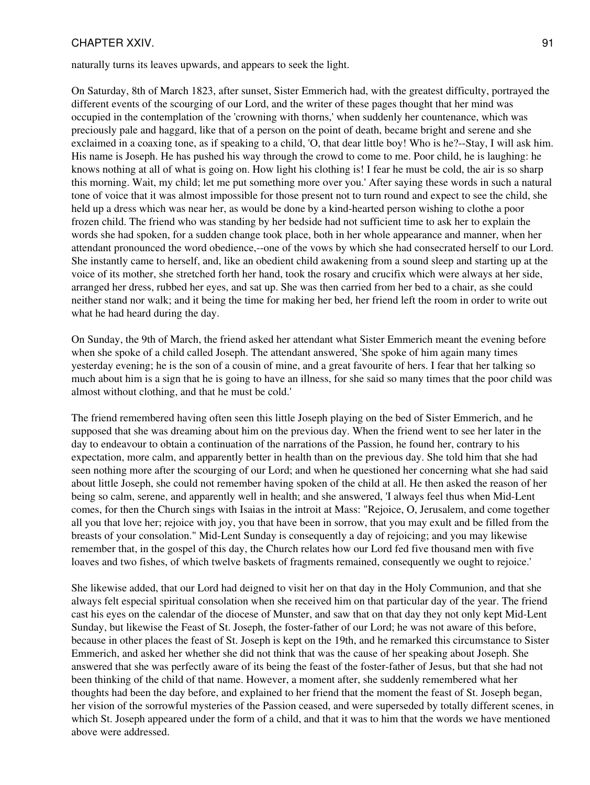#### CHAPTER XXIV. 91

naturally turns its leaves upwards, and appears to seek the light.

On Saturday, 8th of March 1823, after sunset, Sister Emmerich had, with the greatest difficulty, portrayed the different events of the scourging of our Lord, and the writer of these pages thought that her mind was occupied in the contemplation of the 'crowning with thorns,' when suddenly her countenance, which was preciously pale and haggard, like that of a person on the point of death, became bright and serene and she exclaimed in a coaxing tone, as if speaking to a child, 'O, that dear little boy! Who is he?--Stay, I will ask him. His name is Joseph. He has pushed his way through the crowd to come to me. Poor child, he is laughing: he knows nothing at all of what is going on. How light his clothing is! I fear he must be cold, the air is so sharp this morning. Wait, my child; let me put something more over you.' After saying these words in such a natural tone of voice that it was almost impossible for those present not to turn round and expect to see the child, she held up a dress which was near her, as would be done by a kind-hearted person wishing to clothe a poor frozen child. The friend who was standing by her bedside had not sufficient time to ask her to explain the words she had spoken, for a sudden change took place, both in her whole appearance and manner, when her attendant pronounced the word obedience,--one of the vows by which she had consecrated herself to our Lord. She instantly came to herself, and, like an obedient child awakening from a sound sleep and starting up at the voice of its mother, she stretched forth her hand, took the rosary and crucifix which were always at her side, arranged her dress, rubbed her eyes, and sat up. She was then carried from her bed to a chair, as she could neither stand nor walk; and it being the time for making her bed, her friend left the room in order to write out what he had heard during the day.

On Sunday, the 9th of March, the friend asked her attendant what Sister Emmerich meant the evening before when she spoke of a child called Joseph. The attendant answered, 'She spoke of him again many times yesterday evening; he is the son of a cousin of mine, and a great favourite of hers. I fear that her talking so much about him is a sign that he is going to have an illness, for she said so many times that the poor child was almost without clothing, and that he must be cold.'

The friend remembered having often seen this little Joseph playing on the bed of Sister Emmerich, and he supposed that she was dreaming about him on the previous day. When the friend went to see her later in the day to endeavour to obtain a continuation of the narrations of the Passion, he found her, contrary to his expectation, more calm, and apparently better in health than on the previous day. She told him that she had seen nothing more after the scourging of our Lord; and when he questioned her concerning what she had said about little Joseph, she could not remember having spoken of the child at all. He then asked the reason of her being so calm, serene, and apparently well in health; and she answered, 'I always feel thus when Mid-Lent comes, for then the Church sings with Isaias in the introit at Mass: "Rejoice, O, Jerusalem, and come together all you that love her; rejoice with joy, you that have been in sorrow, that you may exult and be filled from the breasts of your consolation." Mid-Lent Sunday is consequently a day of rejoicing; and you may likewise remember that, in the gospel of this day, the Church relates how our Lord fed five thousand men with five loaves and two fishes, of which twelve baskets of fragments remained, consequently we ought to rejoice.'

She likewise added, that our Lord had deigned to visit her on that day in the Holy Communion, and that she always felt especial spiritual consolation when she received him on that particular day of the year. The friend cast his eyes on the calendar of the diocese of Munster, and saw that on that day they not only kept Mid-Lent Sunday, but likewise the Feast of St. Joseph, the foster-father of our Lord; he was not aware of this before, because in other places the feast of St. Joseph is kept on the 19th, and he remarked this circumstance to Sister Emmerich, and asked her whether she did not think that was the cause of her speaking about Joseph. She answered that she was perfectly aware of its being the feast of the foster-father of Jesus, but that she had not been thinking of the child of that name. However, a moment after, she suddenly remembered what her thoughts had been the day before, and explained to her friend that the moment the feast of St. Joseph began, her vision of the sorrowful mysteries of the Passion ceased, and were superseded by totally different scenes, in which St. Joseph appeared under the form of a child, and that it was to him that the words we have mentioned above were addressed.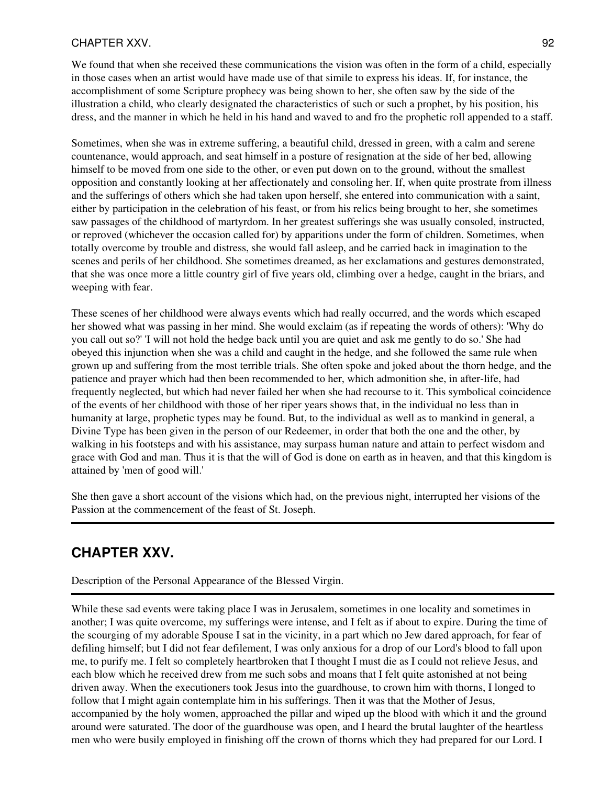### CHAPTER XXV. 92

We found that when she received these communications the vision was often in the form of a child, especially in those cases when an artist would have made use of that simile to express his ideas. If, for instance, the accomplishment of some Scripture prophecy was being shown to her, she often saw by the side of the illustration a child, who clearly designated the characteristics of such or such a prophet, by his position, his dress, and the manner in which he held in his hand and waved to and fro the prophetic roll appended to a staff.

Sometimes, when she was in extreme suffering, a beautiful child, dressed in green, with a calm and serene countenance, would approach, and seat himself in a posture of resignation at the side of her bed, allowing himself to be moved from one side to the other, or even put down on to the ground, without the smallest opposition and constantly looking at her affectionately and consoling her. If, when quite prostrate from illness and the sufferings of others which she had taken upon herself, she entered into communication with a saint, either by participation in the celebration of his feast, or from his relics being brought to her, she sometimes saw passages of the childhood of martyrdom. In her greatest sufferings she was usually consoled, instructed, or reproved (whichever the occasion called for) by apparitions under the form of children. Sometimes, when totally overcome by trouble and distress, she would fall asleep, and be carried back in imagination to the scenes and perils of her childhood. She sometimes dreamed, as her exclamations and gestures demonstrated, that she was once more a little country girl of five years old, climbing over a hedge, caught in the briars, and weeping with fear.

These scenes of her childhood were always events which had really occurred, and the words which escaped her showed what was passing in her mind. She would exclaim (as if repeating the words of others): 'Why do you call out so?' 'I will not hold the hedge back until you are quiet and ask me gently to do so.' She had obeyed this injunction when she was a child and caught in the hedge, and she followed the same rule when grown up and suffering from the most terrible trials. She often spoke and joked about the thorn hedge, and the patience and prayer which had then been recommended to her, which admonition she, in after-life, had frequently neglected, but which had never failed her when she had recourse to it. This symbolical coincidence of the events of her childhood with those of her riper years shows that, in the individual no less than in humanity at large, prophetic types may be found. But, to the individual as well as to mankind in general, a Divine Type has been given in the person of our Redeemer, in order that both the one and the other, by walking in his footsteps and with his assistance, may surpass human nature and attain to perfect wisdom and grace with God and man. Thus it is that the will of God is done on earth as in heaven, and that this kingdom is attained by 'men of good will.'

She then gave a short account of the visions which had, on the previous night, interrupted her visions of the Passion at the commencement of the feast of St. Joseph.

# **CHAPTER XXV.**

Description of the Personal Appearance of the Blessed Virgin.

While these sad events were taking place I was in Jerusalem, sometimes in one locality and sometimes in another; I was quite overcome, my sufferings were intense, and I felt as if about to expire. During the time of the scourging of my adorable Spouse I sat in the vicinity, in a part which no Jew dared approach, for fear of defiling himself; but I did not fear defilement, I was only anxious for a drop of our Lord's blood to fall upon me, to purify me. I felt so completely heartbroken that I thought I must die as I could not relieve Jesus, and each blow which he received drew from me such sobs and moans that I felt quite astonished at not being driven away. When the executioners took Jesus into the guardhouse, to crown him with thorns, I longed to follow that I might again contemplate him in his sufferings. Then it was that the Mother of Jesus, accompanied by the holy women, approached the pillar and wiped up the blood with which it and the ground around were saturated. The door of the guardhouse was open, and I heard the brutal laughter of the heartless men who were busily employed in finishing off the crown of thorns which they had prepared for our Lord. I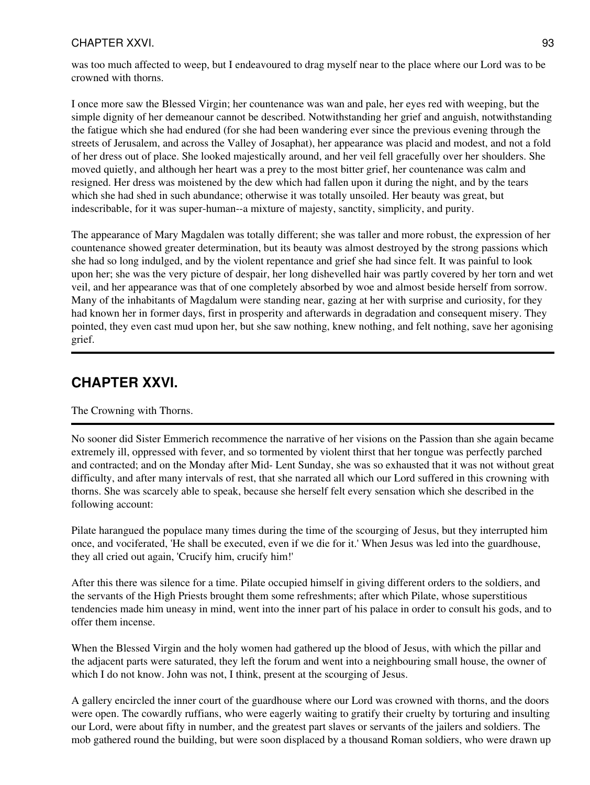### CHAPTER XXVI. 93

was too much affected to weep, but I endeavoured to drag myself near to the place where our Lord was to be crowned with thorns.

I once more saw the Blessed Virgin; her countenance was wan and pale, her eyes red with weeping, but the simple dignity of her demeanour cannot be described. Notwithstanding her grief and anguish, notwithstanding the fatigue which she had endured (for she had been wandering ever since the previous evening through the streets of Jerusalem, and across the Valley of Josaphat), her appearance was placid and modest, and not a fold of her dress out of place. She looked majestically around, and her veil fell gracefully over her shoulders. She moved quietly, and although her heart was a prey to the most bitter grief, her countenance was calm and resigned. Her dress was moistened by the dew which had fallen upon it during the night, and by the tears which she had shed in such abundance; otherwise it was totally unsoiled. Her beauty was great, but indescribable, for it was super-human--a mixture of majesty, sanctity, simplicity, and purity.

The appearance of Mary Magdalen was totally different; she was taller and more robust, the expression of her countenance showed greater determination, but its beauty was almost destroyed by the strong passions which she had so long indulged, and by the violent repentance and grief she had since felt. It was painful to look upon her; she was the very picture of despair, her long dishevelled hair was partly covered by her torn and wet veil, and her appearance was that of one completely absorbed by woe and almost beside herself from sorrow. Many of the inhabitants of Magdalum were standing near, gazing at her with surprise and curiosity, for they had known her in former days, first in prosperity and afterwards in degradation and consequent misery. They pointed, they even cast mud upon her, but she saw nothing, knew nothing, and felt nothing, save her agonising grief.

## **CHAPTER XXVI.**

#### The Crowning with Thorns.

No sooner did Sister Emmerich recommence the narrative of her visions on the Passion than she again became extremely ill, oppressed with fever, and so tormented by violent thirst that her tongue was perfectly parched and contracted; and on the Monday after Mid- Lent Sunday, she was so exhausted that it was not without great difficulty, and after many intervals of rest, that she narrated all which our Lord suffered in this crowning with thorns. She was scarcely able to speak, because she herself felt every sensation which she described in the following account:

Pilate harangued the populace many times during the time of the scourging of Jesus, but they interrupted him once, and vociferated, 'He shall be executed, even if we die for it.' When Jesus was led into the guardhouse, they all cried out again, 'Crucify him, crucify him!'

After this there was silence for a time. Pilate occupied himself in giving different orders to the soldiers, and the servants of the High Priests brought them some refreshments; after which Pilate, whose superstitious tendencies made him uneasy in mind, went into the inner part of his palace in order to consult his gods, and to offer them incense.

When the Blessed Virgin and the holy women had gathered up the blood of Jesus, with which the pillar and the adjacent parts were saturated, they left the forum and went into a neighbouring small house, the owner of which I do not know. John was not, I think, present at the scourging of Jesus.

A gallery encircled the inner court of the guardhouse where our Lord was crowned with thorns, and the doors were open. The cowardly ruffians, who were eagerly waiting to gratify their cruelty by torturing and insulting our Lord, were about fifty in number, and the greatest part slaves or servants of the jailers and soldiers. The mob gathered round the building, but were soon displaced by a thousand Roman soldiers, who were drawn up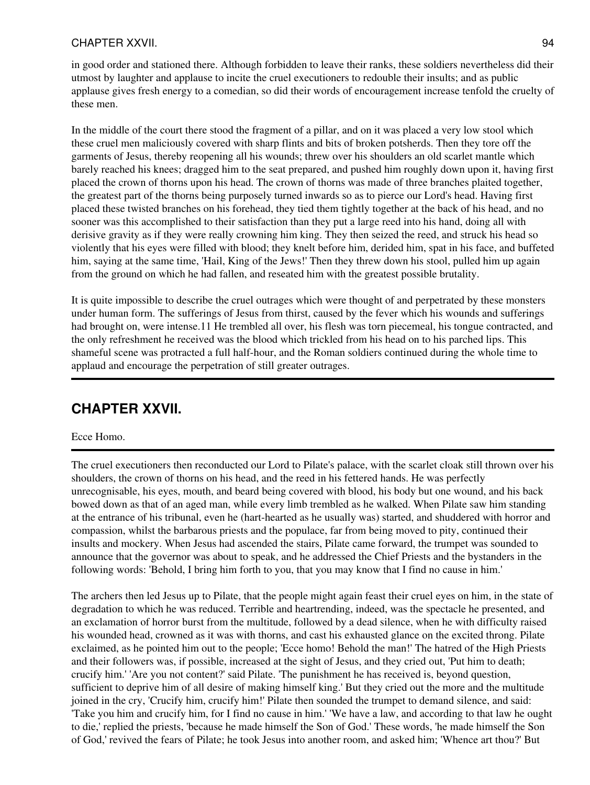### CHAPTER XXVII. 94

in good order and stationed there. Although forbidden to leave their ranks, these soldiers nevertheless did their utmost by laughter and applause to incite the cruel executioners to redouble their insults; and as public applause gives fresh energy to a comedian, so did their words of encouragement increase tenfold the cruelty of these men.

In the middle of the court there stood the fragment of a pillar, and on it was placed a very low stool which these cruel men maliciously covered with sharp flints and bits of broken potsherds. Then they tore off the garments of Jesus, thereby reopening all his wounds; threw over his shoulders an old scarlet mantle which barely reached his knees; dragged him to the seat prepared, and pushed him roughly down upon it, having first placed the crown of thorns upon his head. The crown of thorns was made of three branches plaited together, the greatest part of the thorns being purposely turned inwards so as to pierce our Lord's head. Having first placed these twisted branches on his forehead, they tied them tightly together at the back of his head, and no sooner was this accomplished to their satisfaction than they put a large reed into his hand, doing all with derisive gravity as if they were really crowning him king. They then seized the reed, and struck his head so violently that his eyes were filled with blood; they knelt before him, derided him, spat in his face, and buffeted him, saying at the same time, 'Hail, King of the Jews!' Then they threw down his stool, pulled him up again from the ground on which he had fallen, and reseated him with the greatest possible brutality.

It is quite impossible to describe the cruel outrages which were thought of and perpetrated by these monsters under human form. The sufferings of Jesus from thirst, caused by the fever which his wounds and sufferings had brought on, were intense.11 He trembled all over, his flesh was torn piecemeal, his tongue contracted, and the only refreshment he received was the blood which trickled from his head on to his parched lips. This shameful scene was protracted a full half-hour, and the Roman soldiers continued during the whole time to applaud and encourage the perpetration of still greater outrages.

## **CHAPTER XXVII.**

#### Ecce Homo.

The cruel executioners then reconducted our Lord to Pilate's palace, with the scarlet cloak still thrown over his shoulders, the crown of thorns on his head, and the reed in his fettered hands. He was perfectly unrecognisable, his eyes, mouth, and beard being covered with blood, his body but one wound, and his back bowed down as that of an aged man, while every limb trembled as he walked. When Pilate saw him standing at the entrance of his tribunal, even he (hart-hearted as he usually was) started, and shuddered with horror and compassion, whilst the barbarous priests and the populace, far from being moved to pity, continued their insults and mockery. When Jesus had ascended the stairs, Pilate came forward, the trumpet was sounded to announce that the governor was about to speak, and he addressed the Chief Priests and the bystanders in the following words: 'Behold, I bring him forth to you, that you may know that I find no cause in him.'

The archers then led Jesus up to Pilate, that the people might again feast their cruel eyes on him, in the state of degradation to which he was reduced. Terrible and heartrending, indeed, was the spectacle he presented, and an exclamation of horror burst from the multitude, followed by a dead silence, when he with difficulty raised his wounded head, crowned as it was with thorns, and cast his exhausted glance on the excited throng. Pilate exclaimed, as he pointed him out to the people; 'Ecce homo! Behold the man!' The hatred of the High Priests and their followers was, if possible, increased at the sight of Jesus, and they cried out, 'Put him to death; crucify him.' 'Are you not content?' said Pilate. 'The punishment he has received is, beyond question, sufficient to deprive him of all desire of making himself king.' But they cried out the more and the multitude joined in the cry, 'Crucify him, crucify him!' Pilate then sounded the trumpet to demand silence, and said: 'Take you him and crucify him, for I find no cause in him.' 'We have a law, and according to that law he ought to die,' replied the priests, 'because he made himself the Son of God.' These words, 'he made himself the Son of God,' revived the fears of Pilate; he took Jesus into another room, and asked him; 'Whence art thou?' But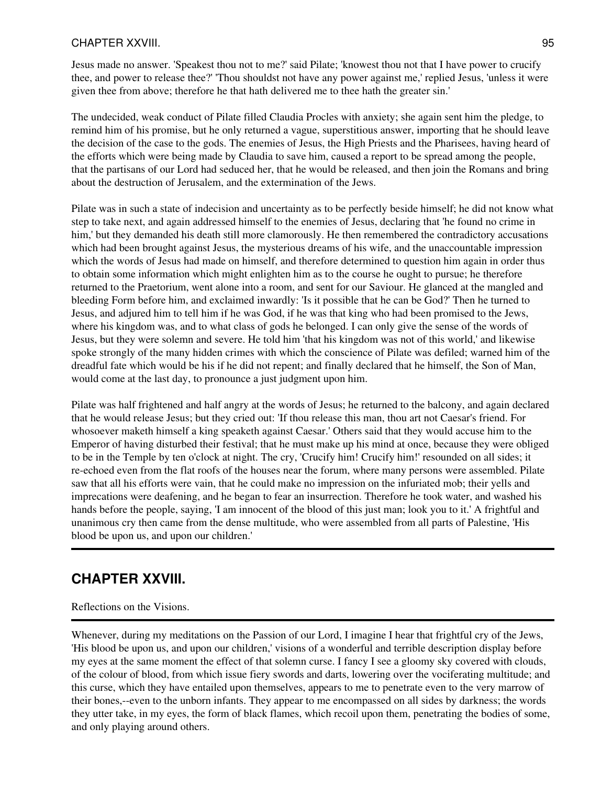### CHAPTER XXVIII. 95

Jesus made no answer. 'Speakest thou not to me?' said Pilate; 'knowest thou not that I have power to crucify thee, and power to release thee?' 'Thou shouldst not have any power against me,' replied Jesus, 'unless it were given thee from above; therefore he that hath delivered me to thee hath the greater sin.'

The undecided, weak conduct of Pilate filled Claudia Procles with anxiety; she again sent him the pledge, to remind him of his promise, but he only returned a vague, superstitious answer, importing that he should leave the decision of the case to the gods. The enemies of Jesus, the High Priests and the Pharisees, having heard of the efforts which were being made by Claudia to save him, caused a report to be spread among the people, that the partisans of our Lord had seduced her, that he would be released, and then join the Romans and bring about the destruction of Jerusalem, and the extermination of the Jews.

Pilate was in such a state of indecision and uncertainty as to be perfectly beside himself; he did not know what step to take next, and again addressed himself to the enemies of Jesus, declaring that 'he found no crime in him,' but they demanded his death still more clamorously. He then remembered the contradictory accusations which had been brought against Jesus, the mysterious dreams of his wife, and the unaccountable impression which the words of Jesus had made on himself, and therefore determined to question him again in order thus to obtain some information which might enlighten him as to the course he ought to pursue; he therefore returned to the Praetorium, went alone into a room, and sent for our Saviour. He glanced at the mangled and bleeding Form before him, and exclaimed inwardly: 'Is it possible that he can be God?' Then he turned to Jesus, and adjured him to tell him if he was God, if he was that king who had been promised to the Jews, where his kingdom was, and to what class of gods he belonged. I can only give the sense of the words of Jesus, but they were solemn and severe. He told him 'that his kingdom was not of this world,' and likewise spoke strongly of the many hidden crimes with which the conscience of Pilate was defiled; warned him of the dreadful fate which would be his if he did not repent; and finally declared that he himself, the Son of Man, would come at the last day, to pronounce a just judgment upon him.

Pilate was half frightened and half angry at the words of Jesus; he returned to the balcony, and again declared that he would release Jesus; but they cried out: 'If thou release this man, thou art not Caesar's friend. For whosoever maketh himself a king speaketh against Caesar.' Others said that they would accuse him to the Emperor of having disturbed their festival; that he must make up his mind at once, because they were obliged to be in the Temple by ten o'clock at night. The cry, 'Crucify him! Crucify him!' resounded on all sides; it re-echoed even from the flat roofs of the houses near the forum, where many persons were assembled. Pilate saw that all his efforts were vain, that he could make no impression on the infuriated mob; their yells and imprecations were deafening, and he began to fear an insurrection. Therefore he took water, and washed his hands before the people, saying, 'I am innocent of the blood of this just man; look you to it.' A frightful and unanimous cry then came from the dense multitude, who were assembled from all parts of Palestine, 'His blood be upon us, and upon our children.'

# **CHAPTER XXVIII.**

Reflections on the Visions.

Whenever, during my meditations on the Passion of our Lord, I imagine I hear that frightful cry of the Jews, 'His blood be upon us, and upon our children,' visions of a wonderful and terrible description display before my eyes at the same moment the effect of that solemn curse. I fancy I see a gloomy sky covered with clouds, of the colour of blood, from which issue fiery swords and darts, lowering over the vociferating multitude; and this curse, which they have entailed upon themselves, appears to me to penetrate even to the very marrow of their bones,--even to the unborn infants. They appear to me encompassed on all sides by darkness; the words they utter take, in my eyes, the form of black flames, which recoil upon them, penetrating the bodies of some, and only playing around others.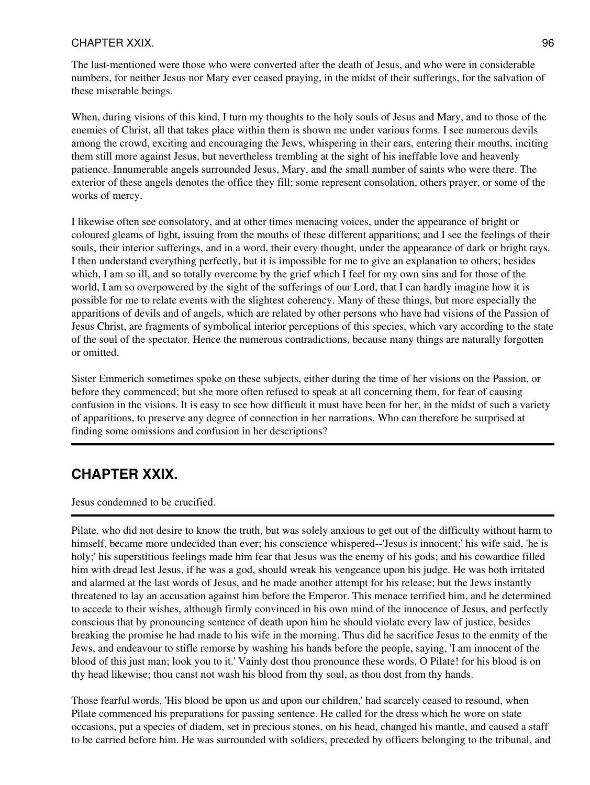### CHAPTER XXIX. 96

The last-mentioned were those who were converted after the death of Jesus, and who were in considerable numbers, for neither Jesus nor Mary ever ceased praying, in the midst of their sufferings, for the salvation of these miserable beings.

When, during visions of this kind, I turn my thoughts to the holy souls of Jesus and Mary, and to those of the enemies of Christ, all that takes place within them is shown me under various forms. I see numerous devils among the crowd, exciting and encouraging the Jews, whispering in their ears, entering their mouths, inciting them still more against Jesus, but nevertheless trembling at the sight of his ineffable love and heavenly patience. Innumerable angels surrounded Jesus, Mary, and the small number of saints who were there. The exterior of these angels denotes the office they fill; some represent consolation, others prayer, or some of the works of mercy.

I likewise often see consolatory, and at other times menacing voices, under the appearance of bright or coloured gleams of light, issuing from the mouths of these different apparitions; and I see the feelings of their souls, their interior sufferings, and in a word, their every thought, under the appearance of dark or bright rays. I then understand everything perfectly, but it is impossible for me to give an explanation to others; besides which, I am so ill, and so totally overcome by the grief which I feel for my own sins and for those of the world, I am so overpowered by the sight of the sufferings of our Lord, that I can hardly imagine how it is possible for me to relate events with the slightest coherency. Many of these things, but more especially the apparitions of devils and of angels, which are related by other persons who have had visions of the Passion of Jesus Christ, are fragments of symbolical interior perceptions of this species, which vary according to the state of the soul of the spectator. Hence the numerous contradictions, because many things are naturally forgotten or omitted.

Sister Emmerich sometimes spoke on these subjects, either during the time of her visions on the Passion, or before they commenced; but she more often refused to speak at all concerning them, for fear of causing confusion in the visions. It is easy to see how difficult it must have been for her, in the midst of such a variety of apparitions, to preserve any degree of connection in her narrations. Who can therefore be surprised at finding some omissions and confusion in her descriptions?

# **CHAPTER XXIX.**

Jesus condemned to be crucified.

Pilate, who did not desire to know the truth, but was solely anxious to get out of the difficulty without harm to himself, became more undecided than ever; his conscience whispered--'Jesus is innocent;' his wife said, 'he is holy;' his superstitious feelings made him fear that Jesus was the enemy of his gods; and his cowardice filled him with dread lest Jesus, if he was a god, should wreak his vengeance upon his judge. He was both irritated and alarmed at the last words of Jesus, and he made another attempt for his release; but the Jews instantly threatened to lay an accusation against him before the Emperor. This menace terrified him, and he determined to accede to their wishes, although firmly convinced in his own mind of the innocence of Jesus, and perfectly conscious that by pronouncing sentence of death upon him he should violate every law of justice, besides breaking the promise he had made to his wife in the morning. Thus did he sacrifice Jesus to the enmity of the Jews, and endeavour to stifle remorse by washing his hands before the people, saying, 'I am innocent of the blood of this just man; look you to it.' Vainly dost thou pronounce these words, O Pilate! for his blood is on thy head likewise; thou canst not wash his blood from thy soul, as thou dost from thy hands.

Those fearful words, 'His blood be upon us and upon our children,' had scarcely ceased to resound, when Pilate commenced his preparations for passing sentence. He called for the dress which he wore on state occasions, put a species of diadem, set in precious stones, on his head, changed his mantle, and caused a staff to be carried before him. He was surrounded with soldiers, preceded by officers belonging to the tribunal, and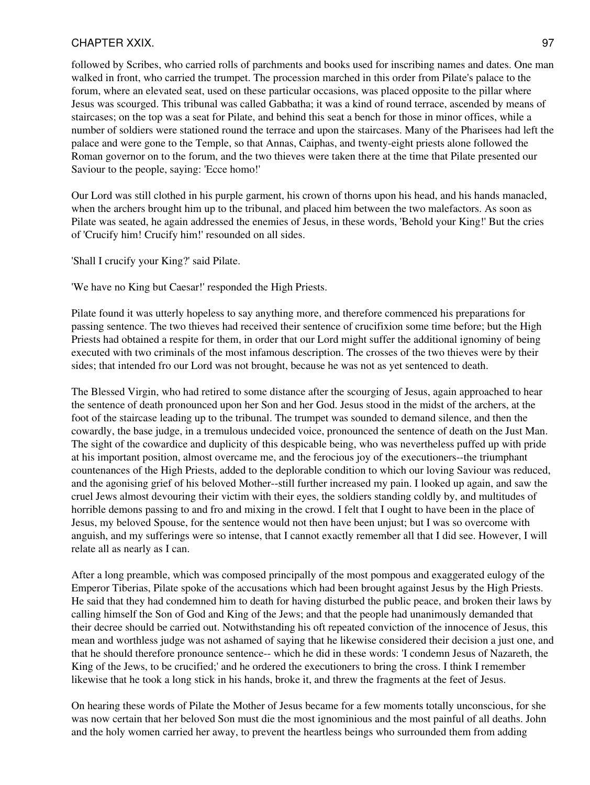### CHAPTER XXIX. 97

followed by Scribes, who carried rolls of parchments and books used for inscribing names and dates. One man walked in front, who carried the trumpet. The procession marched in this order from Pilate's palace to the forum, where an elevated seat, used on these particular occasions, was placed opposite to the pillar where Jesus was scourged. This tribunal was called Gabbatha; it was a kind of round terrace, ascended by means of staircases; on the top was a seat for Pilate, and behind this seat a bench for those in minor offices, while a number of soldiers were stationed round the terrace and upon the staircases. Many of the Pharisees had left the palace and were gone to the Temple, so that Annas, Caiphas, and twenty-eight priests alone followed the Roman governor on to the forum, and the two thieves were taken there at the time that Pilate presented our Saviour to the people, saying: 'Ecce homo!'

Our Lord was still clothed in his purple garment, his crown of thorns upon his head, and his hands manacled, when the archers brought him up to the tribunal, and placed him between the two malefactors. As soon as Pilate was seated, he again addressed the enemies of Jesus, in these words, 'Behold your King!' But the cries of 'Crucify him! Crucify him!' resounded on all sides.

'Shall I crucify your King?' said Pilate.

'We have no King but Caesar!' responded the High Priests.

Pilate found it was utterly hopeless to say anything more, and therefore commenced his preparations for passing sentence. The two thieves had received their sentence of crucifixion some time before; but the High Priests had obtained a respite for them, in order that our Lord might suffer the additional ignominy of being executed with two criminals of the most infamous description. The crosses of the two thieves were by their sides; that intended fro our Lord was not brought, because he was not as yet sentenced to death.

The Blessed Virgin, who had retired to some distance after the scourging of Jesus, again approached to hear the sentence of death pronounced upon her Son and her God. Jesus stood in the midst of the archers, at the foot of the staircase leading up to the tribunal. The trumpet was sounded to demand silence, and then the cowardly, the base judge, in a tremulous undecided voice, pronounced the sentence of death on the Just Man. The sight of the cowardice and duplicity of this despicable being, who was nevertheless puffed up with pride at his important position, almost overcame me, and the ferocious joy of the executioners--the triumphant countenances of the High Priests, added to the deplorable condition to which our loving Saviour was reduced, and the agonising grief of his beloved Mother--still further increased my pain. I looked up again, and saw the cruel Jews almost devouring their victim with their eyes, the soldiers standing coldly by, and multitudes of horrible demons passing to and fro and mixing in the crowd. I felt that I ought to have been in the place of Jesus, my beloved Spouse, for the sentence would not then have been unjust; but I was so overcome with anguish, and my sufferings were so intense, that I cannot exactly remember all that I did see. However, I will relate all as nearly as I can.

After a long preamble, which was composed principally of the most pompous and exaggerated eulogy of the Emperor Tiberias, Pilate spoke of the accusations which had been brought against Jesus by the High Priests. He said that they had condemned him to death for having disturbed the public peace, and broken their laws by calling himself the Son of God and King of the Jews; and that the people had unanimously demanded that their decree should be carried out. Notwithstanding his oft repeated conviction of the innocence of Jesus, this mean and worthless judge was not ashamed of saying that he likewise considered their decision a just one, and that he should therefore pronounce sentence-- which he did in these words: 'I condemn Jesus of Nazareth, the King of the Jews, to be crucified;' and he ordered the executioners to bring the cross. I think I remember likewise that he took a long stick in his hands, broke it, and threw the fragments at the feet of Jesus.

On hearing these words of Pilate the Mother of Jesus became for a few moments totally unconscious, for she was now certain that her beloved Son must die the most ignominious and the most painful of all deaths. John and the holy women carried her away, to prevent the heartless beings who surrounded them from adding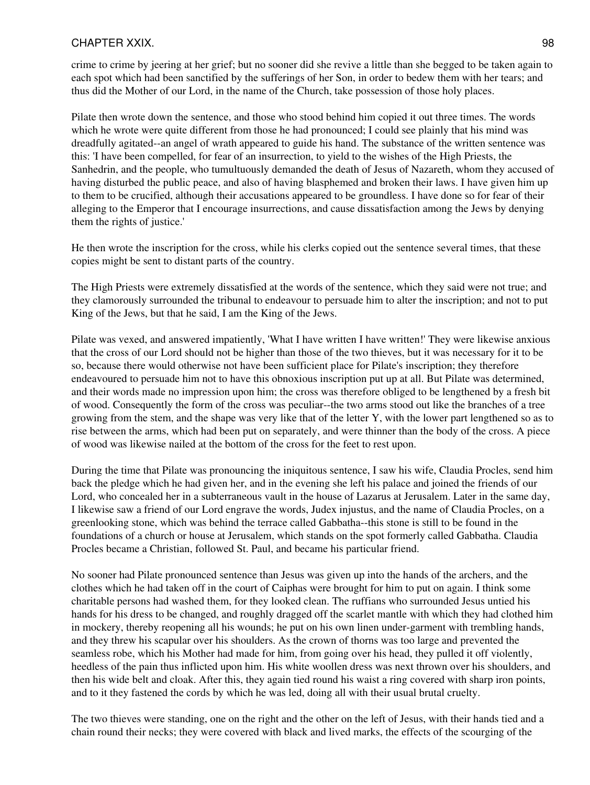### CHAPTER XXIX. 98

crime to crime by jeering at her grief; but no sooner did she revive a little than she begged to be taken again to each spot which had been sanctified by the sufferings of her Son, in order to bedew them with her tears; and thus did the Mother of our Lord, in the name of the Church, take possession of those holy places.

Pilate then wrote down the sentence, and those who stood behind him copied it out three times. The words which he wrote were quite different from those he had pronounced; I could see plainly that his mind was dreadfully agitated--an angel of wrath appeared to guide his hand. The substance of the written sentence was this: 'I have been compelled, for fear of an insurrection, to yield to the wishes of the High Priests, the Sanhedrin, and the people, who tumultuously demanded the death of Jesus of Nazareth, whom they accused of having disturbed the public peace, and also of having blasphemed and broken their laws. I have given him up to them to be crucified, although their accusations appeared to be groundless. I have done so for fear of their alleging to the Emperor that I encourage insurrections, and cause dissatisfaction among the Jews by denying them the rights of justice.'

He then wrote the inscription for the cross, while his clerks copied out the sentence several times, that these copies might be sent to distant parts of the country.

The High Priests were extremely dissatisfied at the words of the sentence, which they said were not true; and they clamorously surrounded the tribunal to endeavour to persuade him to alter the inscription; and not to put King of the Jews, but that he said, I am the King of the Jews.

Pilate was vexed, and answered impatiently, 'What I have written I have written!' They were likewise anxious that the cross of our Lord should not be higher than those of the two thieves, but it was necessary for it to be so, because there would otherwise not have been sufficient place for Pilate's inscription; they therefore endeavoured to persuade him not to have this obnoxious inscription put up at all. But Pilate was determined, and their words made no impression upon him; the cross was therefore obliged to be lengthened by a fresh bit of wood. Consequently the form of the cross was peculiar--the two arms stood out like the branches of a tree growing from the stem, and the shape was very like that of the letter Y, with the lower part lengthened so as to rise between the arms, which had been put on separately, and were thinner than the body of the cross. A piece of wood was likewise nailed at the bottom of the cross for the feet to rest upon.

During the time that Pilate was pronouncing the iniquitous sentence, I saw his wife, Claudia Procles, send him back the pledge which he had given her, and in the evening she left his palace and joined the friends of our Lord, who concealed her in a subterraneous vault in the house of Lazarus at Jerusalem. Later in the same day, I likewise saw a friend of our Lord engrave the words, Judex injustus, and the name of Claudia Procles, on a greenlooking stone, which was behind the terrace called Gabbatha--this stone is still to be found in the foundations of a church or house at Jerusalem, which stands on the spot formerly called Gabbatha. Claudia Procles became a Christian, followed St. Paul, and became his particular friend.

No sooner had Pilate pronounced sentence than Jesus was given up into the hands of the archers, and the clothes which he had taken off in the court of Caiphas were brought for him to put on again. I think some charitable persons had washed them, for they looked clean. The ruffians who surrounded Jesus untied his hands for his dress to be changed, and roughly dragged off the scarlet mantle with which they had clothed him in mockery, thereby reopening all his wounds; he put on his own linen under-garment with trembling hands, and they threw his scapular over his shoulders. As the crown of thorns was too large and prevented the seamless robe, which his Mother had made for him, from going over his head, they pulled it off violently, heedless of the pain thus inflicted upon him. His white woollen dress was next thrown over his shoulders, and then his wide belt and cloak. After this, they again tied round his waist a ring covered with sharp iron points, and to it they fastened the cords by which he was led, doing all with their usual brutal cruelty.

The two thieves were standing, one on the right and the other on the left of Jesus, with their hands tied and a chain round their necks; they were covered with black and lived marks, the effects of the scourging of the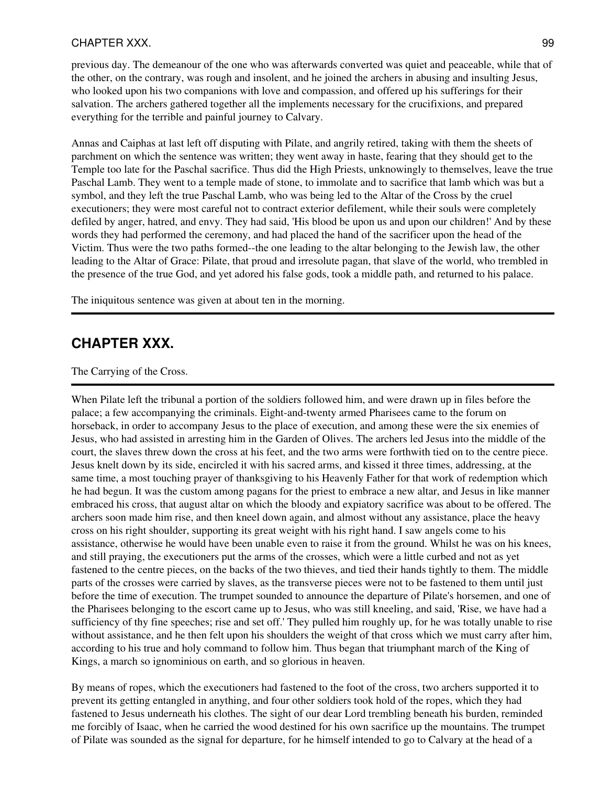### CHAPTER XXX. 99

previous day. The demeanour of the one who was afterwards converted was quiet and peaceable, while that of the other, on the contrary, was rough and insolent, and he joined the archers in abusing and insulting Jesus, who looked upon his two companions with love and compassion, and offered up his sufferings for their salvation. The archers gathered together all the implements necessary for the crucifixions, and prepared everything for the terrible and painful journey to Calvary.

Annas and Caiphas at last left off disputing with Pilate, and angrily retired, taking with them the sheets of parchment on which the sentence was written; they went away in haste, fearing that they should get to the Temple too late for the Paschal sacrifice. Thus did the High Priests, unknowingly to themselves, leave the true Paschal Lamb. They went to a temple made of stone, to immolate and to sacrifice that lamb which was but a symbol, and they left the true Paschal Lamb, who was being led to the Altar of the Cross by the cruel executioners; they were most careful not to contract exterior defilement, while their souls were completely defiled by anger, hatred, and envy. They had said, 'His blood be upon us and upon our children!' And by these words they had performed the ceremony, and had placed the hand of the sacrificer upon the head of the Victim. Thus were the two paths formed--the one leading to the altar belonging to the Jewish law, the other leading to the Altar of Grace: Pilate, that proud and irresolute pagan, that slave of the world, who trembled in the presence of the true God, and yet adored his false gods, took a middle path, and returned to his palace.

The iniquitous sentence was given at about ten in the morning.

# **CHAPTER XXX.**

The Carrying of the Cross.

When Pilate left the tribunal a portion of the soldiers followed him, and were drawn up in files before the palace; a few accompanying the criminals. Eight-and-twenty armed Pharisees came to the forum on horseback, in order to accompany Jesus to the place of execution, and among these were the six enemies of Jesus, who had assisted in arresting him in the Garden of Olives. The archers led Jesus into the middle of the court, the slaves threw down the cross at his feet, and the two arms were forthwith tied on to the centre piece. Jesus knelt down by its side, encircled it with his sacred arms, and kissed it three times, addressing, at the same time, a most touching prayer of thanksgiving to his Heavenly Father for that work of redemption which he had begun. It was the custom among pagans for the priest to embrace a new altar, and Jesus in like manner embraced his cross, that august altar on which the bloody and expiatory sacrifice was about to be offered. The archers soon made him rise, and then kneel down again, and almost without any assistance, place the heavy cross on his right shoulder, supporting its great weight with his right hand. I saw angels come to his assistance, otherwise he would have been unable even to raise it from the ground. Whilst he was on his knees, and still praying, the executioners put the arms of the crosses, which were a little curbed and not as yet fastened to the centre pieces, on the backs of the two thieves, and tied their hands tightly to them. The middle parts of the crosses were carried by slaves, as the transverse pieces were not to be fastened to them until just before the time of execution. The trumpet sounded to announce the departure of Pilate's horsemen, and one of the Pharisees belonging to the escort came up to Jesus, who was still kneeling, and said, 'Rise, we have had a sufficiency of thy fine speeches; rise and set off.' They pulled him roughly up, for he was totally unable to rise without assistance, and he then felt upon his shoulders the weight of that cross which we must carry after him, according to his true and holy command to follow him. Thus began that triumphant march of the King of Kings, a march so ignominious on earth, and so glorious in heaven.

By means of ropes, which the executioners had fastened to the foot of the cross, two archers supported it to prevent its getting entangled in anything, and four other soldiers took hold of the ropes, which they had fastened to Jesus underneath his clothes. The sight of our dear Lord trembling beneath his burden, reminded me forcibly of Isaac, when he carried the wood destined for his own sacrifice up the mountains. The trumpet of Pilate was sounded as the signal for departure, for he himself intended to go to Calvary at the head of a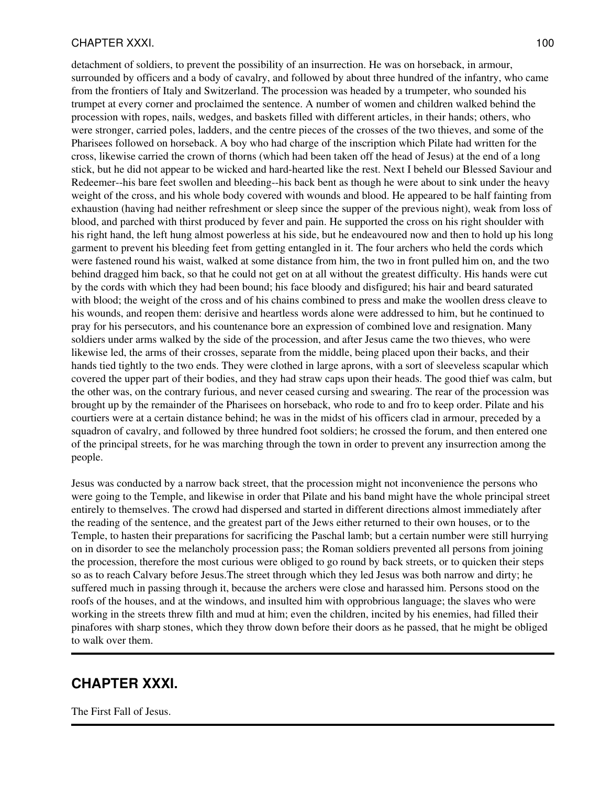### CHAPTER XXXI. 2002 2012 100

detachment of soldiers, to prevent the possibility of an insurrection. He was on horseback, in armour, surrounded by officers and a body of cavalry, and followed by about three hundred of the infantry, who came from the frontiers of Italy and Switzerland. The procession was headed by a trumpeter, who sounded his trumpet at every corner and proclaimed the sentence. A number of women and children walked behind the procession with ropes, nails, wedges, and baskets filled with different articles, in their hands; others, who were stronger, carried poles, ladders, and the centre pieces of the crosses of the two thieves, and some of the Pharisees followed on horseback. A boy who had charge of the inscription which Pilate had written for the cross, likewise carried the crown of thorns (which had been taken off the head of Jesus) at the end of a long stick, but he did not appear to be wicked and hard-hearted like the rest. Next I beheld our Blessed Saviour and Redeemer--his bare feet swollen and bleeding--his back bent as though he were about to sink under the heavy weight of the cross, and his whole body covered with wounds and blood. He appeared to be half fainting from exhaustion (having had neither refreshment or sleep since the supper of the previous night), weak from loss of blood, and parched with thirst produced by fever and pain. He supported the cross on his right shoulder with his right hand, the left hung almost powerless at his side, but he endeavoured now and then to hold up his long garment to prevent his bleeding feet from getting entangled in it. The four archers who held the cords which were fastened round his waist, walked at some distance from him, the two in front pulled him on, and the two behind dragged him back, so that he could not get on at all without the greatest difficulty. His hands were cut by the cords with which they had been bound; his face bloody and disfigured; his hair and beard saturated with blood; the weight of the cross and of his chains combined to press and make the woollen dress cleave to his wounds, and reopen them: derisive and heartless words alone were addressed to him, but he continued to pray for his persecutors, and his countenance bore an expression of combined love and resignation. Many soldiers under arms walked by the side of the procession, and after Jesus came the two thieves, who were likewise led, the arms of their crosses, separate from the middle, being placed upon their backs, and their hands tied tightly to the two ends. They were clothed in large aprons, with a sort of sleeveless scapular which covered the upper part of their bodies, and they had straw caps upon their heads. The good thief was calm, but the other was, on the contrary furious, and never ceased cursing and swearing. The rear of the procession was brought up by the remainder of the Pharisees on horseback, who rode to and fro to keep order. Pilate and his courtiers were at a certain distance behind; he was in the midst of his officers clad in armour, preceded by a squadron of cavalry, and followed by three hundred foot soldiers; he crossed the forum, and then entered one of the principal streets, for he was marching through the town in order to prevent any insurrection among the people.

Jesus was conducted by a narrow back street, that the procession might not inconvenience the persons who were going to the Temple, and likewise in order that Pilate and his band might have the whole principal street entirely to themselves. The crowd had dispersed and started in different directions almost immediately after the reading of the sentence, and the greatest part of the Jews either returned to their own houses, or to the Temple, to hasten their preparations for sacrificing the Paschal lamb; but a certain number were still hurrying on in disorder to see the melancholy procession pass; the Roman soldiers prevented all persons from joining the procession, therefore the most curious were obliged to go round by back streets, or to quicken their steps so as to reach Calvary before Jesus.The street through which they led Jesus was both narrow and dirty; he suffered much in passing through it, because the archers were close and harassed him. Persons stood on the roofs of the houses, and at the windows, and insulted him with opprobrious language; the slaves who were working in the streets threw filth and mud at him; even the children, incited by his enemies, had filled their pinafores with sharp stones, which they throw down before their doors as he passed, that he might be obliged to walk over them.

# **CHAPTER XXXI.**

The First Fall of Jesus.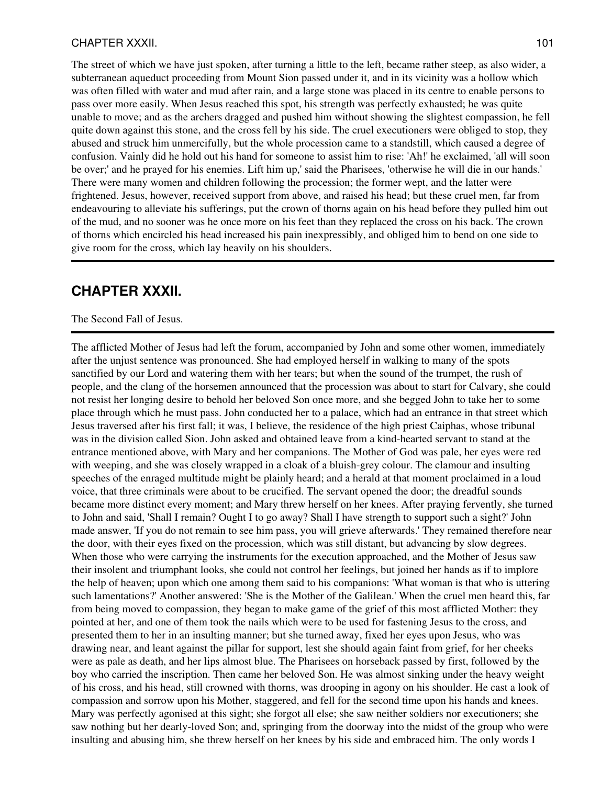#### CHAPTER XXXII. 2012 2022 101

The street of which we have just spoken, after turning a little to the left, became rather steep, as also wider, a subterranean aqueduct proceeding from Mount Sion passed under it, and in its vicinity was a hollow which was often filled with water and mud after rain, and a large stone was placed in its centre to enable persons to pass over more easily. When Jesus reached this spot, his strength was perfectly exhausted; he was quite unable to move; and as the archers dragged and pushed him without showing the slightest compassion, he fell quite down against this stone, and the cross fell by his side. The cruel executioners were obliged to stop, they abused and struck him unmercifully, but the whole procession came to a standstill, which caused a degree of confusion. Vainly did he hold out his hand for someone to assist him to rise: 'Ah!' he exclaimed, 'all will soon be over;' and he prayed for his enemies. Lift him up,' said the Pharisees, 'otherwise he will die in our hands.' There were many women and children following the procession; the former wept, and the latter were frightened. Jesus, however, received support from above, and raised his head; but these cruel men, far from endeavouring to alleviate his sufferings, put the crown of thorns again on his head before they pulled him out of the mud, and no sooner was he once more on his feet than they replaced the cross on his back. The crown of thorns which encircled his head increased his pain inexpressibly, and obliged him to bend on one side to give room for the cross, which lay heavily on his shoulders.

### **CHAPTER XXXII.**

#### The Second Fall of Jesus.

The afflicted Mother of Jesus had left the forum, accompanied by John and some other women, immediately after the unjust sentence was pronounced. She had employed herself in walking to many of the spots sanctified by our Lord and watering them with her tears; but when the sound of the trumpet, the rush of people, and the clang of the horsemen announced that the procession was about to start for Calvary, she could not resist her longing desire to behold her beloved Son once more, and she begged John to take her to some place through which he must pass. John conducted her to a palace, which had an entrance in that street which Jesus traversed after his first fall; it was, I believe, the residence of the high priest Caiphas, whose tribunal was in the division called Sion. John asked and obtained leave from a kind-hearted servant to stand at the entrance mentioned above, with Mary and her companions. The Mother of God was pale, her eyes were red with weeping, and she was closely wrapped in a cloak of a bluish-grey colour. The clamour and insulting speeches of the enraged multitude might be plainly heard; and a herald at that moment proclaimed in a loud voice, that three criminals were about to be crucified. The servant opened the door; the dreadful sounds became more distinct every moment; and Mary threw herself on her knees. After praying fervently, she turned to John and said, 'Shall I remain? Ought I to go away? Shall I have strength to support such a sight?' John made answer, 'If you do not remain to see him pass, you will grieve afterwards.' They remained therefore near the door, with their eyes fixed on the procession, which was still distant, but advancing by slow degrees. When those who were carrying the instruments for the execution approached, and the Mother of Jesus saw their insolent and triumphant looks, she could not control her feelings, but joined her hands as if to implore the help of heaven; upon which one among them said to his companions: 'What woman is that who is uttering such lamentations?' Another answered: 'She is the Mother of the Galilean.' When the cruel men heard this, far from being moved to compassion, they began to make game of the grief of this most afflicted Mother: they pointed at her, and one of them took the nails which were to be used for fastening Jesus to the cross, and presented them to her in an insulting manner; but she turned away, fixed her eyes upon Jesus, who was drawing near, and leant against the pillar for support, lest she should again faint from grief, for her cheeks were as pale as death, and her lips almost blue. The Pharisees on horseback passed by first, followed by the boy who carried the inscription. Then came her beloved Son. He was almost sinking under the heavy weight of his cross, and his head, still crowned with thorns, was drooping in agony on his shoulder. He cast a look of compassion and sorrow upon his Mother, staggered, and fell for the second time upon his hands and knees. Mary was perfectly agonised at this sight; she forgot all else; she saw neither soldiers nor executioners; she saw nothing but her dearly-loved Son; and, springing from the doorway into the midst of the group who were insulting and abusing him, she threw herself on her knees by his side and embraced him. The only words I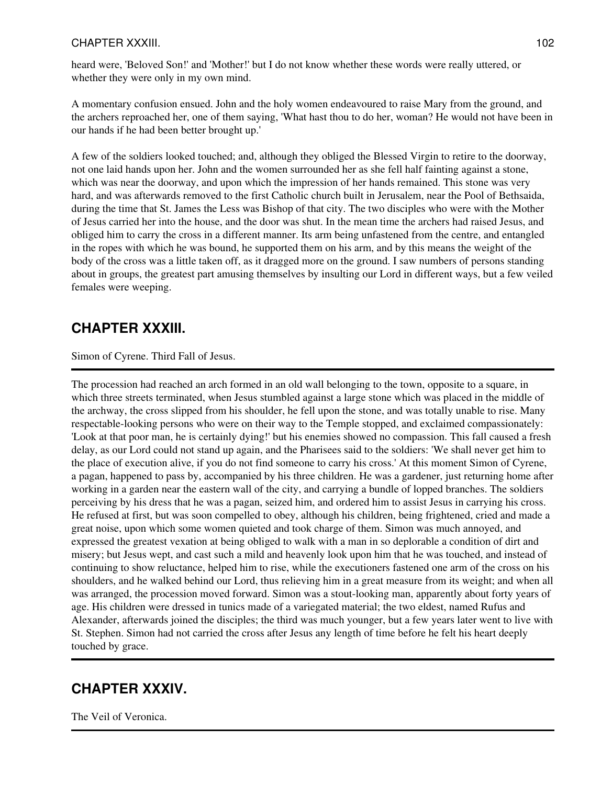### CHAPTER XXXIII. 102

heard were, 'Beloved Son!' and 'Mother!' but I do not know whether these words were really uttered, or whether they were only in my own mind.

A momentary confusion ensued. John and the holy women endeavoured to raise Mary from the ground, and the archers reproached her, one of them saying, 'What hast thou to do her, woman? He would not have been in our hands if he had been better brought up.'

A few of the soldiers looked touched; and, although they obliged the Blessed Virgin to retire to the doorway, not one laid hands upon her. John and the women surrounded her as she fell half fainting against a stone, which was near the doorway, and upon which the impression of her hands remained. This stone was very hard, and was afterwards removed to the first Catholic church built in Jerusalem, near the Pool of Bethsaida, during the time that St. James the Less was Bishop of that city. The two disciples who were with the Mother of Jesus carried her into the house, and the door was shut. In the mean time the archers had raised Jesus, and obliged him to carry the cross in a different manner. Its arm being unfastened from the centre, and entangled in the ropes with which he was bound, he supported them on his arm, and by this means the weight of the body of the cross was a little taken off, as it dragged more on the ground. I saw numbers of persons standing about in groups, the greatest part amusing themselves by insulting our Lord in different ways, but a few veiled females were weeping.

# **CHAPTER XXXIII.**

Simon of Cyrene. Third Fall of Jesus.

The procession had reached an arch formed in an old wall belonging to the town, opposite to a square, in which three streets terminated, when Jesus stumbled against a large stone which was placed in the middle of the archway, the cross slipped from his shoulder, he fell upon the stone, and was totally unable to rise. Many respectable-looking persons who were on their way to the Temple stopped, and exclaimed compassionately: 'Look at that poor man, he is certainly dying!' but his enemies showed no compassion. This fall caused a fresh delay, as our Lord could not stand up again, and the Pharisees said to the soldiers: 'We shall never get him to the place of execution alive, if you do not find someone to carry his cross.' At this moment Simon of Cyrene, a pagan, happened to pass by, accompanied by his three children. He was a gardener, just returning home after working in a garden near the eastern wall of the city, and carrying a bundle of lopped branches. The soldiers perceiving by his dress that he was a pagan, seized him, and ordered him to assist Jesus in carrying his cross. He refused at first, but was soon compelled to obey, although his children, being frightened, cried and made a great noise, upon which some women quieted and took charge of them. Simon was much annoyed, and expressed the greatest vexation at being obliged to walk with a man in so deplorable a condition of dirt and misery; but Jesus wept, and cast such a mild and heavenly look upon him that he was touched, and instead of continuing to show reluctance, helped him to rise, while the executioners fastened one arm of the cross on his shoulders, and he walked behind our Lord, thus relieving him in a great measure from its weight; and when all was arranged, the procession moved forward. Simon was a stout-looking man, apparently about forty years of age. His children were dressed in tunics made of a variegated material; the two eldest, named Rufus and Alexander, afterwards joined the disciples; the third was much younger, but a few years later went to live with St. Stephen. Simon had not carried the cross after Jesus any length of time before he felt his heart deeply touched by grace.

# **CHAPTER XXXIV.**

The Veil of Veronica.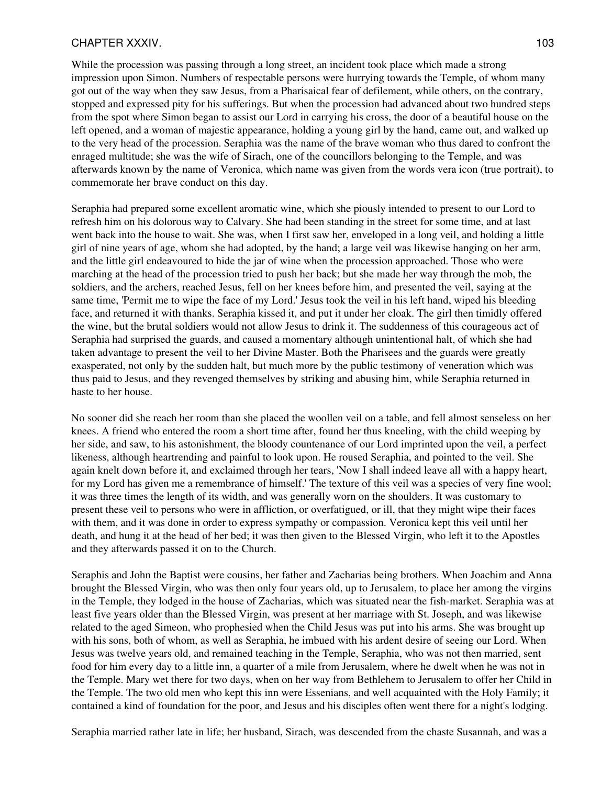### CHAPTER XXXIV. 2003 2004 103

While the procession was passing through a long street, an incident took place which made a strong impression upon Simon. Numbers of respectable persons were hurrying towards the Temple, of whom many got out of the way when they saw Jesus, from a Pharisaical fear of defilement, while others, on the contrary, stopped and expressed pity for his sufferings. But when the procession had advanced about two hundred steps from the spot where Simon began to assist our Lord in carrying his cross, the door of a beautiful house on the left opened, and a woman of majestic appearance, holding a young girl by the hand, came out, and walked up to the very head of the procession. Seraphia was the name of the brave woman who thus dared to confront the enraged multitude; she was the wife of Sirach, one of the councillors belonging to the Temple, and was afterwards known by the name of Veronica, which name was given from the words vera icon (true portrait), to commemorate her brave conduct on this day.

Seraphia had prepared some excellent aromatic wine, which she piously intended to present to our Lord to refresh him on his dolorous way to Calvary. She had been standing in the street for some time, and at last went back into the house to wait. She was, when I first saw her, enveloped in a long veil, and holding a little girl of nine years of age, whom she had adopted, by the hand; a large veil was likewise hanging on her arm, and the little girl endeavoured to hide the jar of wine when the procession approached. Those who were marching at the head of the procession tried to push her back; but she made her way through the mob, the soldiers, and the archers, reached Jesus, fell on her knees before him, and presented the veil, saying at the same time, 'Permit me to wipe the face of my Lord.' Jesus took the veil in his left hand, wiped his bleeding face, and returned it with thanks. Seraphia kissed it, and put it under her cloak. The girl then timidly offered the wine, but the brutal soldiers would not allow Jesus to drink it. The suddenness of this courageous act of Seraphia had surprised the guards, and caused a momentary although unintentional halt, of which she had taken advantage to present the veil to her Divine Master. Both the Pharisees and the guards were greatly exasperated, not only by the sudden halt, but much more by the public testimony of veneration which was thus paid to Jesus, and they revenged themselves by striking and abusing him, while Seraphia returned in haste to her house.

No sooner did she reach her room than she placed the woollen veil on a table, and fell almost senseless on her knees. A friend who entered the room a short time after, found her thus kneeling, with the child weeping by her side, and saw, to his astonishment, the bloody countenance of our Lord imprinted upon the veil, a perfect likeness, although heartrending and painful to look upon. He roused Seraphia, and pointed to the veil. She again knelt down before it, and exclaimed through her tears, 'Now I shall indeed leave all with a happy heart, for my Lord has given me a remembrance of himself.' The texture of this veil was a species of very fine wool; it was three times the length of its width, and was generally worn on the shoulders. It was customary to present these veil to persons who were in affliction, or overfatigued, or ill, that they might wipe their faces with them, and it was done in order to express sympathy or compassion. Veronica kept this veil until her death, and hung it at the head of her bed; it was then given to the Blessed Virgin, who left it to the Apostles and they afterwards passed it on to the Church.

Seraphis and John the Baptist were cousins, her father and Zacharias being brothers. When Joachim and Anna brought the Blessed Virgin, who was then only four years old, up to Jerusalem, to place her among the virgins in the Temple, they lodged in the house of Zacharias, which was situated near the fish-market. Seraphia was at least five years older than the Blessed Virgin, was present at her marriage with St. Joseph, and was likewise related to the aged Simeon, who prophesied when the Child Jesus was put into his arms. She was brought up with his sons, both of whom, as well as Seraphia, he imbued with his ardent desire of seeing our Lord. When Jesus was twelve years old, and remained teaching in the Temple, Seraphia, who was not then married, sent food for him every day to a little inn, a quarter of a mile from Jerusalem, where he dwelt when he was not in the Temple. Mary wet there for two days, when on her way from Bethlehem to Jerusalem to offer her Child in the Temple. The two old men who kept this inn were Essenians, and well acquainted with the Holy Family; it contained a kind of foundation for the poor, and Jesus and his disciples often went there for a night's lodging.

Seraphia married rather late in life; her husband, Sirach, was descended from the chaste Susannah, and was a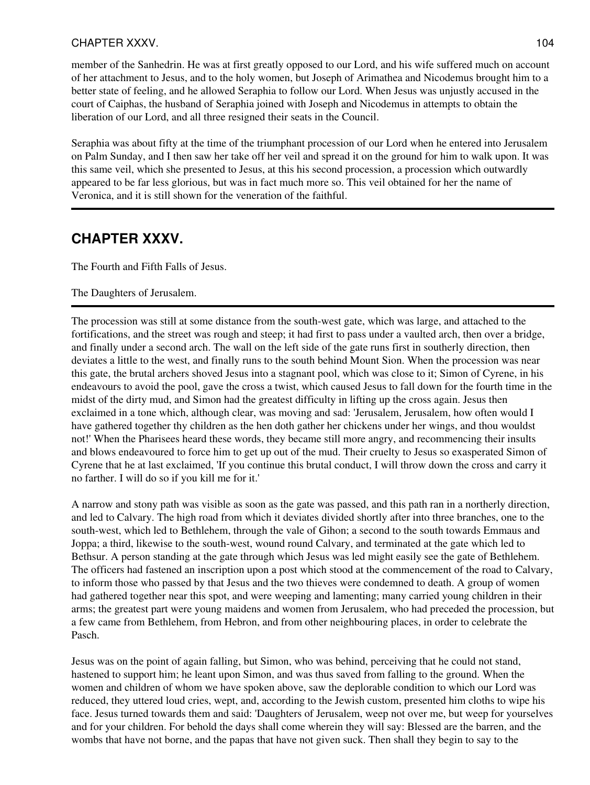### CHAPTER XXXV. 2004 2012 104

member of the Sanhedrin. He was at first greatly opposed to our Lord, and his wife suffered much on account of her attachment to Jesus, and to the holy women, but Joseph of Arimathea and Nicodemus brought him to a better state of feeling, and he allowed Seraphia to follow our Lord. When Jesus was unjustly accused in the court of Caiphas, the husband of Seraphia joined with Joseph and Nicodemus in attempts to obtain the liberation of our Lord, and all three resigned their seats in the Council.

Seraphia was about fifty at the time of the triumphant procession of our Lord when he entered into Jerusalem on Palm Sunday, and I then saw her take off her veil and spread it on the ground for him to walk upon. It was this same veil, which she presented to Jesus, at this his second procession, a procession which outwardly appeared to be far less glorious, but was in fact much more so. This veil obtained for her the name of Veronica, and it is still shown for the veneration of the faithful.

## **CHAPTER XXXV.**

The Fourth and Fifth Falls of Jesus.

#### The Daughters of Jerusalem.

The procession was still at some distance from the south-west gate, which was large, and attached to the fortifications, and the street was rough and steep; it had first to pass under a vaulted arch, then over a bridge, and finally under a second arch. The wall on the left side of the gate runs first in southerly direction, then deviates a little to the west, and finally runs to the south behind Mount Sion. When the procession was near this gate, the brutal archers shoved Jesus into a stagnant pool, which was close to it; Simon of Cyrene, in his endeavours to avoid the pool, gave the cross a twist, which caused Jesus to fall down for the fourth time in the midst of the dirty mud, and Simon had the greatest difficulty in lifting up the cross again. Jesus then exclaimed in a tone which, although clear, was moving and sad: 'Jerusalem, Jerusalem, how often would I have gathered together thy children as the hen doth gather her chickens under her wings, and thou wouldst not!' When the Pharisees heard these words, they became still more angry, and recommencing their insults and blows endeavoured to force him to get up out of the mud. Their cruelty to Jesus so exasperated Simon of Cyrene that he at last exclaimed, 'If you continue this brutal conduct, I will throw down the cross and carry it no farther. I will do so if you kill me for it.'

A narrow and stony path was visible as soon as the gate was passed, and this path ran in a northerly direction, and led to Calvary. The high road from which it deviates divided shortly after into three branches, one to the south-west, which led to Bethlehem, through the vale of Gihon; a second to the south towards Emmaus and Joppa; a third, likewise to the south-west, wound round Calvary, and terminated at the gate which led to Bethsur. A person standing at the gate through which Jesus was led might easily see the gate of Bethlehem. The officers had fastened an inscription upon a post which stood at the commencement of the road to Calvary, to inform those who passed by that Jesus and the two thieves were condemned to death. A group of women had gathered together near this spot, and were weeping and lamenting; many carried young children in their arms; the greatest part were young maidens and women from Jerusalem, who had preceded the procession, but a few came from Bethlehem, from Hebron, and from other neighbouring places, in order to celebrate the Pasch.

Jesus was on the point of again falling, but Simon, who was behind, perceiving that he could not stand, hastened to support him; he leant upon Simon, and was thus saved from falling to the ground. When the women and children of whom we have spoken above, saw the deplorable condition to which our Lord was reduced, they uttered loud cries, wept, and, according to the Jewish custom, presented him cloths to wipe his face. Jesus turned towards them and said: 'Daughters of Jerusalem, weep not over me, but weep for yourselves and for your children. For behold the days shall come wherein they will say: Blessed are the barren, and the wombs that have not borne, and the papas that have not given suck. Then shall they begin to say to the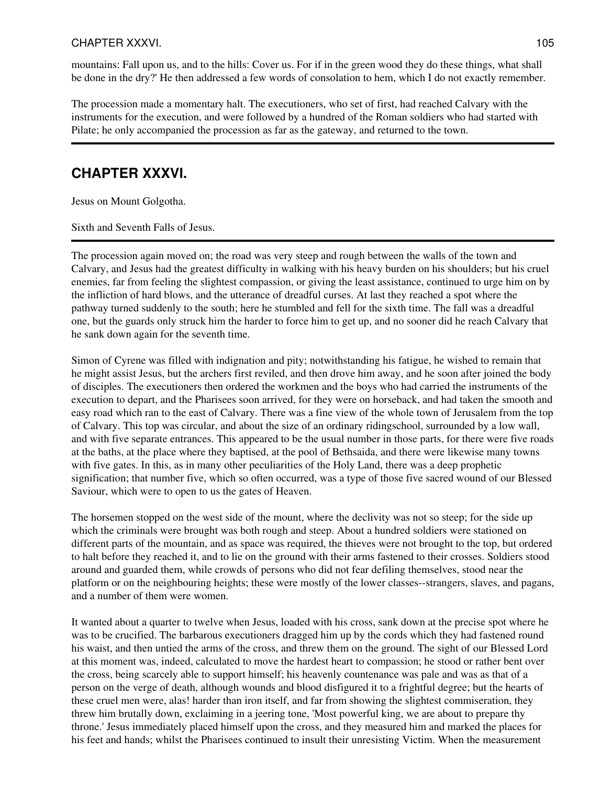#### CHAPTER XXXVI. 2005 2006 2012 105

mountains: Fall upon us, and to the hills: Cover us. For if in the green wood they do these things, what shall be done in the dry?' He then addressed a few words of consolation to hem, which I do not exactly remember.

The procession made a momentary halt. The executioners, who set of first, had reached Calvary with the instruments for the execution, and were followed by a hundred of the Roman soldiers who had started with Pilate; he only accompanied the procession as far as the gateway, and returned to the town.

### **CHAPTER XXXVI.**

Jesus on Mount Golgotha.

Sixth and Seventh Falls of Jesus.

The procession again moved on; the road was very steep and rough between the walls of the town and Calvary, and Jesus had the greatest difficulty in walking with his heavy burden on his shoulders; but his cruel enemies, far from feeling the slightest compassion, or giving the least assistance, continued to urge him on by the infliction of hard blows, and the utterance of dreadful curses. At last they reached a spot where the pathway turned suddenly to the south; here he stumbled and fell for the sixth time. The fall was a dreadful one, but the guards only struck him the harder to force him to get up, and no sooner did he reach Calvary that he sank down again for the seventh time.

Simon of Cyrene was filled with indignation and pity; notwithstanding his fatigue, he wished to remain that he might assist Jesus, but the archers first reviled, and then drove him away, and he soon after joined the body of disciples. The executioners then ordered the workmen and the boys who had carried the instruments of the execution to depart, and the Pharisees soon arrived, for they were on horseback, and had taken the smooth and easy road which ran to the east of Calvary. There was a fine view of the whole town of Jerusalem from the top of Calvary. This top was circular, and about the size of an ordinary ridingschool, surrounded by a low wall, and with five separate entrances. This appeared to be the usual number in those parts, for there were five roads at the baths, at the place where they baptised, at the pool of Bethsaida, and there were likewise many towns with five gates. In this, as in many other peculiarities of the Holy Land, there was a deep prophetic signification; that number five, which so often occurred, was a type of those five sacred wound of our Blessed Saviour, which were to open to us the gates of Heaven.

The horsemen stopped on the west side of the mount, where the declivity was not so steep; for the side up which the criminals were brought was both rough and steep. About a hundred soldiers were stationed on different parts of the mountain, and as space was required, the thieves were not brought to the top, but ordered to halt before they reached it, and to lie on the ground with their arms fastened to their crosses. Soldiers stood around and guarded them, while crowds of persons who did not fear defiling themselves, stood near the platform or on the neighbouring heights; these were mostly of the lower classes--strangers, slaves, and pagans, and a number of them were women.

It wanted about a quarter to twelve when Jesus, loaded with his cross, sank down at the precise spot where he was to be crucified. The barbarous executioners dragged him up by the cords which they had fastened round his waist, and then untied the arms of the cross, and threw them on the ground. The sight of our Blessed Lord at this moment was, indeed, calculated to move the hardest heart to compassion; he stood or rather bent over the cross, being scarcely able to support himself; his heavenly countenance was pale and was as that of a person on the verge of death, although wounds and blood disfigured it to a frightful degree; but the hearts of these cruel men were, alas! harder than iron itself, and far from showing the slightest commiseration, they threw him brutally down, exclaiming in a jeering tone, 'Most powerful king, we are about to prepare thy throne.' Jesus immediately placed himself upon the cross, and they measured him and marked the places for his feet and hands; whilst the Pharisees continued to insult their unresisting Victim. When the measurement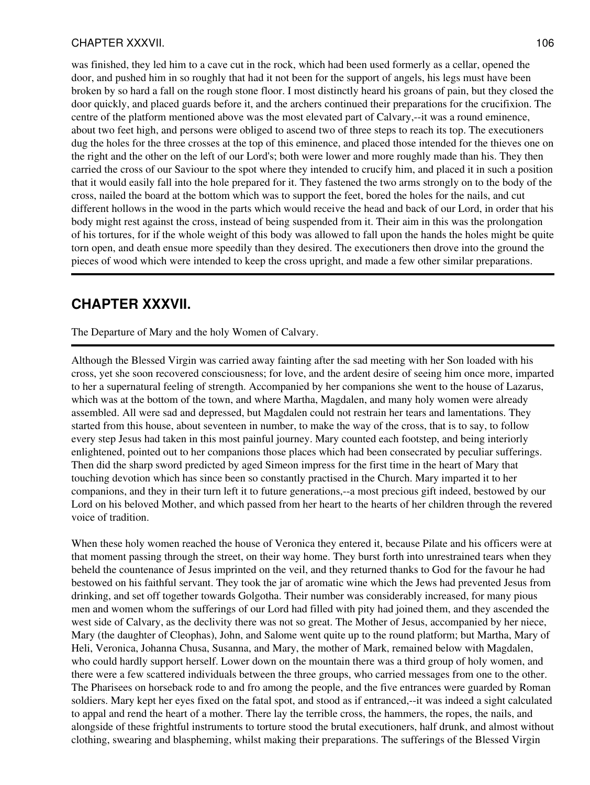#### CHAPTER XXXVII. 2006 2012 106

was finished, they led him to a cave cut in the rock, which had been used formerly as a cellar, opened the door, and pushed him in so roughly that had it not been for the support of angels, his legs must have been broken by so hard a fall on the rough stone floor. I most distinctly heard his groans of pain, but they closed the door quickly, and placed guards before it, and the archers continued their preparations for the crucifixion. The centre of the platform mentioned above was the most elevated part of Calvary,--it was a round eminence, about two feet high, and persons were obliged to ascend two of three steps to reach its top. The executioners dug the holes for the three crosses at the top of this eminence, and placed those intended for the thieves one on the right and the other on the left of our Lord's; both were lower and more roughly made than his. They then carried the cross of our Saviour to the spot where they intended to crucify him, and placed it in such a position that it would easily fall into the hole prepared for it. They fastened the two arms strongly on to the body of the cross, nailed the board at the bottom which was to support the feet, bored the holes for the nails, and cut different hollows in the wood in the parts which would receive the head and back of our Lord, in order that his body might rest against the cross, instead of being suspended from it. Their aim in this was the prolongation of his tortures, for if the whole weight of this body was allowed to fall upon the hands the holes might be quite torn open, and death ensue more speedily than they desired. The executioners then drove into the ground the pieces of wood which were intended to keep the cross upright, and made a few other similar preparations.

### **CHAPTER XXXVII.**

The Departure of Mary and the holy Women of Calvary.

Although the Blessed Virgin was carried away fainting after the sad meeting with her Son loaded with his cross, yet she soon recovered consciousness; for love, and the ardent desire of seeing him once more, imparted to her a supernatural feeling of strength. Accompanied by her companions she went to the house of Lazarus, which was at the bottom of the town, and where Martha, Magdalen, and many holy women were already assembled. All were sad and depressed, but Magdalen could not restrain her tears and lamentations. They started from this house, about seventeen in number, to make the way of the cross, that is to say, to follow every step Jesus had taken in this most painful journey. Mary counted each footstep, and being interiorly enlightened, pointed out to her companions those places which had been consecrated by peculiar sufferings. Then did the sharp sword predicted by aged Simeon impress for the first time in the heart of Mary that touching devotion which has since been so constantly practised in the Church. Mary imparted it to her companions, and they in their turn left it to future generations,--a most precious gift indeed, bestowed by our Lord on his beloved Mother, and which passed from her heart to the hearts of her children through the revered voice of tradition.

When these holy women reached the house of Veronica they entered it, because Pilate and his officers were at that moment passing through the street, on their way home. They burst forth into unrestrained tears when they beheld the countenance of Jesus imprinted on the veil, and they returned thanks to God for the favour he had bestowed on his faithful servant. They took the jar of aromatic wine which the Jews had prevented Jesus from drinking, and set off together towards Golgotha. Their number was considerably increased, for many pious men and women whom the sufferings of our Lord had filled with pity had joined them, and they ascended the west side of Calvary, as the declivity there was not so great. The Mother of Jesus, accompanied by her niece, Mary (the daughter of Cleophas), John, and Salome went quite up to the round platform; but Martha, Mary of Heli, Veronica, Johanna Chusa, Susanna, and Mary, the mother of Mark, remained below with Magdalen, who could hardly support herself. Lower down on the mountain there was a third group of holy women, and there were a few scattered individuals between the three groups, who carried messages from one to the other. The Pharisees on horseback rode to and fro among the people, and the five entrances were guarded by Roman soldiers. Mary kept her eyes fixed on the fatal spot, and stood as if entranced,--it was indeed a sight calculated to appal and rend the heart of a mother. There lay the terrible cross, the hammers, the ropes, the nails, and alongside of these frightful instruments to torture stood the brutal executioners, half drunk, and almost without clothing, swearing and blaspheming, whilst making their preparations. The sufferings of the Blessed Virgin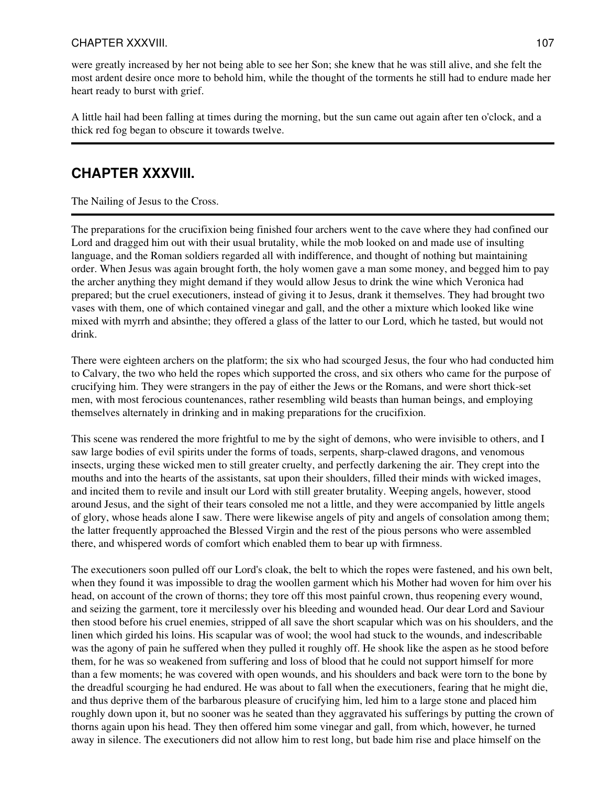### CHAPTER XXXVIII. 2002. 2003. 2004. 2007. 2007. 2007. 2007. 2007. 2007. 2007. 2007. 2007. 2007. 2007. 2007. 200

were greatly increased by her not being able to see her Son; she knew that he was still alive, and she felt the most ardent desire once more to behold him, while the thought of the torments he still had to endure made her heart ready to burst with grief.

A little hail had been falling at times during the morning, but the sun came out again after ten o'clock, and a thick red fog began to obscure it towards twelve.

# **CHAPTER XXXVIII.**

The Nailing of Jesus to the Cross.

The preparations for the crucifixion being finished four archers went to the cave where they had confined our Lord and dragged him out with their usual brutality, while the mob looked on and made use of insulting language, and the Roman soldiers regarded all with indifference, and thought of nothing but maintaining order. When Jesus was again brought forth, the holy women gave a man some money, and begged him to pay the archer anything they might demand if they would allow Jesus to drink the wine which Veronica had prepared; but the cruel executioners, instead of giving it to Jesus, drank it themselves. They had brought two vases with them, one of which contained vinegar and gall, and the other a mixture which looked like wine mixed with myrrh and absinthe; they offered a glass of the latter to our Lord, which he tasted, but would not drink.

There were eighteen archers on the platform; the six who had scourged Jesus, the four who had conducted him to Calvary, the two who held the ropes which supported the cross, and six others who came for the purpose of crucifying him. They were strangers in the pay of either the Jews or the Romans, and were short thick-set men, with most ferocious countenances, rather resembling wild beasts than human beings, and employing themselves alternately in drinking and in making preparations for the crucifixion.

This scene was rendered the more frightful to me by the sight of demons, who were invisible to others, and I saw large bodies of evil spirits under the forms of toads, serpents, sharp-clawed dragons, and venomous insects, urging these wicked men to still greater cruelty, and perfectly darkening the air. They crept into the mouths and into the hearts of the assistants, sat upon their shoulders, filled their minds with wicked images, and incited them to revile and insult our Lord with still greater brutality. Weeping angels, however, stood around Jesus, and the sight of their tears consoled me not a little, and they were accompanied by little angels of glory, whose heads alone I saw. There were likewise angels of pity and angels of consolation among them; the latter frequently approached the Blessed Virgin and the rest of the pious persons who were assembled there, and whispered words of comfort which enabled them to bear up with firmness.

The executioners soon pulled off our Lord's cloak, the belt to which the ropes were fastened, and his own belt, when they found it was impossible to drag the woollen garment which his Mother had woven for him over his head, on account of the crown of thorns; they tore off this most painful crown, thus reopening every wound, and seizing the garment, tore it mercilessly over his bleeding and wounded head. Our dear Lord and Saviour then stood before his cruel enemies, stripped of all save the short scapular which was on his shoulders, and the linen which girded his loins. His scapular was of wool; the wool had stuck to the wounds, and indescribable was the agony of pain he suffered when they pulled it roughly off. He shook like the aspen as he stood before them, for he was so weakened from suffering and loss of blood that he could not support himself for more than a few moments; he was covered with open wounds, and his shoulders and back were torn to the bone by the dreadful scourging he had endured. He was about to fall when the executioners, fearing that he might die, and thus deprive them of the barbarous pleasure of crucifying him, led him to a large stone and placed him roughly down upon it, but no sooner was he seated than they aggravated his sufferings by putting the crown of thorns again upon his head. They then offered him some vinegar and gall, from which, however, he turned away in silence. The executioners did not allow him to rest long, but bade him rise and place himself on the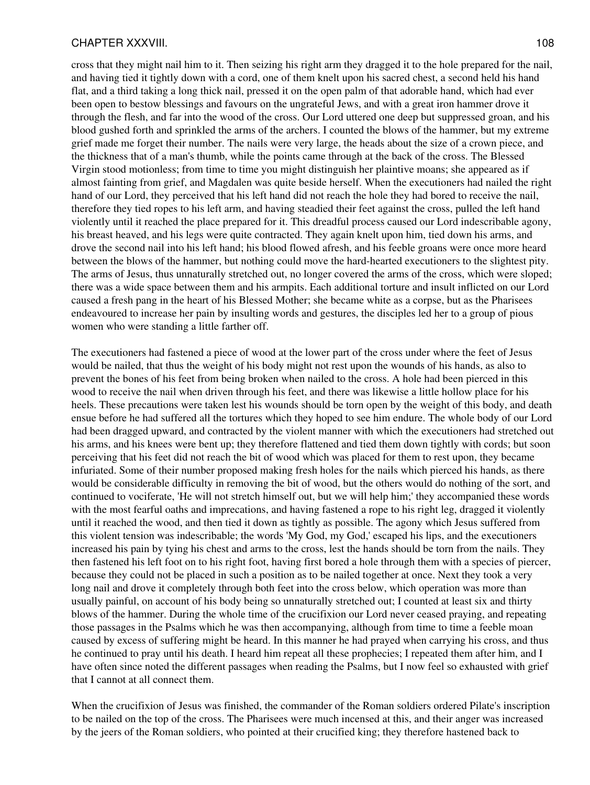#### CHAPTER XXXVIII. 2008. 2008. 2012. 2022. 2023. 2024. 2022. 2034. 2034. 2034. 204. 205. 206. 207. 208. 209. 20

cross that they might nail him to it. Then seizing his right arm they dragged it to the hole prepared for the nail, and having tied it tightly down with a cord, one of them knelt upon his sacred chest, a second held his hand flat, and a third taking a long thick nail, pressed it on the open palm of that adorable hand, which had ever been open to bestow blessings and favours on the ungrateful Jews, and with a great iron hammer drove it through the flesh, and far into the wood of the cross. Our Lord uttered one deep but suppressed groan, and his blood gushed forth and sprinkled the arms of the archers. I counted the blows of the hammer, but my extreme grief made me forget their number. The nails were very large, the heads about the size of a crown piece, and the thickness that of a man's thumb, while the points came through at the back of the cross. The Blessed Virgin stood motionless; from time to time you might distinguish her plaintive moans; she appeared as if almost fainting from grief, and Magdalen was quite beside herself. When the executioners had nailed the right hand of our Lord, they perceived that his left hand did not reach the hole they had bored to receive the nail, therefore they tied ropes to his left arm, and having steadied their feet against the cross, pulled the left hand violently until it reached the place prepared for it. This dreadful process caused our Lord indescribable agony, his breast heaved, and his legs were quite contracted. They again knelt upon him, tied down his arms, and drove the second nail into his left hand; his blood flowed afresh, and his feeble groans were once more heard between the blows of the hammer, but nothing could move the hard-hearted executioners to the slightest pity. The arms of Jesus, thus unnaturally stretched out, no longer covered the arms of the cross, which were sloped; there was a wide space between them and his armpits. Each additional torture and insult inflicted on our Lord caused a fresh pang in the heart of his Blessed Mother; she became white as a corpse, but as the Pharisees endeavoured to increase her pain by insulting words and gestures, the disciples led her to a group of pious women who were standing a little farther off.

The executioners had fastened a piece of wood at the lower part of the cross under where the feet of Jesus would be nailed, that thus the weight of his body might not rest upon the wounds of his hands, as also to prevent the bones of his feet from being broken when nailed to the cross. A hole had been pierced in this wood to receive the nail when driven through his feet, and there was likewise a little hollow place for his heels. These precautions were taken lest his wounds should be torn open by the weight of this body, and death ensue before he had suffered all the tortures which they hoped to see him endure. The whole body of our Lord had been dragged upward, and contracted by the violent manner with which the executioners had stretched out his arms, and his knees were bent up; they therefore flattened and tied them down tightly with cords; but soon perceiving that his feet did not reach the bit of wood which was placed for them to rest upon, they became infuriated. Some of their number proposed making fresh holes for the nails which pierced his hands, as there would be considerable difficulty in removing the bit of wood, but the others would do nothing of the sort, and continued to vociferate, 'He will not stretch himself out, but we will help him;' they accompanied these words with the most fearful oaths and imprecations, and having fastened a rope to his right leg, dragged it violently until it reached the wood, and then tied it down as tightly as possible. The agony which Jesus suffered from this violent tension was indescribable; the words 'My God, my God,' escaped his lips, and the executioners increased his pain by tying his chest and arms to the cross, lest the hands should be torn from the nails. They then fastened his left foot on to his right foot, having first bored a hole through them with a species of piercer, because they could not be placed in such a position as to be nailed together at once. Next they took a very long nail and drove it completely through both feet into the cross below, which operation was more than usually painful, on account of his body being so unnaturally stretched out; I counted at least six and thirty blows of the hammer. During the whole time of the crucifixion our Lord never ceased praying, and repeating those passages in the Psalms which he was then accompanying, although from time to time a feeble moan caused by excess of suffering might be heard. In this manner he had prayed when carrying his cross, and thus he continued to pray until his death. I heard him repeat all these prophecies; I repeated them after him, and I have often since noted the different passages when reading the Psalms, but I now feel so exhausted with grief that I cannot at all connect them.

When the crucifixion of Jesus was finished, the commander of the Roman soldiers ordered Pilate's inscription to be nailed on the top of the cross. The Pharisees were much incensed at this, and their anger was increased by the jeers of the Roman soldiers, who pointed at their crucified king; they therefore hastened back to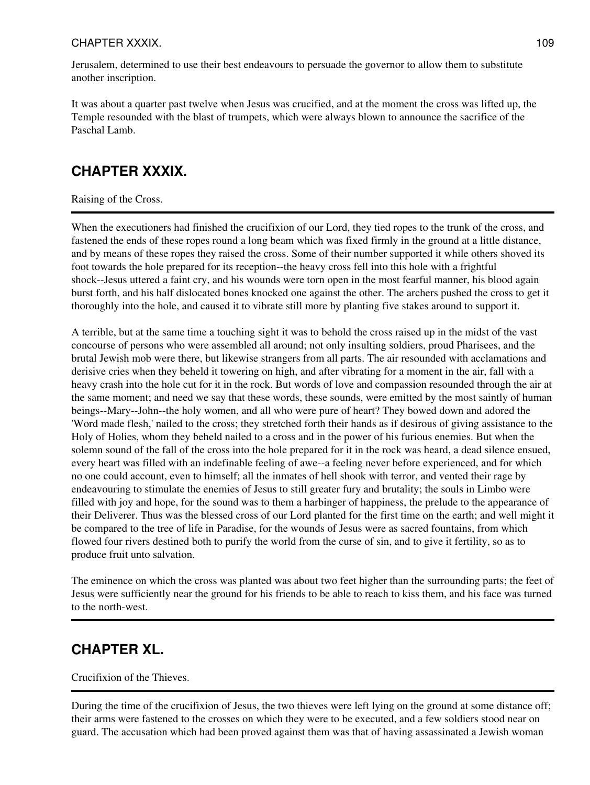## CHAPTER XXXIX. 109

Jerusalem, determined to use their best endeavours to persuade the governor to allow them to substitute another inscription.

It was about a quarter past twelve when Jesus was crucified, and at the moment the cross was lifted up, the Temple resounded with the blast of trumpets, which were always blown to announce the sacrifice of the Paschal Lamb.

# **CHAPTER XXXIX.**

### Raising of the Cross.

When the executioners had finished the crucifixion of our Lord, they tied ropes to the trunk of the cross, and fastened the ends of these ropes round a long beam which was fixed firmly in the ground at a little distance, and by means of these ropes they raised the cross. Some of their number supported it while others shoved its foot towards the hole prepared for its reception--the heavy cross fell into this hole with a frightful shock--Jesus uttered a faint cry, and his wounds were torn open in the most fearful manner, his blood again burst forth, and his half dislocated bones knocked one against the other. The archers pushed the cross to get it thoroughly into the hole, and caused it to vibrate still more by planting five stakes around to support it.

A terrible, but at the same time a touching sight it was to behold the cross raised up in the midst of the vast concourse of persons who were assembled all around; not only insulting soldiers, proud Pharisees, and the brutal Jewish mob were there, but likewise strangers from all parts. The air resounded with acclamations and derisive cries when they beheld it towering on high, and after vibrating for a moment in the air, fall with a heavy crash into the hole cut for it in the rock. But words of love and compassion resounded through the air at the same moment; and need we say that these words, these sounds, were emitted by the most saintly of human beings--Mary--John--the holy women, and all who were pure of heart? They bowed down and adored the 'Word made flesh,' nailed to the cross; they stretched forth their hands as if desirous of giving assistance to the Holy of Holies, whom they beheld nailed to a cross and in the power of his furious enemies. But when the solemn sound of the fall of the cross into the hole prepared for it in the rock was heard, a dead silence ensued, every heart was filled with an indefinable feeling of awe--a feeling never before experienced, and for which no one could account, even to himself; all the inmates of hell shook with terror, and vented their rage by endeavouring to stimulate the enemies of Jesus to still greater fury and brutality; the souls in Limbo were filled with joy and hope, for the sound was to them a harbinger of happiness, the prelude to the appearance of their Deliverer. Thus was the blessed cross of our Lord planted for the first time on the earth; and well might it be compared to the tree of life in Paradise, for the wounds of Jesus were as sacred fountains, from which flowed four rivers destined both to purify the world from the curse of sin, and to give it fertility, so as to produce fruit unto salvation.

The eminence on which the cross was planted was about two feet higher than the surrounding parts; the feet of Jesus were sufficiently near the ground for his friends to be able to reach to kiss them, and his face was turned to the north-west.

# **CHAPTER XL.**

### Crucifixion of the Thieves.

During the time of the crucifixion of Jesus, the two thieves were left lying on the ground at some distance off; their arms were fastened to the crosses on which they were to be executed, and a few soldiers stood near on guard. The accusation which had been proved against them was that of having assassinated a Jewish woman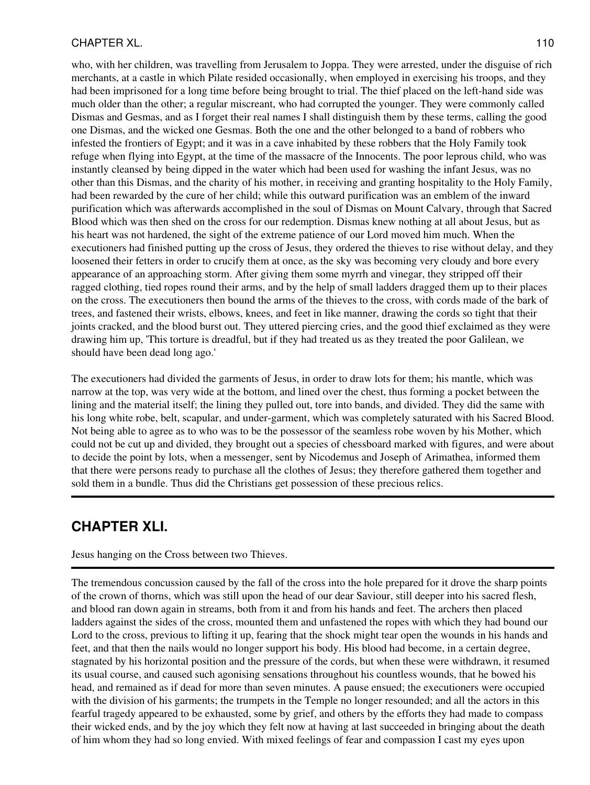### CHAPTER XL. 2002. 2003. The state of the state of the state of the state of the state of the state of the state of the state of the state of the state of the state of the state of the state of the state of the state of the

who, with her children, was travelling from Jerusalem to Joppa. They were arrested, under the disguise of rich merchants, at a castle in which Pilate resided occasionally, when employed in exercising his troops, and they had been imprisoned for a long time before being brought to trial. The thief placed on the left-hand side was much older than the other; a regular miscreant, who had corrupted the younger. They were commonly called Dismas and Gesmas, and as I forget their real names I shall distinguish them by these terms, calling the good one Dismas, and the wicked one Gesmas. Both the one and the other belonged to a band of robbers who infested the frontiers of Egypt; and it was in a cave inhabited by these robbers that the Holy Family took refuge when flying into Egypt, at the time of the massacre of the Innocents. The poor leprous child, who was instantly cleansed by being dipped in the water which had been used for washing the infant Jesus, was no other than this Dismas, and the charity of his mother, in receiving and granting hospitality to the Holy Family, had been rewarded by the cure of her child; while this outward purification was an emblem of the inward purification which was afterwards accomplished in the soul of Dismas on Mount Calvary, through that Sacred Blood which was then shed on the cross for our redemption. Dismas knew nothing at all about Jesus, but as his heart was not hardened, the sight of the extreme patience of our Lord moved him much. When the executioners had finished putting up the cross of Jesus, they ordered the thieves to rise without delay, and they loosened their fetters in order to crucify them at once, as the sky was becoming very cloudy and bore every appearance of an approaching storm. After giving them some myrrh and vinegar, they stripped off their ragged clothing, tied ropes round their arms, and by the help of small ladders dragged them up to their places on the cross. The executioners then bound the arms of the thieves to the cross, with cords made of the bark of trees, and fastened their wrists, elbows, knees, and feet in like manner, drawing the cords so tight that their joints cracked, and the blood burst out. They uttered piercing cries, and the good thief exclaimed as they were drawing him up, 'This torture is dreadful, but if they had treated us as they treated the poor Galilean, we should have been dead long ago.'

The executioners had divided the garments of Jesus, in order to draw lots for them; his mantle, which was narrow at the top, was very wide at the bottom, and lined over the chest, thus forming a pocket between the lining and the material itself; the lining they pulled out, tore into bands, and divided. They did the same with his long white robe, belt, scapular, and under-garment, which was completely saturated with his Sacred Blood. Not being able to agree as to who was to be the possessor of the seamless robe woven by his Mother, which could not be cut up and divided, they brought out a species of chessboard marked with figures, and were about to decide the point by lots, when a messenger, sent by Nicodemus and Joseph of Arimathea, informed them that there were persons ready to purchase all the clothes of Jesus; they therefore gathered them together and sold them in a bundle. Thus did the Christians get possession of these precious relics.

# **CHAPTER XLI.**

Jesus hanging on the Cross between two Thieves.

The tremendous concussion caused by the fall of the cross into the hole prepared for it drove the sharp points of the crown of thorns, which was still upon the head of our dear Saviour, still deeper into his sacred flesh, and blood ran down again in streams, both from it and from his hands and feet. The archers then placed ladders against the sides of the cross, mounted them and unfastened the ropes with which they had bound our Lord to the cross, previous to lifting it up, fearing that the shock might tear open the wounds in his hands and feet, and that then the nails would no longer support his body. His blood had become, in a certain degree, stagnated by his horizontal position and the pressure of the cords, but when these were withdrawn, it resumed its usual course, and caused such agonising sensations throughout his countless wounds, that he bowed his head, and remained as if dead for more than seven minutes. A pause ensued; the executioners were occupied with the division of his garments; the trumpets in the Temple no longer resounded; and all the actors in this fearful tragedy appeared to be exhausted, some by grief, and others by the efforts they had made to compass their wicked ends, and by the joy which they felt now at having at last succeeded in bringing about the death of him whom they had so long envied. With mixed feelings of fear and compassion I cast my eyes upon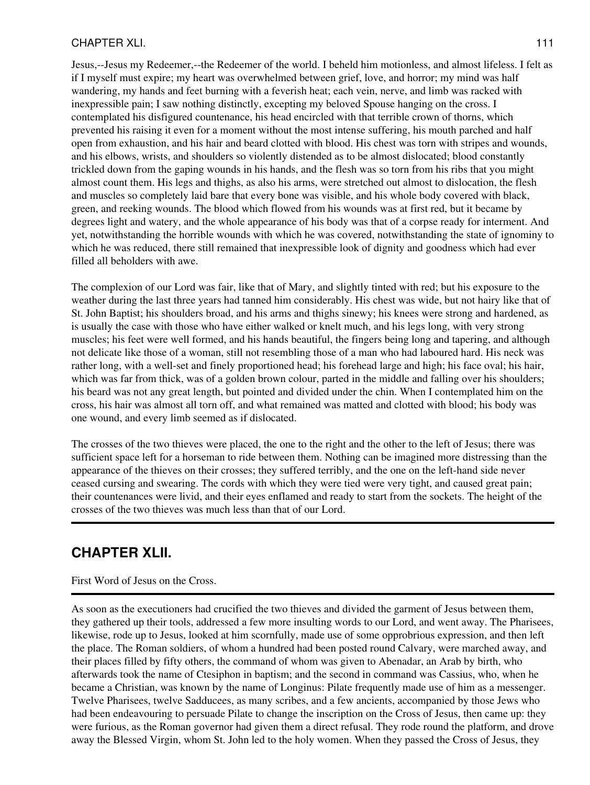### CHAPTER XLI. 111

Jesus,--Jesus my Redeemer,--the Redeemer of the world. I beheld him motionless, and almost lifeless. I felt as if I myself must expire; my heart was overwhelmed between grief, love, and horror; my mind was half wandering, my hands and feet burning with a feverish heat; each vein, nerve, and limb was racked with inexpressible pain; I saw nothing distinctly, excepting my beloved Spouse hanging on the cross. I contemplated his disfigured countenance, his head encircled with that terrible crown of thorns, which prevented his raising it even for a moment without the most intense suffering, his mouth parched and half open from exhaustion, and his hair and beard clotted with blood. His chest was torn with stripes and wounds, and his elbows, wrists, and shoulders so violently distended as to be almost dislocated; blood constantly trickled down from the gaping wounds in his hands, and the flesh was so torn from his ribs that you might almost count them. His legs and thighs, as also his arms, were stretched out almost to dislocation, the flesh and muscles so completely laid bare that every bone was visible, and his whole body covered with black, green, and reeking wounds. The blood which flowed from his wounds was at first red, but it became by degrees light and watery, and the whole appearance of his body was that of a corpse ready for interment. And yet, notwithstanding the horrible wounds with which he was covered, notwithstanding the state of ignominy to which he was reduced, there still remained that inexpressible look of dignity and goodness which had ever filled all beholders with awe.

The complexion of our Lord was fair, like that of Mary, and slightly tinted with red; but his exposure to the weather during the last three years had tanned him considerably. His chest was wide, but not hairy like that of St. John Baptist; his shoulders broad, and his arms and thighs sinewy; his knees were strong and hardened, as is usually the case with those who have either walked or knelt much, and his legs long, with very strong muscles; his feet were well formed, and his hands beautiful, the fingers being long and tapering, and although not delicate like those of a woman, still not resembling those of a man who had laboured hard. His neck was rather long, with a well-set and finely proportioned head; his forehead large and high; his face oval; his hair, which was far from thick, was of a golden brown colour, parted in the middle and falling over his shoulders; his beard was not any great length, but pointed and divided under the chin. When I contemplated him on the cross, his hair was almost all torn off, and what remained was matted and clotted with blood; his body was one wound, and every limb seemed as if dislocated.

The crosses of the two thieves were placed, the one to the right and the other to the left of Jesus; there was sufficient space left for a horseman to ride between them. Nothing can be imagined more distressing than the appearance of the thieves on their crosses; they suffered terribly, and the one on the left-hand side never ceased cursing and swearing. The cords with which they were tied were very tight, and caused great pain; their countenances were livid, and their eyes enflamed and ready to start from the sockets. The height of the crosses of the two thieves was much less than that of our Lord.

# **CHAPTER XLII.**

### First Word of Jesus on the Cross.

As soon as the executioners had crucified the two thieves and divided the garment of Jesus between them, they gathered up their tools, addressed a few more insulting words to our Lord, and went away. The Pharisees, likewise, rode up to Jesus, looked at him scornfully, made use of some opprobrious expression, and then left the place. The Roman soldiers, of whom a hundred had been posted round Calvary, were marched away, and their places filled by fifty others, the command of whom was given to Abenadar, an Arab by birth, who afterwards took the name of Ctesiphon in baptism; and the second in command was Cassius, who, when he became a Christian, was known by the name of Longinus: Pilate frequently made use of him as a messenger. Twelve Pharisees, twelve Sadducees, as many scribes, and a few ancients, accompanied by those Jews who had been endeavouring to persuade Pilate to change the inscription on the Cross of Jesus, then came up: they were furious, as the Roman governor had given them a direct refusal. They rode round the platform, and drove away the Blessed Virgin, whom St. John led to the holy women. When they passed the Cross of Jesus, they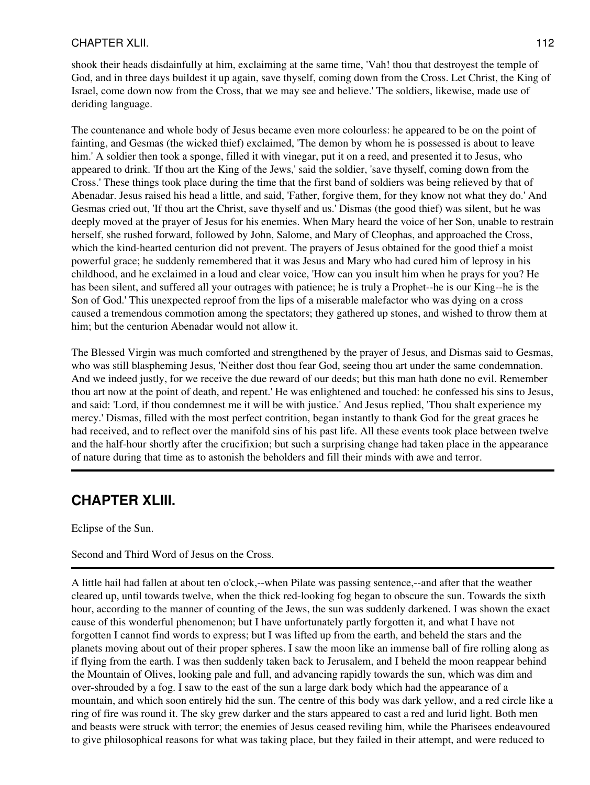## CHAPTER XLII. 112

shook their heads disdainfully at him, exclaiming at the same time, 'Vah! thou that destroyest the temple of God, and in three days buildest it up again, save thyself, coming down from the Cross. Let Christ, the King of Israel, come down now from the Cross, that we may see and believe.' The soldiers, likewise, made use of deriding language.

The countenance and whole body of Jesus became even more colourless: he appeared to be on the point of fainting, and Gesmas (the wicked thief) exclaimed, 'The demon by whom he is possessed is about to leave him.' A soldier then took a sponge, filled it with vinegar, put it on a reed, and presented it to Jesus, who appeared to drink. 'If thou art the King of the Jews,' said the soldier, 'save thyself, coming down from the Cross.' These things took place during the time that the first band of soldiers was being relieved by that of Abenadar. Jesus raised his head a little, and said, 'Father, forgive them, for they know not what they do.' And Gesmas cried out, 'If thou art the Christ, save thyself and us.' Dismas (the good thief) was silent, but he was deeply moved at the prayer of Jesus for his enemies. When Mary heard the voice of her Son, unable to restrain herself, she rushed forward, followed by John, Salome, and Mary of Cleophas, and approached the Cross, which the kind-hearted centurion did not prevent. The prayers of Jesus obtained for the good thief a moist powerful grace; he suddenly remembered that it was Jesus and Mary who had cured him of leprosy in his childhood, and he exclaimed in a loud and clear voice, 'How can you insult him when he prays for you? He has been silent, and suffered all your outrages with patience; he is truly a Prophet--he is our King--he is the Son of God.' This unexpected reproof from the lips of a miserable malefactor who was dying on a cross caused a tremendous commotion among the spectators; they gathered up stones, and wished to throw them at him; but the centurion Abenadar would not allow it.

The Blessed Virgin was much comforted and strengthened by the prayer of Jesus, and Dismas said to Gesmas, who was still blaspheming Jesus, 'Neither dost thou fear God, seeing thou art under the same condemnation. And we indeed justly, for we receive the due reward of our deeds; but this man hath done no evil. Remember thou art now at the point of death, and repent.' He was enlightened and touched: he confessed his sins to Jesus, and said: 'Lord, if thou condemnest me it will be with justice.' And Jesus replied, 'Thou shalt experience my mercy.' Dismas, filled with the most perfect contrition, began instantly to thank God for the great graces he had received, and to reflect over the manifold sins of his past life. All these events took place between twelve and the half-hour shortly after the crucifixion; but such a surprising change had taken place in the appearance of nature during that time as to astonish the beholders and fill their minds with awe and terror.

## **CHAPTER XLIII.**

Eclipse of the Sun.

### Second and Third Word of Jesus on the Cross.

A little hail had fallen at about ten o'clock,--when Pilate was passing sentence,--and after that the weather cleared up, until towards twelve, when the thick red-looking fog began to obscure the sun. Towards the sixth hour, according to the manner of counting of the Jews, the sun was suddenly darkened. I was shown the exact cause of this wonderful phenomenon; but I have unfortunately partly forgotten it, and what I have not forgotten I cannot find words to express; but I was lifted up from the earth, and beheld the stars and the planets moving about out of their proper spheres. I saw the moon like an immense ball of fire rolling along as if flying from the earth. I was then suddenly taken back to Jerusalem, and I beheld the moon reappear behind the Mountain of Olives, looking pale and full, and advancing rapidly towards the sun, which was dim and over-shrouded by a fog. I saw to the east of the sun a large dark body which had the appearance of a mountain, and which soon entirely hid the sun. The centre of this body was dark yellow, and a red circle like a ring of fire was round it. The sky grew darker and the stars appeared to cast a red and lurid light. Both men and beasts were struck with terror; the enemies of Jesus ceased reviling him, while the Pharisees endeavoured to give philosophical reasons for what was taking place, but they failed in their attempt, and were reduced to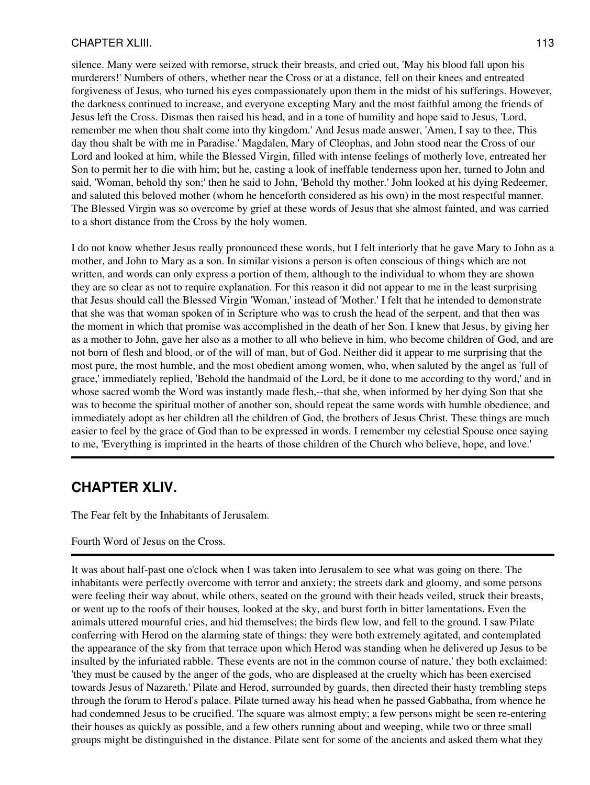### CHAPTER XLIII. 113

silence. Many were seized with remorse, struck their breasts, and cried out, 'May his blood fall upon his murderers!' Numbers of others, whether near the Cross or at a distance, fell on their knees and entreated forgiveness of Jesus, who turned his eyes compassionately upon them in the midst of his sufferings. However, the darkness continued to increase, and everyone excepting Mary and the most faithful among the friends of Jesus left the Cross. Dismas then raised his head, and in a tone of humility and hope said to Jesus, 'Lord, remember me when thou shalt come into thy kingdom.' And Jesus made answer, 'Amen, I say to thee, This day thou shalt be with me in Paradise.' Magdalen, Mary of Cleophas, and John stood near the Cross of our Lord and looked at him, while the Blessed Virgin, filled with intense feelings of motherly love, entreated her Son to permit her to die with him; but he, casting a look of ineffable tenderness upon her, turned to John and said, 'Woman, behold thy son;' then he said to John, 'Behold thy mother.' John looked at his dying Redeemer, and saluted this beloved mother (whom he henceforth considered as his own) in the most respectful manner. The Blessed Virgin was so overcome by grief at these words of Jesus that she almost fainted, and was carried to a short distance from the Cross by the holy women.

I do not know whether Jesus really pronounced these words, but I felt interiorly that he gave Mary to John as a mother, and John to Mary as a son. In similar visions a person is often conscious of things which are not written, and words can only express a portion of them, although to the individual to whom they are shown they are so clear as not to require explanation. For this reason it did not appear to me in the least surprising that Jesus should call the Blessed Virgin 'Woman,' instead of 'Mother.' I felt that he intended to demonstrate that she was that woman spoken of in Scripture who was to crush the head of the serpent, and that then was the moment in which that promise was accomplished in the death of her Son. I knew that Jesus, by giving her as a mother to John, gave her also as a mother to all who believe in him, who become children of God, and are not born of flesh and blood, or of the will of man, but of God. Neither did it appear to me surprising that the most pure, the most humble, and the most obedient among women, who, when saluted by the angel as 'full of grace,' immediately replied, 'Behold the handmaid of the Lord, be it done to me according to thy word,' and in whose sacred womb the Word was instantly made flesh,--that she, when informed by her dying Son that she was to become the spiritual mother of another son, should repeat the same words with humble obedience, and immediately adopt as her children all the children of God, the brothers of Jesus Christ. These things are much easier to feel by the grace of God than to be expressed in words. I remember my celestial Spouse once saying to me, 'Everything is imprinted in the hearts of those children of the Church who believe, hope, and love.'

## **CHAPTER XLIV.**

The Fear felt by the Inhabitants of Jerusalem.

### Fourth Word of Jesus on the Cross.

It was about half-past one o'clock when I was taken into Jerusalem to see what was going on there. The inhabitants were perfectly overcome with terror and anxiety; the streets dark and gloomy, and some persons were feeling their way about, while others, seated on the ground with their heads veiled, struck their breasts, or went up to the roofs of their houses, looked at the sky, and burst forth in bitter lamentations. Even the animals uttered mournful cries, and hid themselves; the birds flew low, and fell to the ground. I saw Pilate conferring with Herod on the alarming state of things: they were both extremely agitated, and contemplated the appearance of the sky from that terrace upon which Herod was standing when he delivered up Jesus to be insulted by the infuriated rabble. 'These events are not in the common course of nature,' they both exclaimed: 'they must be caused by the anger of the gods, who are displeased at the cruelty which has been exercised towards Jesus of Nazareth.' Pilate and Herod, surrounded by guards, then directed their hasty trembling steps through the forum to Herod's palace. Pilate turned away his head when he passed Gabbatha, from whence he had condemned Jesus to be crucified. The square was almost empty; a few persons might be seen re-entering their houses as quickly as possible, and a few others running about and weeping, while two or three small groups might be distinguished in the distance. Pilate sent for some of the ancients and asked them what they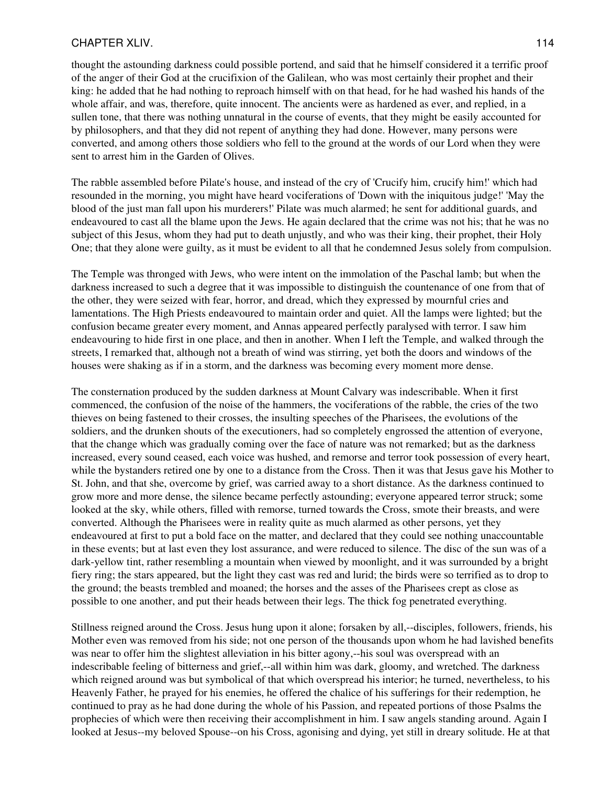### CHAPTER XLIV. 114

thought the astounding darkness could possible portend, and said that he himself considered it a terrific proof of the anger of their God at the crucifixion of the Galilean, who was most certainly their prophet and their king: he added that he had nothing to reproach himself with on that head, for he had washed his hands of the whole affair, and was, therefore, quite innocent. The ancients were as hardened as ever, and replied, in a sullen tone, that there was nothing unnatural in the course of events, that they might be easily accounted for by philosophers, and that they did not repent of anything they had done. However, many persons were converted, and among others those soldiers who fell to the ground at the words of our Lord when they were sent to arrest him in the Garden of Olives.

The rabble assembled before Pilate's house, and instead of the cry of 'Crucify him, crucify him!' which had resounded in the morning, you might have heard vociferations of 'Down with the iniquitous judge!' 'May the blood of the just man fall upon his murderers!' Pilate was much alarmed; he sent for additional guards, and endeavoured to cast all the blame upon the Jews. He again declared that the crime was not his; that he was no subject of this Jesus, whom they had put to death unjustly, and who was their king, their prophet, their Holy One; that they alone were guilty, as it must be evident to all that he condemned Jesus solely from compulsion.

The Temple was thronged with Jews, who were intent on the immolation of the Paschal lamb; but when the darkness increased to such a degree that it was impossible to distinguish the countenance of one from that of the other, they were seized with fear, horror, and dread, which they expressed by mournful cries and lamentations. The High Priests endeavoured to maintain order and quiet. All the lamps were lighted; but the confusion became greater every moment, and Annas appeared perfectly paralysed with terror. I saw him endeavouring to hide first in one place, and then in another. When I left the Temple, and walked through the streets, I remarked that, although not a breath of wind was stirring, yet both the doors and windows of the houses were shaking as if in a storm, and the darkness was becoming every moment more dense.

The consternation produced by the sudden darkness at Mount Calvary was indescribable. When it first commenced, the confusion of the noise of the hammers, the vociferations of the rabble, the cries of the two thieves on being fastened to their crosses, the insulting speeches of the Pharisees, the evolutions of the soldiers, and the drunken shouts of the executioners, had so completely engrossed the attention of everyone, that the change which was gradually coming over the face of nature was not remarked; but as the darkness increased, every sound ceased, each voice was hushed, and remorse and terror took possession of every heart, while the bystanders retired one by one to a distance from the Cross. Then it was that Jesus gave his Mother to St. John, and that she, overcome by grief, was carried away to a short distance. As the darkness continued to grow more and more dense, the silence became perfectly astounding; everyone appeared terror struck; some looked at the sky, while others, filled with remorse, turned towards the Cross, smote their breasts, and were converted. Although the Pharisees were in reality quite as much alarmed as other persons, yet they endeavoured at first to put a bold face on the matter, and declared that they could see nothing unaccountable in these events; but at last even they lost assurance, and were reduced to silence. The disc of the sun was of a dark-yellow tint, rather resembling a mountain when viewed by moonlight, and it was surrounded by a bright fiery ring; the stars appeared, but the light they cast was red and lurid; the birds were so terrified as to drop to the ground; the beasts trembled and moaned; the horses and the asses of the Pharisees crept as close as possible to one another, and put their heads between their legs. The thick fog penetrated everything.

Stillness reigned around the Cross. Jesus hung upon it alone; forsaken by all,--disciples, followers, friends, his Mother even was removed from his side; not one person of the thousands upon whom he had lavished benefits was near to offer him the slightest alleviation in his bitter agony,--his soul was overspread with an indescribable feeling of bitterness and grief,--all within him was dark, gloomy, and wretched. The darkness which reigned around was but symbolical of that which overspread his interior; he turned, nevertheless, to his Heavenly Father, he prayed for his enemies, he offered the chalice of his sufferings for their redemption, he continued to pray as he had done during the whole of his Passion, and repeated portions of those Psalms the prophecies of which were then receiving their accomplishment in him. I saw angels standing around. Again I looked at Jesus--my beloved Spouse--on his Cross, agonising and dying, yet still in dreary solitude. He at that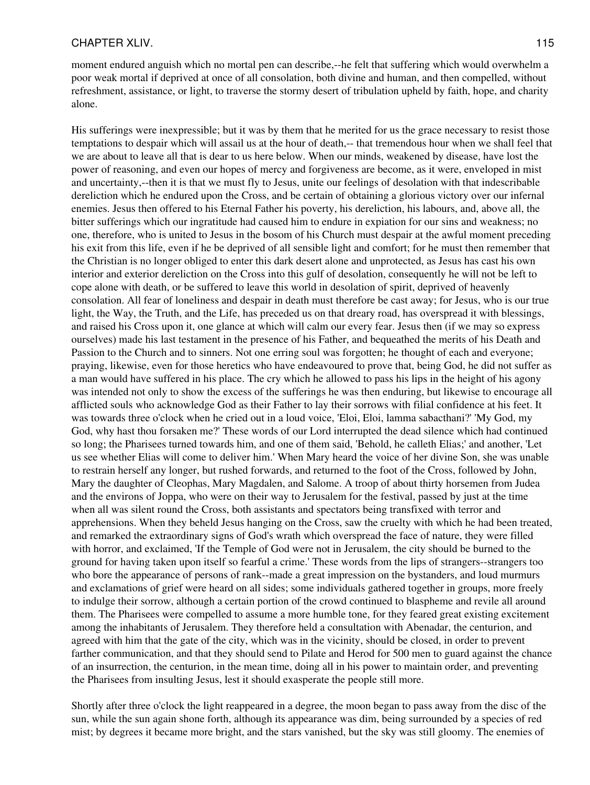moment endured anguish which no mortal pen can describe,--he felt that suffering which would overwhelm a poor weak mortal if deprived at once of all consolation, both divine and human, and then compelled, without refreshment, assistance, or light, to traverse the stormy desert of tribulation upheld by faith, hope, and charity alone.

His sufferings were inexpressible; but it was by them that he merited for us the grace necessary to resist those temptations to despair which will assail us at the hour of death,-- that tremendous hour when we shall feel that we are about to leave all that is dear to us here below. When our minds, weakened by disease, have lost the power of reasoning, and even our hopes of mercy and forgiveness are become, as it were, enveloped in mist and uncertainty,--then it is that we must fly to Jesus, unite our feelings of desolation with that indescribable dereliction which he endured upon the Cross, and be certain of obtaining a glorious victory over our infernal enemies. Jesus then offered to his Eternal Father his poverty, his dereliction, his labours, and, above all, the bitter sufferings which our ingratitude had caused him to endure in expiation for our sins and weakness; no one, therefore, who is united to Jesus in the bosom of his Church must despair at the awful moment preceding his exit from this life, even if he be deprived of all sensible light and comfort; for he must then remember that the Christian is no longer obliged to enter this dark desert alone and unprotected, as Jesus has cast his own interior and exterior dereliction on the Cross into this gulf of desolation, consequently he will not be left to cope alone with death, or be suffered to leave this world in desolation of spirit, deprived of heavenly consolation. All fear of loneliness and despair in death must therefore be cast away; for Jesus, who is our true light, the Way, the Truth, and the Life, has preceded us on that dreary road, has overspread it with blessings, and raised his Cross upon it, one glance at which will calm our every fear. Jesus then (if we may so express ourselves) made his last testament in the presence of his Father, and bequeathed the merits of his Death and Passion to the Church and to sinners. Not one erring soul was forgotten; he thought of each and everyone; praying, likewise, even for those heretics who have endeavoured to prove that, being God, he did not suffer as a man would have suffered in his place. The cry which he allowed to pass his lips in the height of his agony was intended not only to show the excess of the sufferings he was then enduring, but likewise to encourage all afflicted souls who acknowledge God as their Father to lay their sorrows with filial confidence at his feet. It was towards three o'clock when he cried out in a loud voice, 'Eloi, Eloi, lamma sabacthani?' 'My God, my God, why hast thou forsaken me?' These words of our Lord interrupted the dead silence which had continued so long; the Pharisees turned towards him, and one of them said, 'Behold, he calleth Elias;' and another, 'Let us see whether Elias will come to deliver him.' When Mary heard the voice of her divine Son, she was unable to restrain herself any longer, but rushed forwards, and returned to the foot of the Cross, followed by John, Mary the daughter of Cleophas, Mary Magdalen, and Salome. A troop of about thirty horsemen from Judea and the environs of Joppa, who were on their way to Jerusalem for the festival, passed by just at the time when all was silent round the Cross, both assistants and spectators being transfixed with terror and apprehensions. When they beheld Jesus hanging on the Cross, saw the cruelty with which he had been treated, and remarked the extraordinary signs of God's wrath which overspread the face of nature, they were filled with horror, and exclaimed, 'If the Temple of God were not in Jerusalem, the city should be burned to the ground for having taken upon itself so fearful a crime.' These words from the lips of strangers--strangers too who bore the appearance of persons of rank--made a great impression on the bystanders, and loud murmurs and exclamations of grief were heard on all sides; some individuals gathered together in groups, more freely to indulge their sorrow, although a certain portion of the crowd continued to blaspheme and revile all around them. The Pharisees were compelled to assume a more humble tone, for they feared great existing excitement among the inhabitants of Jerusalem. They therefore held a consultation with Abenadar, the centurion, and agreed with him that the gate of the city, which was in the vicinity, should be closed, in order to prevent farther communication, and that they should send to Pilate and Herod for 500 men to guard against the chance of an insurrection, the centurion, in the mean time, doing all in his power to maintain order, and preventing the Pharisees from insulting Jesus, lest it should exasperate the people still more.

Shortly after three o'clock the light reappeared in a degree, the moon began to pass away from the disc of the sun, while the sun again shone forth, although its appearance was dim, being surrounded by a species of red mist; by degrees it became more bright, and the stars vanished, but the sky was still gloomy. The enemies of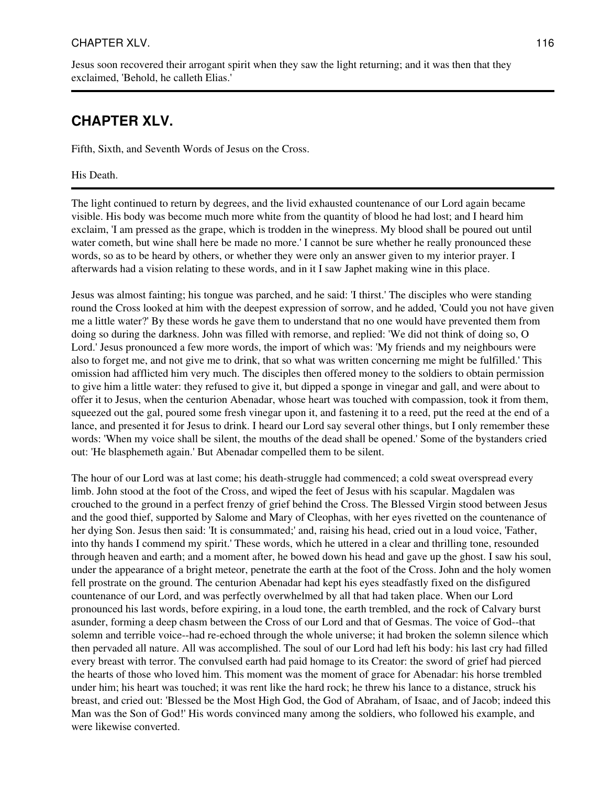## CHAPTER XLV. 116

Jesus soon recovered their arrogant spirit when they saw the light returning; and it was then that they exclaimed, 'Behold, he calleth Elias.'

# **CHAPTER XLV.**

Fifth, Sixth, and Seventh Words of Jesus on the Cross.

His Death.

The light continued to return by degrees, and the livid exhausted countenance of our Lord again became visible. His body was become much more white from the quantity of blood he had lost; and I heard him exclaim, 'I am pressed as the grape, which is trodden in the winepress. My blood shall be poured out until water cometh, but wine shall here be made no more.' I cannot be sure whether he really pronounced these words, so as to be heard by others, or whether they were only an answer given to my interior prayer. I afterwards had a vision relating to these words, and in it I saw Japhet making wine in this place.

Jesus was almost fainting; his tongue was parched, and he said: 'I thirst.' The disciples who were standing round the Cross looked at him with the deepest expression of sorrow, and he added, 'Could you not have given me a little water?' By these words he gave them to understand that no one would have prevented them from doing so during the darkness. John was filled with remorse, and replied: 'We did not think of doing so, O Lord.' Jesus pronounced a few more words, the import of which was: 'My friends and my neighbours were also to forget me, and not give me to drink, that so what was written concerning me might be fulfilled.' This omission had afflicted him very much. The disciples then offered money to the soldiers to obtain permission to give him a little water: they refused to give it, but dipped a sponge in vinegar and gall, and were about to offer it to Jesus, when the centurion Abenadar, whose heart was touched with compassion, took it from them, squeezed out the gal, poured some fresh vinegar upon it, and fastening it to a reed, put the reed at the end of a lance, and presented it for Jesus to drink. I heard our Lord say several other things, but I only remember these words: 'When my voice shall be silent, the mouths of the dead shall be opened.' Some of the bystanders cried out: 'He blasphemeth again.' But Abenadar compelled them to be silent.

The hour of our Lord was at last come; his death-struggle had commenced; a cold sweat overspread every limb. John stood at the foot of the Cross, and wiped the feet of Jesus with his scapular. Magdalen was crouched to the ground in a perfect frenzy of grief behind the Cross. The Blessed Virgin stood between Jesus and the good thief, supported by Salome and Mary of Cleophas, with her eyes rivetted on the countenance of her dying Son. Jesus then said: 'It is consummated;' and, raising his head, cried out in a loud voice, 'Father, into thy hands I commend my spirit.' These words, which he uttered in a clear and thrilling tone, resounded through heaven and earth; and a moment after, he bowed down his head and gave up the ghost. I saw his soul, under the appearance of a bright meteor, penetrate the earth at the foot of the Cross. John and the holy women fell prostrate on the ground. The centurion Abenadar had kept his eyes steadfastly fixed on the disfigured countenance of our Lord, and was perfectly overwhelmed by all that had taken place. When our Lord pronounced his last words, before expiring, in a loud tone, the earth trembled, and the rock of Calvary burst asunder, forming a deep chasm between the Cross of our Lord and that of Gesmas. The voice of God--that solemn and terrible voice--had re-echoed through the whole universe; it had broken the solemn silence which then pervaded all nature. All was accomplished. The soul of our Lord had left his body: his last cry had filled every breast with terror. The convulsed earth had paid homage to its Creator: the sword of grief had pierced the hearts of those who loved him. This moment was the moment of grace for Abenadar: his horse trembled under him; his heart was touched; it was rent like the hard rock; he threw his lance to a distance, struck his breast, and cried out: 'Blessed be the Most High God, the God of Abraham, of Isaac, and of Jacob; indeed this Man was the Son of God!' His words convinced many among the soldiers, who followed his example, and were likewise converted.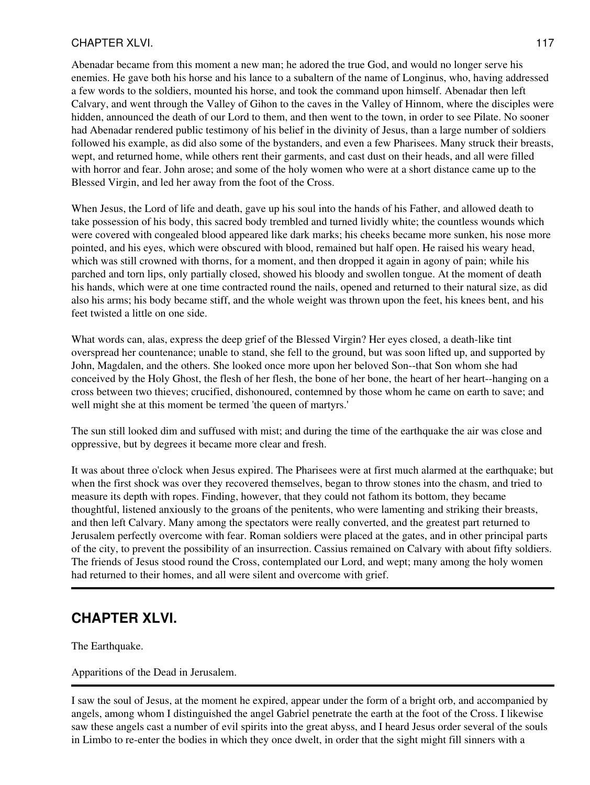## CHAPTER XLVI. 117

Abenadar became from this moment a new man; he adored the true God, and would no longer serve his enemies. He gave both his horse and his lance to a subaltern of the name of Longinus, who, having addressed a few words to the soldiers, mounted his horse, and took the command upon himself. Abenadar then left Calvary, and went through the Valley of Gihon to the caves in the Valley of Hinnom, where the disciples were hidden, announced the death of our Lord to them, and then went to the town, in order to see Pilate. No sooner had Abenadar rendered public testimony of his belief in the divinity of Jesus, than a large number of soldiers followed his example, as did also some of the bystanders, and even a few Pharisees. Many struck their breasts, wept, and returned home, while others rent their garments, and cast dust on their heads, and all were filled with horror and fear. John arose; and some of the holy women who were at a short distance came up to the Blessed Virgin, and led her away from the foot of the Cross.

When Jesus, the Lord of life and death, gave up his soul into the hands of his Father, and allowed death to take possession of his body, this sacred body trembled and turned lividly white; the countless wounds which were covered with congealed blood appeared like dark marks; his cheeks became more sunken, his nose more pointed, and his eyes, which were obscured with blood, remained but half open. He raised his weary head, which was still crowned with thorns, for a moment, and then dropped it again in agony of pain; while his parched and torn lips, only partially closed, showed his bloody and swollen tongue. At the moment of death his hands, which were at one time contracted round the nails, opened and returned to their natural size, as did also his arms; his body became stiff, and the whole weight was thrown upon the feet, his knees bent, and his feet twisted a little on one side.

What words can, alas, express the deep grief of the Blessed Virgin? Her eyes closed, a death-like tint overspread her countenance; unable to stand, she fell to the ground, but was soon lifted up, and supported by John, Magdalen, and the others. She looked once more upon her beloved Son--that Son whom she had conceived by the Holy Ghost, the flesh of her flesh, the bone of her bone, the heart of her heart--hanging on a cross between two thieves; crucified, dishonoured, contemned by those whom he came on earth to save; and well might she at this moment be termed 'the queen of martyrs.'

The sun still looked dim and suffused with mist; and during the time of the earthquake the air was close and oppressive, but by degrees it became more clear and fresh.

It was about three o'clock when Jesus expired. The Pharisees were at first much alarmed at the earthquake; but when the first shock was over they recovered themselves, began to throw stones into the chasm, and tried to measure its depth with ropes. Finding, however, that they could not fathom its bottom, they became thoughtful, listened anxiously to the groans of the penitents, who were lamenting and striking their breasts, and then left Calvary. Many among the spectators were really converted, and the greatest part returned to Jerusalem perfectly overcome with fear. Roman soldiers were placed at the gates, and in other principal parts of the city, to prevent the possibility of an insurrection. Cassius remained on Calvary with about fifty soldiers. The friends of Jesus stood round the Cross, contemplated our Lord, and wept; many among the holy women had returned to their homes, and all were silent and overcome with grief.

# **CHAPTER XLVI.**

The Earthquake.

Apparitions of the Dead in Jerusalem.

I saw the soul of Jesus, at the moment he expired, appear under the form of a bright orb, and accompanied by angels, among whom I distinguished the angel Gabriel penetrate the earth at the foot of the Cross. I likewise saw these angels cast a number of evil spirits into the great abyss, and I heard Jesus order several of the souls in Limbo to re-enter the bodies in which they once dwelt, in order that the sight might fill sinners with a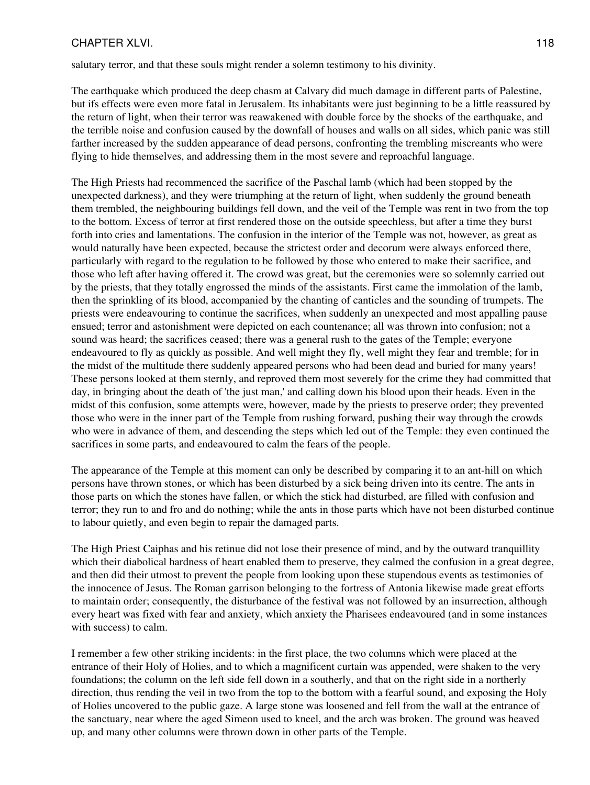### CHAPTER XLVI. 2002. THE SERVICE SERVICE SERVICE SERVICE SERVICE SERVICE SERVICE SERVICE SERVICE SERVICE SERVICE

salutary terror, and that these souls might render a solemn testimony to his divinity.

The earthquake which produced the deep chasm at Calvary did much damage in different parts of Palestine, but ifs effects were even more fatal in Jerusalem. Its inhabitants were just beginning to be a little reassured by the return of light, when their terror was reawakened with double force by the shocks of the earthquake, and the terrible noise and confusion caused by the downfall of houses and walls on all sides, which panic was still farther increased by the sudden appearance of dead persons, confronting the trembling miscreants who were flying to hide themselves, and addressing them in the most severe and reproachful language.

The High Priests had recommenced the sacrifice of the Paschal lamb (which had been stopped by the unexpected darkness), and they were triumphing at the return of light, when suddenly the ground beneath them trembled, the neighbouring buildings fell down, and the veil of the Temple was rent in two from the top to the bottom. Excess of terror at first rendered those on the outside speechless, but after a time they burst forth into cries and lamentations. The confusion in the interior of the Temple was not, however, as great as would naturally have been expected, because the strictest order and decorum were always enforced there, particularly with regard to the regulation to be followed by those who entered to make their sacrifice, and those who left after having offered it. The crowd was great, but the ceremonies were so solemnly carried out by the priests, that they totally engrossed the minds of the assistants. First came the immolation of the lamb, then the sprinkling of its blood, accompanied by the chanting of canticles and the sounding of trumpets. The priests were endeavouring to continue the sacrifices, when suddenly an unexpected and most appalling pause ensued; terror and astonishment were depicted on each countenance; all was thrown into confusion; not a sound was heard; the sacrifices ceased; there was a general rush to the gates of the Temple; everyone endeavoured to fly as quickly as possible. And well might they fly, well might they fear and tremble; for in the midst of the multitude there suddenly appeared persons who had been dead and buried for many years! These persons looked at them sternly, and reproved them most severely for the crime they had committed that day, in bringing about the death of 'the just man,' and calling down his blood upon their heads. Even in the midst of this confusion, some attempts were, however, made by the priests to preserve order; they prevented those who were in the inner part of the Temple from rushing forward, pushing their way through the crowds who were in advance of them, and descending the steps which led out of the Temple: they even continued the sacrifices in some parts, and endeavoured to calm the fears of the people.

The appearance of the Temple at this moment can only be described by comparing it to an ant-hill on which persons have thrown stones, or which has been disturbed by a sick being driven into its centre. The ants in those parts on which the stones have fallen, or which the stick had disturbed, are filled with confusion and terror; they run to and fro and do nothing; while the ants in those parts which have not been disturbed continue to labour quietly, and even begin to repair the damaged parts.

The High Priest Caiphas and his retinue did not lose their presence of mind, and by the outward tranquillity which their diabolical hardness of heart enabled them to preserve, they calmed the confusion in a great degree, and then did their utmost to prevent the people from looking upon these stupendous events as testimonies of the innocence of Jesus. The Roman garrison belonging to the fortress of Antonia likewise made great efforts to maintain order; consequently, the disturbance of the festival was not followed by an insurrection, although every heart was fixed with fear and anxiety, which anxiety the Pharisees endeavoured (and in some instances with success) to calm.

I remember a few other striking incidents: in the first place, the two columns which were placed at the entrance of their Holy of Holies, and to which a magnificent curtain was appended, were shaken to the very foundations; the column on the left side fell down in a southerly, and that on the right side in a northerly direction, thus rending the veil in two from the top to the bottom with a fearful sound, and exposing the Holy of Holies uncovered to the public gaze. A large stone was loosened and fell from the wall at the entrance of the sanctuary, near where the aged Simeon used to kneel, and the arch was broken. The ground was heaved up, and many other columns were thrown down in other parts of the Temple.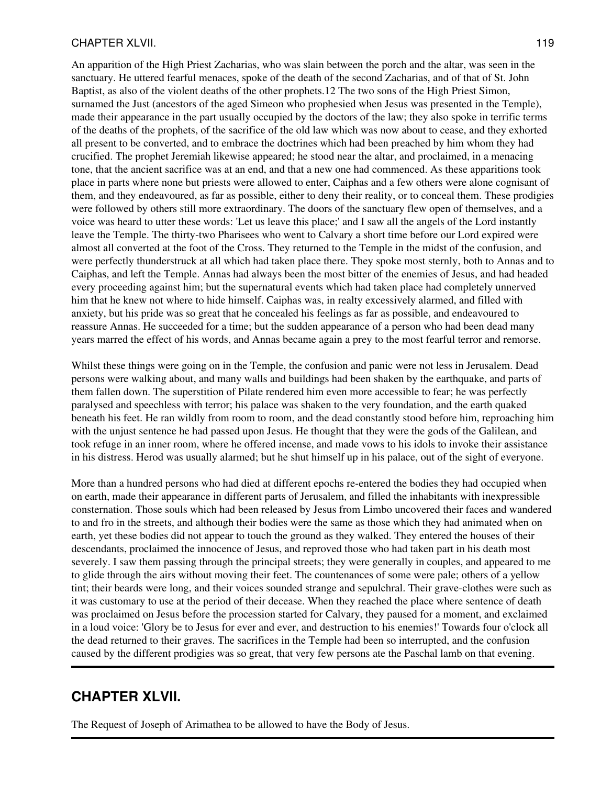#### CHAPTER XLVII. 2002. 2003. THE STREET WAS SERVED FOR A 2004 2004 2005 2006 2012 2013

An apparition of the High Priest Zacharias, who was slain between the porch and the altar, was seen in the sanctuary. He uttered fearful menaces, spoke of the death of the second Zacharias, and of that of St. John Baptist, as also of the violent deaths of the other prophets.12 The two sons of the High Priest Simon, surnamed the Just (ancestors of the aged Simeon who prophesied when Jesus was presented in the Temple), made their appearance in the part usually occupied by the doctors of the law; they also spoke in terrific terms of the deaths of the prophets, of the sacrifice of the old law which was now about to cease, and they exhorted all present to be converted, and to embrace the doctrines which had been preached by him whom they had crucified. The prophet Jeremiah likewise appeared; he stood near the altar, and proclaimed, in a menacing tone, that the ancient sacrifice was at an end, and that a new one had commenced. As these apparitions took place in parts where none but priests were allowed to enter, Caiphas and a few others were alone cognisant of them, and they endeavoured, as far as possible, either to deny their reality, or to conceal them. These prodigies were followed by others still more extraordinary. The doors of the sanctuary flew open of themselves, and a voice was heard to utter these words: 'Let us leave this place;' and I saw all the angels of the Lord instantly leave the Temple. The thirty-two Pharisees who went to Calvary a short time before our Lord expired were almost all converted at the foot of the Cross. They returned to the Temple in the midst of the confusion, and were perfectly thunderstruck at all which had taken place there. They spoke most sternly, both to Annas and to Caiphas, and left the Temple. Annas had always been the most bitter of the enemies of Jesus, and had headed every proceeding against him; but the supernatural events which had taken place had completely unnerved him that he knew not where to hide himself. Caiphas was, in realty excessively alarmed, and filled with anxiety, but his pride was so great that he concealed his feelings as far as possible, and endeavoured to reassure Annas. He succeeded for a time; but the sudden appearance of a person who had been dead many years marred the effect of his words, and Annas became again a prey to the most fearful terror and remorse.

Whilst these things were going on in the Temple, the confusion and panic were not less in Jerusalem. Dead persons were walking about, and many walls and buildings had been shaken by the earthquake, and parts of them fallen down. The superstition of Pilate rendered him even more accessible to fear; he was perfectly paralysed and speechless with terror; his palace was shaken to the very foundation, and the earth quaked beneath his feet. He ran wildly from room to room, and the dead constantly stood before him, reproaching him with the unjust sentence he had passed upon Jesus. He thought that they were the gods of the Galilean, and took refuge in an inner room, where he offered incense, and made vows to his idols to invoke their assistance in his distress. Herod was usually alarmed; but he shut himself up in his palace, out of the sight of everyone.

More than a hundred persons who had died at different epochs re-entered the bodies they had occupied when on earth, made their appearance in different parts of Jerusalem, and filled the inhabitants with inexpressible consternation. Those souls which had been released by Jesus from Limbo uncovered their faces and wandered to and fro in the streets, and although their bodies were the same as those which they had animated when on earth, yet these bodies did not appear to touch the ground as they walked. They entered the houses of their descendants, proclaimed the innocence of Jesus, and reproved those who had taken part in his death most severely. I saw them passing through the principal streets; they were generally in couples, and appeared to me to glide through the airs without moving their feet. The countenances of some were pale; others of a yellow tint; their beards were long, and their voices sounded strange and sepulchral. Their grave-clothes were such as it was customary to use at the period of their decease. When they reached the place where sentence of death was proclaimed on Jesus before the procession started for Calvary, they paused for a moment, and exclaimed in a loud voice: 'Glory be to Jesus for ever and ever, and destruction to his enemies!' Towards four o'clock all the dead returned to their graves. The sacrifices in the Temple had been so interrupted, and the confusion caused by the different prodigies was so great, that very few persons ate the Paschal lamb on that evening.

## **CHAPTER XLVII.**

The Request of Joseph of Arimathea to be allowed to have the Body of Jesus.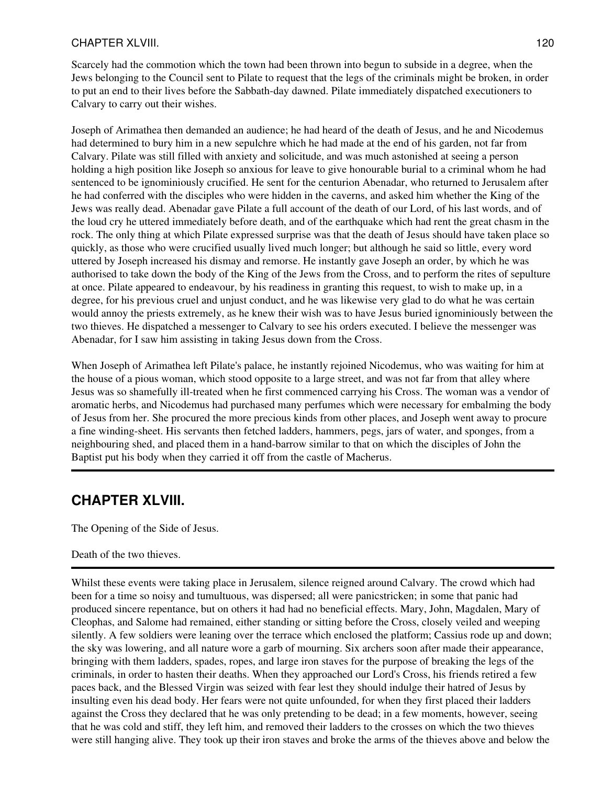### CHAPTER XLVIII. 120

Scarcely had the commotion which the town had been thrown into begun to subside in a degree, when the Jews belonging to the Council sent to Pilate to request that the legs of the criminals might be broken, in order to put an end to their lives before the Sabbath-day dawned. Pilate immediately dispatched executioners to Calvary to carry out their wishes.

Joseph of Arimathea then demanded an audience; he had heard of the death of Jesus, and he and Nicodemus had determined to bury him in a new sepulchre which he had made at the end of his garden, not far from Calvary. Pilate was still filled with anxiety and solicitude, and was much astonished at seeing a person holding a high position like Joseph so anxious for leave to give honourable burial to a criminal whom he had sentenced to be ignominiously crucified. He sent for the centurion Abenadar, who returned to Jerusalem after he had conferred with the disciples who were hidden in the caverns, and asked him whether the King of the Jews was really dead. Abenadar gave Pilate a full account of the death of our Lord, of his last words, and of the loud cry he uttered immediately before death, and of the earthquake which had rent the great chasm in the rock. The only thing at which Pilate expressed surprise was that the death of Jesus should have taken place so quickly, as those who were crucified usually lived much longer; but although he said so little, every word uttered by Joseph increased his dismay and remorse. He instantly gave Joseph an order, by which he was authorised to take down the body of the King of the Jews from the Cross, and to perform the rites of sepulture at once. Pilate appeared to endeavour, by his readiness in granting this request, to wish to make up, in a degree, for his previous cruel and unjust conduct, and he was likewise very glad to do what he was certain would annoy the priests extremely, as he knew their wish was to have Jesus buried ignominiously between the two thieves. He dispatched a messenger to Calvary to see his orders executed. I believe the messenger was Abenadar, for I saw him assisting in taking Jesus down from the Cross.

When Joseph of Arimathea left Pilate's palace, he instantly rejoined Nicodemus, who was waiting for him at the house of a pious woman, which stood opposite to a large street, and was not far from that alley where Jesus was so shamefully ill-treated when he first commenced carrying his Cross. The woman was a vendor of aromatic herbs, and Nicodemus had purchased many perfumes which were necessary for embalming the body of Jesus from her. She procured the more precious kinds from other places, and Joseph went away to procure a fine winding-sheet. His servants then fetched ladders, hammers, pegs, jars of water, and sponges, from a neighbouring shed, and placed them in a hand-barrow similar to that on which the disciples of John the Baptist put his body when they carried it off from the castle of Macherus.

## **CHAPTER XLVIII.**

The Opening of the Side of Jesus.

## Death of the two thieves.

Whilst these events were taking place in Jerusalem, silence reigned around Calvary. The crowd which had been for a time so noisy and tumultuous, was dispersed; all were panicstricken; in some that panic had produced sincere repentance, but on others it had had no beneficial effects. Mary, John, Magdalen, Mary of Cleophas, and Salome had remained, either standing or sitting before the Cross, closely veiled and weeping silently. A few soldiers were leaning over the terrace which enclosed the platform; Cassius rode up and down; the sky was lowering, and all nature wore a garb of mourning. Six archers soon after made their appearance, bringing with them ladders, spades, ropes, and large iron staves for the purpose of breaking the legs of the criminals, in order to hasten their deaths. When they approached our Lord's Cross, his friends retired a few paces back, and the Blessed Virgin was seized with fear lest they should indulge their hatred of Jesus by insulting even his dead body. Her fears were not quite unfounded, for when they first placed their ladders against the Cross they declared that he was only pretending to be dead; in a few moments, however, seeing that he was cold and stiff, they left him, and removed their ladders to the crosses on which the two thieves were still hanging alive. They took up their iron staves and broke the arms of the thieves above and below the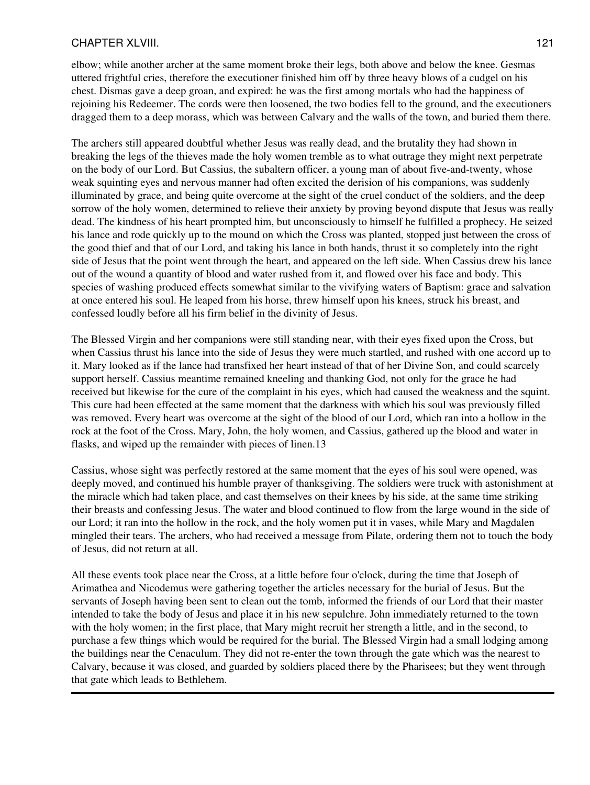### CHAPTER XLVIII. 121

elbow; while another archer at the same moment broke their legs, both above and below the knee. Gesmas uttered frightful cries, therefore the executioner finished him off by three heavy blows of a cudgel on his chest. Dismas gave a deep groan, and expired: he was the first among mortals who had the happiness of rejoining his Redeemer. The cords were then loosened, the two bodies fell to the ground, and the executioners dragged them to a deep morass, which was between Calvary and the walls of the town, and buried them there.

The archers still appeared doubtful whether Jesus was really dead, and the brutality they had shown in breaking the legs of the thieves made the holy women tremble as to what outrage they might next perpetrate on the body of our Lord. But Cassius, the subaltern officer, a young man of about five-and-twenty, whose weak squinting eyes and nervous manner had often excited the derision of his companions, was suddenly illuminated by grace, and being quite overcome at the sight of the cruel conduct of the soldiers, and the deep sorrow of the holy women, determined to relieve their anxiety by proving beyond dispute that Jesus was really dead. The kindness of his heart prompted him, but unconsciously to himself he fulfilled a prophecy. He seized his lance and rode quickly up to the mound on which the Cross was planted, stopped just between the cross of the good thief and that of our Lord, and taking his lance in both hands, thrust it so completely into the right side of Jesus that the point went through the heart, and appeared on the left side. When Cassius drew his lance out of the wound a quantity of blood and water rushed from it, and flowed over his face and body. This species of washing produced effects somewhat similar to the vivifying waters of Baptism: grace and salvation at once entered his soul. He leaped from his horse, threw himself upon his knees, struck his breast, and confessed loudly before all his firm belief in the divinity of Jesus.

The Blessed Virgin and her companions were still standing near, with their eyes fixed upon the Cross, but when Cassius thrust his lance into the side of Jesus they were much startled, and rushed with one accord up to it. Mary looked as if the lance had transfixed her heart instead of that of her Divine Son, and could scarcely support herself. Cassius meantime remained kneeling and thanking God, not only for the grace he had received but likewise for the cure of the complaint in his eyes, which had caused the weakness and the squint. This cure had been effected at the same moment that the darkness with which his soul was previously filled was removed. Every heart was overcome at the sight of the blood of our Lord, which ran into a hollow in the rock at the foot of the Cross. Mary, John, the holy women, and Cassius, gathered up the blood and water in flasks, and wiped up the remainder with pieces of linen.13

Cassius, whose sight was perfectly restored at the same moment that the eyes of his soul were opened, was deeply moved, and continued his humble prayer of thanksgiving. The soldiers were truck with astonishment at the miracle which had taken place, and cast themselves on their knees by his side, at the same time striking their breasts and confessing Jesus. The water and blood continued to flow from the large wound in the side of our Lord; it ran into the hollow in the rock, and the holy women put it in vases, while Mary and Magdalen mingled their tears. The archers, who had received a message from Pilate, ordering them not to touch the body of Jesus, did not return at all.

All these events took place near the Cross, at a little before four o'clock, during the time that Joseph of Arimathea and Nicodemus were gathering together the articles necessary for the burial of Jesus. But the servants of Joseph having been sent to clean out the tomb, informed the friends of our Lord that their master intended to take the body of Jesus and place it in his new sepulchre. John immediately returned to the town with the holy women; in the first place, that Mary might recruit her strength a little, and in the second, to purchase a few things which would be required for the burial. The Blessed Virgin had a small lodging among the buildings near the Cenaculum. They did not re-enter the town through the gate which was the nearest to Calvary, because it was closed, and guarded by soldiers placed there by the Pharisees; but they went through that gate which leads to Bethlehem.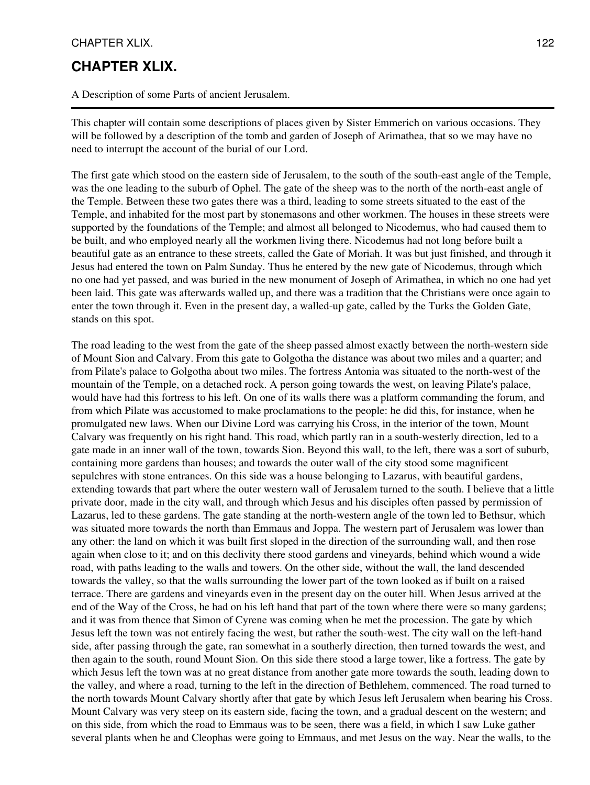#### CHAPTER XLIX. 122

## **CHAPTER XLIX.**

A Description of some Parts of ancient Jerusalem.

This chapter will contain some descriptions of places given by Sister Emmerich on various occasions. They will be followed by a description of the tomb and garden of Joseph of Arimathea, that so we may have no need to interrupt the account of the burial of our Lord.

The first gate which stood on the eastern side of Jerusalem, to the south of the south-east angle of the Temple, was the one leading to the suburb of Ophel. The gate of the sheep was to the north of the north-east angle of the Temple. Between these two gates there was a third, leading to some streets situated to the east of the Temple, and inhabited for the most part by stonemasons and other workmen. The houses in these streets were supported by the foundations of the Temple; and almost all belonged to Nicodemus, who had caused them to be built, and who employed nearly all the workmen living there. Nicodemus had not long before built a beautiful gate as an entrance to these streets, called the Gate of Moriah. It was but just finished, and through it Jesus had entered the town on Palm Sunday. Thus he entered by the new gate of Nicodemus, through which no one had yet passed, and was buried in the new monument of Joseph of Arimathea, in which no one had yet been laid. This gate was afterwards walled up, and there was a tradition that the Christians were once again to enter the town through it. Even in the present day, a walled-up gate, called by the Turks the Golden Gate, stands on this spot.

The road leading to the west from the gate of the sheep passed almost exactly between the north-western side of Mount Sion and Calvary. From this gate to Golgotha the distance was about two miles and a quarter; and from Pilate's palace to Golgotha about two miles. The fortress Antonia was situated to the north-west of the mountain of the Temple, on a detached rock. A person going towards the west, on leaving Pilate's palace, would have had this fortress to his left. On one of its walls there was a platform commanding the forum, and from which Pilate was accustomed to make proclamations to the people: he did this, for instance, when he promulgated new laws. When our Divine Lord was carrying his Cross, in the interior of the town, Mount Calvary was frequently on his right hand. This road, which partly ran in a south-westerly direction, led to a gate made in an inner wall of the town, towards Sion. Beyond this wall, to the left, there was a sort of suburb, containing more gardens than houses; and towards the outer wall of the city stood some magnificent sepulchres with stone entrances. On this side was a house belonging to Lazarus, with beautiful gardens, extending towards that part where the outer western wall of Jerusalem turned to the south. I believe that a little private door, made in the city wall, and through which Jesus and his disciples often passed by permission of Lazarus, led to these gardens. The gate standing at the north-western angle of the town led to Bethsur, which was situated more towards the north than Emmaus and Joppa. The western part of Jerusalem was lower than any other: the land on which it was built first sloped in the direction of the surrounding wall, and then rose again when close to it; and on this declivity there stood gardens and vineyards, behind which wound a wide road, with paths leading to the walls and towers. On the other side, without the wall, the land descended towards the valley, so that the walls surrounding the lower part of the town looked as if built on a raised terrace. There are gardens and vineyards even in the present day on the outer hill. When Jesus arrived at the end of the Way of the Cross, he had on his left hand that part of the town where there were so many gardens; and it was from thence that Simon of Cyrene was coming when he met the procession. The gate by which Jesus left the town was not entirely facing the west, but rather the south-west. The city wall on the left-hand side, after passing through the gate, ran somewhat in a southerly direction, then turned towards the west, and then again to the south, round Mount Sion. On this side there stood a large tower, like a fortress. The gate by which Jesus left the town was at no great distance from another gate more towards the south, leading down to the valley, and where a road, turning to the left in the direction of Bethlehem, commenced. The road turned to the north towards Mount Calvary shortly after that gate by which Jesus left Jerusalem when bearing his Cross. Mount Calvary was very steep on its eastern side, facing the town, and a gradual descent on the western; and on this side, from which the road to Emmaus was to be seen, there was a field, in which I saw Luke gather several plants when he and Cleophas were going to Emmaus, and met Jesus on the way. Near the walls, to the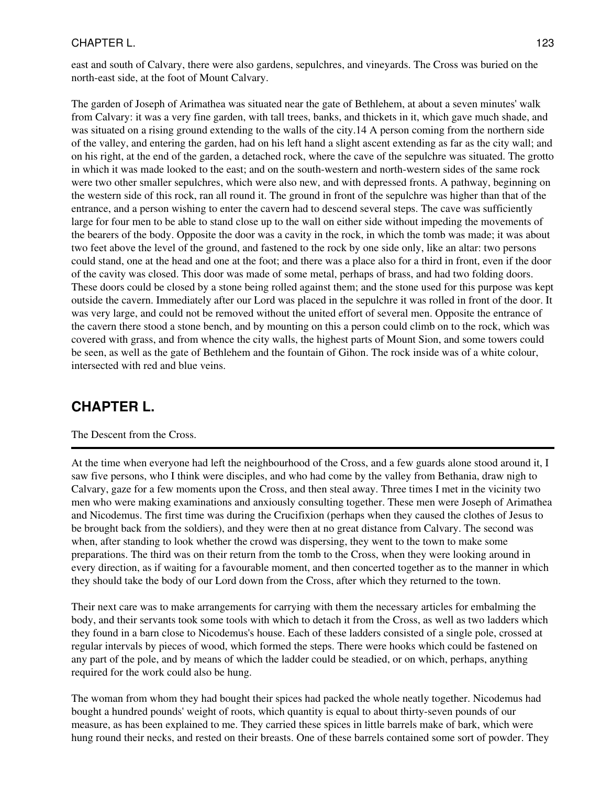## CHAPTER L. 123

east and south of Calvary, there were also gardens, sepulchres, and vineyards. The Cross was buried on the north-east side, at the foot of Mount Calvary.

The garden of Joseph of Arimathea was situated near the gate of Bethlehem, at about a seven minutes' walk from Calvary: it was a very fine garden, with tall trees, banks, and thickets in it, which gave much shade, and was situated on a rising ground extending to the walls of the city.14 A person coming from the northern side of the valley, and entering the garden, had on his left hand a slight ascent extending as far as the city wall; and on his right, at the end of the garden, a detached rock, where the cave of the sepulchre was situated. The grotto in which it was made looked to the east; and on the south-western and north-western sides of the same rock were two other smaller sepulchres, which were also new, and with depressed fronts. A pathway, beginning on the western side of this rock, ran all round it. The ground in front of the sepulchre was higher than that of the entrance, and a person wishing to enter the cavern had to descend several steps. The cave was sufficiently large for four men to be able to stand close up to the wall on either side without impeding the movements of the bearers of the body. Opposite the door was a cavity in the rock, in which the tomb was made; it was about two feet above the level of the ground, and fastened to the rock by one side only, like an altar: two persons could stand, one at the head and one at the foot; and there was a place also for a third in front, even if the door of the cavity was closed. This door was made of some metal, perhaps of brass, and had two folding doors. These doors could be closed by a stone being rolled against them; and the stone used for this purpose was kept outside the cavern. Immediately after our Lord was placed in the sepulchre it was rolled in front of the door. It was very large, and could not be removed without the united effort of several men. Opposite the entrance of the cavern there stood a stone bench, and by mounting on this a person could climb on to the rock, which was covered with grass, and from whence the city walls, the highest parts of Mount Sion, and some towers could be seen, as well as the gate of Bethlehem and the fountain of Gihon. The rock inside was of a white colour, intersected with red and blue veins.

## **CHAPTER L.**

### The Descent from the Cross.

At the time when everyone had left the neighbourhood of the Cross, and a few guards alone stood around it, I saw five persons, who I think were disciples, and who had come by the valley from Bethania, draw nigh to Calvary, gaze for a few moments upon the Cross, and then steal away. Three times I met in the vicinity two men who were making examinations and anxiously consulting together. These men were Joseph of Arimathea and Nicodemus. The first time was during the Crucifixion (perhaps when they caused the clothes of Jesus to be brought back from the soldiers), and they were then at no great distance from Calvary. The second was when, after standing to look whether the crowd was dispersing, they went to the town to make some preparations. The third was on their return from the tomb to the Cross, when they were looking around in every direction, as if waiting for a favourable moment, and then concerted together as to the manner in which they should take the body of our Lord down from the Cross, after which they returned to the town.

Their next care was to make arrangements for carrying with them the necessary articles for embalming the body, and their servants took some tools with which to detach it from the Cross, as well as two ladders which they found in a barn close to Nicodemus's house. Each of these ladders consisted of a single pole, crossed at regular intervals by pieces of wood, which formed the steps. There were hooks which could be fastened on any part of the pole, and by means of which the ladder could be steadied, or on which, perhaps, anything required for the work could also be hung.

The woman from whom they had bought their spices had packed the whole neatly together. Nicodemus had bought a hundred pounds' weight of roots, which quantity is equal to about thirty-seven pounds of our measure, as has been explained to me. They carried these spices in little barrels make of bark, which were hung round their necks, and rested on their breasts. One of these barrels contained some sort of powder. They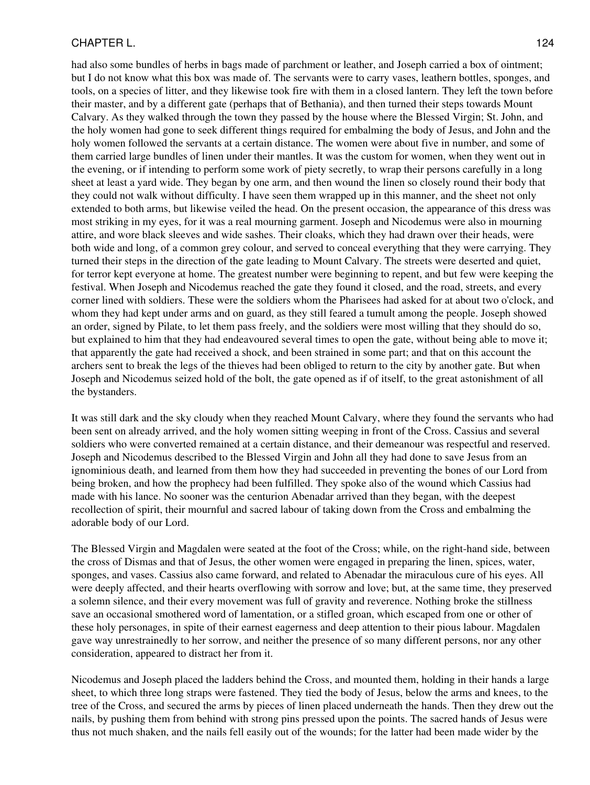#### CHAPTER L. 124

had also some bundles of herbs in bags made of parchment or leather, and Joseph carried a box of ointment; but I do not know what this box was made of. The servants were to carry vases, leathern bottles, sponges, and tools, on a species of litter, and they likewise took fire with them in a closed lantern. They left the town before their master, and by a different gate (perhaps that of Bethania), and then turned their steps towards Mount Calvary. As they walked through the town they passed by the house where the Blessed Virgin; St. John, and the holy women had gone to seek different things required for embalming the body of Jesus, and John and the holy women followed the servants at a certain distance. The women were about five in number, and some of them carried large bundles of linen under their mantles. It was the custom for women, when they went out in the evening, or if intending to perform some work of piety secretly, to wrap their persons carefully in a long sheet at least a yard wide. They began by one arm, and then wound the linen so closely round their body that they could not walk without difficulty. I have seen them wrapped up in this manner, and the sheet not only extended to both arms, but likewise veiled the head. On the present occasion, the appearance of this dress was most striking in my eyes, for it was a real mourning garment. Joseph and Nicodemus were also in mourning attire, and wore black sleeves and wide sashes. Their cloaks, which they had drawn over their heads, were both wide and long, of a common grey colour, and served to conceal everything that they were carrying. They turned their steps in the direction of the gate leading to Mount Calvary. The streets were deserted and quiet, for terror kept everyone at home. The greatest number were beginning to repent, and but few were keeping the festival. When Joseph and Nicodemus reached the gate they found it closed, and the road, streets, and every corner lined with soldiers. These were the soldiers whom the Pharisees had asked for at about two o'clock, and whom they had kept under arms and on guard, as they still feared a tumult among the people. Joseph showed an order, signed by Pilate, to let them pass freely, and the soldiers were most willing that they should do so, but explained to him that they had endeavoured several times to open the gate, without being able to move it; that apparently the gate had received a shock, and been strained in some part; and that on this account the archers sent to break the legs of the thieves had been obliged to return to the city by another gate. But when Joseph and Nicodemus seized hold of the bolt, the gate opened as if of itself, to the great astonishment of all the bystanders.

It was still dark and the sky cloudy when they reached Mount Calvary, where they found the servants who had been sent on already arrived, and the holy women sitting weeping in front of the Cross. Cassius and several soldiers who were converted remained at a certain distance, and their demeanour was respectful and reserved. Joseph and Nicodemus described to the Blessed Virgin and John all they had done to save Jesus from an ignominious death, and learned from them how they had succeeded in preventing the bones of our Lord from being broken, and how the prophecy had been fulfilled. They spoke also of the wound which Cassius had made with his lance. No sooner was the centurion Abenadar arrived than they began, with the deepest recollection of spirit, their mournful and sacred labour of taking down from the Cross and embalming the adorable body of our Lord.

The Blessed Virgin and Magdalen were seated at the foot of the Cross; while, on the right-hand side, between the cross of Dismas and that of Jesus, the other women were engaged in preparing the linen, spices, water, sponges, and vases. Cassius also came forward, and related to Abenadar the miraculous cure of his eyes. All were deeply affected, and their hearts overflowing with sorrow and love; but, at the same time, they preserved a solemn silence, and their every movement was full of gravity and reverence. Nothing broke the stillness save an occasional smothered word of lamentation, or a stifled groan, which escaped from one or other of these holy personages, in spite of their earnest eagerness and deep attention to their pious labour. Magdalen gave way unrestrainedly to her sorrow, and neither the presence of so many different persons, nor any other consideration, appeared to distract her from it.

Nicodemus and Joseph placed the ladders behind the Cross, and mounted them, holding in their hands a large sheet, to which three long straps were fastened. They tied the body of Jesus, below the arms and knees, to the tree of the Cross, and secured the arms by pieces of linen placed underneath the hands. Then they drew out the nails, by pushing them from behind with strong pins pressed upon the points. The sacred hands of Jesus were thus not much shaken, and the nails fell easily out of the wounds; for the latter had been made wider by the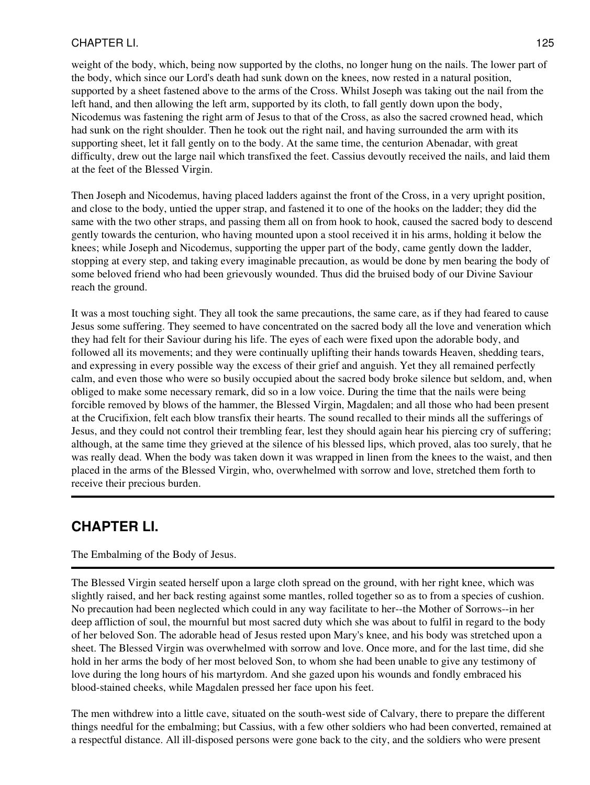## CHAPTER LI. 125

weight of the body, which, being now supported by the cloths, no longer hung on the nails. The lower part of the body, which since our Lord's death had sunk down on the knees, now rested in a natural position, supported by a sheet fastened above to the arms of the Cross. Whilst Joseph was taking out the nail from the left hand, and then allowing the left arm, supported by its cloth, to fall gently down upon the body, Nicodemus was fastening the right arm of Jesus to that of the Cross, as also the sacred crowned head, which had sunk on the right shoulder. Then he took out the right nail, and having surrounded the arm with its supporting sheet, let it fall gently on to the body. At the same time, the centurion Abenadar, with great difficulty, drew out the large nail which transfixed the feet. Cassius devoutly received the nails, and laid them at the feet of the Blessed Virgin.

Then Joseph and Nicodemus, having placed ladders against the front of the Cross, in a very upright position, and close to the body, untied the upper strap, and fastened it to one of the hooks on the ladder; they did the same with the two other straps, and passing them all on from hook to hook, caused the sacred body to descend gently towards the centurion, who having mounted upon a stool received it in his arms, holding it below the knees; while Joseph and Nicodemus, supporting the upper part of the body, came gently down the ladder, stopping at every step, and taking every imaginable precaution, as would be done by men bearing the body of some beloved friend who had been grievously wounded. Thus did the bruised body of our Divine Saviour reach the ground.

It was a most touching sight. They all took the same precautions, the same care, as if they had feared to cause Jesus some suffering. They seemed to have concentrated on the sacred body all the love and veneration which they had felt for their Saviour during his life. The eyes of each were fixed upon the adorable body, and followed all its movements; and they were continually uplifting their hands towards Heaven, shedding tears, and expressing in every possible way the excess of their grief and anguish. Yet they all remained perfectly calm, and even those who were so busily occupied about the sacred body broke silence but seldom, and, when obliged to make some necessary remark, did so in a low voice. During the time that the nails were being forcible removed by blows of the hammer, the Blessed Virgin, Magdalen; and all those who had been present at the Crucifixion, felt each blow transfix their hearts. The sound recalled to their minds all the sufferings of Jesus, and they could not control their trembling fear, lest they should again hear his piercing cry of suffering; although, at the same time they grieved at the silence of his blessed lips, which proved, alas too surely, that he was really dead. When the body was taken down it was wrapped in linen from the knees to the waist, and then placed in the arms of the Blessed Virgin, who, overwhelmed with sorrow and love, stretched them forth to receive their precious burden.

# **CHAPTER LI.**

### The Embalming of the Body of Jesus.

The Blessed Virgin seated herself upon a large cloth spread on the ground, with her right knee, which was slightly raised, and her back resting against some mantles, rolled together so as to from a species of cushion. No precaution had been neglected which could in any way facilitate to her--the Mother of Sorrows--in her deep affliction of soul, the mournful but most sacred duty which she was about to fulfil in regard to the body of her beloved Son. The adorable head of Jesus rested upon Mary's knee, and his body was stretched upon a sheet. The Blessed Virgin was overwhelmed with sorrow and love. Once more, and for the last time, did she hold in her arms the body of her most beloved Son, to whom she had been unable to give any testimony of love during the long hours of his martyrdom. And she gazed upon his wounds and fondly embraced his blood-stained cheeks, while Magdalen pressed her face upon his feet.

The men withdrew into a little cave, situated on the south-west side of Calvary, there to prepare the different things needful for the embalming; but Cassius, with a few other soldiers who had been converted, remained at a respectful distance. All ill-disposed persons were gone back to the city, and the soldiers who were present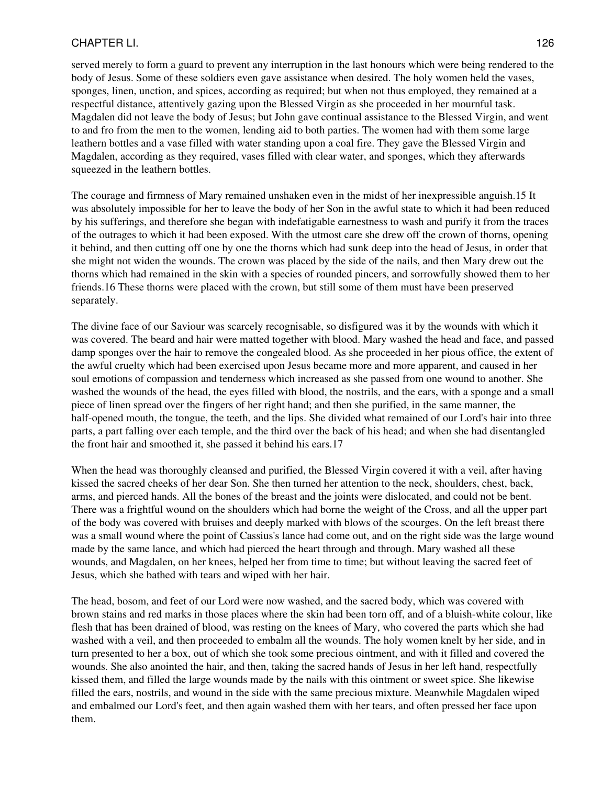## CHAPTER LI. 126

served merely to form a guard to prevent any interruption in the last honours which were being rendered to the body of Jesus. Some of these soldiers even gave assistance when desired. The holy women held the vases, sponges, linen, unction, and spices, according as required; but when not thus employed, they remained at a respectful distance, attentively gazing upon the Blessed Virgin as she proceeded in her mournful task. Magdalen did not leave the body of Jesus; but John gave continual assistance to the Blessed Virgin, and went to and fro from the men to the women, lending aid to both parties. The women had with them some large leathern bottles and a vase filled with water standing upon a coal fire. They gave the Blessed Virgin and Magdalen, according as they required, vases filled with clear water, and sponges, which they afterwards squeezed in the leathern bottles.

The courage and firmness of Mary remained unshaken even in the midst of her inexpressible anguish.15 It was absolutely impossible for her to leave the body of her Son in the awful state to which it had been reduced by his sufferings, and therefore she began with indefatigable earnestness to wash and purify it from the traces of the outrages to which it had been exposed. With the utmost care she drew off the crown of thorns, opening it behind, and then cutting off one by one the thorns which had sunk deep into the head of Jesus, in order that she might not widen the wounds. The crown was placed by the side of the nails, and then Mary drew out the thorns which had remained in the skin with a species of rounded pincers, and sorrowfully showed them to her friends.16 These thorns were placed with the crown, but still some of them must have been preserved separately.

The divine face of our Saviour was scarcely recognisable, so disfigured was it by the wounds with which it was covered. The beard and hair were matted together with blood. Mary washed the head and face, and passed damp sponges over the hair to remove the congealed blood. As she proceeded in her pious office, the extent of the awful cruelty which had been exercised upon Jesus became more and more apparent, and caused in her soul emotions of compassion and tenderness which increased as she passed from one wound to another. She washed the wounds of the head, the eyes filled with blood, the nostrils, and the ears, with a sponge and a small piece of linen spread over the fingers of her right hand; and then she purified, in the same manner, the half-opened mouth, the tongue, the teeth, and the lips. She divided what remained of our Lord's hair into three parts, a part falling over each temple, and the third over the back of his head; and when she had disentangled the front hair and smoothed it, she passed it behind his ears.17

When the head was thoroughly cleansed and purified, the Blessed Virgin covered it with a veil, after having kissed the sacred cheeks of her dear Son. She then turned her attention to the neck, shoulders, chest, back, arms, and pierced hands. All the bones of the breast and the joints were dislocated, and could not be bent. There was a frightful wound on the shoulders which had borne the weight of the Cross, and all the upper part of the body was covered with bruises and deeply marked with blows of the scourges. On the left breast there was a small wound where the point of Cassius's lance had come out, and on the right side was the large wound made by the same lance, and which had pierced the heart through and through. Mary washed all these wounds, and Magdalen, on her knees, helped her from time to time; but without leaving the sacred feet of Jesus, which she bathed with tears and wiped with her hair.

The head, bosom, and feet of our Lord were now washed, and the sacred body, which was covered with brown stains and red marks in those places where the skin had been torn off, and of a bluish-white colour, like flesh that has been drained of blood, was resting on the knees of Mary, who covered the parts which she had washed with a veil, and then proceeded to embalm all the wounds. The holy women knelt by her side, and in turn presented to her a box, out of which she took some precious ointment, and with it filled and covered the wounds. She also anointed the hair, and then, taking the sacred hands of Jesus in her left hand, respectfully kissed them, and filled the large wounds made by the nails with this ointment or sweet spice. She likewise filled the ears, nostrils, and wound in the side with the same precious mixture. Meanwhile Magdalen wiped and embalmed our Lord's feet, and then again washed them with her tears, and often pressed her face upon them.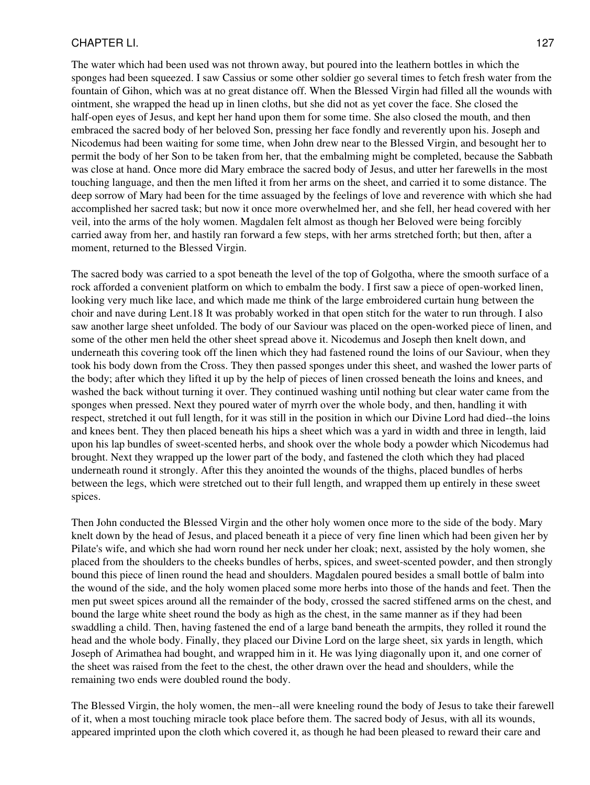#### CHAPTER LI. 127

The water which had been used was not thrown away, but poured into the leathern bottles in which the sponges had been squeezed. I saw Cassius or some other soldier go several times to fetch fresh water from the fountain of Gihon, which was at no great distance off. When the Blessed Virgin had filled all the wounds with ointment, she wrapped the head up in linen cloths, but she did not as yet cover the face. She closed the half-open eyes of Jesus, and kept her hand upon them for some time. She also closed the mouth, and then embraced the sacred body of her beloved Son, pressing her face fondly and reverently upon his. Joseph and Nicodemus had been waiting for some time, when John drew near to the Blessed Virgin, and besought her to permit the body of her Son to be taken from her, that the embalming might be completed, because the Sabbath was close at hand. Once more did Mary embrace the sacred body of Jesus, and utter her farewells in the most touching language, and then the men lifted it from her arms on the sheet, and carried it to some distance. The deep sorrow of Mary had been for the time assuaged by the feelings of love and reverence with which she had accomplished her sacred task; but now it once more overwhelmed her, and she fell, her head covered with her veil, into the arms of the holy women. Magdalen felt almost as though her Beloved were being forcibly carried away from her, and hastily ran forward a few steps, with her arms stretched forth; but then, after a moment, returned to the Blessed Virgin.

The sacred body was carried to a spot beneath the level of the top of Golgotha, where the smooth surface of a rock afforded a convenient platform on which to embalm the body. I first saw a piece of open-worked linen, looking very much like lace, and which made me think of the large embroidered curtain hung between the choir and nave during Lent.18 It was probably worked in that open stitch for the water to run through. I also saw another large sheet unfolded. The body of our Saviour was placed on the open-worked piece of linen, and some of the other men held the other sheet spread above it. Nicodemus and Joseph then knelt down, and underneath this covering took off the linen which they had fastened round the loins of our Saviour, when they took his body down from the Cross. They then passed sponges under this sheet, and washed the lower parts of the body; after which they lifted it up by the help of pieces of linen crossed beneath the loins and knees, and washed the back without turning it over. They continued washing until nothing but clear water came from the sponges when pressed. Next they poured water of myrrh over the whole body, and then, handling it with respect, stretched it out full length, for it was still in the position in which our Divine Lord had died--the loins and knees bent. They then placed beneath his hips a sheet which was a yard in width and three in length, laid upon his lap bundles of sweet-scented herbs, and shook over the whole body a powder which Nicodemus had brought. Next they wrapped up the lower part of the body, and fastened the cloth which they had placed underneath round it strongly. After this they anointed the wounds of the thighs, placed bundles of herbs between the legs, which were stretched out to their full length, and wrapped them up entirely in these sweet spices.

Then John conducted the Blessed Virgin and the other holy women once more to the side of the body. Mary knelt down by the head of Jesus, and placed beneath it a piece of very fine linen which had been given her by Pilate's wife, and which she had worn round her neck under her cloak; next, assisted by the holy women, she placed from the shoulders to the cheeks bundles of herbs, spices, and sweet-scented powder, and then strongly bound this piece of linen round the head and shoulders. Magdalen poured besides a small bottle of balm into the wound of the side, and the holy women placed some more herbs into those of the hands and feet. Then the men put sweet spices around all the remainder of the body, crossed the sacred stiffened arms on the chest, and bound the large white sheet round the body as high as the chest, in the same manner as if they had been swaddling a child. Then, having fastened the end of a large band beneath the armpits, they rolled it round the head and the whole body. Finally, they placed our Divine Lord on the large sheet, six yards in length, which Joseph of Arimathea had bought, and wrapped him in it. He was lying diagonally upon it, and one corner of the sheet was raised from the feet to the chest, the other drawn over the head and shoulders, while the remaining two ends were doubled round the body.

The Blessed Virgin, the holy women, the men--all were kneeling round the body of Jesus to take their farewell of it, when a most touching miracle took place before them. The sacred body of Jesus, with all its wounds, appeared imprinted upon the cloth which covered it, as though he had been pleased to reward their care and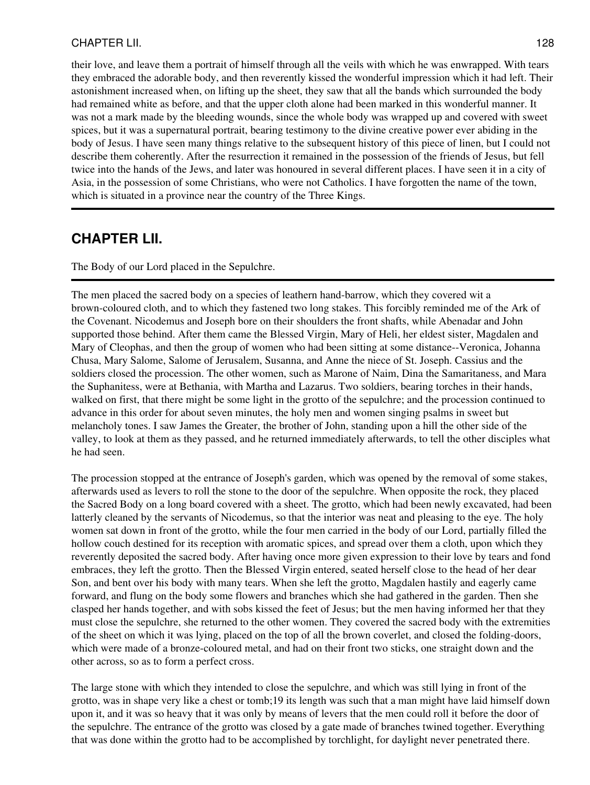### CHAPTER LII. 128

their love, and leave them a portrait of himself through all the veils with which he was enwrapped. With tears they embraced the adorable body, and then reverently kissed the wonderful impression which it had left. Their astonishment increased when, on lifting up the sheet, they saw that all the bands which surrounded the body had remained white as before, and that the upper cloth alone had been marked in this wonderful manner. It was not a mark made by the bleeding wounds, since the whole body was wrapped up and covered with sweet spices, but it was a supernatural portrait, bearing testimony to the divine creative power ever abiding in the body of Jesus. I have seen many things relative to the subsequent history of this piece of linen, but I could not describe them coherently. After the resurrection it remained in the possession of the friends of Jesus, but fell twice into the hands of the Jews, and later was honoured in several different places. I have seen it in a city of Asia, in the possession of some Christians, who were not Catholics. I have forgotten the name of the town, which is situated in a province near the country of the Three Kings.

## **CHAPTER LII.**

The Body of our Lord placed in the Sepulchre.

The men placed the sacred body on a species of leathern hand-barrow, which they covered wit a brown-coloured cloth, and to which they fastened two long stakes. This forcibly reminded me of the Ark of the Covenant. Nicodemus and Joseph bore on their shoulders the front shafts, while Abenadar and John supported those behind. After them came the Blessed Virgin, Mary of Heli, her eldest sister, Magdalen and Mary of Cleophas, and then the group of women who had been sitting at some distance--Veronica, Johanna Chusa, Mary Salome, Salome of Jerusalem, Susanna, and Anne the niece of St. Joseph. Cassius and the soldiers closed the procession. The other women, such as Marone of Naim, Dina the Samaritaness, and Mara the Suphanitess, were at Bethania, with Martha and Lazarus. Two soldiers, bearing torches in their hands, walked on first, that there might be some light in the grotto of the sepulchre; and the procession continued to advance in this order for about seven minutes, the holy men and women singing psalms in sweet but melancholy tones. I saw James the Greater, the brother of John, standing upon a hill the other side of the valley, to look at them as they passed, and he returned immediately afterwards, to tell the other disciples what he had seen.

The procession stopped at the entrance of Joseph's garden, which was opened by the removal of some stakes, afterwards used as levers to roll the stone to the door of the sepulchre. When opposite the rock, they placed the Sacred Body on a long board covered with a sheet. The grotto, which had been newly excavated, had been latterly cleaned by the servants of Nicodemus, so that the interior was neat and pleasing to the eye. The holy women sat down in front of the grotto, while the four men carried in the body of our Lord, partially filled the hollow couch destined for its reception with aromatic spices, and spread over them a cloth, upon which they reverently deposited the sacred body. After having once more given expression to their love by tears and fond embraces, they left the grotto. Then the Blessed Virgin entered, seated herself close to the head of her dear Son, and bent over his body with many tears. When she left the grotto, Magdalen hastily and eagerly came forward, and flung on the body some flowers and branches which she had gathered in the garden. Then she clasped her hands together, and with sobs kissed the feet of Jesus; but the men having informed her that they must close the sepulchre, she returned to the other women. They covered the sacred body with the extremities of the sheet on which it was lying, placed on the top of all the brown coverlet, and closed the folding-doors, which were made of a bronze-coloured metal, and had on their front two sticks, one straight down and the other across, so as to form a perfect cross.

The large stone with which they intended to close the sepulchre, and which was still lying in front of the grotto, was in shape very like a chest or tomb;19 its length was such that a man might have laid himself down upon it, and it was so heavy that it was only by means of levers that the men could roll it before the door of the sepulchre. The entrance of the grotto was closed by a gate made of branches twined together. Everything that was done within the grotto had to be accomplished by torchlight, for daylight never penetrated there.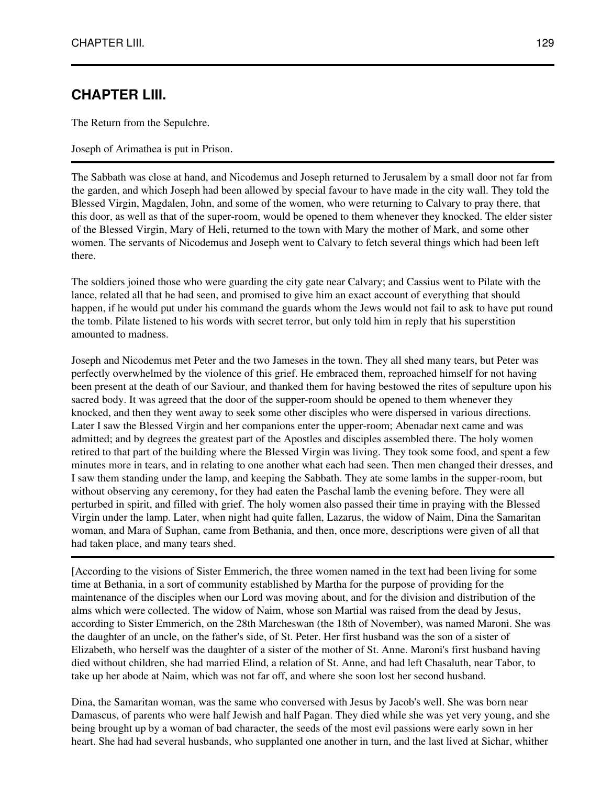# **CHAPTER LIII.**

The Return from the Sepulchre.

Joseph of Arimathea is put in Prison.

The Sabbath was close at hand, and Nicodemus and Joseph returned to Jerusalem by a small door not far from the garden, and which Joseph had been allowed by special favour to have made in the city wall. They told the Blessed Virgin, Magdalen, John, and some of the women, who were returning to Calvary to pray there, that this door, as well as that of the super-room, would be opened to them whenever they knocked. The elder sister of the Blessed Virgin, Mary of Heli, returned to the town with Mary the mother of Mark, and some other women. The servants of Nicodemus and Joseph went to Calvary to fetch several things which had been left there.

The soldiers joined those who were guarding the city gate near Calvary; and Cassius went to Pilate with the lance, related all that he had seen, and promised to give him an exact account of everything that should happen, if he would put under his command the guards whom the Jews would not fail to ask to have put round the tomb. Pilate listened to his words with secret terror, but only told him in reply that his superstition amounted to madness.

Joseph and Nicodemus met Peter and the two Jameses in the town. They all shed many tears, but Peter was perfectly overwhelmed by the violence of this grief. He embraced them, reproached himself for not having been present at the death of our Saviour, and thanked them for having bestowed the rites of sepulture upon his sacred body. It was agreed that the door of the supper-room should be opened to them whenever they knocked, and then they went away to seek some other disciples who were dispersed in various directions. Later I saw the Blessed Virgin and her companions enter the upper-room; Abenadar next came and was admitted; and by degrees the greatest part of the Apostles and disciples assembled there. The holy women retired to that part of the building where the Blessed Virgin was living. They took some food, and spent a few minutes more in tears, and in relating to one another what each had seen. Then men changed their dresses, and I saw them standing under the lamp, and keeping the Sabbath. They ate some lambs in the supper-room, but without observing any ceremony, for they had eaten the Paschal lamb the evening before. They were all perturbed in spirit, and filled with grief. The holy women also passed their time in praying with the Blessed Virgin under the lamp. Later, when night had quite fallen, Lazarus, the widow of Naim, Dina the Samaritan woman, and Mara of Suphan, came from Bethania, and then, once more, descriptions were given of all that had taken place, and many tears shed.

[According to the visions of Sister Emmerich, the three women named in the text had been living for some time at Bethania, in a sort of community established by Martha for the purpose of providing for the maintenance of the disciples when our Lord was moving about, and for the division and distribution of the alms which were collected. The widow of Naim, whose son Martial was raised from the dead by Jesus, according to Sister Emmerich, on the 28th Marcheswan (the 18th of November), was named Maroni. She was the daughter of an uncle, on the father's side, of St. Peter. Her first husband was the son of a sister of Elizabeth, who herself was the daughter of a sister of the mother of St. Anne. Maroni's first husband having died without children, she had married Elind, a relation of St. Anne, and had left Chasaluth, near Tabor, to take up her abode at Naim, which was not far off, and where she soon lost her second husband.

Dina, the Samaritan woman, was the same who conversed with Jesus by Jacob's well. She was born near Damascus, of parents who were half Jewish and half Pagan. They died while she was yet very young, and she being brought up by a woman of bad character, the seeds of the most evil passions were early sown in her heart. She had had several husbands, who supplanted one another in turn, and the last lived at Sichar, whither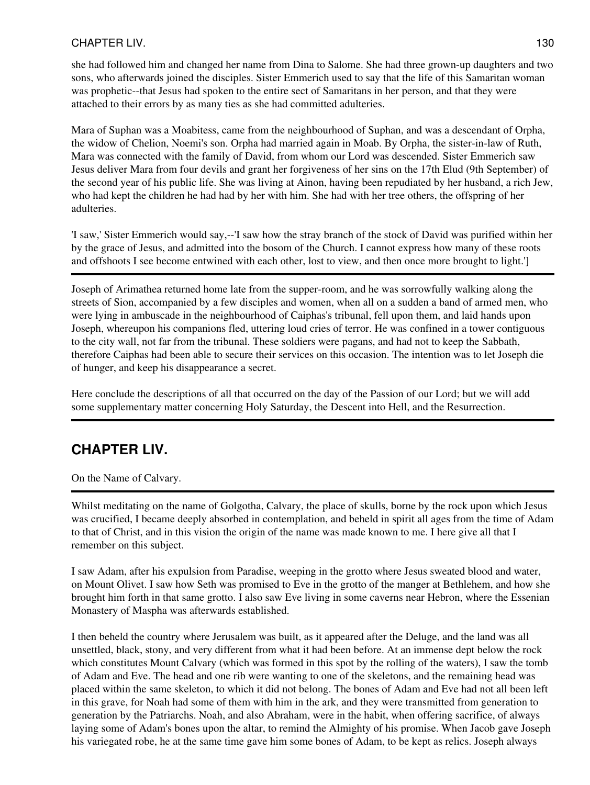## CHAPTER LIV. 130

she had followed him and changed her name from Dina to Salome. She had three grown-up daughters and two sons, who afterwards joined the disciples. Sister Emmerich used to say that the life of this Samaritan woman was prophetic--that Jesus had spoken to the entire sect of Samaritans in her person, and that they were attached to their errors by as many ties as she had committed adulteries.

Mara of Suphan was a Moabitess, came from the neighbourhood of Suphan, and was a descendant of Orpha, the widow of Chelion, Noemi's son. Orpha had married again in Moab. By Orpha, the sister-in-law of Ruth, Mara was connected with the family of David, from whom our Lord was descended. Sister Emmerich saw Jesus deliver Mara from four devils and grant her forgiveness of her sins on the 17th Elud (9th September) of the second year of his public life. She was living at Ainon, having been repudiated by her husband, a rich Jew, who had kept the children he had had by her with him. She had with her tree others, the offspring of her adulteries.

'I saw,' Sister Emmerich would say,--'I saw how the stray branch of the stock of David was purified within her by the grace of Jesus, and admitted into the bosom of the Church. I cannot express how many of these roots and offshoots I see become entwined with each other, lost to view, and then once more brought to light.']

Joseph of Arimathea returned home late from the supper-room, and he was sorrowfully walking along the streets of Sion, accompanied by a few disciples and women, when all on a sudden a band of armed men, who were lying in ambuscade in the neighbourhood of Caiphas's tribunal, fell upon them, and laid hands upon Joseph, whereupon his companions fled, uttering loud cries of terror. He was confined in a tower contiguous to the city wall, not far from the tribunal. These soldiers were pagans, and had not to keep the Sabbath, therefore Caiphas had been able to secure their services on this occasion. The intention was to let Joseph die of hunger, and keep his disappearance a secret.

Here conclude the descriptions of all that occurred on the day of the Passion of our Lord; but we will add some supplementary matter concerning Holy Saturday, the Descent into Hell, and the Resurrection.

# **CHAPTER LIV.**

On the Name of Calvary.

Whilst meditating on the name of Golgotha, Calvary, the place of skulls, borne by the rock upon which Jesus was crucified, I became deeply absorbed in contemplation, and beheld in spirit all ages from the time of Adam to that of Christ, and in this vision the origin of the name was made known to me. I here give all that I remember on this subject.

I saw Adam, after his expulsion from Paradise, weeping in the grotto where Jesus sweated blood and water, on Mount Olivet. I saw how Seth was promised to Eve in the grotto of the manger at Bethlehem, and how she brought him forth in that same grotto. I also saw Eve living in some caverns near Hebron, where the Essenian Monastery of Maspha was afterwards established.

I then beheld the country where Jerusalem was built, as it appeared after the Deluge, and the land was all unsettled, black, stony, and very different from what it had been before. At an immense dept below the rock which constitutes Mount Calvary (which was formed in this spot by the rolling of the waters), I saw the tomb of Adam and Eve. The head and one rib were wanting to one of the skeletons, and the remaining head was placed within the same skeleton, to which it did not belong. The bones of Adam and Eve had not all been left in this grave, for Noah had some of them with him in the ark, and they were transmitted from generation to generation by the Patriarchs. Noah, and also Abraham, were in the habit, when offering sacrifice, of always laying some of Adam's bones upon the altar, to remind the Almighty of his promise. When Jacob gave Joseph his variegated robe, he at the same time gave him some bones of Adam, to be kept as relics. Joseph always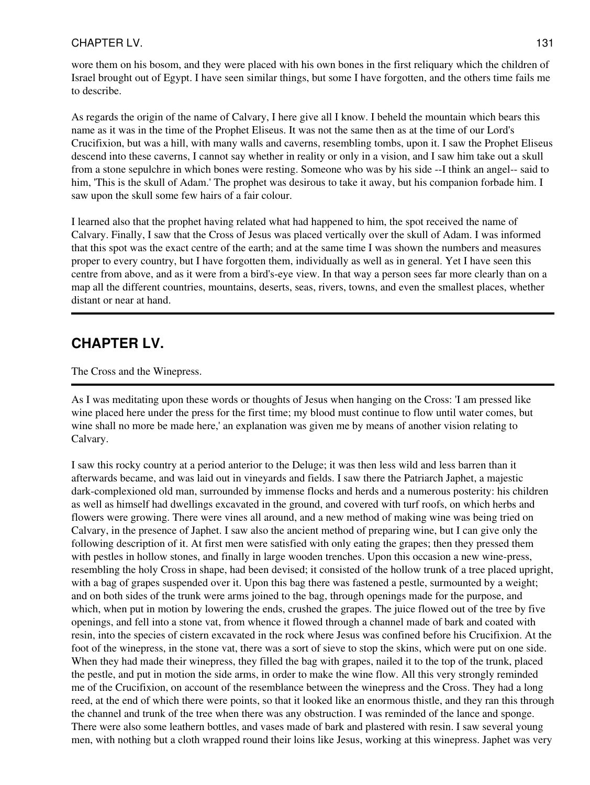### CHAPTER LV. 131

wore them on his bosom, and they were placed with his own bones in the first reliquary which the children of Israel brought out of Egypt. I have seen similar things, but some I have forgotten, and the others time fails me to describe.

As regards the origin of the name of Calvary, I here give all I know. I beheld the mountain which bears this name as it was in the time of the Prophet Eliseus. It was not the same then as at the time of our Lord's Crucifixion, but was a hill, with many walls and caverns, resembling tombs, upon it. I saw the Prophet Eliseus descend into these caverns, I cannot say whether in reality or only in a vision, and I saw him take out a skull from a stone sepulchre in which bones were resting. Someone who was by his side --I think an angel-- said to him, 'This is the skull of Adam.' The prophet was desirous to take it away, but his companion forbade him. I saw upon the skull some few hairs of a fair colour.

I learned also that the prophet having related what had happened to him, the spot received the name of Calvary. Finally, I saw that the Cross of Jesus was placed vertically over the skull of Adam. I was informed that this spot was the exact centre of the earth; and at the same time I was shown the numbers and measures proper to every country, but I have forgotten them, individually as well as in general. Yet I have seen this centre from above, and as it were from a bird's-eye view. In that way a person sees far more clearly than on a map all the different countries, mountains, deserts, seas, rivers, towns, and even the smallest places, whether distant or near at hand.

# **CHAPTER LV.**

The Cross and the Winepress.

As I was meditating upon these words or thoughts of Jesus when hanging on the Cross: 'I am pressed like wine placed here under the press for the first time; my blood must continue to flow until water comes, but wine shall no more be made here,' an explanation was given me by means of another vision relating to Calvary.

I saw this rocky country at a period anterior to the Deluge; it was then less wild and less barren than it afterwards became, and was laid out in vineyards and fields. I saw there the Patriarch Japhet, a majestic dark-complexioned old man, surrounded by immense flocks and herds and a numerous posterity: his children as well as himself had dwellings excavated in the ground, and covered with turf roofs, on which herbs and flowers were growing. There were vines all around, and a new method of making wine was being tried on Calvary, in the presence of Japhet. I saw also the ancient method of preparing wine, but I can give only the following description of it. At first men were satisfied with only eating the grapes; then they pressed them with pestles in hollow stones, and finally in large wooden trenches. Upon this occasion a new wine-press, resembling the holy Cross in shape, had been devised; it consisted of the hollow trunk of a tree placed upright, with a bag of grapes suspended over it. Upon this bag there was fastened a pestle, surmounted by a weight; and on both sides of the trunk were arms joined to the bag, through openings made for the purpose, and which, when put in motion by lowering the ends, crushed the grapes. The juice flowed out of the tree by five openings, and fell into a stone vat, from whence it flowed through a channel made of bark and coated with resin, into the species of cistern excavated in the rock where Jesus was confined before his Crucifixion. At the foot of the winepress, in the stone vat, there was a sort of sieve to stop the skins, which were put on one side. When they had made their winepress, they filled the bag with grapes, nailed it to the top of the trunk, placed the pestle, and put in motion the side arms, in order to make the wine flow. All this very strongly reminded me of the Crucifixion, on account of the resemblance between the winepress and the Cross. They had a long reed, at the end of which there were points, so that it looked like an enormous thistle, and they ran this through the channel and trunk of the tree when there was any obstruction. I was reminded of the lance and sponge. There were also some leathern bottles, and vases made of bark and plastered with resin. I saw several young men, with nothing but a cloth wrapped round their loins like Jesus, working at this winepress. Japhet was very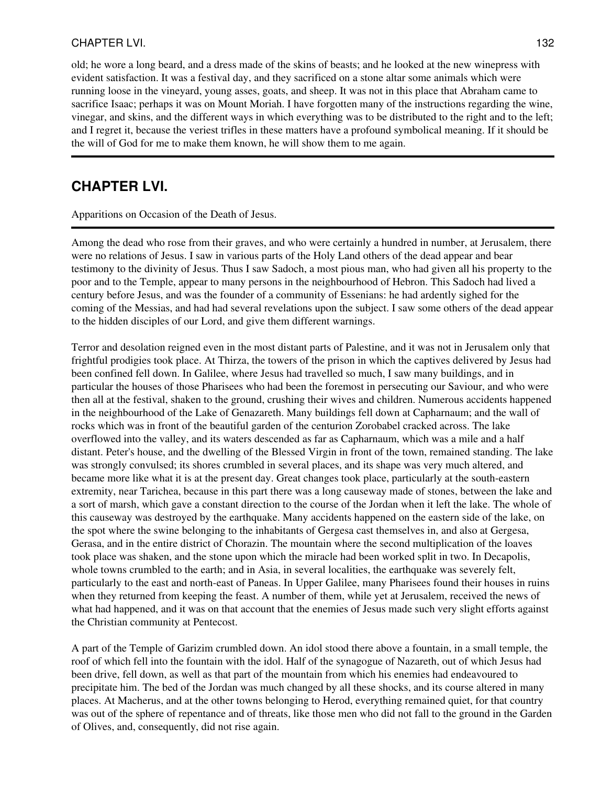### CHAPTER LVI. 2022 2023 132

old; he wore a long beard, and a dress made of the skins of beasts; and he looked at the new winepress with evident satisfaction. It was a festival day, and they sacrificed on a stone altar some animals which were running loose in the vineyard, young asses, goats, and sheep. It was not in this place that Abraham came to sacrifice Isaac; perhaps it was on Mount Moriah. I have forgotten many of the instructions regarding the wine, vinegar, and skins, and the different ways in which everything was to be distributed to the right and to the left; and I regret it, because the veriest trifles in these matters have a profound symbolical meaning. If it should be the will of God for me to make them known, he will show them to me again.

## **CHAPTER LVI.**

Apparitions on Occasion of the Death of Jesus.

Among the dead who rose from their graves, and who were certainly a hundred in number, at Jerusalem, there were no relations of Jesus. I saw in various parts of the Holy Land others of the dead appear and bear testimony to the divinity of Jesus. Thus I saw Sadoch, a most pious man, who had given all his property to the poor and to the Temple, appear to many persons in the neighbourhood of Hebron. This Sadoch had lived a century before Jesus, and was the founder of a community of Essenians: he had ardently sighed for the coming of the Messias, and had had several revelations upon the subject. I saw some others of the dead appear to the hidden disciples of our Lord, and give them different warnings.

Terror and desolation reigned even in the most distant parts of Palestine, and it was not in Jerusalem only that frightful prodigies took place. At Thirza, the towers of the prison in which the captives delivered by Jesus had been confined fell down. In Galilee, where Jesus had travelled so much, I saw many buildings, and in particular the houses of those Pharisees who had been the foremost in persecuting our Saviour, and who were then all at the festival, shaken to the ground, crushing their wives and children. Numerous accidents happened in the neighbourhood of the Lake of Genazareth. Many buildings fell down at Capharnaum; and the wall of rocks which was in front of the beautiful garden of the centurion Zorobabel cracked across. The lake overflowed into the valley, and its waters descended as far as Capharnaum, which was a mile and a half distant. Peter's house, and the dwelling of the Blessed Virgin in front of the town, remained standing. The lake was strongly convulsed; its shores crumbled in several places, and its shape was very much altered, and became more like what it is at the present day. Great changes took place, particularly at the south-eastern extremity, near Tarichea, because in this part there was a long causeway made of stones, between the lake and a sort of marsh, which gave a constant direction to the course of the Jordan when it left the lake. The whole of this causeway was destroyed by the earthquake. Many accidents happened on the eastern side of the lake, on the spot where the swine belonging to the inhabitants of Gergesa cast themselves in, and also at Gergesa, Gerasa, and in the entire district of Chorazin. The mountain where the second multiplication of the loaves took place was shaken, and the stone upon which the miracle had been worked split in two. In Decapolis, whole towns crumbled to the earth; and in Asia, in several localities, the earthquake was severely felt, particularly to the east and north-east of Paneas. In Upper Galilee, many Pharisees found their houses in ruins when they returned from keeping the feast. A number of them, while yet at Jerusalem, received the news of what had happened, and it was on that account that the enemies of Jesus made such very slight efforts against the Christian community at Pentecost.

A part of the Temple of Garizim crumbled down. An idol stood there above a fountain, in a small temple, the roof of which fell into the fountain with the idol. Half of the synagogue of Nazareth, out of which Jesus had been drive, fell down, as well as that part of the mountain from which his enemies had endeavoured to precipitate him. The bed of the Jordan was much changed by all these shocks, and its course altered in many places. At Macherus, and at the other towns belonging to Herod, everything remained quiet, for that country was out of the sphere of repentance and of threats, like those men who did not fall to the ground in the Garden of Olives, and, consequently, did not rise again.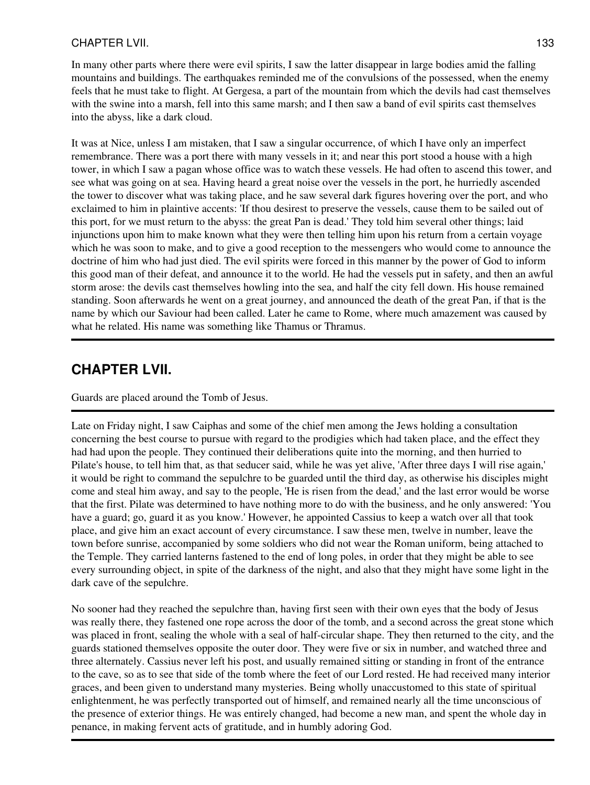## CHAPTER LVII. 133

In many other parts where there were evil spirits, I saw the latter disappear in large bodies amid the falling mountains and buildings. The earthquakes reminded me of the convulsions of the possessed, when the enemy feels that he must take to flight. At Gergesa, a part of the mountain from which the devils had cast themselves with the swine into a marsh, fell into this same marsh; and I then saw a band of evil spirits cast themselves into the abyss, like a dark cloud.

It was at Nice, unless I am mistaken, that I saw a singular occurrence, of which I have only an imperfect remembrance. There was a port there with many vessels in it; and near this port stood a house with a high tower, in which I saw a pagan whose office was to watch these vessels. He had often to ascend this tower, and see what was going on at sea. Having heard a great noise over the vessels in the port, he hurriedly ascended the tower to discover what was taking place, and he saw several dark figures hovering over the port, and who exclaimed to him in plaintive accents: 'If thou desirest to preserve the vessels, cause them to be sailed out of this port, for we must return to the abyss: the great Pan is dead.' They told him several other things; laid injunctions upon him to make known what they were then telling him upon his return from a certain voyage which he was soon to make, and to give a good reception to the messengers who would come to announce the doctrine of him who had just died. The evil spirits were forced in this manner by the power of God to inform this good man of their defeat, and announce it to the world. He had the vessels put in safety, and then an awful storm arose: the devils cast themselves howling into the sea, and half the city fell down. His house remained standing. Soon afterwards he went on a great journey, and announced the death of the great Pan, if that is the name by which our Saviour had been called. Later he came to Rome, where much amazement was caused by what he related. His name was something like Thamus or Thramus.

## **CHAPTER LVII.**

Guards are placed around the Tomb of Jesus.

Late on Friday night, I saw Caiphas and some of the chief men among the Jews holding a consultation concerning the best course to pursue with regard to the prodigies which had taken place, and the effect they had had upon the people. They continued their deliberations quite into the morning, and then hurried to Pilate's house, to tell him that, as that seducer said, while he was yet alive, 'After three days I will rise again,' it would be right to command the sepulchre to be guarded until the third day, as otherwise his disciples might come and steal him away, and say to the people, 'He is risen from the dead,' and the last error would be worse that the first. Pilate was determined to have nothing more to do with the business, and he only answered: 'You have a guard; go, guard it as you know.' However, he appointed Cassius to keep a watch over all that took place, and give him an exact account of every circumstance. I saw these men, twelve in number, leave the town before sunrise, accompanied by some soldiers who did not wear the Roman uniform, being attached to the Temple. They carried lanterns fastened to the end of long poles, in order that they might be able to see every surrounding object, in spite of the darkness of the night, and also that they might have some light in the dark cave of the sepulchre.

No sooner had they reached the sepulchre than, having first seen with their own eyes that the body of Jesus was really there, they fastened one rope across the door of the tomb, and a second across the great stone which was placed in front, sealing the whole with a seal of half-circular shape. They then returned to the city, and the guards stationed themselves opposite the outer door. They were five or six in number, and watched three and three alternately. Cassius never left his post, and usually remained sitting or standing in front of the entrance to the cave, so as to see that side of the tomb where the feet of our Lord rested. He had received many interior graces, and been given to understand many mysteries. Being wholly unaccustomed to this state of spiritual enlightenment, he was perfectly transported out of himself, and remained nearly all the time unconscious of the presence of exterior things. He was entirely changed, had become a new man, and spent the whole day in penance, in making fervent acts of gratitude, and in humbly adoring God.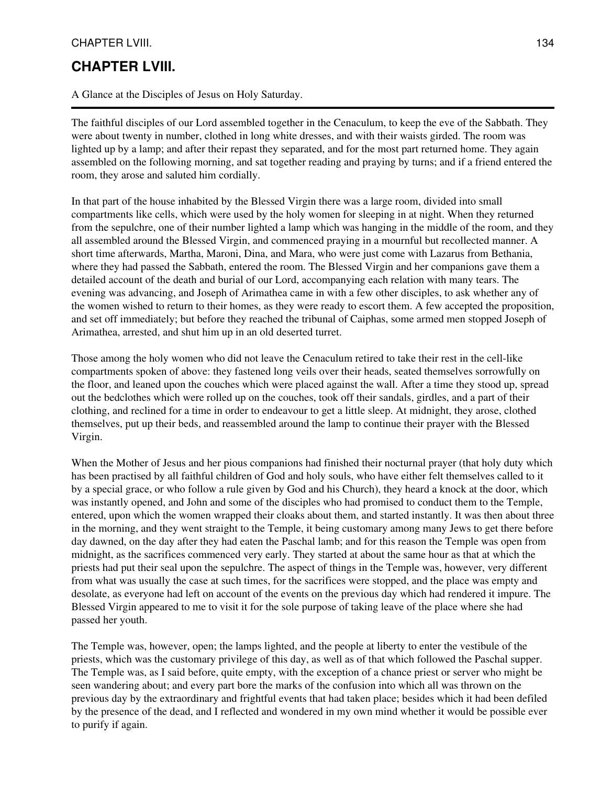## CHAPTER LVIII. 134

## **CHAPTER LVIII.**

A Glance at the Disciples of Jesus on Holy Saturday.

The faithful disciples of our Lord assembled together in the Cenaculum, to keep the eve of the Sabbath. They were about twenty in number, clothed in long white dresses, and with their waists girded. The room was lighted up by a lamp; and after their repast they separated, and for the most part returned home. They again assembled on the following morning, and sat together reading and praying by turns; and if a friend entered the room, they arose and saluted him cordially.

In that part of the house inhabited by the Blessed Virgin there was a large room, divided into small compartments like cells, which were used by the holy women for sleeping in at night. When they returned from the sepulchre, one of their number lighted a lamp which was hanging in the middle of the room, and they all assembled around the Blessed Virgin, and commenced praying in a mournful but recollected manner. A short time afterwards, Martha, Maroni, Dina, and Mara, who were just come with Lazarus from Bethania, where they had passed the Sabbath, entered the room. The Blessed Virgin and her companions gave them a detailed account of the death and burial of our Lord, accompanying each relation with many tears. The evening was advancing, and Joseph of Arimathea came in with a few other disciples, to ask whether any of the women wished to return to their homes, as they were ready to escort them. A few accepted the proposition, and set off immediately; but before they reached the tribunal of Caiphas, some armed men stopped Joseph of Arimathea, arrested, and shut him up in an old deserted turret.

Those among the holy women who did not leave the Cenaculum retired to take their rest in the cell-like compartments spoken of above: they fastened long veils over their heads, seated themselves sorrowfully on the floor, and leaned upon the couches which were placed against the wall. After a time they stood up, spread out the bedclothes which were rolled up on the couches, took off their sandals, girdles, and a part of their clothing, and reclined for a time in order to endeavour to get a little sleep. At midnight, they arose, clothed themselves, put up their beds, and reassembled around the lamp to continue their prayer with the Blessed Virgin.

When the Mother of Jesus and her pious companions had finished their nocturnal prayer (that holy duty which has been practised by all faithful children of God and holy souls, who have either felt themselves called to it by a special grace, or who follow a rule given by God and his Church), they heard a knock at the door, which was instantly opened, and John and some of the disciples who had promised to conduct them to the Temple, entered, upon which the women wrapped their cloaks about them, and started instantly. It was then about three in the morning, and they went straight to the Temple, it being customary among many Jews to get there before day dawned, on the day after they had eaten the Paschal lamb; and for this reason the Temple was open from midnight, as the sacrifices commenced very early. They started at about the same hour as that at which the priests had put their seal upon the sepulchre. The aspect of things in the Temple was, however, very different from what was usually the case at such times, for the sacrifices were stopped, and the place was empty and desolate, as everyone had left on account of the events on the previous day which had rendered it impure. The Blessed Virgin appeared to me to visit it for the sole purpose of taking leave of the place where she had passed her youth.

The Temple was, however, open; the lamps lighted, and the people at liberty to enter the vestibule of the priests, which was the customary privilege of this day, as well as of that which followed the Paschal supper. The Temple was, as I said before, quite empty, with the exception of a chance priest or server who might be seen wandering about; and every part bore the marks of the confusion into which all was thrown on the previous day by the extraordinary and frightful events that had taken place; besides which it had been defiled by the presence of the dead, and I reflected and wondered in my own mind whether it would be possible ever to purify if again.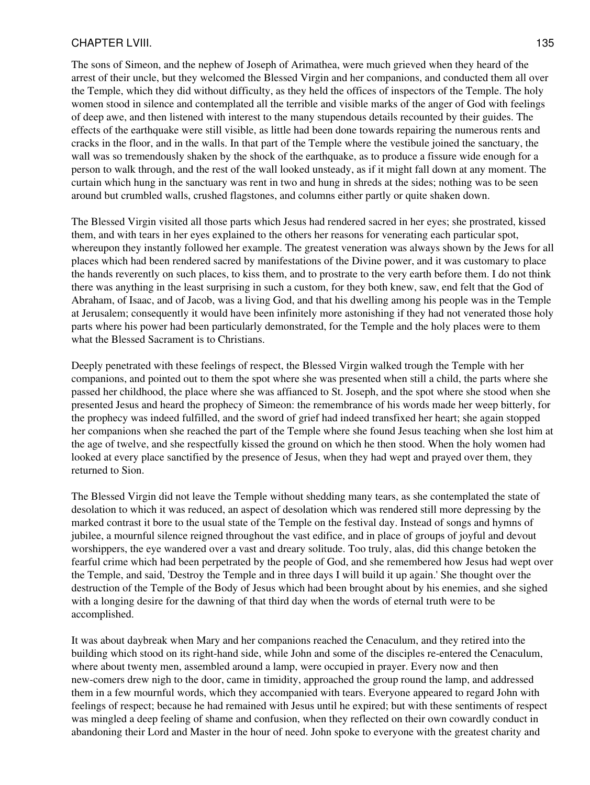#### CHAPTER LVIII. 135

The sons of Simeon, and the nephew of Joseph of Arimathea, were much grieved when they heard of the arrest of their uncle, but they welcomed the Blessed Virgin and her companions, and conducted them all over the Temple, which they did without difficulty, as they held the offices of inspectors of the Temple. The holy women stood in silence and contemplated all the terrible and visible marks of the anger of God with feelings of deep awe, and then listened with interest to the many stupendous details recounted by their guides. The effects of the earthquake were still visible, as little had been done towards repairing the numerous rents and cracks in the floor, and in the walls. In that part of the Temple where the vestibule joined the sanctuary, the wall was so tremendously shaken by the shock of the earthquake, as to produce a fissure wide enough for a person to walk through, and the rest of the wall looked unsteady, as if it might fall down at any moment. The curtain which hung in the sanctuary was rent in two and hung in shreds at the sides; nothing was to be seen around but crumbled walls, crushed flagstones, and columns either partly or quite shaken down.

The Blessed Virgin visited all those parts which Jesus had rendered sacred in her eyes; she prostrated, kissed them, and with tears in her eyes explained to the others her reasons for venerating each particular spot, whereupon they instantly followed her example. The greatest veneration was always shown by the Jews for all places which had been rendered sacred by manifestations of the Divine power, and it was customary to place the hands reverently on such places, to kiss them, and to prostrate to the very earth before them. I do not think there was anything in the least surprising in such a custom, for they both knew, saw, end felt that the God of Abraham, of Isaac, and of Jacob, was a living God, and that his dwelling among his people was in the Temple at Jerusalem; consequently it would have been infinitely more astonishing if they had not venerated those holy parts where his power had been particularly demonstrated, for the Temple and the holy places were to them what the Blessed Sacrament is to Christians.

Deeply penetrated with these feelings of respect, the Blessed Virgin walked trough the Temple with her companions, and pointed out to them the spot where she was presented when still a child, the parts where she passed her childhood, the place where she was affianced to St. Joseph, and the spot where she stood when she presented Jesus and heard the prophecy of Simeon: the remembrance of his words made her weep bitterly, for the prophecy was indeed fulfilled, and the sword of grief had indeed transfixed her heart; she again stopped her companions when she reached the part of the Temple where she found Jesus teaching when she lost him at the age of twelve, and she respectfully kissed the ground on which he then stood. When the holy women had looked at every place sanctified by the presence of Jesus, when they had wept and prayed over them, they returned to Sion.

The Blessed Virgin did not leave the Temple without shedding many tears, as she contemplated the state of desolation to which it was reduced, an aspect of desolation which was rendered still more depressing by the marked contrast it bore to the usual state of the Temple on the festival day. Instead of songs and hymns of jubilee, a mournful silence reigned throughout the vast edifice, and in place of groups of joyful and devout worshippers, the eye wandered over a vast and dreary solitude. Too truly, alas, did this change betoken the fearful crime which had been perpetrated by the people of God, and she remembered how Jesus had wept over the Temple, and said, 'Destroy the Temple and in three days I will build it up again.' She thought over the destruction of the Temple of the Body of Jesus which had been brought about by his enemies, and she sighed with a longing desire for the dawning of that third day when the words of eternal truth were to be accomplished.

It was about daybreak when Mary and her companions reached the Cenaculum, and they retired into the building which stood on its right-hand side, while John and some of the disciples re-entered the Cenaculum, where about twenty men, assembled around a lamp, were occupied in prayer. Every now and then new-comers drew nigh to the door, came in timidity, approached the group round the lamp, and addressed them in a few mournful words, which they accompanied with tears. Everyone appeared to regard John with feelings of respect; because he had remained with Jesus until he expired; but with these sentiments of respect was mingled a deep feeling of shame and confusion, when they reflected on their own cowardly conduct in abandoning their Lord and Master in the hour of need. John spoke to everyone with the greatest charity and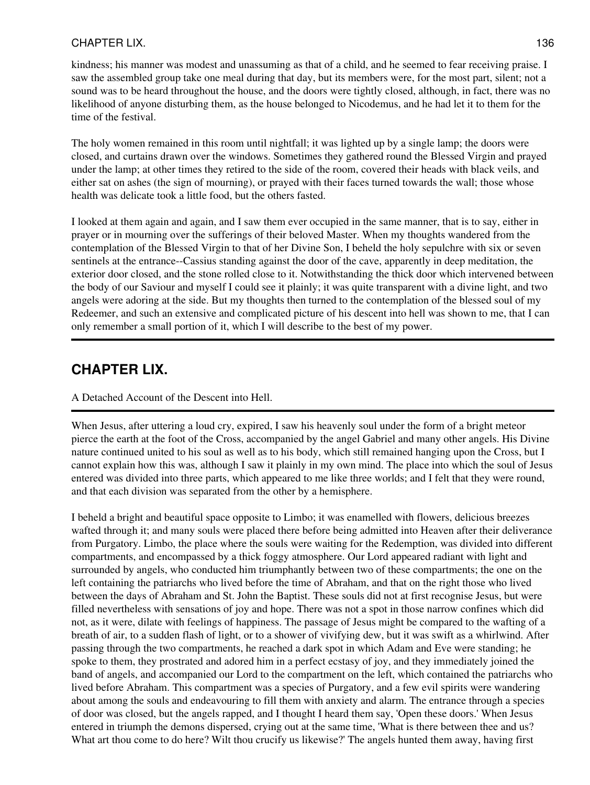## CHAPTER LIX. 136

kindness; his manner was modest and unassuming as that of a child, and he seemed to fear receiving praise. I saw the assembled group take one meal during that day, but its members were, for the most part, silent; not a sound was to be heard throughout the house, and the doors were tightly closed, although, in fact, there was no likelihood of anyone disturbing them, as the house belonged to Nicodemus, and he had let it to them for the time of the festival.

The holy women remained in this room until nightfall; it was lighted up by a single lamp; the doors were closed, and curtains drawn over the windows. Sometimes they gathered round the Blessed Virgin and prayed under the lamp; at other times they retired to the side of the room, covered their heads with black veils, and either sat on ashes (the sign of mourning), or prayed with their faces turned towards the wall; those whose health was delicate took a little food, but the others fasted.

I looked at them again and again, and I saw them ever occupied in the same manner, that is to say, either in prayer or in mourning over the sufferings of their beloved Master. When my thoughts wandered from the contemplation of the Blessed Virgin to that of her Divine Son, I beheld the holy sepulchre with six or seven sentinels at the entrance--Cassius standing against the door of the cave, apparently in deep meditation, the exterior door closed, and the stone rolled close to it. Notwithstanding the thick door which intervened between the body of our Saviour and myself I could see it plainly; it was quite transparent with a divine light, and two angels were adoring at the side. But my thoughts then turned to the contemplation of the blessed soul of my Redeemer, and such an extensive and complicated picture of his descent into hell was shown to me, that I can only remember a small portion of it, which I will describe to the best of my power.

## **CHAPTER LIX.**

### A Detached Account of the Descent into Hell.

When Jesus, after uttering a loud cry, expired, I saw his heavenly soul under the form of a bright meteor pierce the earth at the foot of the Cross, accompanied by the angel Gabriel and many other angels. His Divine nature continued united to his soul as well as to his body, which still remained hanging upon the Cross, but I cannot explain how this was, although I saw it plainly in my own mind. The place into which the soul of Jesus entered was divided into three parts, which appeared to me like three worlds; and I felt that they were round, and that each division was separated from the other by a hemisphere.

I beheld a bright and beautiful space opposite to Limbo; it was enamelled with flowers, delicious breezes wafted through it; and many souls were placed there before being admitted into Heaven after their deliverance from Purgatory. Limbo, the place where the souls were waiting for the Redemption, was divided into different compartments, and encompassed by a thick foggy atmosphere. Our Lord appeared radiant with light and surrounded by angels, who conducted him triumphantly between two of these compartments; the one on the left containing the patriarchs who lived before the time of Abraham, and that on the right those who lived between the days of Abraham and St. John the Baptist. These souls did not at first recognise Jesus, but were filled nevertheless with sensations of joy and hope. There was not a spot in those narrow confines which did not, as it were, dilate with feelings of happiness. The passage of Jesus might be compared to the wafting of a breath of air, to a sudden flash of light, or to a shower of vivifying dew, but it was swift as a whirlwind. After passing through the two compartments, he reached a dark spot in which Adam and Eve were standing; he spoke to them, they prostrated and adored him in a perfect ecstasy of joy, and they immediately joined the band of angels, and accompanied our Lord to the compartment on the left, which contained the patriarchs who lived before Abraham. This compartment was a species of Purgatory, and a few evil spirits were wandering about among the souls and endeavouring to fill them with anxiety and alarm. The entrance through a species of door was closed, but the angels rapped, and I thought I heard them say, 'Open these doors.' When Jesus entered in triumph the demons dispersed, crying out at the same time, 'What is there between thee and us? What art thou come to do here? Wilt thou crucify us likewise?' The angels hunted them away, having first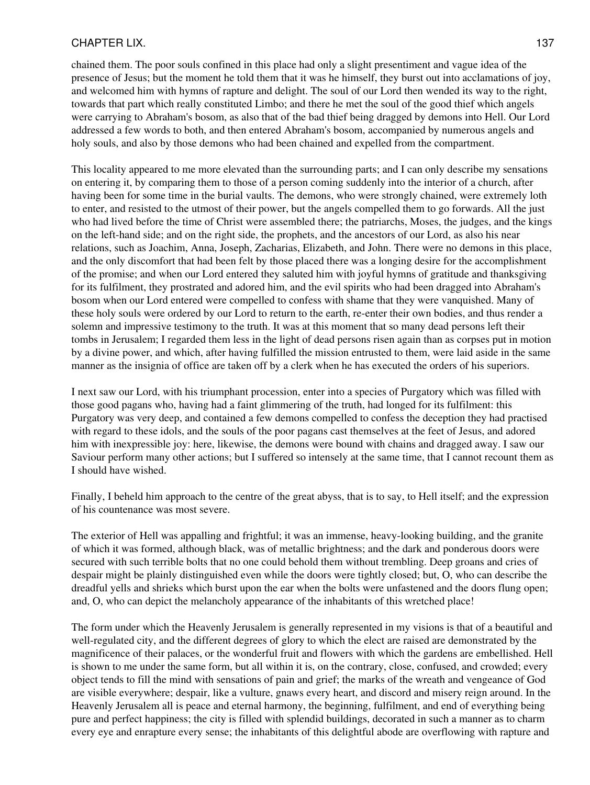### CHAPTER LIX. 137

chained them. The poor souls confined in this place had only a slight presentiment and vague idea of the presence of Jesus; but the moment he told them that it was he himself, they burst out into acclamations of joy, and welcomed him with hymns of rapture and delight. The soul of our Lord then wended its way to the right, towards that part which really constituted Limbo; and there he met the soul of the good thief which angels were carrying to Abraham's bosom, as also that of the bad thief being dragged by demons into Hell. Our Lord addressed a few words to both, and then entered Abraham's bosom, accompanied by numerous angels and holy souls, and also by those demons who had been chained and expelled from the compartment.

This locality appeared to me more elevated than the surrounding parts; and I can only describe my sensations on entering it, by comparing them to those of a person coming suddenly into the interior of a church, after having been for some time in the burial vaults. The demons, who were strongly chained, were extremely loth to enter, and resisted to the utmost of their power, but the angels compelled them to go forwards. All the just who had lived before the time of Christ were assembled there; the patriarchs, Moses, the judges, and the kings on the left-hand side; and on the right side, the prophets, and the ancestors of our Lord, as also his near relations, such as Joachim, Anna, Joseph, Zacharias, Elizabeth, and John. There were no demons in this place, and the only discomfort that had been felt by those placed there was a longing desire for the accomplishment of the promise; and when our Lord entered they saluted him with joyful hymns of gratitude and thanksgiving for its fulfilment, they prostrated and adored him, and the evil spirits who had been dragged into Abraham's bosom when our Lord entered were compelled to confess with shame that they were vanquished. Many of these holy souls were ordered by our Lord to return to the earth, re-enter their own bodies, and thus render a solemn and impressive testimony to the truth. It was at this moment that so many dead persons left their tombs in Jerusalem; I regarded them less in the light of dead persons risen again than as corpses put in motion by a divine power, and which, after having fulfilled the mission entrusted to them, were laid aside in the same manner as the insignia of office are taken off by a clerk when he has executed the orders of his superiors.

I next saw our Lord, with his triumphant procession, enter into a species of Purgatory which was filled with those good pagans who, having had a faint glimmering of the truth, had longed for its fulfilment: this Purgatory was very deep, and contained a few demons compelled to confess the deception they had practised with regard to these idols, and the souls of the poor pagans cast themselves at the feet of Jesus, and adored him with inexpressible joy: here, likewise, the demons were bound with chains and dragged away. I saw our Saviour perform many other actions; but I suffered so intensely at the same time, that I cannot recount them as I should have wished.

Finally, I beheld him approach to the centre of the great abyss, that is to say, to Hell itself; and the expression of his countenance was most severe.

The exterior of Hell was appalling and frightful; it was an immense, heavy-looking building, and the granite of which it was formed, although black, was of metallic brightness; and the dark and ponderous doors were secured with such terrible bolts that no one could behold them without trembling. Deep groans and cries of despair might be plainly distinguished even while the doors were tightly closed; but, O, who can describe the dreadful yells and shrieks which burst upon the ear when the bolts were unfastened and the doors flung open; and, O, who can depict the melancholy appearance of the inhabitants of this wretched place!

The form under which the Heavenly Jerusalem is generally represented in my visions is that of a beautiful and well-regulated city, and the different degrees of glory to which the elect are raised are demonstrated by the magnificence of their palaces, or the wonderful fruit and flowers with which the gardens are embellished. Hell is shown to me under the same form, but all within it is, on the contrary, close, confused, and crowded; every object tends to fill the mind with sensations of pain and grief; the marks of the wreath and vengeance of God are visible everywhere; despair, like a vulture, gnaws every heart, and discord and misery reign around. In the Heavenly Jerusalem all is peace and eternal harmony, the beginning, fulfilment, and end of everything being pure and perfect happiness; the city is filled with splendid buildings, decorated in such a manner as to charm every eye and enrapture every sense; the inhabitants of this delightful abode are overflowing with rapture and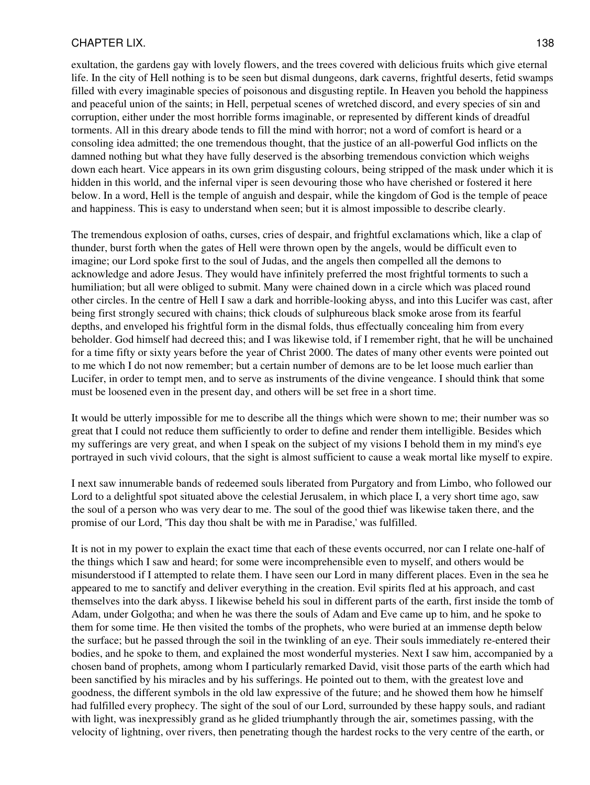#### CHAPTER LIX. 238

exultation, the gardens gay with lovely flowers, and the trees covered with delicious fruits which give eternal life. In the city of Hell nothing is to be seen but dismal dungeons, dark caverns, frightful deserts, fetid swamps filled with every imaginable species of poisonous and disgusting reptile. In Heaven you behold the happiness and peaceful union of the saints; in Hell, perpetual scenes of wretched discord, and every species of sin and corruption, either under the most horrible forms imaginable, or represented by different kinds of dreadful torments. All in this dreary abode tends to fill the mind with horror; not a word of comfort is heard or a consoling idea admitted; the one tremendous thought, that the justice of an all-powerful God inflicts on the damned nothing but what they have fully deserved is the absorbing tremendous conviction which weighs down each heart. Vice appears in its own grim disgusting colours, being stripped of the mask under which it is hidden in this world, and the infernal viper is seen devouring those who have cherished or fostered it here below. In a word, Hell is the temple of anguish and despair, while the kingdom of God is the temple of peace and happiness. This is easy to understand when seen; but it is almost impossible to describe clearly.

The tremendous explosion of oaths, curses, cries of despair, and frightful exclamations which, like a clap of thunder, burst forth when the gates of Hell were thrown open by the angels, would be difficult even to imagine; our Lord spoke first to the soul of Judas, and the angels then compelled all the demons to acknowledge and adore Jesus. They would have infinitely preferred the most frightful torments to such a humiliation; but all were obliged to submit. Many were chained down in a circle which was placed round other circles. In the centre of Hell I saw a dark and horrible-looking abyss, and into this Lucifer was cast, after being first strongly secured with chains; thick clouds of sulphureous black smoke arose from its fearful depths, and enveloped his frightful form in the dismal folds, thus effectually concealing him from every beholder. God himself had decreed this; and I was likewise told, if I remember right, that he will be unchained for a time fifty or sixty years before the year of Christ 2000. The dates of many other events were pointed out to me which I do not now remember; but a certain number of demons are to be let loose much earlier than Lucifer, in order to tempt men, and to serve as instruments of the divine vengeance. I should think that some must be loosened even in the present day, and others will be set free in a short time.

It would be utterly impossible for me to describe all the things which were shown to me; their number was so great that I could not reduce them sufficiently to order to define and render them intelligible. Besides which my sufferings are very great, and when I speak on the subject of my visions I behold them in my mind's eye portrayed in such vivid colours, that the sight is almost sufficient to cause a weak mortal like myself to expire.

I next saw innumerable bands of redeemed souls liberated from Purgatory and from Limbo, who followed our Lord to a delightful spot situated above the celestial Jerusalem, in which place I, a very short time ago, saw the soul of a person who was very dear to me. The soul of the good thief was likewise taken there, and the promise of our Lord, 'This day thou shalt be with me in Paradise,' was fulfilled.

It is not in my power to explain the exact time that each of these events occurred, nor can I relate one-half of the things which I saw and heard; for some were incomprehensible even to myself, and others would be misunderstood if I attempted to relate them. I have seen our Lord in many different places. Even in the sea he appeared to me to sanctify and deliver everything in the creation. Evil spirits fled at his approach, and cast themselves into the dark abyss. I likewise beheld his soul in different parts of the earth, first inside the tomb of Adam, under Golgotha; and when he was there the souls of Adam and Eve came up to him, and he spoke to them for some time. He then visited the tombs of the prophets, who were buried at an immense depth below the surface; but he passed through the soil in the twinkling of an eye. Their souls immediately re-entered their bodies, and he spoke to them, and explained the most wonderful mysteries. Next I saw him, accompanied by a chosen band of prophets, among whom I particularly remarked David, visit those parts of the earth which had been sanctified by his miracles and by his sufferings. He pointed out to them, with the greatest love and goodness, the different symbols in the old law expressive of the future; and he showed them how he himself had fulfilled every prophecy. The sight of the soul of our Lord, surrounded by these happy souls, and radiant with light, was inexpressibly grand as he glided triumphantly through the air, sometimes passing, with the velocity of lightning, over rivers, then penetrating though the hardest rocks to the very centre of the earth, or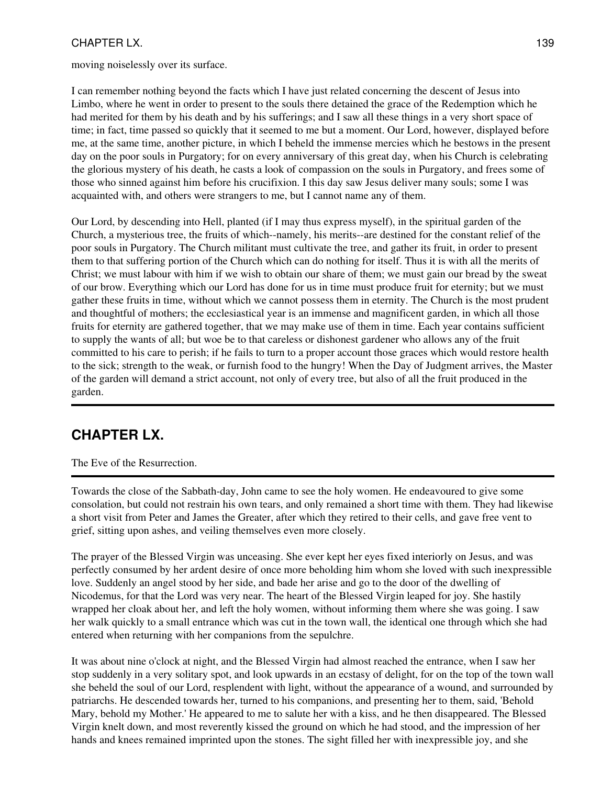## CHAPTER LX. 139

moving noiselessly over its surface.

I can remember nothing beyond the facts which I have just related concerning the descent of Jesus into Limbo, where he went in order to present to the souls there detained the grace of the Redemption which he had merited for them by his death and by his sufferings; and I saw all these things in a very short space of time; in fact, time passed so quickly that it seemed to me but a moment. Our Lord, however, displayed before me, at the same time, another picture, in which I beheld the immense mercies which he bestows in the present day on the poor souls in Purgatory; for on every anniversary of this great day, when his Church is celebrating the glorious mystery of his death, he casts a look of compassion on the souls in Purgatory, and frees some of those who sinned against him before his crucifixion. I this day saw Jesus deliver many souls; some I was acquainted with, and others were strangers to me, but I cannot name any of them.

Our Lord, by descending into Hell, planted (if I may thus express myself), in the spiritual garden of the Church, a mysterious tree, the fruits of which--namely, his merits--are destined for the constant relief of the poor souls in Purgatory. The Church militant must cultivate the tree, and gather its fruit, in order to present them to that suffering portion of the Church which can do nothing for itself. Thus it is with all the merits of Christ; we must labour with him if we wish to obtain our share of them; we must gain our bread by the sweat of our brow. Everything which our Lord has done for us in time must produce fruit for eternity; but we must gather these fruits in time, without which we cannot possess them in eternity. The Church is the most prudent and thoughtful of mothers; the ecclesiastical year is an immense and magnificent garden, in which all those fruits for eternity are gathered together, that we may make use of them in time. Each year contains sufficient to supply the wants of all; but woe be to that careless or dishonest gardener who allows any of the fruit committed to his care to perish; if he fails to turn to a proper account those graces which would restore health to the sick; strength to the weak, or furnish food to the hungry! When the Day of Judgment arrives, the Master of the garden will demand a strict account, not only of every tree, but also of all the fruit produced in the garden.

# **CHAPTER LX.**

The Eve of the Resurrection.

Towards the close of the Sabbath-day, John came to see the holy women. He endeavoured to give some consolation, but could not restrain his own tears, and only remained a short time with them. They had likewise a short visit from Peter and James the Greater, after which they retired to their cells, and gave free vent to grief, sitting upon ashes, and veiling themselves even more closely.

The prayer of the Blessed Virgin was unceasing. She ever kept her eyes fixed interiorly on Jesus, and was perfectly consumed by her ardent desire of once more beholding him whom she loved with such inexpressible love. Suddenly an angel stood by her side, and bade her arise and go to the door of the dwelling of Nicodemus, for that the Lord was very near. The heart of the Blessed Virgin leaped for joy. She hastily wrapped her cloak about her, and left the holy women, without informing them where she was going. I saw her walk quickly to a small entrance which was cut in the town wall, the identical one through which she had entered when returning with her companions from the sepulchre.

It was about nine o'clock at night, and the Blessed Virgin had almost reached the entrance, when I saw her stop suddenly in a very solitary spot, and look upwards in an ecstasy of delight, for on the top of the town wall she beheld the soul of our Lord, resplendent with light, without the appearance of a wound, and surrounded by patriarchs. He descended towards her, turned to his companions, and presenting her to them, said, 'Behold Mary, behold my Mother.' He appeared to me to salute her with a kiss, and he then disappeared. The Blessed Virgin knelt down, and most reverently kissed the ground on which he had stood, and the impression of her hands and knees remained imprinted upon the stones. The sight filled her with inexpressible joy, and she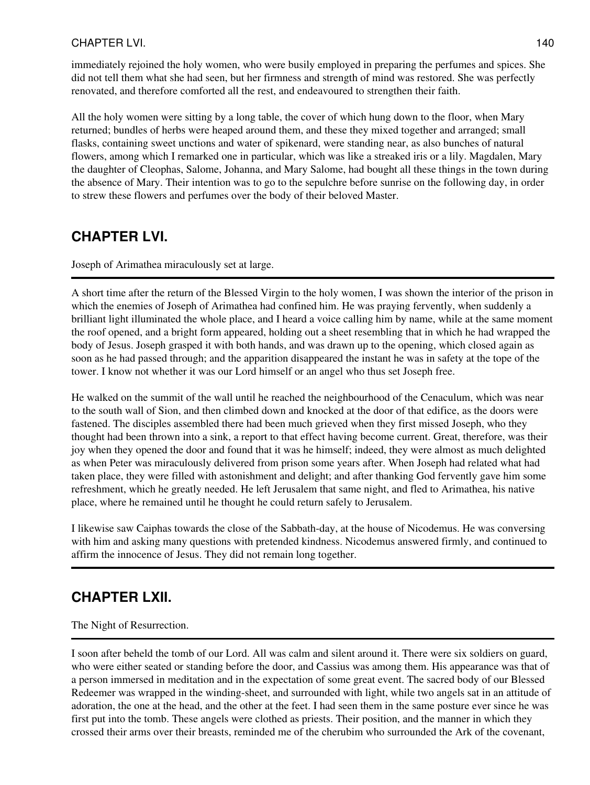## CHAPTER LVI. 140

immediately rejoined the holy women, who were busily employed in preparing the perfumes and spices. She did not tell them what she had seen, but her firmness and strength of mind was restored. She was perfectly renovated, and therefore comforted all the rest, and endeavoured to strengthen their faith.

All the holy women were sitting by a long table, the cover of which hung down to the floor, when Mary returned; bundles of herbs were heaped around them, and these they mixed together and arranged; small flasks, containing sweet unctions and water of spikenard, were standing near, as also bunches of natural flowers, among which I remarked one in particular, which was like a streaked iris or a lily. Magdalen, Mary the daughter of Cleophas, Salome, Johanna, and Mary Salome, had bought all these things in the town during the absence of Mary. Their intention was to go to the sepulchre before sunrise on the following day, in order to strew these flowers and perfumes over the body of their beloved Master.

## **CHAPTER LVI.**

Joseph of Arimathea miraculously set at large.

A short time after the return of the Blessed Virgin to the holy women, I was shown the interior of the prison in which the enemies of Joseph of Arimathea had confined him. He was praying fervently, when suddenly a brilliant light illuminated the whole place, and I heard a voice calling him by name, while at the same moment the roof opened, and a bright form appeared, holding out a sheet resembling that in which he had wrapped the body of Jesus. Joseph grasped it with both hands, and was drawn up to the opening, which closed again as soon as he had passed through; and the apparition disappeared the instant he was in safety at the tope of the tower. I know not whether it was our Lord himself or an angel who thus set Joseph free.

He walked on the summit of the wall until he reached the neighbourhood of the Cenaculum, which was near to the south wall of Sion, and then climbed down and knocked at the door of that edifice, as the doors were fastened. The disciples assembled there had been much grieved when they first missed Joseph, who they thought had been thrown into a sink, a report to that effect having become current. Great, therefore, was their joy when they opened the door and found that it was he himself; indeed, they were almost as much delighted as when Peter was miraculously delivered from prison some years after. When Joseph had related what had taken place, they were filled with astonishment and delight; and after thanking God fervently gave him some refreshment, which he greatly needed. He left Jerusalem that same night, and fled to Arimathea, his native place, where he remained until he thought he could return safely to Jerusalem.

I likewise saw Caiphas towards the close of the Sabbath-day, at the house of Nicodemus. He was conversing with him and asking many questions with pretended kindness. Nicodemus answered firmly, and continued to affirm the innocence of Jesus. They did not remain long together.

## **CHAPTER LXII.**

The Night of Resurrection.

I soon after beheld the tomb of our Lord. All was calm and silent around it. There were six soldiers on guard, who were either seated or standing before the door, and Cassius was among them. His appearance was that of a person immersed in meditation and in the expectation of some great event. The sacred body of our Blessed Redeemer was wrapped in the winding-sheet, and surrounded with light, while two angels sat in an attitude of adoration, the one at the head, and the other at the feet. I had seen them in the same posture ever since he was first put into the tomb. These angels were clothed as priests. Their position, and the manner in which they crossed their arms over their breasts, reminded me of the cherubim who surrounded the Ark of the covenant,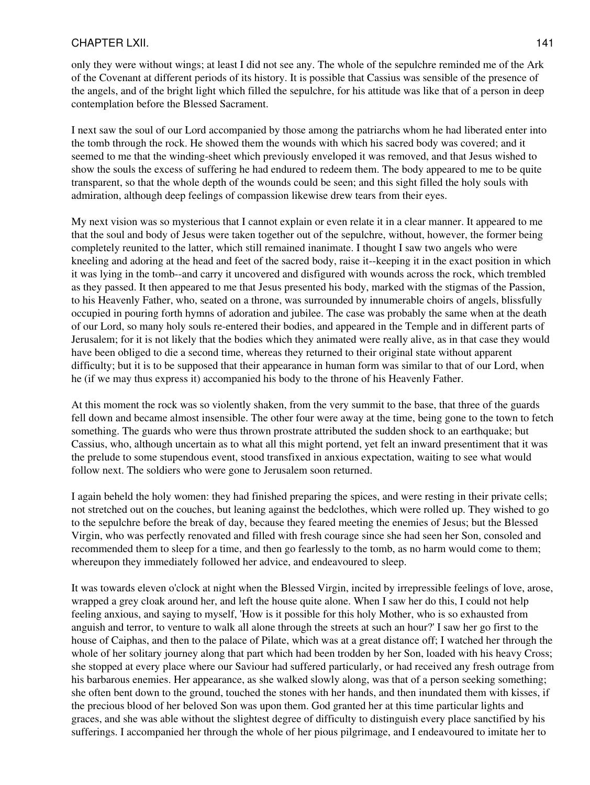### CHAPTER LXII. 141

only they were without wings; at least I did not see any. The whole of the sepulchre reminded me of the Ark of the Covenant at different periods of its history. It is possible that Cassius was sensible of the presence of the angels, and of the bright light which filled the sepulchre, for his attitude was like that of a person in deep contemplation before the Blessed Sacrament.

I next saw the soul of our Lord accompanied by those among the patriarchs whom he had liberated enter into the tomb through the rock. He showed them the wounds with which his sacred body was covered; and it seemed to me that the winding-sheet which previously enveloped it was removed, and that Jesus wished to show the souls the excess of suffering he had endured to redeem them. The body appeared to me to be quite transparent, so that the whole depth of the wounds could be seen; and this sight filled the holy souls with admiration, although deep feelings of compassion likewise drew tears from their eyes.

My next vision was so mysterious that I cannot explain or even relate it in a clear manner. It appeared to me that the soul and body of Jesus were taken together out of the sepulchre, without, however, the former being completely reunited to the latter, which still remained inanimate. I thought I saw two angels who were kneeling and adoring at the head and feet of the sacred body, raise it--keeping it in the exact position in which it was lying in the tomb--and carry it uncovered and disfigured with wounds across the rock, which trembled as they passed. It then appeared to me that Jesus presented his body, marked with the stigmas of the Passion, to his Heavenly Father, who, seated on a throne, was surrounded by innumerable choirs of angels, blissfully occupied in pouring forth hymns of adoration and jubilee. The case was probably the same when at the death of our Lord, so many holy souls re-entered their bodies, and appeared in the Temple and in different parts of Jerusalem; for it is not likely that the bodies which they animated were really alive, as in that case they would have been obliged to die a second time, whereas they returned to their original state without apparent difficulty; but it is to be supposed that their appearance in human form was similar to that of our Lord, when he (if we may thus express it) accompanied his body to the throne of his Heavenly Father.

At this moment the rock was so violently shaken, from the very summit to the base, that three of the guards fell down and became almost insensible. The other four were away at the time, being gone to the town to fetch something. The guards who were thus thrown prostrate attributed the sudden shock to an earthquake; but Cassius, who, although uncertain as to what all this might portend, yet felt an inward presentiment that it was the prelude to some stupendous event, stood transfixed in anxious expectation, waiting to see what would follow next. The soldiers who were gone to Jerusalem soon returned.

I again beheld the holy women: they had finished preparing the spices, and were resting in their private cells; not stretched out on the couches, but leaning against the bedclothes, which were rolled up. They wished to go to the sepulchre before the break of day, because they feared meeting the enemies of Jesus; but the Blessed Virgin, who was perfectly renovated and filled with fresh courage since she had seen her Son, consoled and recommended them to sleep for a time, and then go fearlessly to the tomb, as no harm would come to them; whereupon they immediately followed her advice, and endeavoured to sleep.

It was towards eleven o'clock at night when the Blessed Virgin, incited by irrepressible feelings of love, arose, wrapped a grey cloak around her, and left the house quite alone. When I saw her do this, I could not help feeling anxious, and saying to myself, 'How is it possible for this holy Mother, who is so exhausted from anguish and terror, to venture to walk all alone through the streets at such an hour?' I saw her go first to the house of Caiphas, and then to the palace of Pilate, which was at a great distance off; I watched her through the whole of her solitary journey along that part which had been trodden by her Son, loaded with his heavy Cross; she stopped at every place where our Saviour had suffered particularly, or had received any fresh outrage from his barbarous enemies. Her appearance, as she walked slowly along, was that of a person seeking something; she often bent down to the ground, touched the stones with her hands, and then inundated them with kisses, if the precious blood of her beloved Son was upon them. God granted her at this time particular lights and graces, and she was able without the slightest degree of difficulty to distinguish every place sanctified by his sufferings. I accompanied her through the whole of her pious pilgrimage, and I endeavoured to imitate her to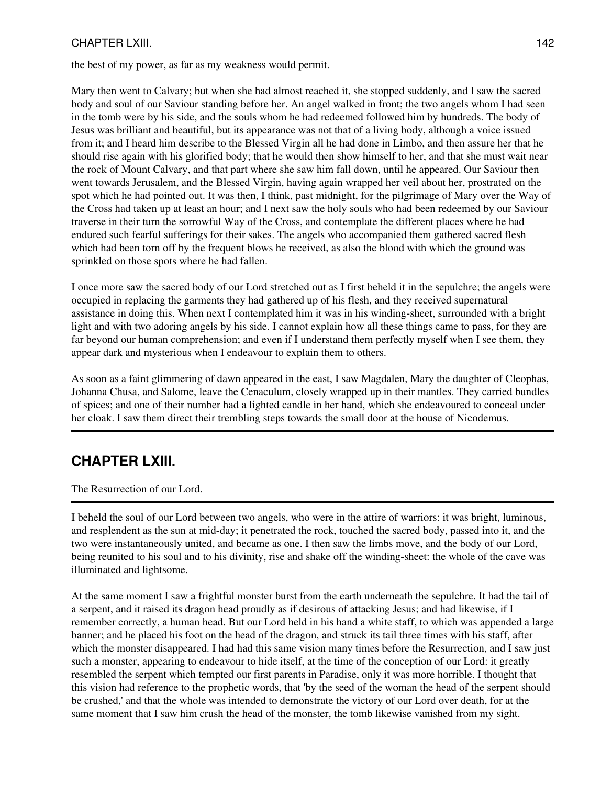## CHAPTER LXIII. 142

the best of my power, as far as my weakness would permit.

Mary then went to Calvary; but when she had almost reached it, she stopped suddenly, and I saw the sacred body and soul of our Saviour standing before her. An angel walked in front; the two angels whom I had seen in the tomb were by his side, and the souls whom he had redeemed followed him by hundreds. The body of Jesus was brilliant and beautiful, but its appearance was not that of a living body, although a voice issued from it; and I heard him describe to the Blessed Virgin all he had done in Limbo, and then assure her that he should rise again with his glorified body; that he would then show himself to her, and that she must wait near the rock of Mount Calvary, and that part where she saw him fall down, until he appeared. Our Saviour then went towards Jerusalem, and the Blessed Virgin, having again wrapped her veil about her, prostrated on the spot which he had pointed out. It was then, I think, past midnight, for the pilgrimage of Mary over the Way of the Cross had taken up at least an hour; and I next saw the holy souls who had been redeemed by our Saviour traverse in their turn the sorrowful Way of the Cross, and contemplate the different places where he had endured such fearful sufferings for their sakes. The angels who accompanied them gathered sacred flesh which had been torn off by the frequent blows he received, as also the blood with which the ground was sprinkled on those spots where he had fallen.

I once more saw the sacred body of our Lord stretched out as I first beheld it in the sepulchre; the angels were occupied in replacing the garments they had gathered up of his flesh, and they received supernatural assistance in doing this. When next I contemplated him it was in his winding-sheet, surrounded with a bright light and with two adoring angels by his side. I cannot explain how all these things came to pass, for they are far beyond our human comprehension; and even if I understand them perfectly myself when I see them, they appear dark and mysterious when I endeavour to explain them to others.

As soon as a faint glimmering of dawn appeared in the east, I saw Magdalen, Mary the daughter of Cleophas, Johanna Chusa, and Salome, leave the Cenaculum, closely wrapped up in their mantles. They carried bundles of spices; and one of their number had a lighted candle in her hand, which she endeavoured to conceal under her cloak. I saw them direct their trembling steps towards the small door at the house of Nicodemus.

# **CHAPTER LXIII.**

The Resurrection of our Lord.

I beheld the soul of our Lord between two angels, who were in the attire of warriors: it was bright, luminous, and resplendent as the sun at mid-day; it penetrated the rock, touched the sacred body, passed into it, and the two were instantaneously united, and became as one. I then saw the limbs move, and the body of our Lord, being reunited to his soul and to his divinity, rise and shake off the winding-sheet: the whole of the cave was illuminated and lightsome.

At the same moment I saw a frightful monster burst from the earth underneath the sepulchre. It had the tail of a serpent, and it raised its dragon head proudly as if desirous of attacking Jesus; and had likewise, if I remember correctly, a human head. But our Lord held in his hand a white staff, to which was appended a large banner; and he placed his foot on the head of the dragon, and struck its tail three times with his staff, after which the monster disappeared. I had had this same vision many times before the Resurrection, and I saw just such a monster, appearing to endeavour to hide itself, at the time of the conception of our Lord: it greatly resembled the serpent which tempted our first parents in Paradise, only it was more horrible. I thought that this vision had reference to the prophetic words, that 'by the seed of the woman the head of the serpent should be crushed,' and that the whole was intended to demonstrate the victory of our Lord over death, for at the same moment that I saw him crush the head of the monster, the tomb likewise vanished from my sight.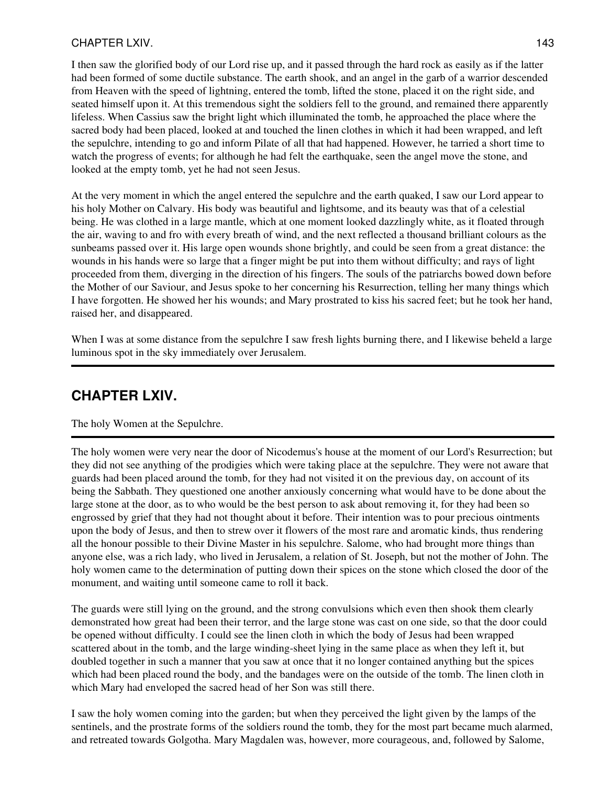### CHAPTER LXIV. 143

I then saw the glorified body of our Lord rise up, and it passed through the hard rock as easily as if the latter had been formed of some ductile substance. The earth shook, and an angel in the garb of a warrior descended from Heaven with the speed of lightning, entered the tomb, lifted the stone, placed it on the right side, and seated himself upon it. At this tremendous sight the soldiers fell to the ground, and remained there apparently lifeless. When Cassius saw the bright light which illuminated the tomb, he approached the place where the sacred body had been placed, looked at and touched the linen clothes in which it had been wrapped, and left the sepulchre, intending to go and inform Pilate of all that had happened. However, he tarried a short time to watch the progress of events; for although he had felt the earthquake, seen the angel move the stone, and looked at the empty tomb, yet he had not seen Jesus.

At the very moment in which the angel entered the sepulchre and the earth quaked, I saw our Lord appear to his holy Mother on Calvary. His body was beautiful and lightsome, and its beauty was that of a celestial being. He was clothed in a large mantle, which at one moment looked dazzlingly white, as it floated through the air, waving to and fro with every breath of wind, and the next reflected a thousand brilliant colours as the sunbeams passed over it. His large open wounds shone brightly, and could be seen from a great distance: the wounds in his hands were so large that a finger might be put into them without difficulty; and rays of light proceeded from them, diverging in the direction of his fingers. The souls of the patriarchs bowed down before the Mother of our Saviour, and Jesus spoke to her concerning his Resurrection, telling her many things which I have forgotten. He showed her his wounds; and Mary prostrated to kiss his sacred feet; but he took her hand, raised her, and disappeared.

When I was at some distance from the sepulchre I saw fresh lights burning there, and I likewise beheld a large luminous spot in the sky immediately over Jerusalem.

# **CHAPTER LXIV.**

The holy Women at the Sepulchre.

The holy women were very near the door of Nicodemus's house at the moment of our Lord's Resurrection; but they did not see anything of the prodigies which were taking place at the sepulchre. They were not aware that guards had been placed around the tomb, for they had not visited it on the previous day, on account of its being the Sabbath. They questioned one another anxiously concerning what would have to be done about the large stone at the door, as to who would be the best person to ask about removing it, for they had been so engrossed by grief that they had not thought about it before. Their intention was to pour precious ointments upon the body of Jesus, and then to strew over it flowers of the most rare and aromatic kinds, thus rendering all the honour possible to their Divine Master in his sepulchre. Salome, who had brought more things than anyone else, was a rich lady, who lived in Jerusalem, a relation of St. Joseph, but not the mother of John. The holy women came to the determination of putting down their spices on the stone which closed the door of the monument, and waiting until someone came to roll it back.

The guards were still lying on the ground, and the strong convulsions which even then shook them clearly demonstrated how great had been their terror, and the large stone was cast on one side, so that the door could be opened without difficulty. I could see the linen cloth in which the body of Jesus had been wrapped scattered about in the tomb, and the large winding-sheet lying in the same place as when they left it, but doubled together in such a manner that you saw at once that it no longer contained anything but the spices which had been placed round the body, and the bandages were on the outside of the tomb. The linen cloth in which Mary had enveloped the sacred head of her Son was still there.

I saw the holy women coming into the garden; but when they perceived the light given by the lamps of the sentinels, and the prostrate forms of the soldiers round the tomb, they for the most part became much alarmed, and retreated towards Golgotha. Mary Magdalen was, however, more courageous, and, followed by Salome,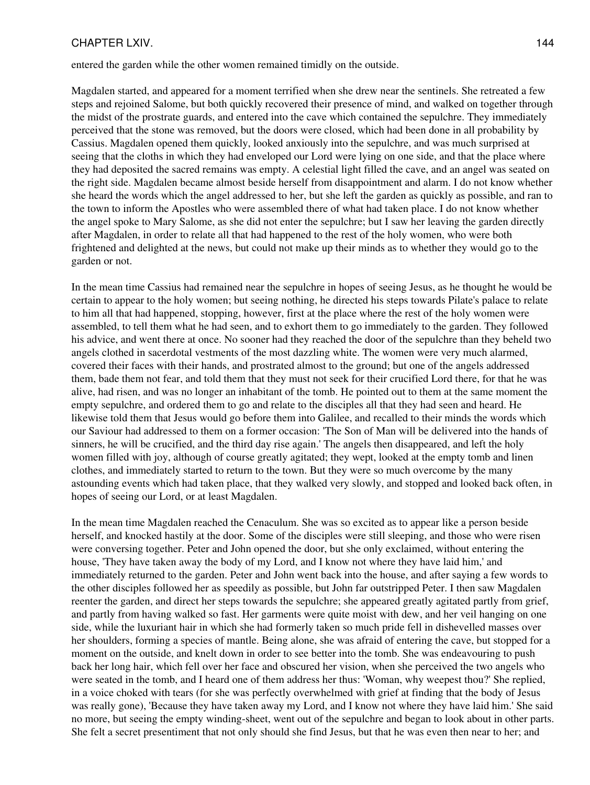#### CHAPTER LXIV. 144

entered the garden while the other women remained timidly on the outside.

Magdalen started, and appeared for a moment terrified when she drew near the sentinels. She retreated a few steps and rejoined Salome, but both quickly recovered their presence of mind, and walked on together through the midst of the prostrate guards, and entered into the cave which contained the sepulchre. They immediately perceived that the stone was removed, but the doors were closed, which had been done in all probability by Cassius. Magdalen opened them quickly, looked anxiously into the sepulchre, and was much surprised at seeing that the cloths in which they had enveloped our Lord were lying on one side, and that the place where they had deposited the sacred remains was empty. A celestial light filled the cave, and an angel was seated on the right side. Magdalen became almost beside herself from disappointment and alarm. I do not know whether she heard the words which the angel addressed to her, but she left the garden as quickly as possible, and ran to the town to inform the Apostles who were assembled there of what had taken place. I do not know whether the angel spoke to Mary Salome, as she did not enter the sepulchre; but I saw her leaving the garden directly after Magdalen, in order to relate all that had happened to the rest of the holy women, who were both frightened and delighted at the news, but could not make up their minds as to whether they would go to the garden or not.

In the mean time Cassius had remained near the sepulchre in hopes of seeing Jesus, as he thought he would be certain to appear to the holy women; but seeing nothing, he directed his steps towards Pilate's palace to relate to him all that had happened, stopping, however, first at the place where the rest of the holy women were assembled, to tell them what he had seen, and to exhort them to go immediately to the garden. They followed his advice, and went there at once. No sooner had they reached the door of the sepulchre than they beheld two angels clothed in sacerdotal vestments of the most dazzling white. The women were very much alarmed, covered their faces with their hands, and prostrated almost to the ground; but one of the angels addressed them, bade them not fear, and told them that they must not seek for their crucified Lord there, for that he was alive, had risen, and was no longer an inhabitant of the tomb. He pointed out to them at the same moment the empty sepulchre, and ordered them to go and relate to the disciples all that they had seen and heard. He likewise told them that Jesus would go before them into Galilee, and recalled to their minds the words which our Saviour had addressed to them on a former occasion: 'The Son of Man will be delivered into the hands of sinners, he will be crucified, and the third day rise again.' The angels then disappeared, and left the holy women filled with joy, although of course greatly agitated; they wept, looked at the empty tomb and linen clothes, and immediately started to return to the town. But they were so much overcome by the many astounding events which had taken place, that they walked very slowly, and stopped and looked back often, in hopes of seeing our Lord, or at least Magdalen.

In the mean time Magdalen reached the Cenaculum. She was so excited as to appear like a person beside herself, and knocked hastily at the door. Some of the disciples were still sleeping, and those who were risen were conversing together. Peter and John opened the door, but she only exclaimed, without entering the house, 'They have taken away the body of my Lord, and I know not where they have laid him,' and immediately returned to the garden. Peter and John went back into the house, and after saying a few words to the other disciples followed her as speedily as possible, but John far outstripped Peter. I then saw Magdalen reenter the garden, and direct her steps towards the sepulchre; she appeared greatly agitated partly from grief, and partly from having walked so fast. Her garments were quite moist with dew, and her veil hanging on one side, while the luxuriant hair in which she had formerly taken so much pride fell in dishevelled masses over her shoulders, forming a species of mantle. Being alone, she was afraid of entering the cave, but stopped for a moment on the outside, and knelt down in order to see better into the tomb. She was endeavouring to push back her long hair, which fell over her face and obscured her vision, when she perceived the two angels who were seated in the tomb, and I heard one of them address her thus: 'Woman, why weepest thou?' She replied, in a voice choked with tears (for she was perfectly overwhelmed with grief at finding that the body of Jesus was really gone), 'Because they have taken away my Lord, and I know not where they have laid him.' She said no more, but seeing the empty winding-sheet, went out of the sepulchre and began to look about in other parts. She felt a secret presentiment that not only should she find Jesus, but that he was even then near to her; and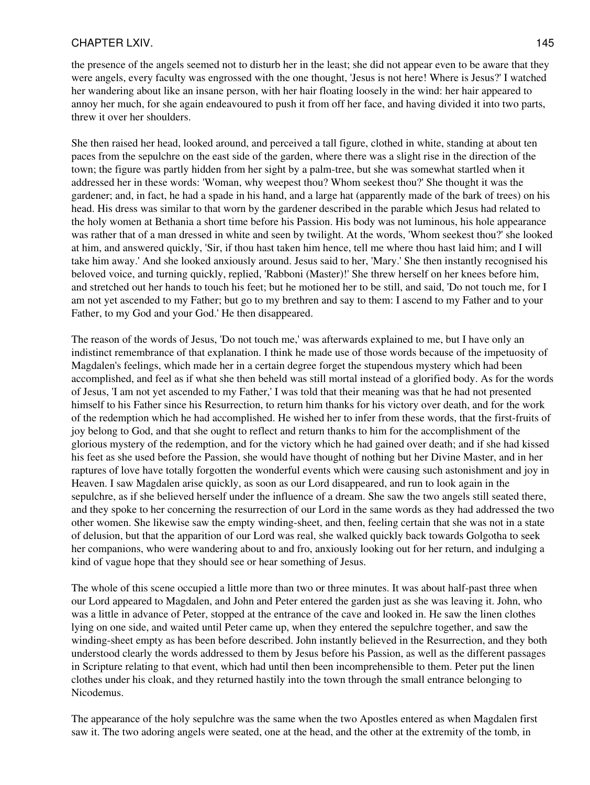#### CHAPTER LXIV. 145

the presence of the angels seemed not to disturb her in the least; she did not appear even to be aware that they were angels, every faculty was engrossed with the one thought, 'Jesus is not here! Where is Jesus?' I watched her wandering about like an insane person, with her hair floating loosely in the wind: her hair appeared to annoy her much, for she again endeavoured to push it from off her face, and having divided it into two parts, threw it over her shoulders.

She then raised her head, looked around, and perceived a tall figure, clothed in white, standing at about ten paces from the sepulchre on the east side of the garden, where there was a slight rise in the direction of the town; the figure was partly hidden from her sight by a palm-tree, but she was somewhat startled when it addressed her in these words: 'Woman, why weepest thou? Whom seekest thou?' She thought it was the gardener; and, in fact, he had a spade in his hand, and a large hat (apparently made of the bark of trees) on his head. His dress was similar to that worn by the gardener described in the parable which Jesus had related to the holy women at Bethania a short time before his Passion. His body was not luminous, his hole appearance was rather that of a man dressed in white and seen by twilight. At the words, 'Whom seekest thou?' she looked at him, and answered quickly, 'Sir, if thou hast taken him hence, tell me where thou hast laid him; and I will take him away.' And she looked anxiously around. Jesus said to her, 'Mary.' She then instantly recognised his beloved voice, and turning quickly, replied, 'Rabboni (Master)!' She threw herself on her knees before him, and stretched out her hands to touch his feet; but he motioned her to be still, and said, 'Do not touch me, for I am not yet ascended to my Father; but go to my brethren and say to them: I ascend to my Father and to your Father, to my God and your God.' He then disappeared.

The reason of the words of Jesus, 'Do not touch me,' was afterwards explained to me, but I have only an indistinct remembrance of that explanation. I think he made use of those words because of the impetuosity of Magdalen's feelings, which made her in a certain degree forget the stupendous mystery which had been accomplished, and feel as if what she then beheld was still mortal instead of a glorified body. As for the words of Jesus, 'I am not yet ascended to my Father,' I was told that their meaning was that he had not presented himself to his Father since his Resurrection, to return him thanks for his victory over death, and for the work of the redemption which he had accomplished. He wished her to infer from these words, that the first-fruits of joy belong to God, and that she ought to reflect and return thanks to him for the accomplishment of the glorious mystery of the redemption, and for the victory which he had gained over death; and if she had kissed his feet as she used before the Passion, she would have thought of nothing but her Divine Master, and in her raptures of love have totally forgotten the wonderful events which were causing such astonishment and joy in Heaven. I saw Magdalen arise quickly, as soon as our Lord disappeared, and run to look again in the sepulchre, as if she believed herself under the influence of a dream. She saw the two angels still seated there, and they spoke to her concerning the resurrection of our Lord in the same words as they had addressed the two other women. She likewise saw the empty winding-sheet, and then, feeling certain that she was not in a state of delusion, but that the apparition of our Lord was real, she walked quickly back towards Golgotha to seek her companions, who were wandering about to and fro, anxiously looking out for her return, and indulging a kind of vague hope that they should see or hear something of Jesus.

The whole of this scene occupied a little more than two or three minutes. It was about half-past three when our Lord appeared to Magdalen, and John and Peter entered the garden just as she was leaving it. John, who was a little in advance of Peter, stopped at the entrance of the cave and looked in. He saw the linen clothes lying on one side, and waited until Peter came up, when they entered the sepulchre together, and saw the winding-sheet empty as has been before described. John instantly believed in the Resurrection, and they both understood clearly the words addressed to them by Jesus before his Passion, as well as the different passages in Scripture relating to that event, which had until then been incomprehensible to them. Peter put the linen clothes under his cloak, and they returned hastily into the town through the small entrance belonging to Nicodemus.

The appearance of the holy sepulchre was the same when the two Apostles entered as when Magdalen first saw it. The two adoring angels were seated, one at the head, and the other at the extremity of the tomb, in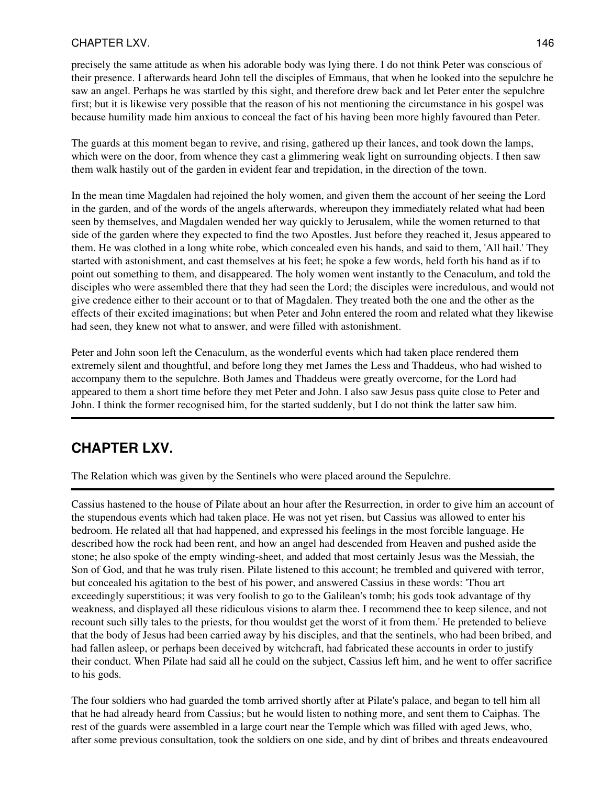## CHAPTER LXV. 2002 2003 2004 2004 2005 2006 2007 2007 2008 2009 2007 2008 2009 2007 2008 2009 2007 2008 2009 20

precisely the same attitude as when his adorable body was lying there. I do not think Peter was conscious of their presence. I afterwards heard John tell the disciples of Emmaus, that when he looked into the sepulchre he saw an angel. Perhaps he was startled by this sight, and therefore drew back and let Peter enter the sepulchre first; but it is likewise very possible that the reason of his not mentioning the circumstance in his gospel was because humility made him anxious to conceal the fact of his having been more highly favoured than Peter.

The guards at this moment began to revive, and rising, gathered up their lances, and took down the lamps, which were on the door, from whence they cast a glimmering weak light on surrounding objects. I then saw them walk hastily out of the garden in evident fear and trepidation, in the direction of the town.

In the mean time Magdalen had rejoined the holy women, and given them the account of her seeing the Lord in the garden, and of the words of the angels afterwards, whereupon they immediately related what had been seen by themselves, and Magdalen wended her way quickly to Jerusalem, while the women returned to that side of the garden where they expected to find the two Apostles. Just before they reached it, Jesus appeared to them. He was clothed in a long white robe, which concealed even his hands, and said to them, 'All hail.' They started with astonishment, and cast themselves at his feet; he spoke a few words, held forth his hand as if to point out something to them, and disappeared. The holy women went instantly to the Cenaculum, and told the disciples who were assembled there that they had seen the Lord; the disciples were incredulous, and would not give credence either to their account or to that of Magdalen. They treated both the one and the other as the effects of their excited imaginations; but when Peter and John entered the room and related what they likewise had seen, they knew not what to answer, and were filled with astonishment.

Peter and John soon left the Cenaculum, as the wonderful events which had taken place rendered them extremely silent and thoughtful, and before long they met James the Less and Thaddeus, who had wished to accompany them to the sepulchre. Both James and Thaddeus were greatly overcome, for the Lord had appeared to them a short time before they met Peter and John. I also saw Jesus pass quite close to Peter and John. I think the former recognised him, for the started suddenly, but I do not think the latter saw him.

# **CHAPTER LXV.**

The Relation which was given by the Sentinels who were placed around the Sepulchre.

Cassius hastened to the house of Pilate about an hour after the Resurrection, in order to give him an account of the stupendous events which had taken place. He was not yet risen, but Cassius was allowed to enter his bedroom. He related all that had happened, and expressed his feelings in the most forcible language. He described how the rock had been rent, and how an angel had descended from Heaven and pushed aside the stone; he also spoke of the empty winding-sheet, and added that most certainly Jesus was the Messiah, the Son of God, and that he was truly risen. Pilate listened to this account; he trembled and quivered with terror, but concealed his agitation to the best of his power, and answered Cassius in these words: 'Thou art exceedingly superstitious; it was very foolish to go to the Galilean's tomb; his gods took advantage of thy weakness, and displayed all these ridiculous visions to alarm thee. I recommend thee to keep silence, and not recount such silly tales to the priests, for thou wouldst get the worst of it from them.' He pretended to believe that the body of Jesus had been carried away by his disciples, and that the sentinels, who had been bribed, and had fallen asleep, or perhaps been deceived by witchcraft, had fabricated these accounts in order to justify their conduct. When Pilate had said all he could on the subject, Cassius left him, and he went to offer sacrifice to his gods.

The four soldiers who had guarded the tomb arrived shortly after at Pilate's palace, and began to tell him all that he had already heard from Cassius; but he would listen to nothing more, and sent them to Caiphas. The rest of the guards were assembled in a large court near the Temple which was filled with aged Jews, who, after some previous consultation, took the soldiers on one side, and by dint of bribes and threats endeavoured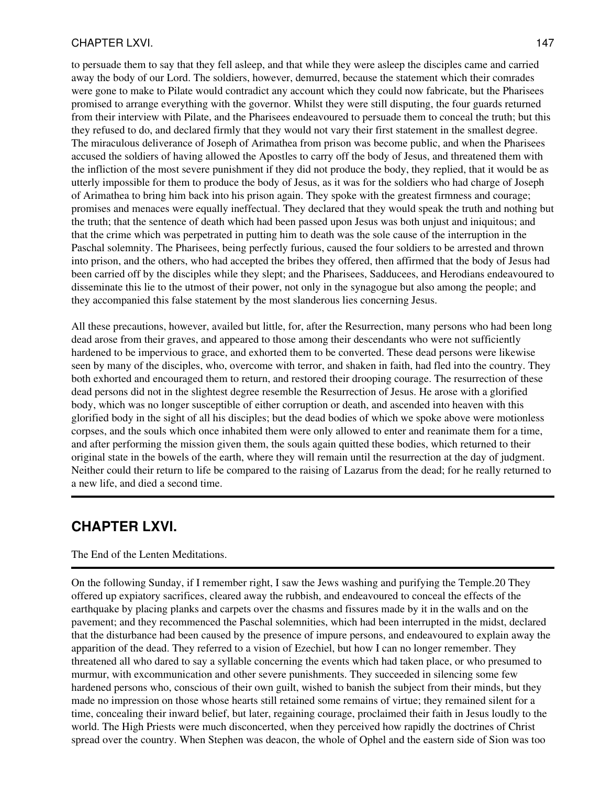#### CHAPTER LXVI. 147

to persuade them to say that they fell asleep, and that while they were asleep the disciples came and carried away the body of our Lord. The soldiers, however, demurred, because the statement which their comrades were gone to make to Pilate would contradict any account which they could now fabricate, but the Pharisees promised to arrange everything with the governor. Whilst they were still disputing, the four guards returned from their interview with Pilate, and the Pharisees endeavoured to persuade them to conceal the truth; but this they refused to do, and declared firmly that they would not vary their first statement in the smallest degree. The miraculous deliverance of Joseph of Arimathea from prison was become public, and when the Pharisees accused the soldiers of having allowed the Apostles to carry off the body of Jesus, and threatened them with the infliction of the most severe punishment if they did not produce the body, they replied, that it would be as utterly impossible for them to produce the body of Jesus, as it was for the soldiers who had charge of Joseph of Arimathea to bring him back into his prison again. They spoke with the greatest firmness and courage; promises and menaces were equally ineffectual. They declared that they would speak the truth and nothing but the truth; that the sentence of death which had been passed upon Jesus was both unjust and iniquitous; and that the crime which was perpetrated in putting him to death was the sole cause of the interruption in the Paschal solemnity. The Pharisees, being perfectly furious, caused the four soldiers to be arrested and thrown into prison, and the others, who had accepted the bribes they offered, then affirmed that the body of Jesus had been carried off by the disciples while they slept; and the Pharisees, Sadducees, and Herodians endeavoured to disseminate this lie to the utmost of their power, not only in the synagogue but also among the people; and they accompanied this false statement by the most slanderous lies concerning Jesus.

All these precautions, however, availed but little, for, after the Resurrection, many persons who had been long dead arose from their graves, and appeared to those among their descendants who were not sufficiently hardened to be impervious to grace, and exhorted them to be converted. These dead persons were likewise seen by many of the disciples, who, overcome with terror, and shaken in faith, had fled into the country. They both exhorted and encouraged them to return, and restored their drooping courage. The resurrection of these dead persons did not in the slightest degree resemble the Resurrection of Jesus. He arose with a glorified body, which was no longer susceptible of either corruption or death, and ascended into heaven with this glorified body in the sight of all his disciples; but the dead bodies of which we spoke above were motionless corpses, and the souls which once inhabited them were only allowed to enter and reanimate them for a time, and after performing the mission given them, the souls again quitted these bodies, which returned to their original state in the bowels of the earth, where they will remain until the resurrection at the day of judgment. Neither could their return to life be compared to the raising of Lazarus from the dead; for he really returned to a new life, and died a second time.

# **CHAPTER LXVI.**

#### The End of the Lenten Meditations.

On the following Sunday, if I remember right, I saw the Jews washing and purifying the Temple.20 They offered up expiatory sacrifices, cleared away the rubbish, and endeavoured to conceal the effects of the earthquake by placing planks and carpets over the chasms and fissures made by it in the walls and on the pavement; and they recommenced the Paschal solemnities, which had been interrupted in the midst, declared that the disturbance had been caused by the presence of impure persons, and endeavoured to explain away the apparition of the dead. They referred to a vision of Ezechiel, but how I can no longer remember. They threatened all who dared to say a syllable concerning the events which had taken place, or who presumed to murmur, with excommunication and other severe punishments. They succeeded in silencing some few hardened persons who, conscious of their own guilt, wished to banish the subject from their minds, but they made no impression on those whose hearts still retained some remains of virtue; they remained silent for a time, concealing their inward belief, but later, regaining courage, proclaimed their faith in Jesus loudly to the world. The High Priests were much disconcerted, when they perceived how rapidly the doctrines of Christ spread over the country. When Stephen was deacon, the whole of Ophel and the eastern side of Sion was too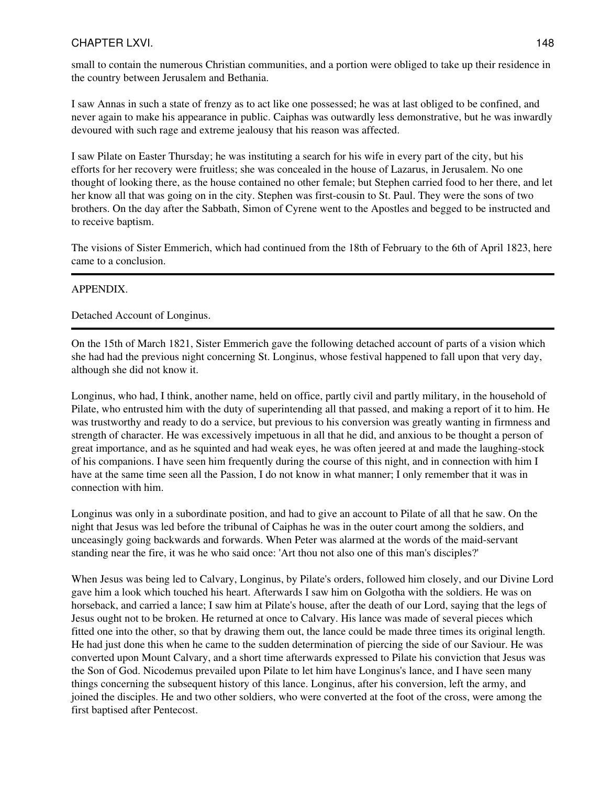small to contain the numerous Christian communities, and a portion were obliged to take up their residence in the country between Jerusalem and Bethania.

I saw Annas in such a state of frenzy as to act like one possessed; he was at last obliged to be confined, and never again to make his appearance in public. Caiphas was outwardly less demonstrative, but he was inwardly devoured with such rage and extreme jealousy that his reason was affected.

I saw Pilate on Easter Thursday; he was instituting a search for his wife in every part of the city, but his efforts for her recovery were fruitless; she was concealed in the house of Lazarus, in Jerusalem. No one thought of looking there, as the house contained no other female; but Stephen carried food to her there, and let her know all that was going on in the city. Stephen was first-cousin to St. Paul. They were the sons of two brothers. On the day after the Sabbath, Simon of Cyrene went to the Apostles and begged to be instructed and to receive baptism.

The visions of Sister Emmerich, which had continued from the 18th of February to the 6th of April 1823, here came to a conclusion.

## APPENDIX.

Detached Account of Longinus.

On the 15th of March 1821, Sister Emmerich gave the following detached account of parts of a vision which she had had the previous night concerning St. Longinus, whose festival happened to fall upon that very day, although she did not know it.

Longinus, who had, I think, another name, held on office, partly civil and partly military, in the household of Pilate, who entrusted him with the duty of superintending all that passed, and making a report of it to him. He was trustworthy and ready to do a service, but previous to his conversion was greatly wanting in firmness and strength of character. He was excessively impetuous in all that he did, and anxious to be thought a person of great importance, and as he squinted and had weak eyes, he was often jeered at and made the laughing-stock of his companions. I have seen him frequently during the course of this night, and in connection with him I have at the same time seen all the Passion, I do not know in what manner; I only remember that it was in connection with him.

Longinus was only in a subordinate position, and had to give an account to Pilate of all that he saw. On the night that Jesus was led before the tribunal of Caiphas he was in the outer court among the soldiers, and unceasingly going backwards and forwards. When Peter was alarmed at the words of the maid-servant standing near the fire, it was he who said once: 'Art thou not also one of this man's disciples?'

When Jesus was being led to Calvary, Longinus, by Pilate's orders, followed him closely, and our Divine Lord gave him a look which touched his heart. Afterwards I saw him on Golgotha with the soldiers. He was on horseback, and carried a lance; I saw him at Pilate's house, after the death of our Lord, saying that the legs of Jesus ought not to be broken. He returned at once to Calvary. His lance was made of several pieces which fitted one into the other, so that by drawing them out, the lance could be made three times its original length. He had just done this when he came to the sudden determination of piercing the side of our Saviour. He was converted upon Mount Calvary, and a short time afterwards expressed to Pilate his conviction that Jesus was the Son of God. Nicodemus prevailed upon Pilate to let him have Longinus's lance, and I have seen many things concerning the subsequent history of this lance. Longinus, after his conversion, left the army, and joined the disciples. He and two other soldiers, who were converted at the foot of the cross, were among the first baptised after Pentecost.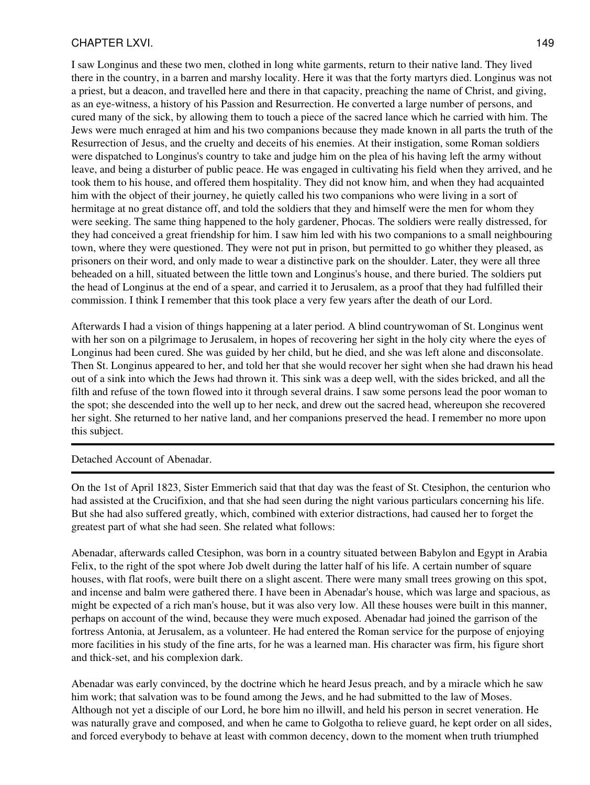I saw Longinus and these two men, clothed in long white garments, return to their native land. They lived there in the country, in a barren and marshy locality. Here it was that the forty martyrs died. Longinus was not a priest, but a deacon, and travelled here and there in that capacity, preaching the name of Christ, and giving, as an eye-witness, a history of his Passion and Resurrection. He converted a large number of persons, and cured many of the sick, by allowing them to touch a piece of the sacred lance which he carried with him. The Jews were much enraged at him and his two companions because they made known in all parts the truth of the Resurrection of Jesus, and the cruelty and deceits of his enemies. At their instigation, some Roman soldiers were dispatched to Longinus's country to take and judge him on the plea of his having left the army without leave, and being a disturber of public peace. He was engaged in cultivating his field when they arrived, and he took them to his house, and offered them hospitality. They did not know him, and when they had acquainted him with the object of their journey, he quietly called his two companions who were living in a sort of hermitage at no great distance off, and told the soldiers that they and himself were the men for whom they were seeking. The same thing happened to the holy gardener, Phocas. The soldiers were really distressed, for they had conceived a great friendship for him. I saw him led with his two companions to a small neighbouring town, where they were questioned. They were not put in prison, but permitted to go whither they pleased, as prisoners on their word, and only made to wear a distinctive park on the shoulder. Later, they were all three beheaded on a hill, situated between the little town and Longinus's house, and there buried. The soldiers put the head of Longinus at the end of a spear, and carried it to Jerusalem, as a proof that they had fulfilled their commission. I think I remember that this took place a very few years after the death of our Lord.

Afterwards I had a vision of things happening at a later period. A blind countrywoman of St. Longinus went with her son on a pilgrimage to Jerusalem, in hopes of recovering her sight in the holy city where the eyes of Longinus had been cured. She was guided by her child, but he died, and she was left alone and disconsolate. Then St. Longinus appeared to her, and told her that she would recover her sight when she had drawn his head out of a sink into which the Jews had thrown it. This sink was a deep well, with the sides bricked, and all the filth and refuse of the town flowed into it through several drains. I saw some persons lead the poor woman to the spot; she descended into the well up to her neck, and drew out the sacred head, whereupon she recovered her sight. She returned to her native land, and her companions preserved the head. I remember no more upon this subject.

Detached Account of Abenadar.

On the 1st of April 1823, Sister Emmerich said that that day was the feast of St. Ctesiphon, the centurion who had assisted at the Crucifixion, and that she had seen during the night various particulars concerning his life. But she had also suffered greatly, which, combined with exterior distractions, had caused her to forget the greatest part of what she had seen. She related what follows:

Abenadar, afterwards called Ctesiphon, was born in a country situated between Babylon and Egypt in Arabia Felix, to the right of the spot where Job dwelt during the latter half of his life. A certain number of square houses, with flat roofs, were built there on a slight ascent. There were many small trees growing on this spot, and incense and balm were gathered there. I have been in Abenadar's house, which was large and spacious, as might be expected of a rich man's house, but it was also very low. All these houses were built in this manner, perhaps on account of the wind, because they were much exposed. Abenadar had joined the garrison of the fortress Antonia, at Jerusalem, as a volunteer. He had entered the Roman service for the purpose of enjoying more facilities in his study of the fine arts, for he was a learned man. His character was firm, his figure short and thick-set, and his complexion dark.

Abenadar was early convinced, by the doctrine which he heard Jesus preach, and by a miracle which he saw him work; that salvation was to be found among the Jews, and he had submitted to the law of Moses. Although not yet a disciple of our Lord, he bore him no illwill, and held his person in secret veneration. He was naturally grave and composed, and when he came to Golgotha to relieve guard, he kept order on all sides, and forced everybody to behave at least with common decency, down to the moment when truth triumphed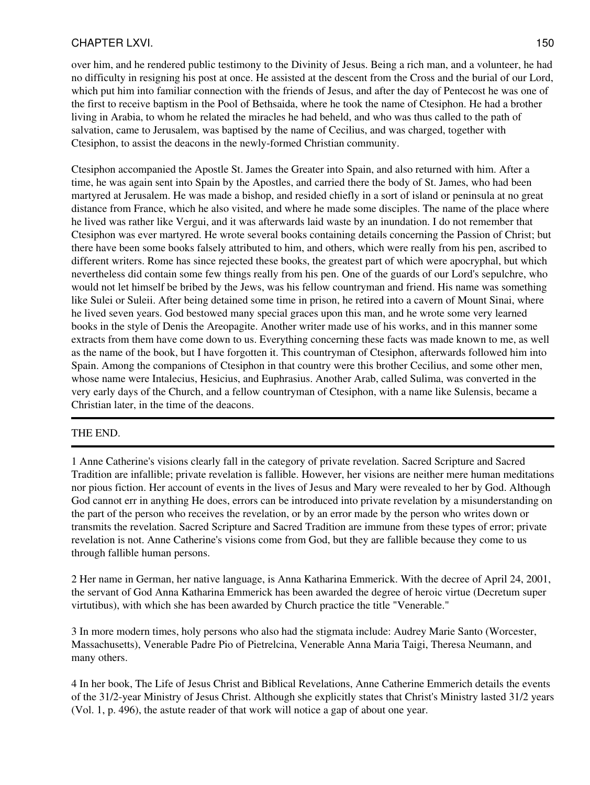over him, and he rendered public testimony to the Divinity of Jesus. Being a rich man, and a volunteer, he had no difficulty in resigning his post at once. He assisted at the descent from the Cross and the burial of our Lord, which put him into familiar connection with the friends of Jesus, and after the day of Pentecost he was one of the first to receive baptism in the Pool of Bethsaida, where he took the name of Ctesiphon. He had a brother living in Arabia, to whom he related the miracles he had beheld, and who was thus called to the path of salvation, came to Jerusalem, was baptised by the name of Cecilius, and was charged, together with Ctesiphon, to assist the deacons in the newly-formed Christian community.

Ctesiphon accompanied the Apostle St. James the Greater into Spain, and also returned with him. After a time, he was again sent into Spain by the Apostles, and carried there the body of St. James, who had been martyred at Jerusalem. He was made a bishop, and resided chiefly in a sort of island or peninsula at no great distance from France, which he also visited, and where he made some disciples. The name of the place where he lived was rather like Vergui, and it was afterwards laid waste by an inundation. I do not remember that Ctesiphon was ever martyred. He wrote several books containing details concerning the Passion of Christ; but there have been some books falsely attributed to him, and others, which were really from his pen, ascribed to different writers. Rome has since rejected these books, the greatest part of which were apocryphal, but which nevertheless did contain some few things really from his pen. One of the guards of our Lord's sepulchre, who would not let himself be bribed by the Jews, was his fellow countryman and friend. His name was something like Sulei or Suleii. After being detained some time in prison, he retired into a cavern of Mount Sinai, where he lived seven years. God bestowed many special graces upon this man, and he wrote some very learned books in the style of Denis the Areopagite. Another writer made use of his works, and in this manner some extracts from them have come down to us. Everything concerning these facts was made known to me, as well as the name of the book, but I have forgotten it. This countryman of Ctesiphon, afterwards followed him into Spain. Among the companions of Ctesiphon in that country were this brother Cecilius, and some other men, whose name were Intalecius, Hesicius, and Euphrasius. Another Arab, called Sulima, was converted in the very early days of the Church, and a fellow countryman of Ctesiphon, with a name like Sulensis, became a Christian later, in the time of the deacons.

## THE END.

1 Anne Catherine's visions clearly fall in the category of private revelation. Sacred Scripture and Sacred Tradition are infallible; private revelation is fallible. However, her visions are neither mere human meditations nor pious fiction. Her account of events in the lives of Jesus and Mary were revealed to her by God. Although God cannot err in anything He does, errors can be introduced into private revelation by a misunderstanding on the part of the person who receives the revelation, or by an error made by the person who writes down or transmits the revelation. Sacred Scripture and Sacred Tradition are immune from these types of error; private revelation is not. Anne Catherine's visions come from God, but they are fallible because they come to us through fallible human persons.

2 Her name in German, her native language, is Anna Katharina Emmerick. With the decree of April 24, 2001, the servant of God Anna Katharina Emmerick has been awarded the degree of heroic virtue (Decretum super virtutibus), with which she has been awarded by Church practice the title "Venerable."

3 In more modern times, holy persons who also had the stigmata include: Audrey Marie Santo (Worcester, Massachusetts), Venerable Padre Pio of Pietrelcina, Venerable Anna Maria Taigi, Theresa Neumann, and many others.

4 In her book, The Life of Jesus Christ and Biblical Revelations, Anne Catherine Emmerich details the events of the 31/2-year Ministry of Jesus Christ. Although she explicitly states that Christ's Ministry lasted 31/2 years (Vol. 1, p. 496), the astute reader of that work will notice a gap of about one year.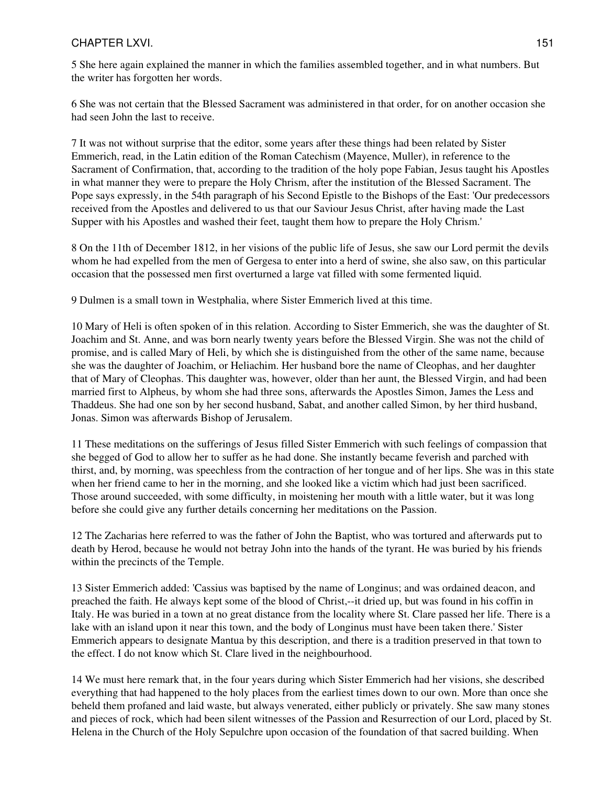## CHAPTER LXVI. 2002. 2003. THE STATE RESERVE AND THE STATE RESERVE AND THE STATE RESERVE AND THE STATE RESERVE A

5 She here again explained the manner in which the families assembled together, and in what numbers. But the writer has forgotten her words.

6 She was not certain that the Blessed Sacrament was administered in that order, for on another occasion she had seen John the last to receive.

7 It was not without surprise that the editor, some years after these things had been related by Sister Emmerich, read, in the Latin edition of the Roman Catechism (Mayence, Muller), in reference to the Sacrament of Confirmation, that, according to the tradition of the holy pope Fabian, Jesus taught his Apostles in what manner they were to prepare the Holy Chrism, after the institution of the Blessed Sacrament. The Pope says expressly, in the 54th paragraph of his Second Epistle to the Bishops of the East: 'Our predecessors received from the Apostles and delivered to us that our Saviour Jesus Christ, after having made the Last Supper with his Apostles and washed their feet, taught them how to prepare the Holy Chrism.'

8 On the 11th of December 1812, in her visions of the public life of Jesus, she saw our Lord permit the devils whom he had expelled from the men of Gergesa to enter into a herd of swine, she also saw, on this particular occasion that the possessed men first overturned a large vat filled with some fermented liquid.

9 Dulmen is a small town in Westphalia, where Sister Emmerich lived at this time.

10 Mary of Heli is often spoken of in this relation. According to Sister Emmerich, she was the daughter of St. Joachim and St. Anne, and was born nearly twenty years before the Blessed Virgin. She was not the child of promise, and is called Mary of Heli, by which she is distinguished from the other of the same name, because she was the daughter of Joachim, or Heliachim. Her husband bore the name of Cleophas, and her daughter that of Mary of Cleophas. This daughter was, however, older than her aunt, the Blessed Virgin, and had been married first to Alpheus, by whom she had three sons, afterwards the Apostles Simon, James the Less and Thaddeus. She had one son by her second husband, Sabat, and another called Simon, by her third husband, Jonas. Simon was afterwards Bishop of Jerusalem.

11 These meditations on the sufferings of Jesus filled Sister Emmerich with such feelings of compassion that she begged of God to allow her to suffer as he had done. She instantly became feverish and parched with thirst, and, by morning, was speechless from the contraction of her tongue and of her lips. She was in this state when her friend came to her in the morning, and she looked like a victim which had just been sacrificed. Those around succeeded, with some difficulty, in moistening her mouth with a little water, but it was long before she could give any further details concerning her meditations on the Passion.

12 The Zacharias here referred to was the father of John the Baptist, who was tortured and afterwards put to death by Herod, because he would not betray John into the hands of the tyrant. He was buried by his friends within the precincts of the Temple.

13 Sister Emmerich added: 'Cassius was baptised by the name of Longinus; and was ordained deacon, and preached the faith. He always kept some of the blood of Christ,--it dried up, but was found in his coffin in Italy. He was buried in a town at no great distance from the locality where St. Clare passed her life. There is a lake with an island upon it near this town, and the body of Longinus must have been taken there.' Sister Emmerich appears to designate Mantua by this description, and there is a tradition preserved in that town to the effect. I do not know which St. Clare lived in the neighbourhood.

14 We must here remark that, in the four years during which Sister Emmerich had her visions, she described everything that had happened to the holy places from the earliest times down to our own. More than once she beheld them profaned and laid waste, but always venerated, either publicly or privately. She saw many stones and pieces of rock, which had been silent witnesses of the Passion and Resurrection of our Lord, placed by St. Helena in the Church of the Holy Sepulchre upon occasion of the foundation of that sacred building. When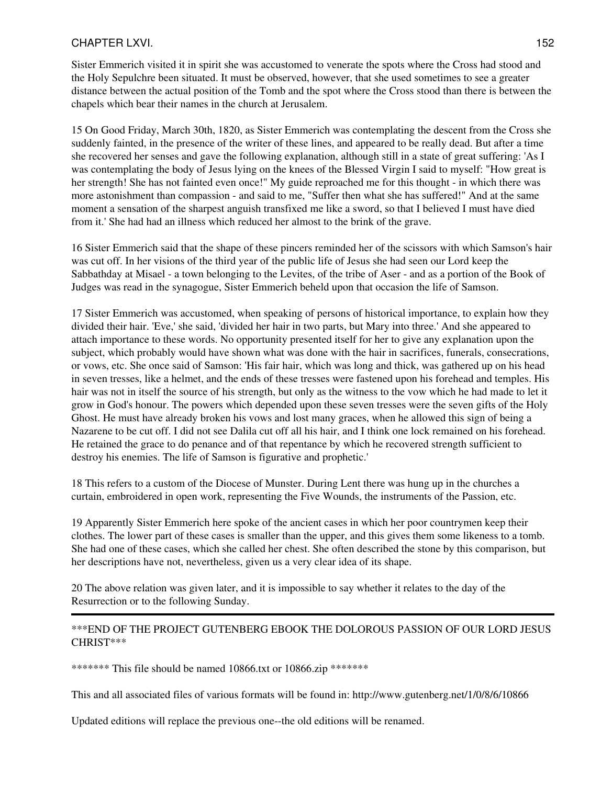Sister Emmerich visited it in spirit she was accustomed to venerate the spots where the Cross had stood and the Holy Sepulchre been situated. It must be observed, however, that she used sometimes to see a greater distance between the actual position of the Tomb and the spot where the Cross stood than there is between the chapels which bear their names in the church at Jerusalem.

15 On Good Friday, March 30th, 1820, as Sister Emmerich was contemplating the descent from the Cross she suddenly fainted, in the presence of the writer of these lines, and appeared to be really dead. But after a time she recovered her senses and gave the following explanation, although still in a state of great suffering: 'As I was contemplating the body of Jesus lying on the knees of the Blessed Virgin I said to myself: "How great is her strength! She has not fainted even once!" My guide reproached me for this thought - in which there was more astonishment than compassion - and said to me, "Suffer then what she has suffered!" And at the same moment a sensation of the sharpest anguish transfixed me like a sword, so that I believed I must have died from it.' She had had an illness which reduced her almost to the brink of the grave.

16 Sister Emmerich said that the shape of these pincers reminded her of the scissors with which Samson's hair was cut off. In her visions of the third year of the public life of Jesus she had seen our Lord keep the Sabbathday at Misael - a town belonging to the Levites, of the tribe of Aser - and as a portion of the Book of Judges was read in the synagogue, Sister Emmerich beheld upon that occasion the life of Samson.

17 Sister Emmerich was accustomed, when speaking of persons of historical importance, to explain how they divided their hair. 'Eve,' she said, 'divided her hair in two parts, but Mary into three.' And she appeared to attach importance to these words. No opportunity presented itself for her to give any explanation upon the subject, which probably would have shown what was done with the hair in sacrifices, funerals, consecrations, or vows, etc. She once said of Samson: 'His fair hair, which was long and thick, was gathered up on his head in seven tresses, like a helmet, and the ends of these tresses were fastened upon his forehead and temples. His hair was not in itself the source of his strength, but only as the witness to the vow which he had made to let it grow in God's honour. The powers which depended upon these seven tresses were the seven gifts of the Holy Ghost. He must have already broken his vows and lost many graces, when he allowed this sign of being a Nazarene to be cut off. I did not see Dalila cut off all his hair, and I think one lock remained on his forehead. He retained the grace to do penance and of that repentance by which he recovered strength sufficient to destroy his enemies. The life of Samson is figurative and prophetic.'

18 This refers to a custom of the Diocese of Munster. During Lent there was hung up in the churches a curtain, embroidered in open work, representing the Five Wounds, the instruments of the Passion, etc.

19 Apparently Sister Emmerich here spoke of the ancient cases in which her poor countrymen keep their clothes. The lower part of these cases is smaller than the upper, and this gives them some likeness to a tomb. She had one of these cases, which she called her chest. She often described the stone by this comparison, but her descriptions have not, nevertheless, given us a very clear idea of its shape.

20 The above relation was given later, and it is impossible to say whether it relates to the day of the Resurrection or to the following Sunday.

#### \*\*\*END OF THE PROJECT GUTENBERG EBOOK THE DOLOROUS PASSION OF OUR LORD JESUS CHRIST\*\*\*

\*\*\*\*\*\*\*\* This file should be named 10866.txt or 10866.zip \*\*\*\*\*\*\*

This and all associated files of various formats will be found in: http://www.gutenberg.net/1/0/8/6/10866

Updated editions will replace the previous one--the old editions will be renamed.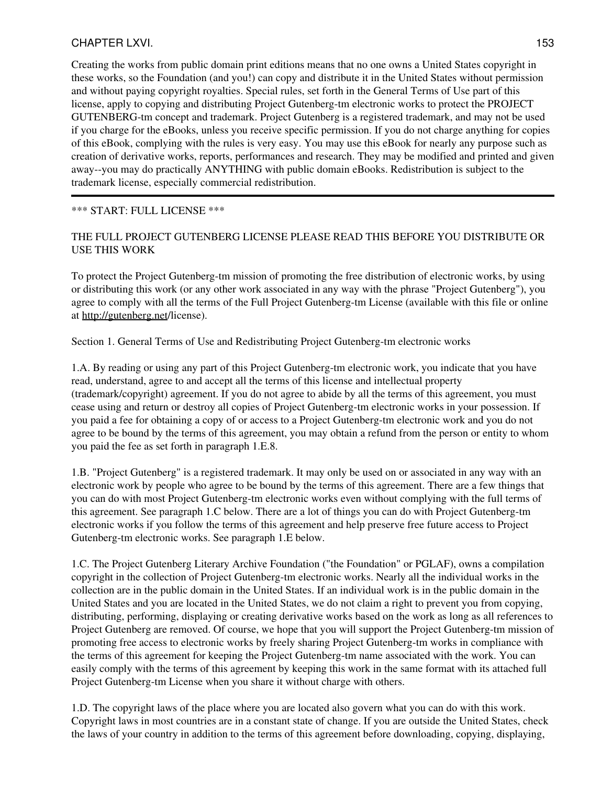## CHAPTER LXVI. 2002. 2003. 2004. 2006. 2007. 2008. 2009. 2012. 2013. 2014. 2015. 2016. 2017. 2018. 2017. 2018. 2018. 2019. 2017. 2018. 2019. 2017. 2018. 2018. 2019. 2017. 2018. 2018. 2019. 2019. 2017. 2018. 2019. 2019. 2019

Creating the works from public domain print editions means that no one owns a United States copyright in these works, so the Foundation (and you!) can copy and distribute it in the United States without permission and without paying copyright royalties. Special rules, set forth in the General Terms of Use part of this license, apply to copying and distributing Project Gutenberg-tm electronic works to protect the PROJECT GUTENBERG-tm concept and trademark. Project Gutenberg is a registered trademark, and may not be used if you charge for the eBooks, unless you receive specific permission. If you do not charge anything for copies of this eBook, complying with the rules is very easy. You may use this eBook for nearly any purpose such as creation of derivative works, reports, performances and research. They may be modified and printed and given away--you may do practically ANYTHING with public domain eBooks. Redistribution is subject to the trademark license, especially commercial redistribution.

#### \*\*\* START: FULL LICENSE \*\*\*

## THE FULL PROJECT GUTENBERG LICENSE PLEASE READ THIS BEFORE YOU DISTRIBUTE OR USE THIS WORK

To protect the Project Gutenberg-tm mission of promoting the free distribution of electronic works, by using or distributing this work (or any other work associated in any way with the phrase "Project Gutenberg"), you agree to comply with all the terms of the Full Project Gutenberg-tm License (available with this file or online at <http://gutenberg.net>/license).

Section 1. General Terms of Use and Redistributing Project Gutenberg-tm electronic works

1.A. By reading or using any part of this Project Gutenberg-tm electronic work, you indicate that you have read, understand, agree to and accept all the terms of this license and intellectual property (trademark/copyright) agreement. If you do not agree to abide by all the terms of this agreement, you must cease using and return or destroy all copies of Project Gutenberg-tm electronic works in your possession. If you paid a fee for obtaining a copy of or access to a Project Gutenberg-tm electronic work and you do not agree to be bound by the terms of this agreement, you may obtain a refund from the person or entity to whom you paid the fee as set forth in paragraph 1.E.8.

1.B. "Project Gutenberg" is a registered trademark. It may only be used on or associated in any way with an electronic work by people who agree to be bound by the terms of this agreement. There are a few things that you can do with most Project Gutenberg-tm electronic works even without complying with the full terms of this agreement. See paragraph 1.C below. There are a lot of things you can do with Project Gutenberg-tm electronic works if you follow the terms of this agreement and help preserve free future access to Project Gutenberg-tm electronic works. See paragraph 1.E below.

1.C. The Project Gutenberg Literary Archive Foundation ("the Foundation" or PGLAF), owns a compilation copyright in the collection of Project Gutenberg-tm electronic works. Nearly all the individual works in the collection are in the public domain in the United States. If an individual work is in the public domain in the United States and you are located in the United States, we do not claim a right to prevent you from copying, distributing, performing, displaying or creating derivative works based on the work as long as all references to Project Gutenberg are removed. Of course, we hope that you will support the Project Gutenberg-tm mission of promoting free access to electronic works by freely sharing Project Gutenberg-tm works in compliance with the terms of this agreement for keeping the Project Gutenberg-tm name associated with the work. You can easily comply with the terms of this agreement by keeping this work in the same format with its attached full Project Gutenberg-tm License when you share it without charge with others.

1.D. The copyright laws of the place where you are located also govern what you can do with this work. Copyright laws in most countries are in a constant state of change. If you are outside the United States, check the laws of your country in addition to the terms of this agreement before downloading, copying, displaying,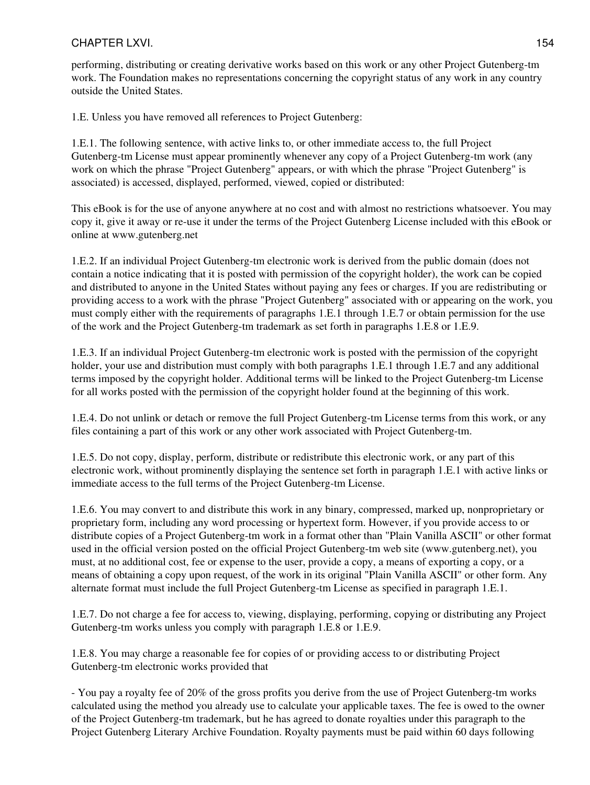performing, distributing or creating derivative works based on this work or any other Project Gutenberg-tm work. The Foundation makes no representations concerning the copyright status of any work in any country outside the United States.

1.E. Unless you have removed all references to Project Gutenberg:

1.E.1. The following sentence, with active links to, or other immediate access to, the full Project Gutenberg-tm License must appear prominently whenever any copy of a Project Gutenberg-tm work (any work on which the phrase "Project Gutenberg" appears, or with which the phrase "Project Gutenberg" is associated) is accessed, displayed, performed, viewed, copied or distributed:

This eBook is for the use of anyone anywhere at no cost and with almost no restrictions whatsoever. You may copy it, give it away or re-use it under the terms of the Project Gutenberg License included with this eBook or online at www.gutenberg.net

1.E.2. If an individual Project Gutenberg-tm electronic work is derived from the public domain (does not contain a notice indicating that it is posted with permission of the copyright holder), the work can be copied and distributed to anyone in the United States without paying any fees or charges. If you are redistributing or providing access to a work with the phrase "Project Gutenberg" associated with or appearing on the work, you must comply either with the requirements of paragraphs 1.E.1 through 1.E.7 or obtain permission for the use of the work and the Project Gutenberg-tm trademark as set forth in paragraphs 1.E.8 or 1.E.9.

1.E.3. If an individual Project Gutenberg-tm electronic work is posted with the permission of the copyright holder, your use and distribution must comply with both paragraphs 1.E.1 through 1.E.7 and any additional terms imposed by the copyright holder. Additional terms will be linked to the Project Gutenberg-tm License for all works posted with the permission of the copyright holder found at the beginning of this work.

1.E.4. Do not unlink or detach or remove the full Project Gutenberg-tm License terms from this work, or any files containing a part of this work or any other work associated with Project Gutenberg-tm.

1.E.5. Do not copy, display, perform, distribute or redistribute this electronic work, or any part of this electronic work, without prominently displaying the sentence set forth in paragraph 1.E.1 with active links or immediate access to the full terms of the Project Gutenberg-tm License.

1.E.6. You may convert to and distribute this work in any binary, compressed, marked up, nonproprietary or proprietary form, including any word processing or hypertext form. However, if you provide access to or distribute copies of a Project Gutenberg-tm work in a format other than "Plain Vanilla ASCII" or other format used in the official version posted on the official Project Gutenberg-tm web site (www.gutenberg.net), you must, at no additional cost, fee or expense to the user, provide a copy, a means of exporting a copy, or a means of obtaining a copy upon request, of the work in its original "Plain Vanilla ASCII" or other form. Any alternate format must include the full Project Gutenberg-tm License as specified in paragraph 1.E.1.

1.E.7. Do not charge a fee for access to, viewing, displaying, performing, copying or distributing any Project Gutenberg-tm works unless you comply with paragraph 1.E.8 or 1.E.9.

1.E.8. You may charge a reasonable fee for copies of or providing access to or distributing Project Gutenberg-tm electronic works provided that

- You pay a royalty fee of 20% of the gross profits you derive from the use of Project Gutenberg-tm works calculated using the method you already use to calculate your applicable taxes. The fee is owed to the owner of the Project Gutenberg-tm trademark, but he has agreed to donate royalties under this paragraph to the Project Gutenberg Literary Archive Foundation. Royalty payments must be paid within 60 days following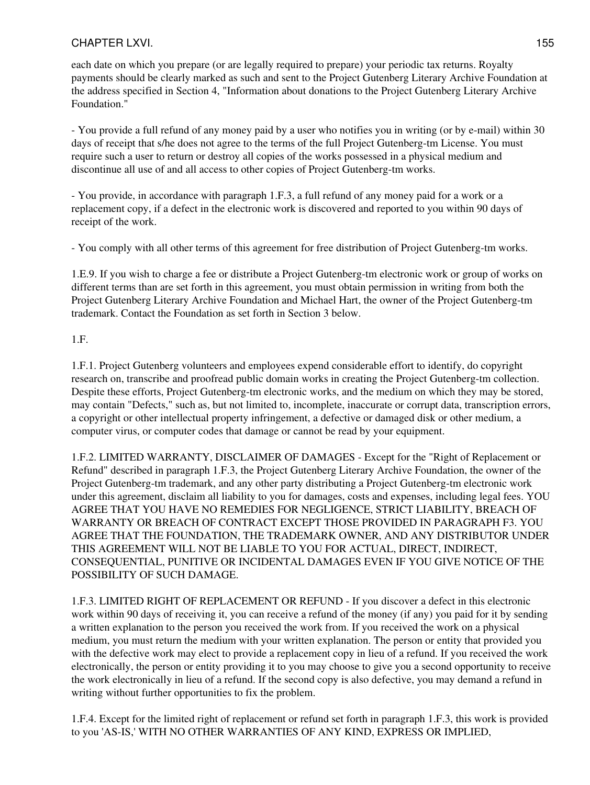each date on which you prepare (or are legally required to prepare) your periodic tax returns. Royalty payments should be clearly marked as such and sent to the Project Gutenberg Literary Archive Foundation at the address specified in Section 4, "Information about donations to the Project Gutenberg Literary Archive Foundation."

- You provide a full refund of any money paid by a user who notifies you in writing (or by e-mail) within 30 days of receipt that s/he does not agree to the terms of the full Project Gutenberg-tm License. You must require such a user to return or destroy all copies of the works possessed in a physical medium and discontinue all use of and all access to other copies of Project Gutenberg-tm works.

- You provide, in accordance with paragraph 1.F.3, a full refund of any money paid for a work or a replacement copy, if a defect in the electronic work is discovered and reported to you within 90 days of receipt of the work.

- You comply with all other terms of this agreement for free distribution of Project Gutenberg-tm works.

1.E.9. If you wish to charge a fee or distribute a Project Gutenberg-tm electronic work or group of works on different terms than are set forth in this agreement, you must obtain permission in writing from both the Project Gutenberg Literary Archive Foundation and Michael Hart, the owner of the Project Gutenberg-tm trademark. Contact the Foundation as set forth in Section 3 below.

#### 1.F.

1.F.1. Project Gutenberg volunteers and employees expend considerable effort to identify, do copyright research on, transcribe and proofread public domain works in creating the Project Gutenberg-tm collection. Despite these efforts, Project Gutenberg-tm electronic works, and the medium on which they may be stored, may contain "Defects," such as, but not limited to, incomplete, inaccurate or corrupt data, transcription errors, a copyright or other intellectual property infringement, a defective or damaged disk or other medium, a computer virus, or computer codes that damage or cannot be read by your equipment.

1.F.2. LIMITED WARRANTY, DISCLAIMER OF DAMAGES - Except for the "Right of Replacement or Refund" described in paragraph 1.F.3, the Project Gutenberg Literary Archive Foundation, the owner of the Project Gutenberg-tm trademark, and any other party distributing a Project Gutenberg-tm electronic work under this agreement, disclaim all liability to you for damages, costs and expenses, including legal fees. YOU AGREE THAT YOU HAVE NO REMEDIES FOR NEGLIGENCE, STRICT LIABILITY, BREACH OF WARRANTY OR BREACH OF CONTRACT EXCEPT THOSE PROVIDED IN PARAGRAPH F3. YOU AGREE THAT THE FOUNDATION, THE TRADEMARK OWNER, AND ANY DISTRIBUTOR UNDER THIS AGREEMENT WILL NOT BE LIABLE TO YOU FOR ACTUAL, DIRECT, INDIRECT, CONSEQUENTIAL, PUNITIVE OR INCIDENTAL DAMAGES EVEN IF YOU GIVE NOTICE OF THE POSSIBILITY OF SUCH DAMAGE.

1.F.3. LIMITED RIGHT OF REPLACEMENT OR REFUND - If you discover a defect in this electronic work within 90 days of receiving it, you can receive a refund of the money (if any) you paid for it by sending a written explanation to the person you received the work from. If you received the work on a physical medium, you must return the medium with your written explanation. The person or entity that provided you with the defective work may elect to provide a replacement copy in lieu of a refund. If you received the work electronically, the person or entity providing it to you may choose to give you a second opportunity to receive the work electronically in lieu of a refund. If the second copy is also defective, you may demand a refund in writing without further opportunities to fix the problem.

1.F.4. Except for the limited right of replacement or refund set forth in paragraph 1.F.3, this work is provided to you 'AS-IS,' WITH NO OTHER WARRANTIES OF ANY KIND, EXPRESS OR IMPLIED,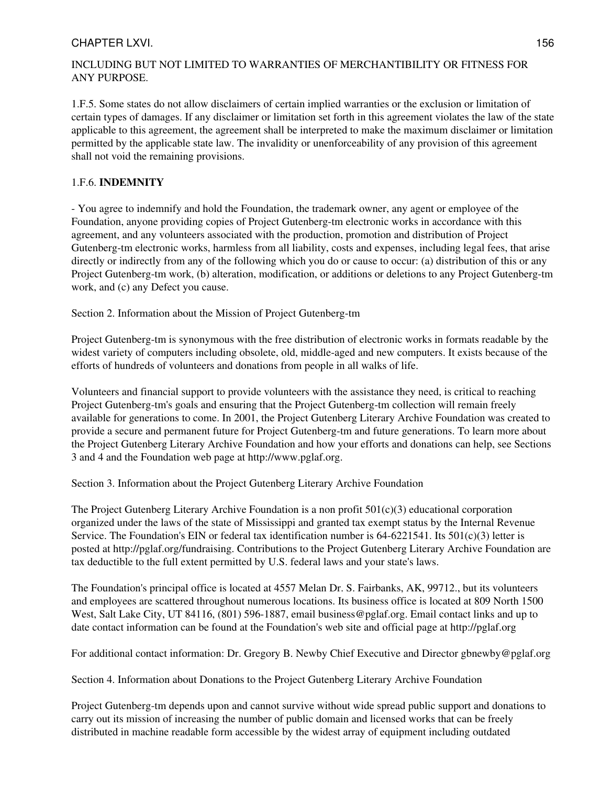#### CHAPTER LXVI. 156

## INCLUDING BUT NOT LIMITED TO WARRANTIES OF MERCHANTIBILITY OR FITNESS FOR ANY PURPOSE.

1.F.5. Some states do not allow disclaimers of certain implied warranties or the exclusion or limitation of certain types of damages. If any disclaimer or limitation set forth in this agreement violates the law of the state applicable to this agreement, the agreement shall be interpreted to make the maximum disclaimer or limitation permitted by the applicable state law. The invalidity or unenforceability of any provision of this agreement shall not void the remaining provisions.

## 1.F.6. **INDEMNITY**

- You agree to indemnify and hold the Foundation, the trademark owner, any agent or employee of the Foundation, anyone providing copies of Project Gutenberg-tm electronic works in accordance with this agreement, and any volunteers associated with the production, promotion and distribution of Project Gutenberg-tm electronic works, harmless from all liability, costs and expenses, including legal fees, that arise directly or indirectly from any of the following which you do or cause to occur: (a) distribution of this or any Project Gutenberg-tm work, (b) alteration, modification, or additions or deletions to any Project Gutenberg-tm work, and (c) any Defect you cause.

Section 2. Information about the Mission of Project Gutenberg-tm

Project Gutenberg-tm is synonymous with the free distribution of electronic works in formats readable by the widest variety of computers including obsolete, old, middle-aged and new computers. It exists because of the efforts of hundreds of volunteers and donations from people in all walks of life.

Volunteers and financial support to provide volunteers with the assistance they need, is critical to reaching Project Gutenberg-tm's goals and ensuring that the Project Gutenberg-tm collection will remain freely available for generations to come. In 2001, the Project Gutenberg Literary Archive Foundation was created to provide a secure and permanent future for Project Gutenberg-tm and future generations. To learn more about the Project Gutenberg Literary Archive Foundation and how your efforts and donations can help, see Sections 3 and 4 and the Foundation web page at http://www.pglaf.org.

Section 3. Information about the Project Gutenberg Literary Archive Foundation

The Project Gutenberg Literary Archive Foundation is a non profit  $501(c)(3)$  educational corporation organized under the laws of the state of Mississippi and granted tax exempt status by the Internal Revenue Service. The Foundation's EIN or federal tax identification number is  $64-6221541$ . Its  $501(c)(3)$  letter is posted at http://pglaf.org/fundraising. Contributions to the Project Gutenberg Literary Archive Foundation are tax deductible to the full extent permitted by U.S. federal laws and your state's laws.

The Foundation's principal office is located at 4557 Melan Dr. S. Fairbanks, AK, 99712., but its volunteers and employees are scattered throughout numerous locations. Its business office is located at 809 North 1500 West, Salt Lake City, UT 84116, (801) 596-1887, email business@pglaf.org. Email contact links and up to date contact information can be found at the Foundation's web site and official page at http://pglaf.org

For additional contact information: Dr. Gregory B. Newby Chief Executive and Director gbnewby@pglaf.org

Section 4. Information about Donations to the Project Gutenberg Literary Archive Foundation

Project Gutenberg-tm depends upon and cannot survive without wide spread public support and donations to carry out its mission of increasing the number of public domain and licensed works that can be freely distributed in machine readable form accessible by the widest array of equipment including outdated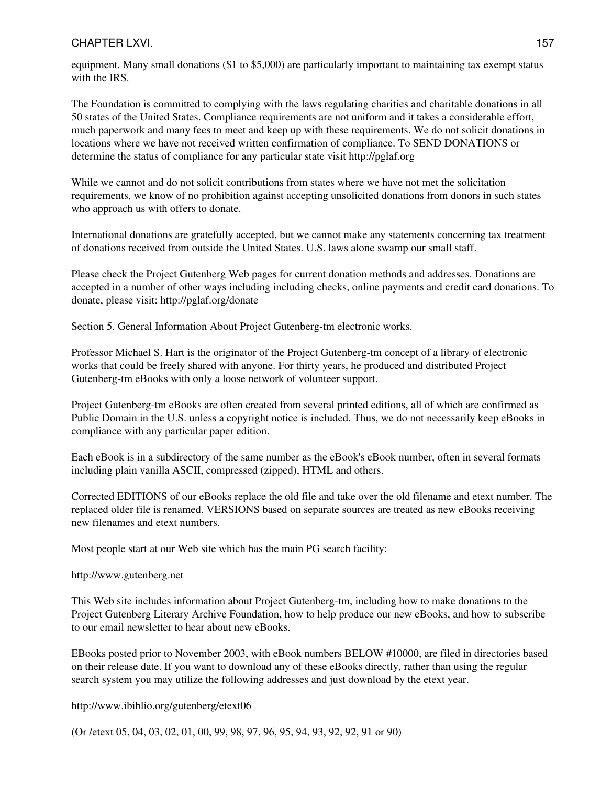equipment. Many small donations (\$1 to \$5,000) are particularly important to maintaining tax exempt status with the IRS.

The Foundation is committed to complying with the laws regulating charities and charitable donations in all 50 states of the United States. Compliance requirements are not uniform and it takes a considerable effort, much paperwork and many fees to meet and keep up with these requirements. We do not solicit donations in locations where we have not received written confirmation of compliance. To SEND DONATIONS or determine the status of compliance for any particular state visit http://pglaf.org

While we cannot and do not solicit contributions from states where we have not met the solicitation requirements, we know of no prohibition against accepting unsolicited donations from donors in such states who approach us with offers to donate.

International donations are gratefully accepted, but we cannot make any statements concerning tax treatment of donations received from outside the United States. U.S. laws alone swamp our small staff.

Please check the Project Gutenberg Web pages for current donation methods and addresses. Donations are accepted in a number of other ways including including checks, online payments and credit card donations. To donate, please visit: http://pglaf.org/donate

Section 5. General Information About Project Gutenberg-tm electronic works.

Professor Michael S. Hart is the originator of the Project Gutenberg-tm concept of a library of electronic works that could be freely shared with anyone. For thirty years, he produced and distributed Project Gutenberg-tm eBooks with only a loose network of volunteer support.

Project Gutenberg-tm eBooks are often created from several printed editions, all of which are confirmed as Public Domain in the U.S. unless a copyright notice is included. Thus, we do not necessarily keep eBooks in compliance with any particular paper edition.

Each eBook is in a subdirectory of the same number as the eBook's eBook number, often in several formats including plain vanilla ASCII, compressed (zipped), HTML and others.

Corrected EDITIONS of our eBooks replace the old file and take over the old filename and etext number. The replaced older file is renamed. VERSIONS based on separate sources are treated as new eBooks receiving new filenames and etext numbers.

Most people start at our Web site which has the main PG search facility:

#### http://www.gutenberg.net

This Web site includes information about Project Gutenberg-tm, including how to make donations to the Project Gutenberg Literary Archive Foundation, how to help produce our new eBooks, and how to subscribe to our email newsletter to hear about new eBooks.

EBooks posted prior to November 2003, with eBook numbers BELOW #10000, are filed in directories based on their release date. If you want to download any of these eBooks directly, rather than using the regular search system you may utilize the following addresses and just download by the etext year.

http://www.ibiblio.org/gutenberg/etext06

(Or /etext 05, 04, 03, 02, 01, 00, 99, 98, 97, 96, 95, 94, 93, 92, 92, 91 or 90)